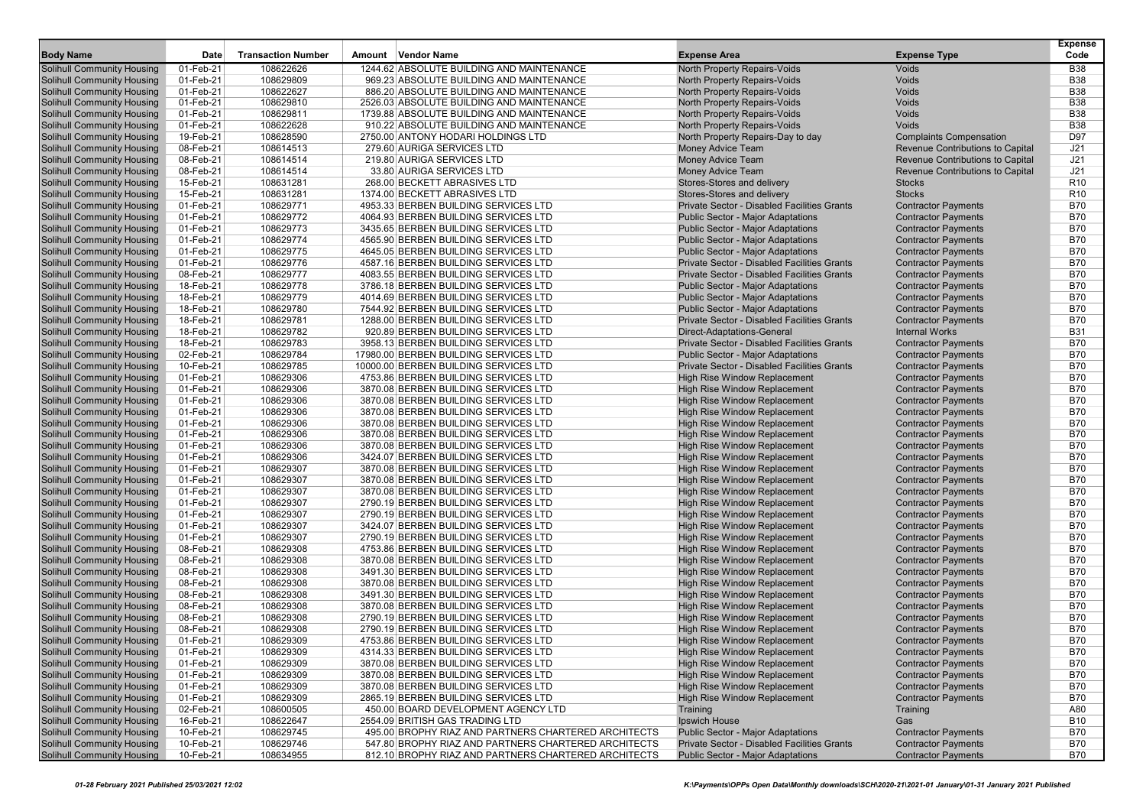|                                   | Date      |                           |                                                      |                                             |                                  | <b>Expense</b><br>Code |
|-----------------------------------|-----------|---------------------------|------------------------------------------------------|---------------------------------------------|----------------------------------|------------------------|
| <b>Body Name</b>                  |           | <b>Transaction Number</b> | Amount Vendor Name                                   | <b>Expense Area</b>                         | <b>Expense Type</b>              |                        |
| <b>Solihull Community Housing</b> | 01-Feb-21 | 108622626                 | 1244.62 ABSOLUTE BUILDING AND MAINTENANCE            | North Property Repairs-Voids                | <b>Voids</b>                     | <b>B38</b>             |
| <b>Solihull Community Housing</b> | 01-Feb-21 | 108629809                 | 969.23 ABSOLUTE BUILDING AND MAINTENANCE             | North Property Repairs-Voids                | <b>Voids</b>                     | <b>B38</b>             |
| <b>Solihull Community Housing</b> | 01-Feb-21 | 108622627                 | 886.20 ABSOLUTE BUILDING AND MAINTENANCE             | North Property Repairs-Voids                | Voids                            | <b>B38</b>             |
| <b>Solihull Community Housing</b> | 01-Feb-21 | 108629810                 | 2526.03 ABSOLUTE BUILDING AND MAINTENANCE            | North Property Repairs-Voids                | Voids                            | <b>B38</b>             |
| <b>Solihull Community Housing</b> | 01-Feb-21 | 108629811                 | 1739.88 ABSOLUTE BUILDING AND MAINTENANCE            | North Property Repairs-Voids                | <b>Voids</b>                     | <b>B38</b>             |
| <b>Solihull Community Housing</b> | 01-Feb-21 | 108622628                 | 910.22 ABSOLUTE BUILDING AND MAINTENANCE             | North Property Repairs-Voids                | <b>Voids</b>                     | <b>B38</b>             |
| <b>Solihull Community Housing</b> | 19-Feb-21 | 108628590                 | 2750.00 ANTONY HODARI HOLDINGS LTD                   | North Property Repairs-Day to day           | <b>Complaints Compensation</b>   | D97                    |
| <b>Solihull Community Housing</b> | 08-Feb-21 | 108614513                 | 279.60 AURIGA SERVICES LTD                           | <b>Money Advice Team</b>                    | Revenue Contributions to Capital | J21                    |
| <b>Solihull Community Housing</b> | 08-Feb-21 | 108614514                 | 219.80 AURIGA SERVICES LTD                           | <b>Money Advice Team</b>                    | Revenue Contributions to Capital | J21                    |
| <b>Solihull Community Housing</b> | 08-Feb-21 | 108614514                 | 33.80 AURIGA SERVICES LTD                            | <b>Money Advice Team</b>                    | Revenue Contributions to Capital | J21                    |
| <b>Solihull Community Housing</b> | 15-Feb-21 | 108631281                 | 268.00 BECKETT ABRASIVES LTD                         | Stores-Stores and delivery                  | <b>Stocks</b>                    | R <sub>10</sub>        |
| <b>Solihull Community Housing</b> | 15-Feb-21 | 108631281                 | 1374.00 BECKETT ABRASIVES LTD                        | Stores-Stores and delivery                  | <b>Stocks</b>                    | R <sub>10</sub>        |
| <b>Solihull Community Housing</b> | 01-Feb-21 | 108629771                 | 4953.33 BERBEN BUILDING SERVICES LTD                 | Private Sector - Disabled Facilities Grants | <b>Contractor Payments</b>       | <b>B70</b>             |
| <b>Solihull Community Housing</b> | 01-Feb-21 | 108629772                 | 4064.93 BERBEN BUILDING SERVICES LTD                 | <b>Public Sector - Major Adaptations</b>    | <b>Contractor Payments</b>       | <b>B70</b>             |
| <b>Solihull Community Housing</b> | 01-Feb-21 | 108629773                 | 3435.65 BERBEN BUILDING SERVICES LTD                 | <b>Public Sector - Major Adaptations</b>    | <b>Contractor Payments</b>       | <b>B70</b>             |
| <b>Solihull Community Housing</b> | 01-Feb-21 | 108629774                 | 4565.90 BERBEN BUILDING SERVICES LTD                 | <b>Public Sector - Major Adaptations</b>    | <b>Contractor Payments</b>       | <b>B70</b>             |
| <b>Solihull Community Housing</b> | 01-Feb-21 | 108629775                 | 4645.05 BERBEN BUILDING SERVICES LTD                 | <b>Public Sector - Major Adaptations</b>    | <b>Contractor Payments</b>       | <b>B70</b>             |
| <b>Solihull Community Housing</b> | 01-Feb-21 | 108629776                 | 4587.16 BERBEN BUILDING SERVICES LTD                 | Private Sector - Disabled Facilities Grants | <b>Contractor Payments</b>       | <b>B70</b>             |
| <b>Solihull Community Housing</b> | 08-Feb-21 | 108629777                 | 4083.55 BERBEN BUILDING SERVICES LTD                 | Private Sector - Disabled Facilities Grants | <b>Contractor Payments</b>       | <b>B70</b>             |
| <b>Solihull Community Housing</b> | 18-Feb-21 | 108629778                 | 3786.18 BERBEN BUILDING SERVICES LTD                 | <b>Public Sector - Major Adaptations</b>    | <b>Contractor Payments</b>       | <b>B70</b>             |
| <b>Solihull Community Housing</b> | 18-Feb-21 | 108629779                 | 4014.69 BERBEN BUILDING SERVICES LTD                 | <b>Public Sector - Major Adaptations</b>    | <b>Contractor Payments</b>       | <b>B70</b>             |
| <b>Solihull Community Housing</b> | 18-Feb-21 | 108629780                 | 7544.92 BERBEN BUILDING SERVICES LTD                 | <b>Public Sector - Major Adaptations</b>    | <b>Contractor Payments</b>       | <b>B70</b>             |
| <b>Solihull Community Housing</b> | 18-Feb-21 | 108629781                 | 1288.00 BERBEN BUILDING SERVICES LTD                 | Private Sector - Disabled Facilities Grants | <b>Contractor Payments</b>       | <b>B70</b>             |
| <b>Solihull Community Housing</b> | 18-Feb-21 | 108629782                 | 920.89 BERBEN BUILDING SERVICES LTD                  | Direct-Adaptations-General                  | <b>Internal Works</b>            | <b>B31</b>             |
| <b>Solihull Community Housing</b> | 18-Feb-21 | 108629783                 | 3958.13 BERBEN BUILDING SERVICES LTD                 | Private Sector - Disabled Facilities Grants | <b>Contractor Payments</b>       | <b>B70</b>             |
| <b>Solihull Community Housing</b> | 02-Feb-21 | 108629784                 | 17980.00 BERBEN BUILDING SERVICES LTD                | <b>Public Sector - Maior Adaptations</b>    | <b>Contractor Payments</b>       | <b>B70</b>             |
| <b>Solihull Community Housing</b> | 10-Feb-21 | 108629785                 | 10000.00 BERBEN BUILDING SERVICES LTD                | Private Sector - Disabled Facilities Grants | <b>Contractor Payments</b>       | <b>B70</b>             |
| <b>Solihull Community Housing</b> | 01-Feb-21 | 108629306                 | 4753.86 BERBEN BUILDING SERVICES LTD                 | <b>High Rise Window Replacement</b>         | <b>Contractor Payments</b>       | <b>B70</b>             |
| <b>Solihull Community Housing</b> | 01-Feb-21 | 108629306                 | 3870.08 BERBEN BUILDING SERVICES LTD                 | High Rise Window Replacement                | <b>Contractor Payments</b>       | <b>B70</b>             |
| <b>Solihull Community Housing</b> | 01-Feb-21 | 108629306                 | 3870.08 BERBEN BUILDING SERVICES LTD                 | High Rise Window Replacement                | <b>Contractor Payments</b>       | <b>B70</b>             |
| <b>Solihull Community Housing</b> | 01-Feb-21 | 108629306                 | 3870.08 BERBEN BUILDING SERVICES LTD                 | <b>High Rise Window Replacement</b>         | <b>Contractor Payments</b>       | <b>B70</b>             |
| <b>Solihull Community Housing</b> | 01-Feb-21 | 108629306                 | 3870.08 BERBEN BUILDING SERVICES LTD                 | High Rise Window Replacement                | <b>Contractor Payments</b>       | <b>B70</b>             |
| <b>Solihull Community Housing</b> | 01-Feb-21 | 108629306                 | 3870.08 BERBEN BUILDING SERVICES LTD                 | High Rise Window Replacement                | <b>Contractor Payments</b>       | <b>B70</b>             |
| <b>Solihull Community Housing</b> | 01-Feb-21 | 108629306                 | 3870.08 BERBEN BUILDING SERVICES LTD                 | High Rise Window Replacement                | <b>Contractor Payments</b>       | <b>B70</b>             |
| <b>Solihull Community Housing</b> | 01-Feb-21 | 108629306                 | 3424.07 BERBEN BUILDING SERVICES LTD                 | High Rise Window Replacement                | <b>Contractor Payments</b>       | <b>B70</b>             |
| <b>Solihull Community Housing</b> | 01-Feb-21 | 108629307                 | 3870.08 BERBEN BUILDING SERVICES LTD                 | High Rise Window Replacement                | <b>Contractor Payments</b>       | <b>B70</b>             |
| <b>Solihull Community Housing</b> | 01-Feb-21 | 108629307                 | 3870.08 BERBEN BUILDING SERVICES LTD                 | High Rise Window Replacement                | <b>Contractor Payments</b>       | <b>B70</b>             |
| <b>Solihull Community Housing</b> | 01-Feb-21 | 108629307                 | 3870.08 BERBEN BUILDING SERVICES LTD                 | High Rise Window Replacement                | <b>Contractor Payments</b>       | <b>B70</b>             |
| <b>Solihull Community Housing</b> | 01-Feb-21 | 108629307                 | 2790.19 BERBEN BUILDING SERVICES LTD                 | High Rise Window Replacement                | <b>Contractor Payments</b>       | <b>B70</b>             |
| <b>Solihull Community Housing</b> | 01-Feb-21 | 108629307                 | 2790.19 BERBEN BUILDING SERVICES LTD                 | High Rise Window Replacement                | <b>Contractor Payments</b>       | <b>B70</b>             |
| <b>Solihull Community Housing</b> | 01-Feb-21 | 108629307                 | 3424.07 BERBEN BUILDING SERVICES LTD                 | High Rise Window Replacement                | <b>Contractor Payments</b>       | <b>B70</b>             |
| <b>Solihull Community Housing</b> | 01-Feb-21 | 108629307                 | 2790.19 BERBEN BUILDING SERVICES LTD                 | High Rise Window Replacement                | <b>Contractor Payments</b>       | <b>B70</b>             |
| <b>Solihull Community Housing</b> | 08-Feb-21 | 108629308                 | 4753.86 BERBEN BUILDING SERVICES LTD                 | High Rise Window Replacement                | <b>Contractor Payments</b>       | <b>B70</b>             |
| <b>Solihull Community Housing</b> | 08-Feb-21 | 108629308                 | 3870.08 BERBEN BUILDING SERVICES LTD                 | High Rise Window Replacement                | <b>Contractor Payments</b>       | <b>B70</b>             |
| <b>Solihull Community Housing</b> | 08-Feb-21 | 108629308                 | 3491.30 BERBEN BUILDING SERVICES LTD                 | High Rise Window Replacement                | <b>Contractor Payments</b>       | <b>B70</b>             |
| <b>Solihull Community Housing</b> | 08-Feb-21 | 108629308                 | 3870.08 BERBEN BUILDING SERVICES LTD                 | High Rise Window Replacement                | <b>Contractor Payments</b>       | <b>B70</b>             |
| <b>Solihull Community Housing</b> | 08-Feb-21 | 108629308                 | 3491.30 BERBEN BUILDING SERVICES LTD                 | <b>High Rise Window Replacement</b>         | <b>Contractor Payments</b>       | <b>B70</b>             |
| <b>Solihull Community Housing</b> | 08-Feb-21 | 108629308                 | 3870.08 BERBEN BUILDING SERVICES LTD                 | <b>High Rise Window Replacement</b>         | <b>Contractor Payments</b>       | <b>B70</b>             |
| <b>Solihull Community Housing</b> | 08-Feb-21 | 108629308                 | 2790.19 BERBEN BUILDING SERVICES LTD                 | <b>High Rise Window Replacement</b>         | <b>Contractor Payments</b>       | <b>B70</b>             |
| <b>Solihull Community Housing</b> | 08-Feb-21 | 108629308                 | 2790.19 BERBEN BUILDING SERVICES LTD                 | High Rise Window Replacement                | <b>Contractor Payments</b>       | <b>B70</b>             |
| <b>Solihull Community Housing</b> | 01-Feb-21 | 108629309                 | 4753.86 BERBEN BUILDING SERVICES LTD                 | High Rise Window Replacement                | <b>Contractor Payments</b>       | <b>B70</b>             |
| <b>Solihull Community Housing</b> | 01-Feb-21 | 108629309                 | 4314.33 BERBEN BUILDING SERVICES LTD                 | High Rise Window Replacement                | <b>Contractor Payments</b>       | B70                    |
| <b>Solihull Community Housing</b> | 01-Feb-21 | 108629309                 | 3870.08 BERBEN BUILDING SERVICES LTD                 | High Rise Window Replacement                | <b>Contractor Payments</b>       | <b>B70</b>             |
| <b>Solihull Community Housing</b> | 01-Feb-21 | 108629309                 | 3870.08 BERBEN BUILDING SERVICES LTD                 | High Rise Window Replacement                | <b>Contractor Payments</b>       | <b>B70</b>             |
| <b>Solihull Community Housing</b> | 01-Feb-21 | 108629309                 | 3870.08 BERBEN BUILDING SERVICES LTD                 | High Rise Window Replacement                | <b>Contractor Payments</b>       | <b>B70</b>             |
| <b>Solihull Community Housing</b> | 01-Feb-21 | 108629309                 | 2865.19 BERBEN BUILDING SERVICES LTD                 | High Rise Window Replacement                | <b>Contractor Payments</b>       | <b>B70</b>             |
| <b>Solihull Community Housing</b> | 02-Feb-21 | 108600505                 | 450.00 BOARD DEVELOPMENT AGENCY LTD                  | Training                                    | Training                         | A80                    |
| <b>Solihull Community Housing</b> | 16-Feb-21 | 108622647                 | 2554.09 BRITISH GAS TRADING LTD                      | Ipswich House                               | Gas                              | <b>B10</b>             |
| <b>Solihull Community Housing</b> | 10-Feb-21 | 108629745                 | 495.00 BROPHY RIAZ AND PARTNERS CHARTERED ARCHITECTS | <b>Public Sector - Major Adaptations</b>    | <b>Contractor Payments</b>       | B70                    |
| <b>Solihull Community Housing</b> | 10-Feb-21 | 108629746                 | 547.80 BROPHY RIAZ AND PARTNERS CHARTERED ARCHITECTS | Private Sector - Disabled Facilities Grants | <b>Contractor Payments</b>       | <b>B70</b>             |
| <b>Solihull Community Housing</b> | 10-Feb-21 | 108634955                 | 812.10 BROPHY RIAZ AND PARTNERS CHARTERED ARCHITECTS | <b>Public Sector - Major Adaptations</b>    | <b>Contractor Payments</b>       | B70                    |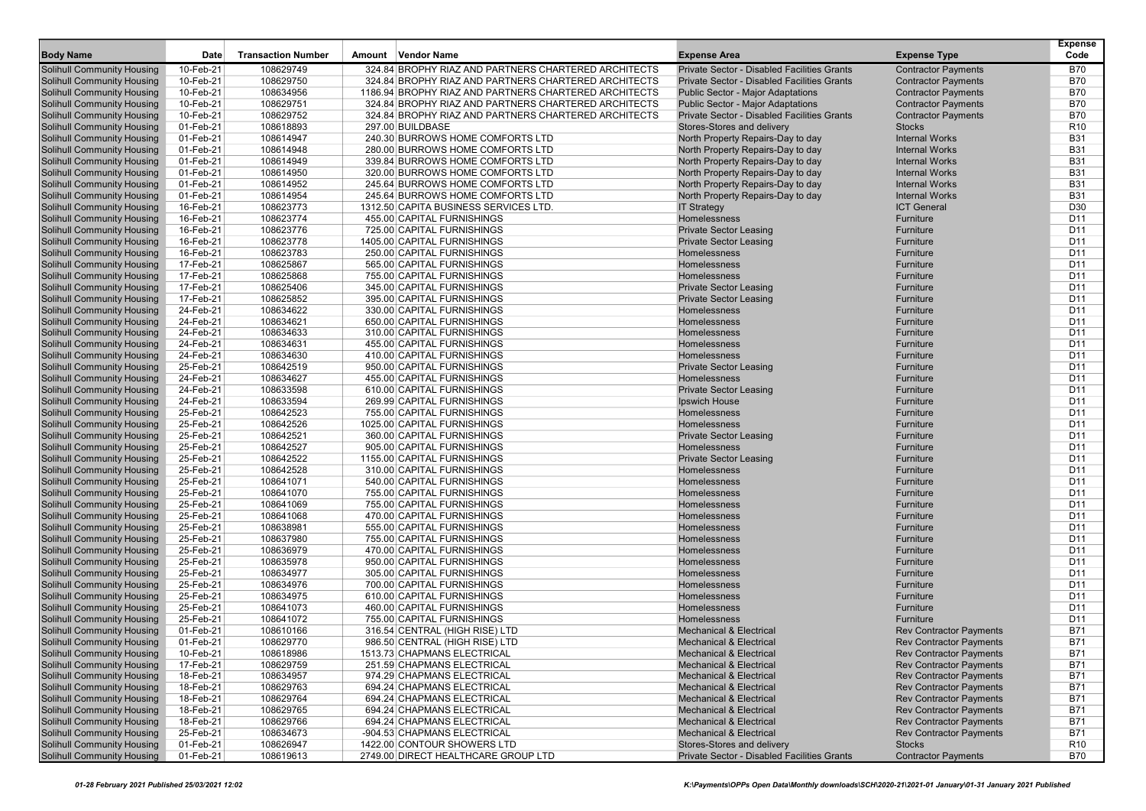| <b>Body Name</b>                  | Date      | <b>Transaction Number</b> | Amount | <b>Vendor Name</b>                                    | <b>Expense Area</b>                         | <b>Expense Type</b>            | <b>Expense</b><br>Code |
|-----------------------------------|-----------|---------------------------|--------|-------------------------------------------------------|---------------------------------------------|--------------------------------|------------------------|
| Solihull Community Housing        | 10-Feb-21 | 108629749                 |        | 324.84 BROPHY RIAZ AND PARTNERS CHARTERED ARCHITECTS  | Private Sector - Disabled Facilities Grants | <b>Contractor Payments</b>     | B70                    |
| Solihull Community Housing        | 10-Feb-21 | 108629750                 |        | 324.84 BROPHY RIAZ AND PARTNERS CHARTERED ARCHITECTS  | Private Sector - Disabled Facilities Grants | <b>Contractor Payments</b>     | <b>B70</b>             |
| <b>Solihull Community Housing</b> | 10-Feb-21 | 108634956                 |        | 1186.94 BROPHY RIAZ AND PARTNERS CHARTERED ARCHITECTS | <b>Public Sector - Major Adaptations</b>    | <b>Contractor Payments</b>     | <b>B70</b>             |
| <b>Solihull Community Housing</b> | 10-Feb-21 | 108629751                 |        | 324.84 BROPHY RIAZ AND PARTNERS CHARTERED ARCHITECTS  | <b>Public Sector - Major Adaptations</b>    | <b>Contractor Payments</b>     | <b>B70</b>             |
| <b>Solihull Community Housing</b> | 10-Feb-21 | 108629752                 |        | 324.84 BROPHY RIAZ AND PARTNERS CHARTERED ARCHITECTS  | Private Sector - Disabled Facilities Grants | <b>Contractor Payments</b>     | <b>B70</b>             |
| <b>Solihull Community Housing</b> | 01-Feb-21 | 108618893                 |        | 297.00 BUILDBASE                                      | Stores-Stores and delivery                  | <b>Stocks</b>                  | R <sub>10</sub>        |
| Solihull Community Housing        | 01-Feb-21 | 108614947                 |        | 240.30 BURROWS HOME COMFORTS LTD                      | North Property Repairs-Day to day           | <b>Internal Works</b>          | <b>B31</b>             |
| <b>Solihull Community Housing</b> | 01-Feb-21 | 108614948                 |        | 280.00 BURROWS HOME COMFORTS LTD                      | North Property Repairs-Day to day           | <b>Internal Works</b>          | <b>B31</b>             |
| <b>Solihull Community Housing</b> | 01-Feb-21 | 108614949                 |        | 339.84 BURROWS HOME COMFORTS LTD                      | North Property Repairs-Day to day           | <b>Internal Works</b>          | <b>B31</b>             |
| <b>Solihull Community Housing</b> | 01-Feb-21 | 108614950                 |        | 320.00 BURROWS HOME COMFORTS LTD                      | North Property Repairs-Day to day           | <b>Internal Works</b>          | <b>B31</b>             |
| <b>Solihull Community Housing</b> | 01-Feb-21 | 108614952                 |        | 245.64 BURROWS HOME COMFORTS LTD                      | North Property Repairs-Day to day           | <b>Internal Works</b>          | <b>B31</b>             |
| Solihull Community Housing        | 01-Feb-21 | 108614954                 |        | 245.64 BURROWS HOME COMFORTS LTD                      | North Property Repairs-Day to day           | <b>Internal Works</b>          | <b>B31</b>             |
| <b>Solihull Community Housing</b> | 16-Feb-21 | 108623773                 |        | 1312.50 CAPITA BUSINESS SERVICES LTD.                 | <b>IT Strategy</b>                          | <b>ICT General</b>             | D <sub>30</sub>        |
| <b>Solihull Community Housing</b> | 16-Feb-21 | 108623774                 |        | 455.00 CAPITAL FURNISHINGS                            | Homelessness                                | Furniture                      | D <sub>11</sub>        |
| <b>Solihull Community Housing</b> | 16-Feb-21 | 108623776                 |        | 725.00 CAPITAL FURNISHINGS                            | <b>Private Sector Leasing</b>               | Furniture                      | D <sub>11</sub>        |
| <b>Solihull Community Housing</b> | 16-Feb-21 | 108623778                 |        | 1405.00 CAPITAL FURNISHINGS                           | <b>Private Sector Leasing</b>               | Furniture                      | D11                    |
| Solihull Community Housing        | 16-Feb-21 | 108623783                 |        | 250.00 CAPITAL FURNISHINGS                            | Homelessness                                | Furniture                      | D <sub>11</sub>        |
| <b>Solihull Community Housing</b> | 17-Feb-21 | 108625867                 |        | 565.00 CAPITAL FURNISHINGS                            | Homelessness                                | Furniture                      | D <sub>11</sub>        |
| <b>Solihull Community Housing</b> | 17-Feb-21 | 108625868                 |        | 755.00 CAPITAL FURNISHINGS                            | Homelessness                                | Furniture                      | D <sub>11</sub>        |
| <b>Solihull Community Housing</b> | 17-Feb-21 | 108625406                 |        | 345.00 CAPITAL FURNISHINGS                            | <b>Private Sector Leasing</b>               | Furniture                      | D11                    |
| <b>Solihull Community Housing</b> | 17-Feb-21 | 108625852                 |        | 395.00 CAPITAL FURNISHINGS                            | <b>Private Sector Leasing</b>               | Furniture                      | D11                    |
| Solihull Community Housing        | 24-Feb-21 | 108634622                 |        | 330.00 CAPITAL FURNISHINGS                            | Homelessness                                | Furniture                      | D <sub>11</sub>        |
| <b>Solihull Community Housing</b> | 24-Feb-21 | 108634621                 |        | 650.00 CAPITAL FURNISHINGS                            | Homelessness                                | Furniture                      | D <sub>11</sub>        |
| <b>Solihull Community Housing</b> | 24-Feb-21 | 108634633                 |        | 310.00 CAPITAL FURNISHINGS                            | Homelessness                                | Furniture                      | D <sub>11</sub>        |
| <b>Solihull Community Housing</b> | 24-Feb-21 | 108634631                 |        | 455.00 CAPITAL FURNISHINGS                            | Homelessness                                | Furniture                      | D11                    |
| <b>Solihull Community Housing</b> | 24-Feb-21 | 108634630                 |        | 410.00 CAPITAL FURNISHINGS                            | Homelessness                                | Furniture                      | D11                    |
| Solihull Community Housing        | 25-Feb-21 | 108642519                 |        | 950.00 CAPITAL FURNISHINGS                            | <b>Private Sector Leasing</b>               | Furniture                      | D <sub>11</sub>        |
| <b>Solihull Community Housing</b> | 24-Feb-21 | 108634627                 |        | 455.00 CAPITAL FURNISHINGS                            | Homelessness                                | Furniture                      | D <sub>11</sub>        |
| <b>Solihull Community Housing</b> | 24-Feb-21 | 108633598                 |        | 610.00 CAPITAL FURNISHINGS                            | <b>Private Sector Leasing</b>               | Furniture                      | D <sub>11</sub>        |
| <b>Solihull Community Housing</b> | 24-Feb-21 | 108633594                 |        | 269.99 CAPITAL FURNISHINGS                            | Ipswich House                               | Furniture                      | D11                    |
| <b>Solihull Community Housing</b> | 25-Feb-21 | 108642523                 |        | 755.00 CAPITAL FURNISHINGS                            | Homelessness                                | Furniture                      | D11                    |
| Solihull Community Housing        | 25-Feb-21 | 108642526                 |        | 1025.00 CAPITAL FURNISHINGS                           | Homelessness                                | Furniture                      | D <sub>11</sub>        |
| <b>Solihull Community Housing</b> | 25-Feb-21 | 108642521                 |        | 360.00 CAPITAL FURNISHINGS                            | <b>Private Sector Leasing</b>               | Furniture                      | D <sub>11</sub>        |
| <b>Solihull Community Housing</b> | 25-Feb-21 | 108642527                 |        | 905.00 CAPITAL FURNISHINGS                            | Homelessness                                | Furniture                      | D <sub>11</sub>        |
| <b>Solihull Community Housing</b> | 25-Feb-21 | 108642522                 |        | 1155.00 CAPITAL FURNISHINGS                           | <b>Private Sector Leasing</b>               | Furniture                      | D11                    |
| <b>Solihull Community Housing</b> | 25-Feb-21 | 108642528                 |        | 310.00 CAPITAL FURNISHINGS                            | Homelessness                                | Furniture                      | D11                    |
| Solihull Community Housing        | 25-Feb-21 | 108641071                 |        | 540.00 CAPITAL FURNISHINGS                            | Homelessness                                | Furniture                      | D <sub>11</sub>        |
| <b>Solihull Community Housing</b> | 25-Feb-21 | 108641070                 |        | 755.00 CAPITAL FURNISHINGS                            | Homelessness                                | Furniture                      | D <sub>11</sub>        |
| <b>Solihull Community Housing</b> | 25-Feb-21 | 108641069                 |        | 755.00 CAPITAL FURNISHINGS                            | Homelessness                                | Furniture                      | D <sub>11</sub>        |
| <b>Solihull Community Housing</b> | 25-Feb-21 | 108641068                 |        | 470.00 CAPITAL FURNISHINGS                            | Homelessness                                | Furniture                      | D11                    |
| <b>Solihull Community Housing</b> | 25-Feb-21 | 108638981                 |        | 555.00 CAPITAL FURNISHINGS                            | Homelessness                                | Furniture                      | D11                    |
| Solihull Community Housing        | 25-Feb-21 | 108637980                 |        | 755.00 CAPITAL FURNISHINGS                            | Homelessness                                | Furniture                      | D <sub>11</sub>        |
| <b>Solihull Community Housing</b> | 25-Feb-21 | 108636979                 |        | 470.00 CAPITAL FURNISHINGS                            | Homelessness                                | Furniture                      | D <sub>11</sub>        |
| <b>Solihull Community Housing</b> | 25-Feb-21 | 108635978                 |        | 950.00 CAPITAL FURNISHINGS                            | Homelessness                                | Furniture                      | D <sub>11</sub>        |
| <b>Solihull Community Housing</b> | 25-Feb-21 | 108634977                 |        | 305.00 CAPITAL FURNISHINGS                            | Homelessness                                | Furniture                      | D11                    |
| <b>Solihull Community Housing</b> | 25-Feb-21 | 108634976                 |        | 700.00 CAPITAL FURNISHINGS                            | Homelessness                                | Furniture                      | D11                    |
| Solihull Community Housing        | 25-Feb-21 | 108634975                 |        | 610.00 CAPITAL FURNISHINGS                            | Homelessness                                | Furniture                      | D <sub>11</sub>        |
| <b>Solihull Community Housing</b> | 25-Feb-21 | 108641073                 |        | 460.00 CAPITAL FURNISHINGS                            | Homelessness                                | Furniture                      | D11                    |
| <b>Solihull Community Housing</b> | 25-Feb-21 | 108641072                 |        | 755.00 CAPITAL FURNISHINGS                            | Homelessness                                | Furniture                      | D <sub>11</sub>        |
| <b>Solihull Community Housing</b> | 01-Feb-21 | 108610166                 |        | 316.54 CENTRAL (HIGH RISE) LTD                        | <b>Mechanical &amp; Electrical</b>          | <b>Rev Contractor Payments</b> | <b>B71</b>             |
| <b>Solihull Community Housing</b> | 01-Feb-21 | 108629770                 |        | 986.50 CENTRAL (HIGH RISE) LTD                        | <b>Mechanical &amp; Electrical</b>          | <b>Rev Contractor Payments</b> | <b>B71</b>             |
| <b>Solihull Community Housing</b> | 10-Feb-21 | 108618986                 |        | 1513.73 CHAPMANS ELECTRICAL                           | <b>Mechanical &amp; Electrical</b>          | <b>Rev Contractor Payments</b> | B71                    |
| <b>Solihull Community Housing</b> | 17-Feb-21 | 108629759                 |        | 251.59 CHAPMANS ELECTRICAL                            | <b>Mechanical &amp; Electrical</b>          | <b>Rev Contractor Payments</b> | <b>B71</b>             |
| <b>Solihull Community Housing</b> | 18-Feb-21 | 108634957                 |        | 974.29 CHAPMANS ELECTRICAL                            | <b>Mechanical &amp; Electrical</b>          | <b>Rev Contractor Payments</b> | <b>B71</b>             |
| <b>Solihull Community Housing</b> | 18-Feb-21 | 108629763                 |        | 694.24 CHAPMANS ELECTRICAL                            | <b>Mechanical &amp; Electrical</b>          | <b>Rev Contractor Payments</b> | <b>B71</b>             |
| <b>Solihull Community Housing</b> | 18-Feb-21 | 108629764                 |        | 694.24 CHAPMANS ELECTRICAL                            | <b>Mechanical &amp; Electrical</b>          | <b>Rev Contractor Payments</b> | <b>B71</b>             |
| <b>Solihull Community Housing</b> | 18-Feb-21 | 108629765                 |        | 694.24 CHAPMANS ELECTRICAL                            | <b>Mechanical &amp; Electrical</b>          | <b>Rev Contractor Payments</b> | <b>B71</b>             |
| <b>Solihull Community Housing</b> | 18-Feb-21 | 108629766                 |        | 694.24 CHAPMANS ELECTRICAL                            | <b>Mechanical &amp; Electrical</b>          | <b>Rev Contractor Payments</b> | <b>B71</b>             |
| <b>Solihull Community Housing</b> | 25-Feb-21 | 108634673                 |        | -904.53 CHAPMANS ELECTRICAL                           | <b>Mechanical &amp; Electrical</b>          | <b>Rev Contractor Payments</b> | B71                    |
| <b>Solihull Community Housing</b> | 01-Feb-21 | 108626947                 |        | 1422.00 CONTOUR SHOWERS LTD                           | Stores-Stores and delivery                  | <b>Stocks</b>                  | R <sub>10</sub>        |
| <b>Solihull Community Housing</b> | 01-Feb-21 | 108619613                 |        | 2749.00 DIRECT HEALTHCARE GROUP LTD                   | Private Sector - Disabled Facilities Grants | <b>Contractor Payments</b>     | <b>B70</b>             |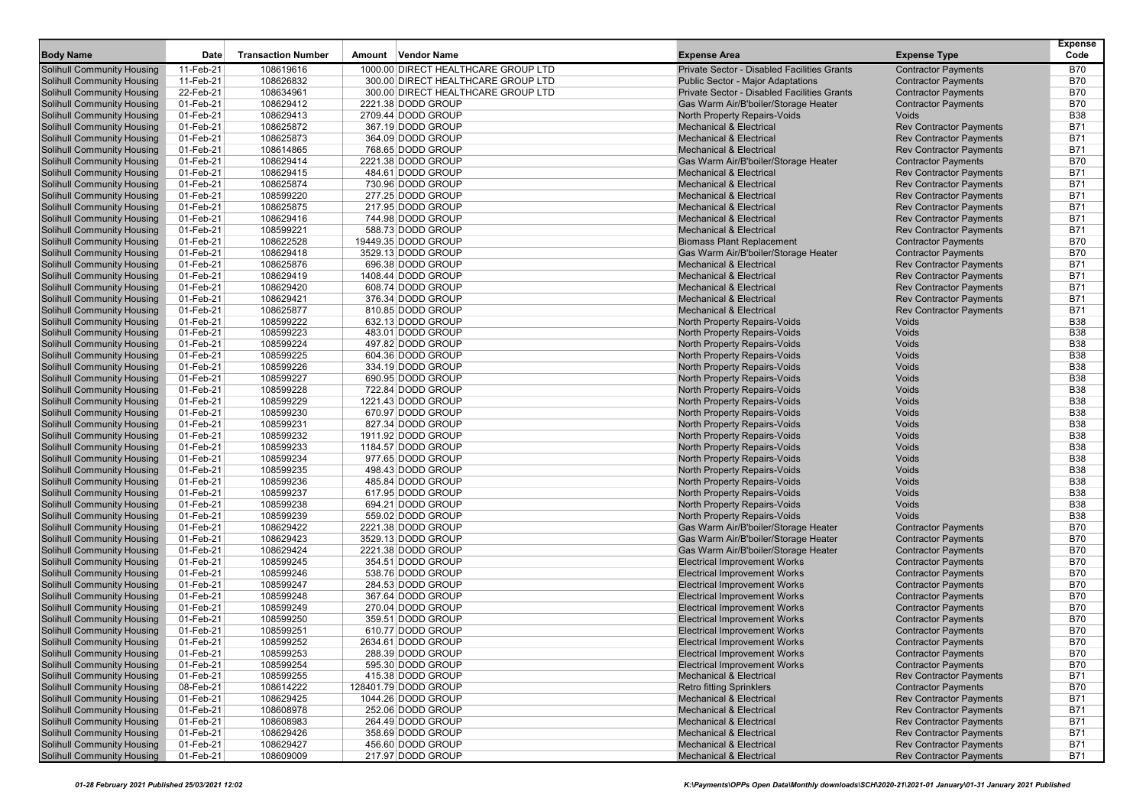| <b>Body Name</b>                                                       | Date                   | <b>Transaction Number</b> | Amount Vendor Name                      | <b>Expense Area</b>                                                          | <b>Expense Type</b>                                      | <b>Expense</b><br>Code   |
|------------------------------------------------------------------------|------------------------|---------------------------|-----------------------------------------|------------------------------------------------------------------------------|----------------------------------------------------------|--------------------------|
| Solihull Community Housing                                             | 11-Feb-21              | 108619616                 | 1000.00 DIRECT HEALTHCARE GROUP LTD     | Private Sector - Disabled Facilities Grants                                  | <b>Contractor Payments</b>                               | <b>B70</b>               |
| Solihull Community Housing                                             | 11-Feb-21              | 108626832                 | 300.00 DIRECT HEALTHCARE GROUP LTD      | <b>Public Sector - Major Adaptations</b>                                     | <b>Contractor Payments</b>                               | <b>B70</b>               |
| <b>Solihull Community Housing</b>                                      | 22-Feb-21              | 108634961                 | 300.00 DIRECT HEALTHCARE GROUP LTD      | Private Sector - Disabled Facilities Grants                                  | <b>Contractor Payments</b>                               | <b>B70</b>               |
| <b>Solihull Community Housing</b>                                      | 01-Feb-21              | 108629412                 | 2221.38 DODD GROUP                      | Gas Warm Air/B'boiler/Storage Heater                                         | <b>Contractor Payments</b>                               | <b>B70</b>               |
| <b>Solihull Community Housing</b>                                      | 01-Feb-21              | 108629413                 | 2709.44 DODD GROUP                      | North Property Repairs-Voids                                                 | Voids                                                    | <b>B38</b>               |
| <b>Solihull Community Housing</b>                                      | 01-Feb-21              | 108625872                 | 367.19 DODD GROUP                       | <b>Mechanical &amp; Electrical</b>                                           | <b>Rev Contractor Payments</b>                           | <b>B71</b>               |
| <b>Solihull Community Housing</b>                                      | 01-Feb-21              | 108625873                 | 364.09 DODD GROUP                       | <b>Mechanical &amp; Electrical</b>                                           | <b>Rev Contractor Payments</b>                           | <b>B71</b>               |
| <b>Solihull Community Housing</b>                                      | 01-Feb-21              | 108614865                 | 768.65 DODD GROUP                       | <b>Mechanical &amp; Electrical</b>                                           | <b>Rev Contractor Payments</b>                           | <b>B71</b>               |
| <b>Solihull Community Housing</b>                                      | 01-Feb-21              | 108629414                 | 2221.38 DODD GROUP                      | Gas Warm Air/B'boiler/Storage Heater                                         | <b>Contractor Payments</b>                               | <b>B70</b>               |
| <b>Solihull Community Housing</b>                                      | 01-Feb-21              | 108629415                 | 484.61 DODD GROUP                       | <b>Mechanical &amp; Electrical</b>                                           | <b>Rev Contractor Payments</b>                           | B71                      |
| <b>Solihull Community Housing</b>                                      | 01-Feb-21              | 108625874                 | 730.96 DODD GROUP                       | <b>Mechanical &amp; Electrical</b>                                           | <b>Rev Contractor Payments</b>                           | <b>B71</b>               |
| <b>Solihull Community Housing</b>                                      | 01-Feb-21              | 108599220                 | 277.25 DODD GROUP                       | <b>Mechanical &amp; Electrical</b>                                           | <b>Rev Contractor Payments</b>                           | <b>B71</b>               |
| <b>Solihull Community Housing</b>                                      | 01-Feb-21              | 108625875                 | 217.95 DODD GROUP                       | <b>Mechanical &amp; Electrical</b>                                           | <b>Rev Contractor Payments</b>                           | <b>B71</b>               |
| <b>Solihull Community Housing</b>                                      | 01-Feb-21              | 108629416                 | 744.98 DODD GROUP                       | <b>Mechanical &amp; Electrical</b>                                           | <b>Rev Contractor Payments</b>                           | <b>B71</b>               |
| <b>Solihull Community Housing</b>                                      | 01-Feb-21              | 108599221                 | 588.73 DODD GROUP                       | <b>Mechanical &amp; Electrical</b>                                           | <b>Rev Contractor Payments</b>                           | B71                      |
| <b>Solihull Community Housing</b>                                      | 01-Feb-21              | 108622528                 | 19449.35 DODD GROUP                     | <b>Biomass Plant Replacement</b>                                             | <b>Contractor Payments</b>                               | <b>B70</b>               |
| <b>Solihull Community Housing</b>                                      | 01-Feb-21              | 108629418                 | 3529.13 DODD GROUP                      | Gas Warm Air/B'boiler/Storage Heater                                         | <b>Contractor Payments</b>                               | <b>B70</b>               |
| <b>Solihull Community Housing</b>                                      | 01-Feb-21              | 108625876                 | 696.38 DODD GROUP                       | <b>Mechanical &amp; Electrical</b>                                           | <b>Rev Contractor Payments</b>                           | <b>B71</b>               |
| <b>Solihull Community Housing</b>                                      | 01-Feb-21              | 108629419                 | 1408.44 DODD GROUP                      | <b>Mechanical &amp; Electrical</b>                                           | <b>Rev Contractor Payments</b>                           | <b>B71</b>               |
| <b>Solihull Community Housing</b>                                      | 01-Feb-21              | 108629420                 | 608.74 DODD GROUP                       | <b>Mechanical &amp; Electrical</b>                                           | <b>Rev Contractor Payments</b>                           | B71                      |
| <b>Solihull Community Housing</b>                                      | 01-Feb-21              | 108629421                 | 376.34 DODD GROUP                       | <b>Mechanical &amp; Electrical</b>                                           | <b>Rev Contractor Payments</b>                           | <b>B71</b>               |
| <b>Solihull Community Housing</b>                                      | 01-Feb-21              | 108625877                 | 810.85 DODD GROUP                       | <b>Mechanical &amp; Electrical</b>                                           | <b>Rev Contractor Payments</b>                           | <b>B71</b>               |
| <b>Solihull Community Housing</b>                                      | 01-Feb-21              | 108599222                 | 632.13 DODD GROUP                       | North Property Repairs-Voids                                                 | Voids                                                    | <b>B38</b>               |
| <b>Solihull Community Housing</b>                                      | 01-Feb-21              | 108599223                 | 483.01 DODD GROUP                       | North Property Repairs-Voids                                                 | Voids                                                    | <b>B38</b>               |
| <b>Solihull Community Housing</b>                                      | 01-Feb-21              | 108599224                 | 497.82 DODD GROUP                       | North Property Repairs-Voids                                                 | Voids                                                    | <b>B38</b>               |
| <b>Solihull Community Housing</b>                                      | 01-Feb-21              | 108599225                 | 604.36 DODD GROUP                       | North Property Repairs-Voids                                                 | Voids                                                    | <b>B38</b>               |
| <b>Solihull Community Housing</b>                                      | 01-Feb-21              | 108599226                 | 334.19 DODD GROUP                       | North Property Repairs-Voids                                                 | Voids                                                    | <b>B38</b>               |
| <b>Solihull Community Housing</b>                                      | 01-Feb-21              | 108599227                 | 690.95 DODD GROUP                       | North Property Repairs-Voids                                                 | Voids                                                    | <b>B38</b>               |
| <b>Solihull Community Housing</b>                                      | 01-Feb-21              | 108599228                 | 722.84 DODD GROUP                       | North Property Repairs-Voids                                                 | Voids                                                    | <b>B38</b>               |
| <b>Solihull Community Housing</b>                                      | 01-Feb-21              | 108599229                 | 1221.43 DODD GROUP                      | North Property Repairs-Voids                                                 | Voids                                                    | <b>B38</b>               |
| <b>Solihull Community Housing</b>                                      | 01-Feb-21              | 108599230                 | 670.97 DODD GROUP                       | North Property Repairs-Voids                                                 | Voids                                                    | <b>B38</b>               |
| <b>Solihull Community Housing</b>                                      | 01-Feb-21              | 108599231                 | 827.34 DODD GROUP                       | <b>North Property Repairs-Voids</b>                                          | Voids                                                    | <b>B38</b>               |
| <b>Solihull Community Housing</b>                                      | 01-Feb-21              | 108599232                 | 1911.92 DODD GROUP                      | North Property Repairs-Voids                                                 | Voids                                                    | <b>B38</b>               |
| <b>Solihull Community Housing</b>                                      | 01-Feb-21              | 108599233                 | 1184.57 DODD GROUP                      | North Property Repairs-Voids                                                 | Voids                                                    | <b>B38</b>               |
| <b>Solihull Community Housing</b>                                      | 01-Feb-21              | 108599234                 | 977.65 DODD GROUP                       | North Property Repairs-Voids                                                 | Voids                                                    | <b>B38</b>               |
| <b>Solihull Community Housing</b>                                      | 01-Feb-21              | 108599235                 | 498.43 DODD GROUP                       | North Property Repairs-Voids                                                 | Voids                                                    | <b>B38</b>               |
| <b>Solihull Community Housing</b>                                      | 01-Feb-21              | 108599236                 | 485.84 DODD GROUP                       | North Property Repairs-Voids                                                 | Voids                                                    | <b>B38</b>               |
| <b>Solihull Community Housing</b>                                      | 01-Feb-21              | 108599237                 | 617.95 DODD GROUP                       | North Property Repairs-Voids                                                 | Voids                                                    | <b>B38</b><br><b>B38</b> |
| <b>Solihull Community Housing</b><br><b>Solihull Community Housing</b> | 01-Feb-21<br>01-Feb-21 | 108599238<br>108599239    | 694.21 DODD GROUP                       | North Property Repairs-Voids                                                 | Voids<br>Voids                                           | <b>B38</b>               |
|                                                                        |                        | 108629422                 | 559.02 DODD GROUP<br>2221.38 DODD GROUP | North Property Repairs-Voids                                                 |                                                          | <b>B70</b>               |
| <b>Solihull Community Housing</b><br><b>Solihull Community Housing</b> | 01-Feb-21<br>01-Feb-21 | 108629423                 | 3529.13 DODD GROUP                      | Gas Warm Air/B'boiler/Storage Heater<br>Gas Warm Air/B'boiler/Storage Heater | <b>Contractor Payments</b><br><b>Contractor Payments</b> | B70                      |
| <b>Solihull Community Housing</b>                                      | 01-Feb-21              | 108629424                 | 2221.38 DODD GROUP                      | Gas Warm Air/B'boiler/Storage Heater                                         | <b>Contractor Payments</b>                               | <b>B70</b>               |
| <b>Solihull Community Housing</b>                                      | 01-Feb-21              | 108599245                 | 354.51 DODD GROUP                       | <b>Electrical Improvement Works</b>                                          | <b>Contractor Payments</b>                               | <b>B70</b>               |
| <b>Solihull Community Housing</b>                                      | 01-Feb-21              | 108599246                 | 538.76 DODD GROUP                       | Electrical Improvement Works                                                 | <b>Contractor Payments</b>                               | <b>B70</b>               |
| <b>Solihull Community Housing</b>                                      | 01-Feb-21              | 108599247                 | 284.53 DODD GROUP                       | <b>Electrical Improvement Works</b>                                          | <b>Contractor Payments</b>                               | <b>B70</b>               |
| <b>Solihull Community Housing</b>                                      | 01-Feb-21              | 108599248                 | 367.64 DODD GROUP                       | <b>Electrical Improvement Works</b>                                          | <b>Contractor Payments</b>                               | B70                      |
| Solihull Community Housing                                             | 01-Feb-21              | 108599249                 | 270.04 DODD GROUP                       | <b>Electrical Improvement Works</b>                                          | <b>Contractor Payments</b>                               | <b>B70</b>               |
| <b>Solihull Community Housing</b>                                      | 01-Feb-21              | 108599250                 | 359.51 DODD GROUP                       | <b>Electrical Improvement Works</b>                                          | <b>Contractor Payments</b>                               | <b>B70</b>               |
| <b>Solihull Community Housing</b>                                      | 01-Feb-21              | 108599251                 | 610.77 DODD GROUP                       | <b>Electrical Improvement Works</b>                                          | <b>Contractor Payments</b>                               | <b>B70</b>               |
| <b>Solihull Community Housing</b>                                      | 01-Feb-21              | 108599252                 | 2634.61 DODD GROUP                      | <b>Electrical Improvement Works</b>                                          | <b>Contractor Payments</b>                               | <b>B70</b>               |
| <b>Solihull Community Housing</b>                                      | 01-Feb-21              | 108599253                 | 288.39 DODD GROUP                       | <b>Electrical Improvement Works</b>                                          | <b>Contractor Payments</b>                               | <b>B70</b>               |
| <b>Solihull Community Housing</b>                                      | 01-Feb-21              | 108599254                 | 595.30 DODD GROUP                       | <b>Electrical Improvement Works</b>                                          | <b>Contractor Payments</b>                               | <b>B70</b>               |
| <b>Solihull Community Housing</b>                                      | 01-Feb-21              | 108599255                 | 415.38 DODD GROUP                       | <b>Mechanical &amp; Electrical</b>                                           | <b>Rev Contractor Payments</b>                           | B71                      |
| <b>Solihull Community Housing</b>                                      | 08-Feb-21              | 108614222                 | 128401.79 DODD GROUP                    | <b>Retro fitting Sprinklers</b>                                              | <b>Contractor Payments</b>                               | <b>B70</b>               |
| <b>Solihull Community Housing</b>                                      | 01-Feb-21              | 108629425                 | 1044.26 DODD GROUP                      | <b>Mechanical &amp; Electrical</b>                                           | <b>Rev Contractor Payments</b>                           | <b>B71</b>               |
| <b>Solihull Community Housing</b>                                      | 01-Feb-21              | 108608978                 | 252.06 DODD GROUP                       | <b>Mechanical &amp; Electrical</b>                                           | <b>Rev Contractor Payments</b>                           | <b>B71</b>               |
| <b>Solihull Community Housing</b>                                      | 01-Feb-21              | 108608983                 | 264.49 DODD GROUP                       | <b>Mechanical &amp; Electrical</b>                                           | <b>Rev Contractor Payments</b>                           | <b>B71</b>               |
| <b>Solihull Community Housing</b>                                      | 01-Feb-21              | 108629426                 | 358.69 DODD GROUP                       | <b>Mechanical &amp; Electrical</b>                                           | <b>Rev Contractor Payments</b>                           | B71                      |
| <b>Solihull Community Housing</b>                                      | 01-Feb-21              | 108629427                 | 456.60 DODD GROUP                       | <b>Mechanical &amp; Electrical</b>                                           | <b>Rev Contractor Payments</b>                           | B71                      |
| <b>Solihull Community Housing</b>                                      | 01-Feb-21              | 108609009                 | 217.97 DODD GROUP                       | <b>Mechanical &amp; Electrical</b>                                           | <b>Rev Contractor Payments</b>                           | <b>B71</b>               |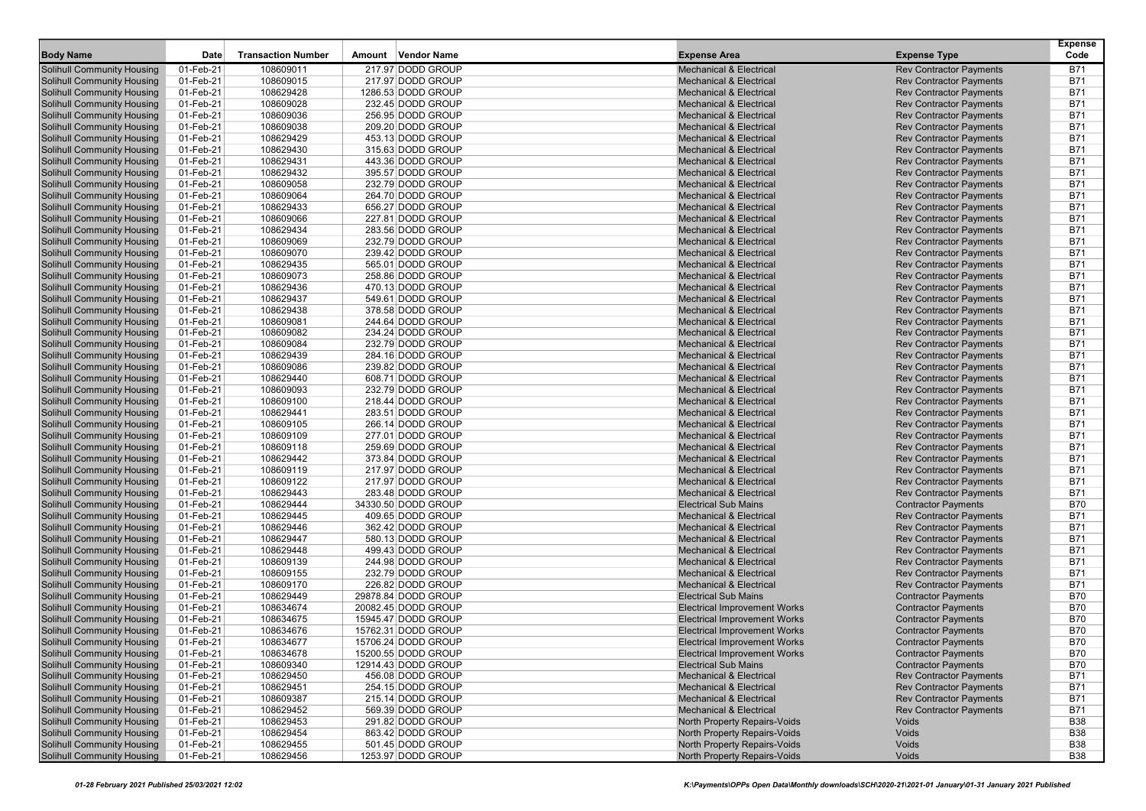| <b>Body Name</b>                                                       | Date                   | <b>Transaction Number</b> | Vendor Name<br>Amount                  | <b>Expense Area</b>                                                      | <b>Expense Type</b>                                              | <b>Expense</b><br>Code   |
|------------------------------------------------------------------------|------------------------|---------------------------|----------------------------------------|--------------------------------------------------------------------------|------------------------------------------------------------------|--------------------------|
|                                                                        |                        |                           |                                        |                                                                          |                                                                  |                          |
| Solihull Community Housing                                             | 01-Feb-21              | 108609011                 | 217.97 DODD GROUP                      | <b>Mechanical &amp; Electrical</b>                                       | <b>Rev Contractor Payments</b>                                   | <b>B71</b>               |
| Solihull Community Housing                                             | 01-Feb-21              | 108609015                 | 217.97 DODD GROUP                      | <b>Mechanical &amp; Electrical</b>                                       | <b>Rev Contractor Payments</b>                                   | <b>B71</b>               |
| <b>Solihull Community Housing</b>                                      | 01-Feb-21              | 108629428                 | 1286.53 DODD GROUP                     | <b>Mechanical &amp; Electrical</b>                                       | <b>Rev Contractor Payments</b>                                   | <b>B71</b>               |
| <b>Solihull Community Housing</b>                                      | 01-Feb-21              | 108609028                 | 232.45 DODD GROUP                      | <b>Mechanical &amp; Electrical</b>                                       | <b>Rev Contractor Payments</b>                                   | <b>B71</b>               |
| <b>Solihull Community Housing</b>                                      | 01-Feb-21              | 108609036                 | 256.95 DODD GROUP                      | <b>Mechanical &amp; Electrical</b><br><b>Mechanical &amp; Electrical</b> | <b>Rev Contractor Payments</b>                                   | <b>B71</b><br><b>B71</b> |
| <b>Solihull Community Housing</b>                                      | 01-Feb-21              | 108609038                 | 209.20 DODD GROUP                      |                                                                          | <b>Rev Contractor Payments</b>                                   |                          |
| Solihull Community Housing                                             | 01-Feb-21              | 108629429                 | 453.13 DODD GROUP                      | <b>Mechanical &amp; Electrical</b><br><b>Mechanical &amp; Electrical</b> | <b>Rev Contractor Payments</b>                                   | <b>B71</b><br><b>B71</b> |
| <b>Solihull Community Housing</b>                                      | 01-Feb-21              | 108629430<br>108629431    | 315.63 DODD GROUP<br>443.36 DODD GROUP | <b>Mechanical &amp; Electrical</b>                                       | <b>Rev Contractor Payments</b>                                   | <b>B71</b>               |
| <b>Solihull Community Housing</b>                                      | 01-Feb-21<br>01-Feb-21 | 108629432                 | 395.57 DODD GROUP                      | <b>Mechanical &amp; Electrical</b>                                       | <b>Rev Contractor Payments</b>                                   | <b>B71</b>               |
| <b>Solihull Community Housing</b><br><b>Solihull Community Housing</b> | 01-Feb-21              | 108609058                 | 232.79 DODD GROUP                      | <b>Mechanical &amp; Electrical</b>                                       | <b>Rev Contractor Payments</b><br><b>Rev Contractor Payments</b> | <b>B71</b>               |
|                                                                        |                        |                           |                                        | <b>Mechanical &amp; Electrical</b>                                       |                                                                  | <b>B71</b>               |
| Solihull Community Housing<br><b>Solihull Community Housing</b>        | 01-Feb-21<br>01-Feb-21 | 108609064<br>108629433    | 264.70 DODD GROUP<br>656.27 DODD GROUP | <b>Mechanical &amp; Electrical</b>                                       | <b>Rev Contractor Payments</b><br><b>Rev Contractor Payments</b> | <b>B71</b>               |
| <b>Solihull Community Housing</b>                                      |                        |                           | 227.81 DODD GROUP                      | <b>Mechanical &amp; Electrical</b>                                       |                                                                  | <b>B71</b>               |
| <b>Solihull Community Housing</b>                                      | 01-Feb-21<br>01-Feb-21 | 108609066<br>108629434    | 283.56 DODD GROUP                      | <b>Mechanical &amp; Electrical</b>                                       | <b>Rev Contractor Payments</b><br><b>Rev Contractor Payments</b> | <b>B71</b>               |
|                                                                        |                        | 108609069                 |                                        |                                                                          |                                                                  | <b>B71</b>               |
| <b>Solihull Community Housing</b>                                      | 01-Feb-21              |                           | 232.79 DODD GROUP                      | <b>Mechanical &amp; Electrical</b>                                       | <b>Rev Contractor Payments</b>                                   |                          |
| Solihull Community Housing                                             | 01-Feb-21              | 108609070                 | 239.42 DODD GROUP                      | <b>Mechanical &amp; Electrical</b><br><b>Mechanical &amp; Electrical</b> | <b>Rev Contractor Payments</b>                                   | <b>B71</b><br><b>B71</b> |
| <b>Solihull Community Housing</b>                                      | 01-Feb-21              | 108629435                 | 565.01 DODD GROUP                      |                                                                          | <b>Rev Contractor Payments</b>                                   |                          |
| <b>Solihull Community Housing</b>                                      | 01-Feb-21              | 108609073                 | 258.86 DODD GROUP                      | <b>Mechanical &amp; Electrical</b>                                       | <b>Rev Contractor Payments</b>                                   | <b>B71</b>               |
| <b>Solihull Community Housing</b>                                      | 01-Feb-21              | 108629436                 | 470.13 DODD GROUP                      | <b>Mechanical &amp; Electrical</b>                                       | <b>Rev Contractor Payments</b>                                   | <b>B71</b>               |
| <b>Solihull Community Housing</b>                                      | 01-Feb-21              | 108629437                 | 549.61 DODD GROUP                      | <b>Mechanical &amp; Electrical</b>                                       | <b>Rev Contractor Payments</b>                                   | <b>B71</b>               |
| Solihull Community Housing                                             | 01-Feb-21              | 108629438                 | 378.58 DODD GROUP                      | <b>Mechanical &amp; Electrical</b>                                       | <b>Rev Contractor Payments</b>                                   | <b>B71</b>               |
| <b>Solihull Community Housing</b>                                      | 01-Feb-21              | 108609081                 | 244.64 DODD GROUP                      | <b>Mechanical &amp; Electrical</b>                                       | <b>Rev Contractor Payments</b>                                   | <b>B71</b>               |
| <b>Solihull Community Housing</b>                                      | 01-Feb-21              | 108609082                 | 234.24 DODD GROUP                      | <b>Mechanical &amp; Electrical</b>                                       | <b>Rev Contractor Payments</b>                                   | <b>B71</b>               |
| <b>Solihull Community Housing</b>                                      | 01-Feb-21              | 108609084                 | 232.79 DODD GROUP                      | <b>Mechanical &amp; Electrical</b>                                       | <b>Rev Contractor Payments</b>                                   | <b>B71</b>               |
| <b>Solihull Community Housing</b>                                      | 01-Feb-21              | 108629439                 | 284.16 DODD GROUP                      | <b>Mechanical &amp; Electrical</b>                                       | <b>Rev Contractor Payments</b>                                   | <b>B71</b>               |
| Solihull Community Housing                                             | 01-Feb-21              | 108609086                 | 239.82 DODD GROUP                      | <b>Mechanical &amp; Electrical</b>                                       | <b>Rev Contractor Payments</b>                                   | <b>B71</b>               |
| <b>Solihull Community Housing</b>                                      | 01-Feb-21              | 108629440                 | 608.71 DODD GROUP                      | <b>Mechanical &amp; Electrical</b>                                       | <b>Rev Contractor Payments</b>                                   | <b>B71</b>               |
| <b>Solihull Community Housing</b>                                      | 01-Feb-21              | 108609093                 | 232.79 DODD GROUP                      | <b>Mechanical &amp; Electrical</b>                                       | <b>Rev Contractor Payments</b>                                   | <b>B71</b>               |
| <b>Solihull Community Housing</b>                                      | 01-Feb-21              | 108609100                 | 218.44 DODD GROUP                      | <b>Mechanical &amp; Electrical</b>                                       | <b>Rev Contractor Payments</b>                                   | <b>B71</b>               |
| <b>Solihull Community Housing</b>                                      | 01-Feb-21              | 108629441                 | 283.51 DODD GROUP                      | <b>Mechanical &amp; Electrical</b>                                       | <b>Rev Contractor Payments</b>                                   | <b>B71</b>               |
| Solihull Community Housing                                             | 01-Feb-21              | 108609105                 | 266.14 DODD GROUP                      | <b>Mechanical &amp; Electrical</b>                                       | <b>Rev Contractor Payments</b>                                   | <b>B71</b>               |
| <b>Solihull Community Housing</b>                                      | 01-Feb-21              | 108609109                 | 277.01 DODD GROUP                      | <b>Mechanical &amp; Electrical</b>                                       | <b>Rev Contractor Payments</b>                                   | <b>B71</b>               |
| <b>Solihull Community Housing</b>                                      | 01-Feb-21              | 108609118                 | 259.69 DODD GROUP                      | <b>Mechanical &amp; Electrical</b>                                       | <b>Rev Contractor Payments</b>                                   | <b>B71</b>               |
| <b>Solihull Community Housing</b>                                      | 01-Feb-21              | 108629442                 | 373.84 DODD GROUP                      | <b>Mechanical &amp; Electrical</b>                                       | <b>Rev Contractor Payments</b>                                   | <b>B71</b>               |
| <b>Solihull Community Housing</b>                                      | 01-Feb-21              | 108609119                 | 217.97 DODD GROUP                      | <b>Mechanical &amp; Electrical</b>                                       | <b>Rev Contractor Payments</b>                                   | <b>B71</b>               |
| Solihull Community Housing                                             | 01-Feb-21              | 108609122                 | 217.97 DODD GROUP                      | <b>Mechanical &amp; Electrical</b>                                       | <b>Rev Contractor Payments</b>                                   | <b>B71</b>               |
| <b>Solihull Community Housing</b>                                      | 01-Feb-21              | 108629443                 | 283.48 DODD GROUP                      | <b>Mechanical &amp; Electrical</b>                                       | <b>Rev Contractor Payments</b>                                   | <b>B71</b>               |
| <b>Solihull Community Housing</b>                                      | 01-Feb-21              | 108629444                 | 34330.50 DODD GROUP                    | <b>Electrical Sub Mains</b>                                              | <b>Contractor Payments</b>                                       | <b>B70</b>               |
| <b>Solihull Community Housing</b>                                      | 01-Feb-21              | 108629445                 | 409.65 DODD GROUP                      | <b>Mechanical &amp; Electrical</b>                                       | <b>Rev Contractor Payments</b>                                   | <b>B71</b>               |
| Solihull Community Housing                                             | 01-Feb-21              | 108629446                 | 362.42 DODD GROUP                      | <b>Mechanical &amp; Electrical</b>                                       | <b>Rev Contractor Payments</b>                                   | <b>B71</b>               |
| Solihull Community Housing                                             | 01-Feb-21              | 108629447                 | 580.13 DODD GROUP                      | <b>Mechanical &amp; Electrical</b>                                       | <b>Rev Contractor Payments</b>                                   | <b>B71</b>               |
| <b>Solihull Community Housing</b>                                      | 01-Feb-21              | 108629448                 | 499.43 DODD GROUP                      | <b>Mechanical &amp; Electrical</b>                                       | <b>Rev Contractor Payments</b>                                   | <b>B71</b>               |
| <b>Solihull Community Housing</b>                                      | 01-Feb-21              | 108609139                 | 244.98 DODD GROUP                      | <b>Mechanical &amp; Electrical</b><br><b>Mechanical &amp; Electrical</b> | <b>Rev Contractor Payments</b>                                   | <b>B71</b>               |
| <b>Solihull Community Housing</b>                                      | 01-Feb-21              | 108609155                 | 232.79 DODD GROUP                      |                                                                          | <b>Rev Contractor Payments</b>                                   | <b>B71</b>               |
| <b>Solihull Community Housing</b>                                      | 01-Feb-21              | 108609170                 | 226.82 DODD GROUP                      | <b>Mechanical &amp; Electrical</b>                                       | <b>Rev Contractor Payments</b>                                   | <b>B71</b>               |
| Solihull Community Housing                                             | 01-Feb-21              | 108629449                 | 29878.84 DODD GROUP                    | <b>Electrical Sub Mains</b>                                              | <b>Contractor Payments</b>                                       | <b>B70</b>               |
| <b>Solihull Community Housing</b>                                      | 01-Feb-21              | 108634674                 | 20082.45 DODD GROUP                    | <b>Electrical Improvement Works</b>                                      | <b>Contractor Payments</b>                                       | <b>B70</b>               |
| <b>Solihull Community Housing</b>                                      | 01-Feb-21              | 108634675                 | 15945.47 DODD GROUP                    | <b>Electrical Improvement Works</b>                                      | <b>Contractor Payments</b>                                       | <b>B70</b><br><b>B70</b> |
| <b>Solihull Community Housing</b>                                      | 01-Feb-21              | 108634676                 | 15762.31 DODD GROUP                    | <b>Electrical Improvement Works</b>                                      | <b>Contractor Payments</b>                                       |                          |
| <b>Solihull Community Housing</b>                                      | 01-Feb-21              | 108634677                 | 15706.24 DODD GROUP                    | <b>Electrical Improvement Works</b>                                      | <b>Contractor Payments</b>                                       | <b>B70</b>               |
| <b>Solihull Community Housing</b>                                      | 01-Feb-21              | 108634678                 | 15200.55 DODD GROUP                    | <b>Electrical Improvement Works</b>                                      | <b>Contractor Payments</b>                                       | B70                      |
| <b>Solihull Community Housing</b>                                      | 01-Feb-21              | 108609340                 | 12914.43 DODD GROUP                    | <b>Electrical Sub Mains</b>                                              | <b>Contractor Payments</b>                                       | <b>B70</b>               |
| <b>Solihull Community Housing</b>                                      | 01-Feb-21              | 108629450                 | 456.08 DODD GROUP                      | <b>Mechanical &amp; Electrical</b>                                       | <b>Rev Contractor Payments</b>                                   | <b>B71</b>               |
| <b>Solihull Community Housing</b>                                      | 01-Feb-21              | 108629451                 | 254.15 DODD GROUP                      | <b>Mechanical &amp; Electrical</b>                                       | <b>Rev Contractor Payments</b>                                   | <b>B71</b>               |
| <b>Solihull Community Housing</b>                                      | 01-Feb-21              | 108609387                 | 215.14 DODD GROUP                      | <b>Mechanical &amp; Electrical</b>                                       | <b>Rev Contractor Payments</b>                                   | <b>B71</b>               |
| <b>Solihull Community Housing</b>                                      | 01-Feb-21              | 108629452                 | 569.39 DODD GROUP                      | <b>Mechanical &amp; Electrical</b>                                       | <b>Rev Contractor Payments</b>                                   | <b>B71</b>               |
| <b>Solihull Community Housing</b>                                      | 01-Feb-21              | 108629453                 | 291.82 DODD GROUP                      | North Property Repairs-Voids                                             | Voids                                                            | <b>B38</b>               |
| <b>Solihull Community Housing</b>                                      | 01-Feb-21              | 108629454                 | 863.42 DODD GROUP                      | North Property Repairs-Voids                                             | Voids                                                            | <b>B38</b>               |
| <b>Solihull Community Housing</b>                                      | 01-Feb-21              | 108629455                 | 501.45 DODD GROUP                      | North Property Repairs-Voids                                             | Voids                                                            | <b>B38</b>               |
| <b>Solihull Community Housing</b>                                      | 01-Feb-21              | 108629456                 | 1253.97 DODD GROUP                     | North Property Repairs-Voids                                             | Voids                                                            | <b>B38</b>               |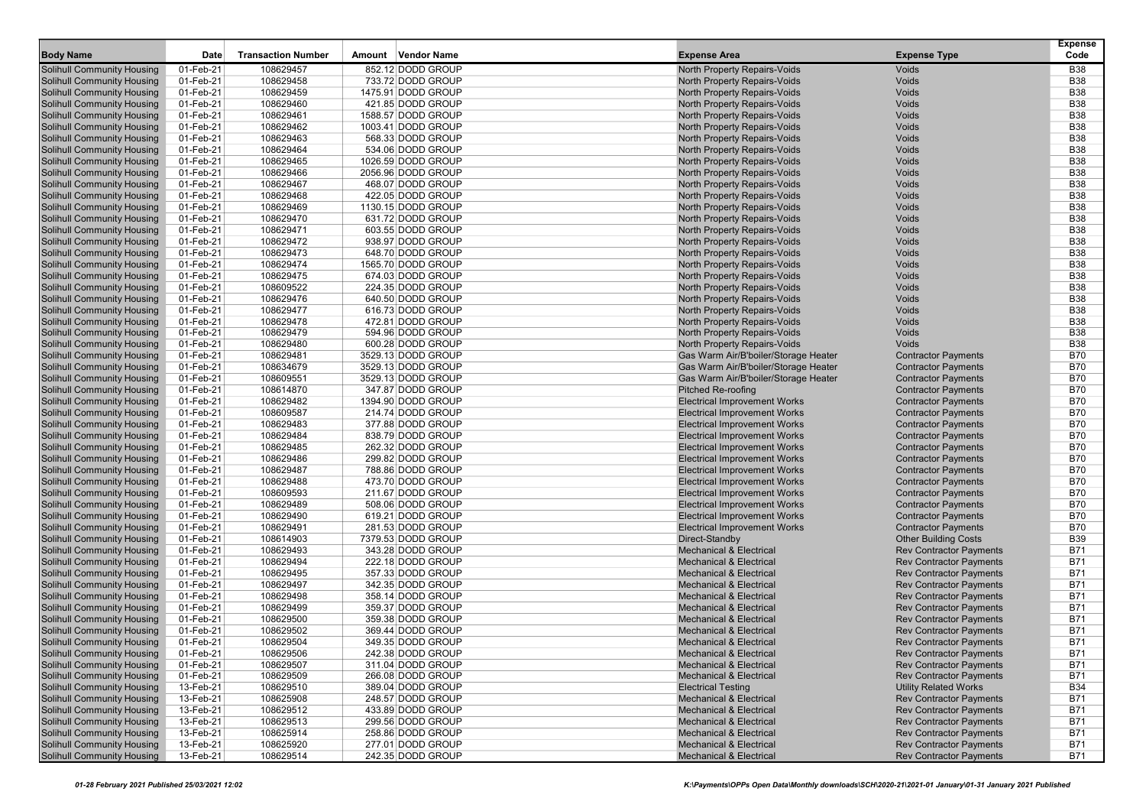| <b>Body Name</b>                  | Date      | <b>Transaction Number</b> | Amount Vendor Name | <b>Expense Area</b>                  | <b>Expense Type</b>            | <b>Expense</b><br>Code |
|-----------------------------------|-----------|---------------------------|--------------------|--------------------------------------|--------------------------------|------------------------|
| Solihull Community Housing        | 01-Feb-21 | 108629457                 | 852.12 DODD GROUP  | North Property Repairs-Voids         | Voids                          | <b>B38</b>             |
| Solihull Community Housing        | 01-Feb-21 | 108629458                 | 733.72 DODD GROUP  | North Property Repairs-Voids         | Voids                          | <b>B38</b>             |
| <b>Solihull Community Housing</b> | 01-Feb-21 | 108629459                 | 1475.91 DODD GROUP | North Property Repairs-Voids         | Voids                          | <b>B38</b>             |
| <b>Solihull Community Housing</b> | 01-Feb-21 | 108629460                 | 421.85 DODD GROUP  | North Property Repairs-Voids         | Voids                          | <b>B38</b>             |
| <b>Solihull Community Housing</b> | 01-Feb-21 | 108629461                 | 1588.57 DODD GROUP | <b>North Property Repairs-Voids</b>  | Voids                          | <b>B38</b>             |
| <b>Solihull Community Housing</b> | 01-Feb-21 | 108629462                 | 1003.41 DODD GROUP | <b>North Property Repairs-Voids</b>  | Voids                          | <b>B38</b>             |
| <b>Solihull Community Housing</b> | 01-Feb-21 | 108629463                 | 568.33 DODD GROUP  | North Property Repairs-Voids         | Voids                          | <b>B38</b>             |
| <b>Solihull Community Housing</b> | 01-Feb-21 | 108629464                 | 534.06 DODD GROUP  | North Property Repairs-Voids         | Voids                          | <b>B38</b>             |
| <b>Solihull Community Housing</b> | 01-Feb-21 | 108629465                 | 1026.59 DODD GROUP | North Property Repairs-Voids         | Voids                          | <b>B38</b>             |
| <b>Solihull Community Housing</b> | 01-Feb-21 | 108629466                 | 2056.96 DODD GROUP | <b>North Property Repairs-Voids</b>  | Voids                          | <b>B38</b>             |
| <b>Solihull Community Housing</b> | 01-Feb-21 | 108629467                 | 468.07 DODD GROUP  | <b>North Property Repairs-Voids</b>  | Voids                          | <b>B38</b>             |
| <b>Solihull Community Housing</b> | 01-Feb-21 | 108629468                 | 422.05 DODD GROUP  | North Property Repairs-Voids         | Voids                          | <b>B38</b>             |
| <b>Solihull Community Housing</b> | 01-Feb-21 | 108629469                 | 1130.15 DODD GROUP | North Property Repairs-Voids         | Voids                          | <b>B38</b>             |
| <b>Solihull Community Housing</b> | 01-Feb-21 | 108629470                 | 631.72 DODD GROUP  | North Property Repairs-Voids         | Voids                          | <b>B38</b>             |
| <b>Solihull Community Housing</b> | 01-Feb-21 | 108629471                 | 603.55 DODD GROUP  | <b>North Property Repairs-Voids</b>  | Voids                          | <b>B38</b>             |
| <b>Solihull Community Housing</b> | 01-Feb-21 | 108629472                 | 938.97 DODD GROUP  | <b>North Property Repairs-Voids</b>  | Voids                          | <b>B38</b>             |
| Solihull Community Housing        | 01-Feb-21 | 108629473                 | 648.70 DODD GROUP  | North Property Repairs-Voids         | Voids                          | <b>B38</b>             |
| <b>Solihull Community Housing</b> | 01-Feb-21 | 108629474                 | 1565.70 DODD GROUP | North Property Repairs-Voids         | Voids                          | <b>B38</b>             |
| <b>Solihull Community Housing</b> | 01-Feb-21 | 108629475                 | 674.03 DODD GROUP  | North Property Repairs-Voids         | Voids                          | <b>B38</b>             |
| <b>Solihull Community Housing</b> | 01-Feb-21 | 108609522                 | 224.35 DODD GROUP  | <b>North Property Repairs-Voids</b>  | Voids                          | <b>B38</b>             |
| <b>Solihull Community Housing</b> | 01-Feb-21 | 108629476                 | 640.50 DODD GROUP  | <b>North Property Repairs-Voids</b>  | Voids                          | <b>B38</b>             |
| <b>Solihull Community Housing</b> | 01-Feb-21 | 108629477                 | 616.73 DODD GROUP  | <b>North Property Repairs-Voids</b>  | Voids                          | <b>B38</b>             |
| <b>Solihull Community Housing</b> | 01-Feb-21 | 108629478                 | 472.81 DODD GROUP  | North Property Repairs-Voids         | Voids                          | <b>B38</b>             |
| <b>Solihull Community Housing</b> | 01-Feb-21 | 108629479                 | 594.96 DODD GROUP  | North Property Repairs-Voids         | Voids                          | <b>B38</b>             |
| <b>Solihull Community Housing</b> | 01-Feb-21 | 108629480                 | 600.28 DODD GROUP  | <b>North Property Repairs-Voids</b>  | Voids                          | <b>B38</b>             |
| <b>Solihull Community Housing</b> | 01-Feb-21 | 108629481                 | 3529.13 DODD GROUP | Gas Warm Air/B'boiler/Storage Heater | <b>Contractor Payments</b>     | <b>B70</b>             |
| <b>Solihull Community Housing</b> | 01-Feb-21 | 108634679                 | 3529.13 DODD GROUP | Gas Warm Air/B'boiler/Storage Heater | <b>Contractor Payments</b>     | <b>B70</b>             |
| <b>Solihull Community Housing</b> | 01-Feb-21 | 108609551                 | 3529.13 DODD GROUP | Gas Warm Air/B'boiler/Storage Heater | <b>Contractor Payments</b>     | <b>B70</b>             |
| <b>Solihull Community Housing</b> | 01-Feb-21 | 108614870                 | 347.87 DODD GROUP  | <b>Pitched Re-roofing</b>            | <b>Contractor Payments</b>     | <b>B70</b>             |
| <b>Solihull Community Housing</b> | 01-Feb-21 | 108629482                 | 1394.90 DODD GROUP | <b>Electrical Improvement Works</b>  | <b>Contractor Payments</b>     | <b>B70</b>             |
| <b>Solihull Community Housing</b> | 01-Feb-21 | 108609587                 | 214.74 DODD GROUP  | <b>Electrical Improvement Works</b>  | <b>Contractor Payments</b>     | <b>B70</b>             |
| <b>Solihull Community Housing</b> | 01-Feb-21 | 108629483                 | 377.88 DODD GROUP  | <b>Electrical Improvement Works</b>  | <b>Contractor Payments</b>     | <b>B70</b>             |
| <b>Solihull Community Housing</b> | 01-Feb-21 | 108629484                 | 838.79 DODD GROUP  | <b>Electrical Improvement Works</b>  | <b>Contractor Payments</b>     | <b>B70</b>             |
| <b>Solihull Community Housing</b> | 01-Feb-21 | 108629485                 | 262.32 DODD GROUP  | <b>Electrical Improvement Works</b>  | <b>Contractor Payments</b>     | <b>B70</b>             |
| <b>Solihull Community Housing</b> | 01-Feb-21 | 108629486                 | 299.82 DODD GROUP  | <b>Electrical Improvement Works</b>  | <b>Contractor Payments</b>     | <b>B70</b>             |
| <b>Solihull Community Housing</b> | 01-Feb-21 | 108629487                 | 788.86 DODD GROUP  | <b>Electrical Improvement Works</b>  | <b>Contractor Payments</b>     | <b>B70</b>             |
| <b>Solihull Community Housing</b> | 01-Feb-21 | 108629488                 | 473.70 DODD GROUP  | <b>Electrical Improvement Works</b>  | <b>Contractor Payments</b>     | <b>B70</b>             |
| <b>Solihull Community Housing</b> | 01-Feb-21 | 108609593                 | 211.67 DODD GROUP  | <b>Electrical Improvement Works</b>  | <b>Contractor Payments</b>     | <b>B70</b>             |
| <b>Solihull Community Housing</b> | 01-Feb-21 | 108629489                 | 508.06 DODD GROUP  | <b>Electrical Improvement Works</b>  | <b>Contractor Payments</b>     | <b>B70</b>             |
| <b>Solihull Community Housing</b> | 01-Feb-21 | 108629490                 | 619.21 DODD GROUP  | <b>Electrical Improvement Works</b>  | <b>Contractor Payments</b>     | <b>B70</b>             |
| <b>Solihull Community Housing</b> | 01-Feb-21 | 108629491                 | 281.53 DODD GROUP  | <b>Electrical Improvement Works</b>  | <b>Contractor Payments</b>     | <b>B70</b>             |
| <b>Solihull Community Housing</b> | 01-Feb-21 | 108614903                 | 7379.53 DODD GROUP | Direct-Standby                       | <b>Other Building Costs</b>    | <b>B39</b>             |
| <b>Solihull Community Housing</b> | 01-Feb-21 | 108629493                 | 343.28 DODD GROUP  | <b>Mechanical &amp; Electrical</b>   | <b>Rev Contractor Payments</b> | <b>B71</b>             |
| <b>Solihull Community Housing</b> | 01-Feb-21 | 108629494                 | 222.18 DODD GROUP  | <b>Mechanical &amp; Electrical</b>   | <b>Rev Contractor Payments</b> | <b>B71</b>             |
| <b>Solihull Community Housing</b> | 01-Feb-21 | 108629495                 | 357.33 DODD GROUP  | <b>Mechanical &amp; Electrical</b>   | <b>Rev Contractor Payments</b> | <b>B71</b>             |
| <b>Solihull Community Housing</b> | 01-Feb-21 | 108629497                 | 342.35 DODD GROUP  | <b>Mechanical &amp; Electrical</b>   | <b>Rev Contractor Payments</b> | <b>B71</b>             |
| <b>Solihull Community Housing</b> | 01-Feb-21 | 108629498                 | 358.14 DODD GROUP  | <b>Mechanical &amp; Electrical</b>   | <b>Rev Contractor Payments</b> | <b>B71</b>             |
| Solihull Community Housing        | 01-Feb-21 | 108629499                 | 359.37 DODD GROUP  | <b>Mechanical &amp; Electrical</b>   | <b>Rev Contractor Payments</b> | <b>B71</b>             |
| <b>Solihull Community Housing</b> | 01-Feb-21 | 108629500                 | 359.38 DODD GROUP  | <b>Mechanical &amp; Electrical</b>   | <b>Rev Contractor Payments</b> | <b>B71</b>             |
| <b>Solihull Community Housing</b> | 01-Feb-21 | 108629502                 | 369.44 DODD GROUP  | <b>Mechanical &amp; Electrical</b>   | <b>Rev Contractor Payments</b> | <b>B71</b>             |
| <b>Solihull Community Housing</b> | 01-Feb-21 | 108629504                 | 349.35 DODD GROUP  | <b>Mechanical &amp; Electrical</b>   | <b>Rev Contractor Payments</b> | <b>B71</b>             |
| <b>Solihull Community Housing</b> | 01-Feb-21 | 108629506                 | 242.38 DODD GROUP  | <b>Mechanical &amp; Electrical</b>   | <b>Rev Contractor Payments</b> | <b>B71</b>             |
| <b>Solihull Community Housing</b> | 01-Feb-21 | 108629507                 | 311.04 DODD GROUP  | <b>Mechanical &amp; Electrical</b>   | <b>Rev Contractor Payments</b> | <b>B71</b>             |
| <b>Solihull Community Housing</b> | 01-Feb-21 | 108629509                 | 266.08 DODD GROUP  | <b>Mechanical &amp; Electrical</b>   | <b>Rev Contractor Payments</b> | <b>B71</b>             |
| <b>Solihull Community Housing</b> | 13-Feb-21 | 108629510                 | 389.04 DODD GROUP  | <b>Electrical Testing</b>            | <b>Utility Related Works</b>   | <b>B34</b>             |
| <b>Solihull Community Housing</b> | 13-Feb-21 | 108625908                 | 248.57 DODD GROUP  | <b>Mechanical &amp; Electrical</b>   | <b>Rev Contractor Payments</b> | <b>B71</b>             |
| <b>Solihull Community Housing</b> | 13-Feb-21 | 108629512                 | 433.89 DODD GROUP  | <b>Mechanical &amp; Electrical</b>   | <b>Rev Contractor Payments</b> | <b>B71</b>             |
| <b>Solihull Community Housing</b> | 13-Feb-21 | 108629513                 | 299.56 DODD GROUP  | <b>Mechanical &amp; Electrical</b>   | <b>Rev Contractor Payments</b> | <b>B71</b>             |
| <b>Solihull Community Housing</b> | 13-Feb-21 | 108625914                 | 258.86 DODD GROUP  | <b>Mechanical &amp; Electrical</b>   | <b>Rev Contractor Payments</b> | <b>B71</b>             |
| <b>Solihull Community Housing</b> | 13-Feb-21 | 108625920                 | 277.01 DODD GROUP  | <b>Mechanical &amp; Electrical</b>   | <b>Rev Contractor Payments</b> | <b>B71</b>             |
| <b>Solihull Community Housing</b> | 13-Feb-21 | 108629514                 | 242.35 DODD GROUP  | <b>Mechanical &amp; Electrical</b>   | <b>Rev Contractor Payments</b> | <b>B71</b>             |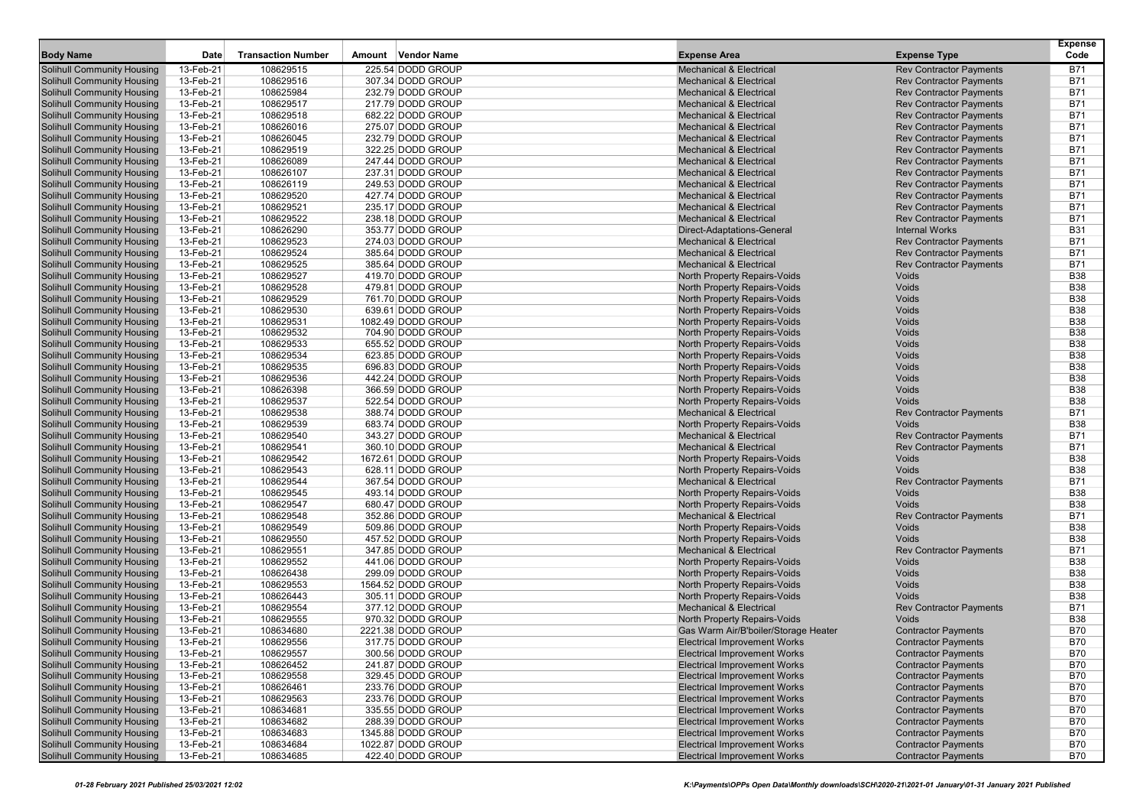|                                                                        |                        |                           |                                        |                                                                          |                                                                  | <b>Expense</b>           |
|------------------------------------------------------------------------|------------------------|---------------------------|----------------------------------------|--------------------------------------------------------------------------|------------------------------------------------------------------|--------------------------|
| <b>Body Name</b>                                                       | Date                   | <b>Transaction Number</b> | Vendor Name<br>Amount                  | <b>Expense Area</b>                                                      | <b>Expense Type</b>                                              | Code                     |
| <b>Solihull Community Housing</b>                                      | 13-Feb-21              | 108629515                 | 225.54 DODD GROUP                      | <b>Mechanical &amp; Electrical</b>                                       | <b>Rev Contractor Payments</b>                                   | B71                      |
| <b>Solihull Community Housing</b>                                      | 13-Feb-21              | 108629516                 | 307.34 DODD GROUP                      | <b>Mechanical &amp; Electrical</b>                                       | <b>Rev Contractor Payments</b>                                   | <b>B71</b>               |
| <b>Solihull Community Housing</b>                                      | 13-Feb-21              | 108625984                 | 232.79 DODD GROUP                      | <b>Mechanical &amp; Electrical</b>                                       | <b>Rev Contractor Payments</b>                                   | B71                      |
| <b>Solihull Community Housing</b>                                      | 13-Feb-21              | 108629517                 | 217.79 DODD GROUP                      | <b>Mechanical &amp; Electrical</b>                                       | <b>Rev Contractor Payments</b>                                   | <b>B71</b>               |
| <b>Solihull Community Housing</b>                                      | 13-Feb-21              | 108629518                 | 682.22 DODD GROUP                      | <b>Mechanical &amp; Electrical</b>                                       | <b>Rev Contractor Payments</b>                                   | <b>B71</b>               |
| <b>Solihull Community Housing</b>                                      | 13-Feb-21              | 108626016                 | 275.07 DODD GROUP                      | <b>Mechanical &amp; Electrical</b>                                       | <b>Rev Contractor Payments</b>                                   | <b>B71</b>               |
| <b>Solihull Community Housing</b>                                      | 13-Feb-21              | 108626045                 | 232.79 DODD GROUP                      | <b>Mechanical &amp; Electrical</b>                                       | <b>Rev Contractor Payments</b>                                   | <b>B71</b>               |
| <b>Solihull Community Housing</b>                                      | 13-Feb-21              | 108629519                 | 322.25 DODD GROUP                      | <b>Mechanical &amp; Electrical</b>                                       | <b>Rev Contractor Payments</b>                                   | <b>B71</b>               |
| <b>Solihull Community Housing</b>                                      | 13-Feb-21              | 108626089                 | 247.44 DODD GROUP                      | <b>Mechanical &amp; Electrical</b>                                       | <b>Rev Contractor Payments</b>                                   | <b>B71</b>               |
| <b>Solihull Community Housing</b><br><b>Solihull Community Housing</b> | 13-Feb-21              | 108626107                 | 237.31 DODD GROUP                      | <b>Mechanical &amp; Electrical</b>                                       | <b>Rev Contractor Payments</b><br><b>Rev Contractor Payments</b> | <b>B71</b><br><b>B71</b> |
|                                                                        | 13-Feb-21              | 108626119<br>108629520    | 249.53 DODD GROUP<br>427.74 DODD GROUP | <b>Mechanical &amp; Electrical</b><br><b>Mechanical &amp; Electrical</b> | <b>Rev Contractor Payments</b>                                   | <b>B71</b>               |
| <b>Solihull Community Housing</b><br><b>Solihull Community Housing</b> | 13-Feb-21<br>13-Feb-21 | 108629521                 | 235.17 DODD GROUP                      | <b>Mechanical &amp; Electrical</b>                                       | <b>Rev Contractor Payments</b>                                   | <b>B71</b>               |
|                                                                        |                        |                           | 238.18 DODD GROUP                      | <b>Mechanical &amp; Electrical</b>                                       |                                                                  | <b>B71</b>               |
| <b>Solihull Community Housing</b><br><b>Solihull Community Housing</b> | 13-Feb-21<br>13-Feb-21 | 108629522<br>108626290    | 353.77 DODD GROUP                      | Direct-Adaptations-General                                               | <b>Rev Contractor Payments</b><br><b>Internal Works</b>          | <b>B31</b>               |
| <b>Solihull Community Housing</b>                                      | 13-Feb-21              | 108629523                 | 274.03 DODD GROUP                      | <b>Mechanical &amp; Electrical</b>                                       | <b>Rev Contractor Payments</b>                                   | <b>B71</b>               |
| <b>Solihull Community Housing</b>                                      | 13-Feb-21              | 108629524                 | 385.64 DODD GROUP                      | <b>Mechanical &amp; Electrical</b>                                       | <b>Rev Contractor Payments</b>                                   | <b>B71</b>               |
| <b>Solihull Community Housing</b>                                      | 13-Feb-21              | 108629525                 | 385.64 DODD GROUP                      | <b>Mechanical &amp; Electrical</b>                                       | <b>Rev Contractor Payments</b>                                   | <b>B71</b>               |
| <b>Solihull Community Housing</b>                                      | 13-Feb-21              | 108629527                 | 419.70 DODD GROUP                      | North Property Repairs-Voids                                             | Voids                                                            | <b>B38</b>               |
| <b>Solihull Community Housing</b>                                      | 13-Feb-21              | 108629528                 | 479.81 DODD GROUP                      | North Property Repairs-Voids                                             | Voids                                                            | <b>B38</b>               |
| <b>Solihull Community Housing</b>                                      | 13-Feb-21              | 108629529                 | 761.70 DODD GROUP                      | North Property Repairs-Voids                                             | Voids                                                            | <b>B38</b>               |
| <b>Solihull Community Housing</b>                                      | 13-Feb-21              | 108629530                 | 639.61 DODD GROUP                      | North Property Repairs-Voids                                             | Voids                                                            | <b>B38</b>               |
| <b>Solihull Community Housing</b>                                      | 13-Feb-21              | 108629531                 | 1082.49 DODD GROUP                     | North Property Repairs-Voids                                             | Voids                                                            | <b>B38</b>               |
| <b>Solihull Community Housing</b>                                      | 13-Feb-21              | 108629532                 | 704.90 DODD GROUP                      | North Property Repairs-Voids                                             | Voids                                                            | <b>B38</b>               |
| <b>Solihull Community Housing</b>                                      | 13-Feb-21              | 108629533                 | 655.52 DODD GROUP                      | North Property Repairs-Voids                                             | Voids                                                            | <b>B38</b>               |
| <b>Solihull Community Housing</b>                                      | 13-Feb-21              | 108629534                 | 623.85 DODD GROUP                      | North Property Repairs-Voids                                             | Voids                                                            | <b>B38</b>               |
| <b>Solihull Community Housing</b>                                      | 13-Feb-21              | 108629535                 | 696.83 DODD GROUP                      | North Property Repairs-Voids                                             | Voids                                                            | <b>B38</b>               |
| <b>Solihull Community Housing</b>                                      | 13-Feb-21              | 108629536                 | 442.24 DODD GROUP                      | North Property Repairs-Voids                                             | Voids                                                            | <b>B38</b>               |
| <b>Solihull Community Housing</b>                                      | 13-Feb-21              | 108626398                 | 366.59 DODD GROUP                      | North Property Repairs-Voids                                             | Voids                                                            | <b>B38</b>               |
| <b>Solihull Community Housing</b>                                      | 13-Feb-21              | 108629537                 | 522.54 DODD GROUP                      | North Property Repairs-Voids                                             | Voids                                                            | <b>B38</b>               |
| <b>Solihull Community Housing</b>                                      | 13-Feb-21              | 108629538                 | 388.74 DODD GROUP                      | <b>Mechanical &amp; Electrical</b>                                       | <b>Rev Contractor Payments</b>                                   | <b>B71</b>               |
| <b>Solihull Community Housing</b>                                      | 13-Feb-21              | 108629539                 | 683.74 DODD GROUP                      | North Property Repairs-Voids                                             | Voids                                                            | <b>B38</b>               |
| <b>Solihull Community Housing</b>                                      | 13-Feb-21              | 108629540                 | 343.27 DODD GROUP                      | <b>Mechanical &amp; Electrical</b>                                       | <b>Rev Contractor Payments</b>                                   | <b>B71</b>               |
| <b>Solihull Community Housing</b>                                      | 13-Feb-21              | 108629541                 | 360.10 DODD GROUP                      | <b>Mechanical &amp; Electrical</b>                                       | <b>Rev Contractor Payments</b>                                   | <b>B71</b>               |
| <b>Solihull Community Housing</b>                                      | 13-Feb-21              | 108629542                 | 1672.61 DODD GROUP                     | North Property Repairs-Voids                                             | Voids                                                            | <b>B38</b>               |
| <b>Solihull Community Housing</b>                                      | 13-Feb-21              | 108629543                 | 628.11 DODD GROUP                      | North Property Repairs-Voids                                             | Voids                                                            | <b>B38</b>               |
| <b>Solihull Community Housing</b>                                      | 13-Feb-21              | 108629544                 | 367.54 DODD GROUP                      | <b>Mechanical &amp; Electrical</b>                                       | <b>Rev Contractor Payments</b>                                   | B71                      |
| <b>Solihull Community Housing</b>                                      | 13-Feb-21              | 108629545                 | 493.14 DODD GROUP                      | North Property Repairs-Voids                                             | Voids                                                            | <b>B38</b>               |
| <b>Solihull Community Housing</b>                                      | 13-Feb-21              | 108629547                 | 680.47 DODD GROUP                      | North Property Repairs-Voids                                             | Voids                                                            | <b>B38</b>               |
| <b>Solihull Community Housing</b>                                      | 13-Feb-21              | 108629548                 | 352.86 DODD GROUP                      | <b>Mechanical &amp; Electrical</b>                                       | <b>Rev Contractor Payments</b>                                   | <b>B71</b>               |
| <b>Solihull Community Housing</b>                                      | 13-Feb-21              | 108629549                 | 509.86 DODD GROUP                      | North Property Repairs-Voids                                             | Voids                                                            | <b>B38</b>               |
| <b>Solihull Community Housing</b>                                      | 13-Feb-21              | 108629550                 | 457.52 DODD GROUP                      | North Property Repairs-Voids                                             | Voids                                                            | <b>B38</b>               |
| <b>Solihull Community Housing</b>                                      | 13-Feb-21              | 108629551                 | 347.85 DODD GROUP                      | <b>Mechanical &amp; Electrical</b>                                       | <b>Rev Contractor Payments</b>                                   | <b>B71</b>               |
| <b>Solihull Community Housing</b>                                      | 13-Feb-21              | 108629552                 | 441.06 DODD GROUP                      | North Property Repairs-Voids                                             | Voids                                                            | <b>B38</b>               |
| <b>Solihull Community Housing</b>                                      | 13-Feb-21              | 108626438                 | 299.09 DODD GROUP                      | North Property Repairs-Voids                                             | Voids                                                            | <b>B38</b>               |
| <b>Solihull Community Housing</b>                                      | 13-Feb-21              | 108629553                 | 1564.52 DODD GROUP                     | North Property Repairs-Voids                                             | Voids                                                            | <b>B38</b>               |
| <b>Solihull Community Housing</b>                                      | 13-Feb-21              | 108626443                 | 305.11 DODD GROUP                      | North Property Repairs-Voids                                             | Voids                                                            | <b>B38</b>               |
| <b>Solihull Community Housing</b>                                      | 13-Feb-21              | 108629554                 | 377.12 DODD GROUP                      | <b>Mechanical &amp; Electrical</b>                                       | <b>Rev Contractor Payments</b>                                   | <b>B71</b>               |
| <b>Solihull Community Housing</b>                                      | 13-Feb-21              | 108629555                 | 970.32 DODD GROUP                      | North Property Repairs-Voids                                             | Voids                                                            | <b>B38</b>               |
| <b>Solihull Community Housing</b>                                      | 13-Feb-21              | 108634680                 | 2221.38 DODD GROUP                     | Gas Warm Air/B'boiler/Storage Heater                                     | <b>Contractor Payments</b>                                       | <b>B70</b>               |
| <b>Solihull Community Housing</b>                                      | 13-Feb-21              | 108629556                 | 317.75 DODD GROUP                      | <b>Electrical Improvement Works</b>                                      | <b>Contractor Payments</b>                                       | <b>B70</b>               |
| <b>Solihull Community Housing</b>                                      | 13-Feb-21              | 108629557                 | 300.56 DODD GROUP                      | <b>Electrical Improvement Works</b>                                      | <b>Contractor Payments</b>                                       | B70                      |
| <b>Solihull Community Housing</b>                                      | 13-Feb-21              | 108626452                 | 241.87 DODD GROUP                      | <b>Electrical Improvement Works</b>                                      | <b>Contractor Payments</b>                                       | <b>B70</b>               |
| <b>Solihull Community Housing</b>                                      | 13-Feb-21              | 108629558                 | 329.45 DODD GROUP                      | <b>Electrical Improvement Works</b>                                      | <b>Contractor Payments</b>                                       | B70                      |
| <b>Solihull Community Housing</b>                                      | 13-Feb-21              | 108626461                 | 233.76 DODD GROUP                      | <b>Electrical Improvement Works</b>                                      | <b>Contractor Payments</b>                                       | <b>B70</b>               |
| <b>Solihull Community Housing</b>                                      | 13-Feb-21              | 108629563                 | 233.76 DODD GROUP                      | <b>Electrical Improvement Works</b>                                      | <b>Contractor Payments</b>                                       | <b>B70</b>               |
| <b>Solihull Community Housing</b>                                      | 13-Feb-21              | 108634681                 | 335.55 DODD GROUP                      | <b>Electrical Improvement Works</b>                                      | <b>Contractor Payments</b>                                       | B70                      |
| <b>Solihull Community Housing</b>                                      | 13-Feb-21              | 108634682                 | 288.39 DODD GROUP                      | <b>Electrical Improvement Works</b>                                      | <b>Contractor Payments</b>                                       | B70                      |
| <b>Solihull Community Housing</b>                                      | 13-Feb-21              | 108634683                 | 1345.88 DODD GROUP                     | <b>Electrical Improvement Works</b>                                      | <b>Contractor Payments</b>                                       | B70                      |
| <b>Solihull Community Housing</b>                                      | 13-Feb-21              | 108634684                 | 1022.87 DODD GROUP                     | <b>Electrical Improvement Works</b>                                      | <b>Contractor Payments</b>                                       | <b>B70</b>               |
| <b>Solihull Community Housing</b>                                      | 13-Feb-21              | 108634685                 | 422.40 DODD GROUP                      | <b>Electrical Improvement Works</b>                                      | <b>Contractor Payments</b>                                       | <b>B70</b>               |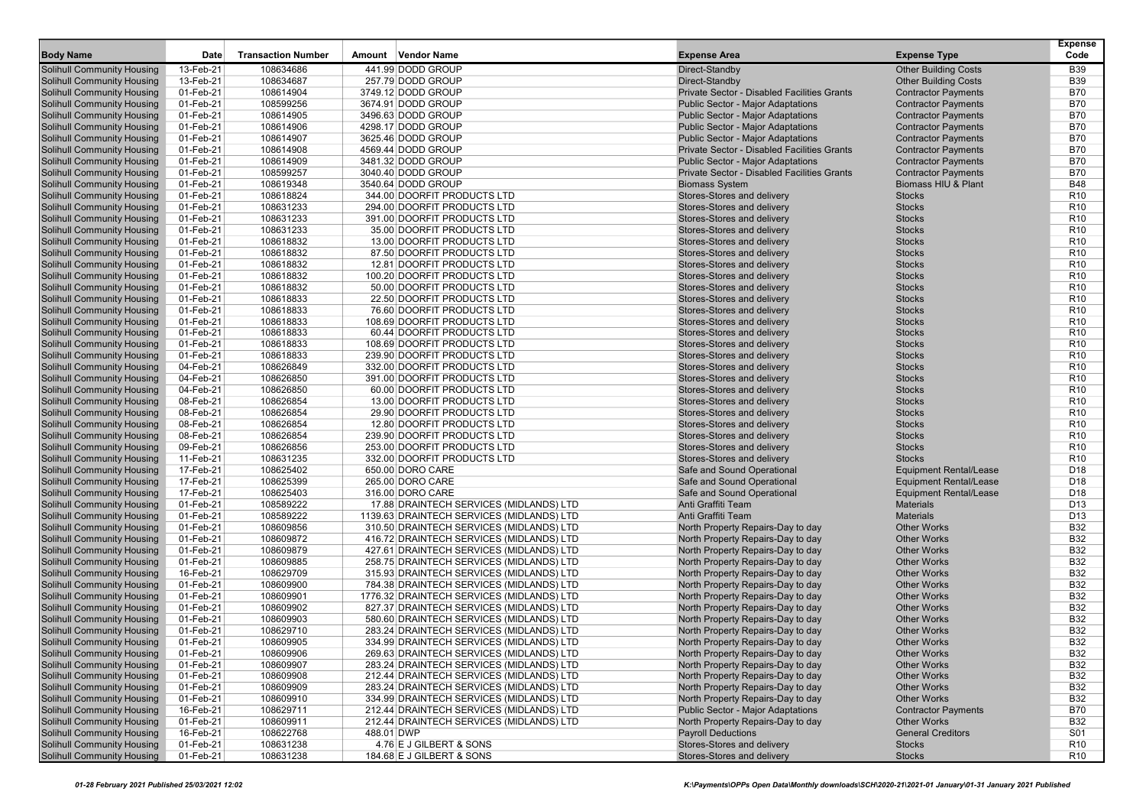| 13-Feb-21<br>441.99 DODD GROUP<br><b>Solihull Community Housing</b><br>108634686<br>Direct-Standby<br><b>Other Building Costs</b><br><b>B39</b><br><b>Solihull Community Housing</b><br>13-Feb-21<br>108634687<br>257.79 DODD GROUP<br>Direct-Standby<br><b>Other Building Costs</b><br><b>B39</b><br>Private Sector - Disabled Facilities Grants<br><b>Solihull Community Housing</b><br>01-Feb-21<br>108614904<br>3749.12 DODD GROUP<br><b>Contractor Payments</b><br><b>B70</b><br><b>Solihull Community Housing</b><br>01-Feb-21<br>108599256<br>3674.91 DODD GROUP<br><b>Public Sector - Major Adaptations</b><br><b>Contractor Payments</b><br><b>B70</b><br><b>B70</b><br><b>Solihull Community Housing</b><br>01-Feb-21<br>108614905<br>3496.63 DODD GROUP<br><b>Public Sector - Major Adaptations</b><br><b>Contractor Payments</b><br><b>Solihull Community Housing</b><br>01-Feb-21<br>108614906<br>4298.17 DODD GROUP<br><b>Public Sector - Major Adaptations</b><br><b>Contractor Payments</b><br><b>B70</b><br><b>Solihull Community Housing</b><br>01-Feb-21<br>108614907<br>3625.46 DODD GROUP<br><b>Public Sector - Major Adaptations</b><br><b>Contractor Payments</b><br><b>B70</b><br><b>Solihull Community Housing</b><br>01-Feb-21<br>108614908<br>4569.44 DODD GROUP<br>Private Sector - Disabled Facilities Grants<br><b>Contractor Payments</b><br><b>B70</b><br><b>Solihull Community Housing</b><br>01-Feb-21<br>108614909<br>3481.32 DODD GROUP<br><b>Public Sector - Major Adaptations</b><br><b>Contractor Payments</b><br><b>B70</b><br>108599257<br><b>B70</b><br>01-Feb-21<br>3040.40 DODD GROUP<br>Private Sector - Disabled Facilities Grants<br><b>Contractor Payments</b><br><b>Solihull Community Housing</b><br>01-Feb-21<br>108619348<br>3540.64 DODD GROUP<br><b>Biomass System</b><br>Biomass HIU & Plant<br><b>B48</b><br>R <sub>10</sub><br><b>Solihull Community Housing</b><br>01-Feb-21<br>108618824<br>344.00 DOORFIT PRODUCTS LTD<br>Stores-Stores and delivery<br><b>Stocks</b><br><b>Solihull Community Housing</b><br>01-Feb-21<br>108631233<br>294.00 DOORFIT PRODUCTS LTD<br>Stores-Stores and delivery<br><b>Stocks</b><br>R <sub>10</sub><br>01-Feb-21<br>108631233<br>391.00 DOORFIT PRODUCTS LTD<br>Stores-Stores and delivery<br><b>Stocks</b><br>R <sub>10</sub><br>R <sub>10</sub><br>01-Feb-21<br>108631233<br>35.00 DOORFIT PRODUCTS LTD<br>Stores-Stores and delivery<br><b>Stocks</b><br>108618832<br>R <sub>10</sub><br>01-Feb-21<br>13.00 DOORFIT PRODUCTS LTD<br>Stores-Stores and delivery<br><b>Stocks</b><br>R <sub>10</sub><br><b>Solihull Community Housing</b><br>01-Feb-21<br>108618832<br>87.50 DOORFIT PRODUCTS LTD<br>Stores-Stores and delivery<br><b>Stocks</b><br>01-Feb-21<br>108618832<br>12.81 DOORFIT PRODUCTS LTD<br>Stores-Stores and delivery<br><b>Stocks</b><br>R <sub>10</sub><br>01-Feb-21<br>108618832<br>100.20 DOORFIT PRODUCTS LTD<br>Stores-Stores and delivery<br><b>Stocks</b><br>R <sub>10</sub><br>R <sub>10</sub><br>01-Feb-21<br>108618832<br>50.00 DOORFIT PRODUCTS LTD<br>Stores-Stores and delivery<br><b>Stocks</b><br>R <sub>10</sub><br><b>Solihull Community Housing</b><br>01-Feb-21<br>108618833<br>22.50 DOORFIT PRODUCTS LTD<br>Stores-Stores and delivery<br><b>Stocks</b><br>R <sub>10</sub><br><b>Solihull Community Housing</b><br>01-Feb-21<br>108618833<br>76.60 DOORFIT PRODUCTS LTD<br>Stores-Stores and delivery<br><b>Stocks</b><br><b>Solihull Community Housing</b><br>01-Feb-21<br>108618833<br>108.69 DOORFIT PRODUCTS LTD<br>Stores-Stores and delivery<br><b>Stocks</b><br>R <sub>10</sub><br><b>Solihull Community Housing</b><br>01-Feb-21<br>108618833<br>60.44 DOORFIT PRODUCTS LTD<br>Stores-Stores and delivery<br><b>Stocks</b><br>R <sub>10</sub><br>R <sub>10</sub><br><b>Solihull Community Housing</b><br>01-Feb-21<br>108618833<br>108.69 DOORFIT PRODUCTS LTD<br>Stores-Stores and delivery<br><b>Stocks</b><br>R <sub>10</sub><br><b>Solihull Community Housing</b><br>01-Feb-21<br>108618833<br>239.90 DOORFIT PRODUCTS LTD<br>Stores-Stores and delivery<br><b>Stocks</b><br>R <sub>10</sub><br><b>Solihull Community Housing</b><br>04-Feb-21<br>108626849<br>332.00 DOORFIT PRODUCTS LTD<br>Stores-Stores and delivery<br><b>Stocks</b><br><b>Solihull Community Housing</b><br>04-Feb-21<br>108626850<br>391.00 DOORFIT PRODUCTS LTD<br>Stores-Stores and delivery<br><b>Stocks</b><br>R <sub>10</sub><br><b>Solihull Community Housing</b><br>04-Feb-21<br>108626850<br>60.00 DOORFIT PRODUCTS LTD<br>Stores-Stores and delivery<br><b>Stocks</b><br>R <sub>10</sub><br>R <sub>10</sub><br><b>Solihull Community Housing</b><br>08-Feb-21<br>108626854<br>13.00 DOORFIT PRODUCTS LTD<br>Stores-Stores and delivery<br><b>Stocks</b><br>108626854<br>R <sub>10</sub><br><b>Solihull Community Housing</b><br>08-Feb-21<br>29.90 DOORFIT PRODUCTS LTD<br>Stores-Stores and delivery<br><b>Stocks</b><br>R <sub>10</sub><br><b>Solihull Community Housing</b><br>08-Feb-21<br>108626854<br>12.80 DOORFIT PRODUCTS LTD<br>Stores-Stores and delivery<br><b>Stocks</b><br><b>Solihull Community Housing</b><br>08-Feb-21<br>108626854<br>239.90 DOORFIT PRODUCTS LTD<br>Stores-Stores and delivery<br><b>Stocks</b><br>R <sub>10</sub><br><b>Solihull Community Housing</b><br>09-Feb-21<br>108626856<br>253.00 DOORFIT PRODUCTS LTD<br>Stores-Stores and delivery<br><b>Stocks</b><br>R <sub>10</sub><br>R <sub>10</sub><br><b>Solihull Community Housing</b><br>11-Feb-21<br>108631235<br>332.00 DOORFIT PRODUCTS LTD<br>Stores-Stores and delivery<br><b>Stocks</b><br>108625402<br><b>Solihull Community Housing</b><br>17-Feb-21<br>650.00 DORO CARE<br>Safe and Sound Operational<br><b>Equipment Rental/Lease</b><br>D <sub>18</sub><br><b>Solihull Community Housing</b><br>17-Feb-21<br>108625399<br>265.00 DORO CARE<br>Safe and Sound Operational<br><b>Equipment Rental/Lease</b><br>D <sub>18</sub><br><b>Solihull Community Housing</b><br>17-Feb-21<br>108625403<br>316.00 DORO CARE<br>Safe and Sound Operational<br><b>Equipment Rental/Lease</b><br>D <sub>18</sub><br><b>Solihull Community Housing</b><br>01-Feb-21<br>108589222<br>17.88 DRAINTECH SERVICES (MIDLANDS) LTD<br>Anti Graffiti Team<br><b>Materials</b><br>D <sub>13</sub><br>Anti Graffiti Team<br>D <sub>13</sub><br><b>Solihull Community Housing</b><br>01-Feb-21<br>108589222<br>1139.63 DRAINTECH SERVICES (MIDLANDS) LTD<br><b>Materials</b><br>108609856<br><b>B32</b><br><b>Solihull Community Housing</b><br>01-Feb-21<br>310.50 DRAINTECH SERVICES (MIDLANDS) LTD<br><b>Other Works</b><br>North Property Repairs-Day to day<br><b>Solihull Community Housing</b><br>01-Feb-21<br>108609872<br>416.72 DRAINTECH SERVICES (MIDLANDS) LTD<br><b>Other Works</b><br><b>B32</b><br>North Property Repairs-Day to day<br><b>B32</b><br>01-Feb-21<br>108609879<br>427.61 DRAINTECH SERVICES (MIDLANDS) LTD<br><b>Other Works</b><br>North Property Repairs-Day to day<br><b>B32</b><br>01-Feb-21<br>108609885<br>258.75 DRAINTECH SERVICES (MIDLANDS) LTD<br>North Property Repairs-Day to day<br><b>Other Works</b><br>108629709<br><b>B32</b><br>16-Feb-21<br>315.93 DRAINTECH SERVICES (MIDLANDS) LTD<br><b>Other Works</b><br>North Property Repairs-Day to day<br><b>B32</b><br>01-Feb-21<br>108609900<br>784.38 DRAINTECH SERVICES (MIDLANDS) LTD<br>North Property Repairs-Day to day<br><b>Other Works</b><br><b>B32</b><br><b>Solihull Community Housing</b><br>01-Feb-21<br>108609901<br><b>Other Works</b><br>1776.32 DRAINTECH SERVICES (MIDLANDS) LTD<br>North Property Repairs-Day to day<br>108609902<br><b>B32</b><br><b>Solihull Community Housing</b><br>01-Feb-21<br>827.37 DRAINTECH SERVICES (MIDLANDS) LTD<br>North Property Repairs-Day to day<br><b>Other Works</b><br><b>B32</b><br>01-Feb-21<br>108609903<br>580.60 DRAINTECH SERVICES (MIDLANDS) LTD<br><b>Other Works</b><br>North Property Repairs-Day to day<br><b>B32</b><br><b>Solihull Community Housing</b><br>01-Feb-21<br>108629710<br><b>Other Works</b><br>283.24 DRAINTECH SERVICES (MIDLANDS) LTD<br>North Property Repairs-Day to day<br><b>B32</b><br><b>Solihull Community Housing</b><br>01-Feb-21<br>108609905<br>334.99 DRAINTECH SERVICES (MIDLANDS) LTD<br>North Property Repairs-Day to day<br><b>Other Works</b><br><b>Solihull Community Housing</b><br><b>B32</b><br>01-Feb-21<br>108609906<br>269.63 DRAINTECH SERVICES (MIDLANDS) LTD<br>North Property Repairs-Day to day<br><b>Other Works</b><br><b>Solihull Community Housing</b><br>108609907<br><b>B32</b><br>01-Feb-21<br>283.24 DRAINTECH SERVICES (MIDLANDS) LTD<br>North Property Repairs-Day to day<br><b>Other Works</b><br><b>Solihull Community Housing</b><br>01-Feb-21<br>108609908<br>212.44 DRAINTECH SERVICES (MIDLANDS) LTD<br>North Property Repairs-Day to day<br><b>Other Works</b><br><b>B32</b><br><b>Solihull Community Housing</b><br>108609909<br><b>B32</b><br>01-Feb-21<br>283.24 DRAINTECH SERVICES (MIDLANDS) LTD<br>North Property Repairs-Day to day<br><b>Other Works</b><br><b>Solihull Community Housing</b><br>108609910<br><b>B32</b><br>01-Feb-21<br>334.99 DRAINTECH SERVICES (MIDLANDS) LTD<br>North Property Repairs-Day to day<br><b>Other Works</b><br><b>Solihull Community Housing</b><br><b>B70</b><br>16-Feb-21<br>108629711<br>212.44 DRAINTECH SERVICES (MIDLANDS) LTD<br>Public Sector - Major Adaptations<br><b>Contractor Payments</b><br><b>Solihull Community Housing</b><br>108609911<br>01-Feb-21<br>212.44 DRAINTECH SERVICES (MIDLANDS) LTD<br>North Property Repairs-Day to day<br><b>Other Works</b><br><b>B32</b><br><b>Solihull Community Housing</b><br>16-Feb-21<br>108622768<br>488.01 DWP<br><b>Payroll Deductions</b><br><b>General Creditors</b><br>S01<br><b>Solihull Community Housing</b><br>4.76 E J GILBERT & SONS<br>R <sub>10</sub><br>01-Feb-21<br>108631238<br>Stores-Stores and delivery<br><b>Stocks</b><br><b>Solihull Community Housing</b><br>108631238<br>184.68 E J GILBERT & SONS<br>Stores-Stores and delivery<br><b>R10</b><br>01-Feb-21<br><b>Stocks</b> | <b>Body Name</b>                  | Date | <b>Transaction Number</b> | Amount Vendor Name | <b>Expense Area</b> | <b>Expense Type</b> | <b>Expense</b><br>Code |
|--------------------------------------------------------------------------------------------------------------------------------------------------------------------------------------------------------------------------------------------------------------------------------------------------------------------------------------------------------------------------------------------------------------------------------------------------------------------------------------------------------------------------------------------------------------------------------------------------------------------------------------------------------------------------------------------------------------------------------------------------------------------------------------------------------------------------------------------------------------------------------------------------------------------------------------------------------------------------------------------------------------------------------------------------------------------------------------------------------------------------------------------------------------------------------------------------------------------------------------------------------------------------------------------------------------------------------------------------------------------------------------------------------------------------------------------------------------------------------------------------------------------------------------------------------------------------------------------------------------------------------------------------------------------------------------------------------------------------------------------------------------------------------------------------------------------------------------------------------------------------------------------------------------------------------------------------------------------------------------------------------------------------------------------------------------------------------------------------------------------------------------------------------------------------------------------------------------------------------------------------------------------------------------------------------------------------------------------------------------------------------------------------------------------------------------------------------------------------------------------------------------------------------------------------------------------------------------------------------------------------------------------------------------------------------------------------------------------------------------------------------------------------------------------------------------------------------------------------------------------------------------------------------------------------------------------------------------------------------------------------------------------------------------------------------------------------------------------------------------------------------------------------------------------------------------------------------------------------------------------------------------------------------------------------------------------------------------------------------------------------------------------------------------------------------------------------------------------------------------------------------------------------------------------------------------------------------------------------------------------------------------------------------------------------------------------------------------------------------------------------------------------------------------------------------------------------------------------------------------------------------------------------------------------------------------------------------------------------------------------------------------------------------------------------------------------------------------------------------------------------------------------------------------------------------------------------------------------------------------------------------------------------------------------------------------------------------------------------------------------------------------------------------------------------------------------------------------------------------------------------------------------------------------------------------------------------------------------------------------------------------------------------------------------------------------------------------------------------------------------------------------------------------------------------------------------------------------------------------------------------------------------------------------------------------------------------------------------------------------------------------------------------------------------------------------------------------------------------------------------------------------------------------------------------------------------------------------------------------------------------------------------------------------------------------------------------------------------------------------------------------------------------------------------------------------------------------------------------------------------------------------------------------------------------------------------------------------------------------------------------------------------------------------------------------------------------------------------------------------------------------------------------------------------------------------------------------------------------------------------------------------------------------------------------------------------------------------------------------------------------------------------------------------------------------------------------------------------------------------------------------------------------------------------------------------------------------------------------------------------------------------------------------------------------------------------------------------------------------------------------------------------------------------------------------------------------------------------------------------------------------------------------------------------------------------------------------------------------------------------------------------------------------------------------------------------------------------------------------------------------------------------------------------------------------------------------------------------------------------------------------------------------------------------------------------------------------------------------------------------------------------------------------------------------------------------------------------------------------------------------------------------------------------------------------------------------------------------------------------------------------------------------------------------------------------------------------------------------------------------------------------------------------------------------------------------------------------------------------------------------------------------------------------------------------------------------------------------------------------------------------------------------------------------------------------------------------------------------------------------------------------------------------------------------------------------------------------------------------------------------------------------------------------------------------------------------------------------------------------------------------------------------------------------------------------------------------------------------------------------------------------------------------------------------------------------------------------------------------------------------------------------------------------------------------------------------------------------------------------------------------------------------------------------------------------------------------------------------------------------------------------------------------------------------------------------------------------------------------------------------------------------------------------------------------------------------------------------------------------------------------------------------------------------------------------------------------------------------------------------------------------------------------------------------------------------------------------------------------------------------------------------------------------------------------------------------------------------------------------------------------------------------------------------------------------------------------------------------------------------------------------------------------------------------------------------------------------------------------------------------------------------------------------------------------------------------------------------------------------------------------------------------------------------------------------------------------------------------------------------------------------------------------------------------------------------------------------------------------------------------------------------------------------------------------------------------------------------------------------------------------------------------------------------------------------------------------------------------------------------------------------------------------------------------------------------------------------------------------------------------------------------------|-----------------------------------|------|---------------------------|--------------------|---------------------|---------------------|------------------------|
|                                                                                                                                                                                                                                                                                                                                                                                                                                                                                                                                                                                                                                                                                                                                                                                                                                                                                                                                                                                                                                                                                                                                                                                                                                                                                                                                                                                                                                                                                                                                                                                                                                                                                                                                                                                                                                                                                                                                                                                                                                                                                                                                                                                                                                                                                                                                                                                                                                                                                                                                                                                                                                                                                                                                                                                                                                                                                                                                                                                                                                                                                                                                                                                                                                                                                                                                                                                                                                                                                                                                                                                                                                                                                                                                                                                                                                                                                                                                                                                                                                                                                                                                                                                                                                                                                                                                                                                                                                                                                                                                                                                                                                                                                                                                                                                                                                                                                                                                                                                                                                                                                                                                                                                                                                                                                                                                                                                                                                                                                                                                                                                                                                                                                                                                                                                                                                                                                                                                                                                                                                                                                                                                                                                                                                                                                                                                                                                                                                                                                                                                                                                                                                                                                                                                                                                                                                                                                                                                                                                                                                                                                                                                                                                                                                                                                                                                                                                                                                                                                                                                                                                                                                                                                                                                                                                                                                                                                                                                                                                                                                                                                                                                                                                                                                                                                                                                                                                                                                                                                                                                                                                                                                                                                                                                                                                                                                                                                                                                                                                                                                                                                                                                                                                                                                                                                                                                                                                                                                                                                                                                                                                                                                                                                                                                                                                                                                                                                                                                                                                                                                                                                                                                                  |                                   |      |                           |                    |                     |                     |                        |
|                                                                                                                                                                                                                                                                                                                                                                                                                                                                                                                                                                                                                                                                                                                                                                                                                                                                                                                                                                                                                                                                                                                                                                                                                                                                                                                                                                                                                                                                                                                                                                                                                                                                                                                                                                                                                                                                                                                                                                                                                                                                                                                                                                                                                                                                                                                                                                                                                                                                                                                                                                                                                                                                                                                                                                                                                                                                                                                                                                                                                                                                                                                                                                                                                                                                                                                                                                                                                                                                                                                                                                                                                                                                                                                                                                                                                                                                                                                                                                                                                                                                                                                                                                                                                                                                                                                                                                                                                                                                                                                                                                                                                                                                                                                                                                                                                                                                                                                                                                                                                                                                                                                                                                                                                                                                                                                                                                                                                                                                                                                                                                                                                                                                                                                                                                                                                                                                                                                                                                                                                                                                                                                                                                                                                                                                                                                                                                                                                                                                                                                                                                                                                                                                                                                                                                                                                                                                                                                                                                                                                                                                                                                                                                                                                                                                                                                                                                                                                                                                                                                                                                                                                                                                                                                                                                                                                                                                                                                                                                                                                                                                                                                                                                                                                                                                                                                                                                                                                                                                                                                                                                                                                                                                                                                                                                                                                                                                                                                                                                                                                                                                                                                                                                                                                                                                                                                                                                                                                                                                                                                                                                                                                                                                                                                                                                                                                                                                                                                                                                                                                                                                                                                                                  |                                   |      |                           |                    |                     |                     |                        |
|                                                                                                                                                                                                                                                                                                                                                                                                                                                                                                                                                                                                                                                                                                                                                                                                                                                                                                                                                                                                                                                                                                                                                                                                                                                                                                                                                                                                                                                                                                                                                                                                                                                                                                                                                                                                                                                                                                                                                                                                                                                                                                                                                                                                                                                                                                                                                                                                                                                                                                                                                                                                                                                                                                                                                                                                                                                                                                                                                                                                                                                                                                                                                                                                                                                                                                                                                                                                                                                                                                                                                                                                                                                                                                                                                                                                                                                                                                                                                                                                                                                                                                                                                                                                                                                                                                                                                                                                                                                                                                                                                                                                                                                                                                                                                                                                                                                                                                                                                                                                                                                                                                                                                                                                                                                                                                                                                                                                                                                                                                                                                                                                                                                                                                                                                                                                                                                                                                                                                                                                                                                                                                                                                                                                                                                                                                                                                                                                                                                                                                                                                                                                                                                                                                                                                                                                                                                                                                                                                                                                                                                                                                                                                                                                                                                                                                                                                                                                                                                                                                                                                                                                                                                                                                                                                                                                                                                                                                                                                                                                                                                                                                                                                                                                                                                                                                                                                                                                                                                                                                                                                                                                                                                                                                                                                                                                                                                                                                                                                                                                                                                                                                                                                                                                                                                                                                                                                                                                                                                                                                                                                                                                                                                                                                                                                                                                                                                                                                                                                                                                                                                                                                                                                  |                                   |      |                           |                    |                     |                     |                        |
|                                                                                                                                                                                                                                                                                                                                                                                                                                                                                                                                                                                                                                                                                                                                                                                                                                                                                                                                                                                                                                                                                                                                                                                                                                                                                                                                                                                                                                                                                                                                                                                                                                                                                                                                                                                                                                                                                                                                                                                                                                                                                                                                                                                                                                                                                                                                                                                                                                                                                                                                                                                                                                                                                                                                                                                                                                                                                                                                                                                                                                                                                                                                                                                                                                                                                                                                                                                                                                                                                                                                                                                                                                                                                                                                                                                                                                                                                                                                                                                                                                                                                                                                                                                                                                                                                                                                                                                                                                                                                                                                                                                                                                                                                                                                                                                                                                                                                                                                                                                                                                                                                                                                                                                                                                                                                                                                                                                                                                                                                                                                                                                                                                                                                                                                                                                                                                                                                                                                                                                                                                                                                                                                                                                                                                                                                                                                                                                                                                                                                                                                                                                                                                                                                                                                                                                                                                                                                                                                                                                                                                                                                                                                                                                                                                                                                                                                                                                                                                                                                                                                                                                                                                                                                                                                                                                                                                                                                                                                                                                                                                                                                                                                                                                                                                                                                                                                                                                                                                                                                                                                                                                                                                                                                                                                                                                                                                                                                                                                                                                                                                                                                                                                                                                                                                                                                                                                                                                                                                                                                                                                                                                                                                                                                                                                                                                                                                                                                                                                                                                                                                                                                                                                                  |                                   |      |                           |                    |                     |                     |                        |
|                                                                                                                                                                                                                                                                                                                                                                                                                                                                                                                                                                                                                                                                                                                                                                                                                                                                                                                                                                                                                                                                                                                                                                                                                                                                                                                                                                                                                                                                                                                                                                                                                                                                                                                                                                                                                                                                                                                                                                                                                                                                                                                                                                                                                                                                                                                                                                                                                                                                                                                                                                                                                                                                                                                                                                                                                                                                                                                                                                                                                                                                                                                                                                                                                                                                                                                                                                                                                                                                                                                                                                                                                                                                                                                                                                                                                                                                                                                                                                                                                                                                                                                                                                                                                                                                                                                                                                                                                                                                                                                                                                                                                                                                                                                                                                                                                                                                                                                                                                                                                                                                                                                                                                                                                                                                                                                                                                                                                                                                                                                                                                                                                                                                                                                                                                                                                                                                                                                                                                                                                                                                                                                                                                                                                                                                                                                                                                                                                                                                                                                                                                                                                                                                                                                                                                                                                                                                                                                                                                                                                                                                                                                                                                                                                                                                                                                                                                                                                                                                                                                                                                                                                                                                                                                                                                                                                                                                                                                                                                                                                                                                                                                                                                                                                                                                                                                                                                                                                                                                                                                                                                                                                                                                                                                                                                                                                                                                                                                                                                                                                                                                                                                                                                                                                                                                                                                                                                                                                                                                                                                                                                                                                                                                                                                                                                                                                                                                                                                                                                                                                                                                                                                                                  |                                   |      |                           |                    |                     |                     |                        |
|                                                                                                                                                                                                                                                                                                                                                                                                                                                                                                                                                                                                                                                                                                                                                                                                                                                                                                                                                                                                                                                                                                                                                                                                                                                                                                                                                                                                                                                                                                                                                                                                                                                                                                                                                                                                                                                                                                                                                                                                                                                                                                                                                                                                                                                                                                                                                                                                                                                                                                                                                                                                                                                                                                                                                                                                                                                                                                                                                                                                                                                                                                                                                                                                                                                                                                                                                                                                                                                                                                                                                                                                                                                                                                                                                                                                                                                                                                                                                                                                                                                                                                                                                                                                                                                                                                                                                                                                                                                                                                                                                                                                                                                                                                                                                                                                                                                                                                                                                                                                                                                                                                                                                                                                                                                                                                                                                                                                                                                                                                                                                                                                                                                                                                                                                                                                                                                                                                                                                                                                                                                                                                                                                                                                                                                                                                                                                                                                                                                                                                                                                                                                                                                                                                                                                                                                                                                                                                                                                                                                                                                                                                                                                                                                                                                                                                                                                                                                                                                                                                                                                                                                                                                                                                                                                                                                                                                                                                                                                                                                                                                                                                                                                                                                                                                                                                                                                                                                                                                                                                                                                                                                                                                                                                                                                                                                                                                                                                                                                                                                                                                                                                                                                                                                                                                                                                                                                                                                                                                                                                                                                                                                                                                                                                                                                                                                                                                                                                                                                                                                                                                                                                                                                  |                                   |      |                           |                    |                     |                     |                        |
|                                                                                                                                                                                                                                                                                                                                                                                                                                                                                                                                                                                                                                                                                                                                                                                                                                                                                                                                                                                                                                                                                                                                                                                                                                                                                                                                                                                                                                                                                                                                                                                                                                                                                                                                                                                                                                                                                                                                                                                                                                                                                                                                                                                                                                                                                                                                                                                                                                                                                                                                                                                                                                                                                                                                                                                                                                                                                                                                                                                                                                                                                                                                                                                                                                                                                                                                                                                                                                                                                                                                                                                                                                                                                                                                                                                                                                                                                                                                                                                                                                                                                                                                                                                                                                                                                                                                                                                                                                                                                                                                                                                                                                                                                                                                                                                                                                                                                                                                                                                                                                                                                                                                                                                                                                                                                                                                                                                                                                                                                                                                                                                                                                                                                                                                                                                                                                                                                                                                                                                                                                                                                                                                                                                                                                                                                                                                                                                                                                                                                                                                                                                                                                                                                                                                                                                                                                                                                                                                                                                                                                                                                                                                                                                                                                                                                                                                                                                                                                                                                                                                                                                                                                                                                                                                                                                                                                                                                                                                                                                                                                                                                                                                                                                                                                                                                                                                                                                                                                                                                                                                                                                                                                                                                                                                                                                                                                                                                                                                                                                                                                                                                                                                                                                                                                                                                                                                                                                                                                                                                                                                                                                                                                                                                                                                                                                                                                                                                                                                                                                                                                                                                                                                                  |                                   |      |                           |                    |                     |                     |                        |
|                                                                                                                                                                                                                                                                                                                                                                                                                                                                                                                                                                                                                                                                                                                                                                                                                                                                                                                                                                                                                                                                                                                                                                                                                                                                                                                                                                                                                                                                                                                                                                                                                                                                                                                                                                                                                                                                                                                                                                                                                                                                                                                                                                                                                                                                                                                                                                                                                                                                                                                                                                                                                                                                                                                                                                                                                                                                                                                                                                                                                                                                                                                                                                                                                                                                                                                                                                                                                                                                                                                                                                                                                                                                                                                                                                                                                                                                                                                                                                                                                                                                                                                                                                                                                                                                                                                                                                                                                                                                                                                                                                                                                                                                                                                                                                                                                                                                                                                                                                                                                                                                                                                                                                                                                                                                                                                                                                                                                                                                                                                                                                                                                                                                                                                                                                                                                                                                                                                                                                                                                                                                                                                                                                                                                                                                                                                                                                                                                                                                                                                                                                                                                                                                                                                                                                                                                                                                                                                                                                                                                                                                                                                                                                                                                                                                                                                                                                                                                                                                                                                                                                                                                                                                                                                                                                                                                                                                                                                                                                                                                                                                                                                                                                                                                                                                                                                                                                                                                                                                                                                                                                                                                                                                                                                                                                                                                                                                                                                                                                                                                                                                                                                                                                                                                                                                                                                                                                                                                                                                                                                                                                                                                                                                                                                                                                                                                                                                                                                                                                                                                                                                                                                                                  |                                   |      |                           |                    |                     |                     |                        |
|                                                                                                                                                                                                                                                                                                                                                                                                                                                                                                                                                                                                                                                                                                                                                                                                                                                                                                                                                                                                                                                                                                                                                                                                                                                                                                                                                                                                                                                                                                                                                                                                                                                                                                                                                                                                                                                                                                                                                                                                                                                                                                                                                                                                                                                                                                                                                                                                                                                                                                                                                                                                                                                                                                                                                                                                                                                                                                                                                                                                                                                                                                                                                                                                                                                                                                                                                                                                                                                                                                                                                                                                                                                                                                                                                                                                                                                                                                                                                                                                                                                                                                                                                                                                                                                                                                                                                                                                                                                                                                                                                                                                                                                                                                                                                                                                                                                                                                                                                                                                                                                                                                                                                                                                                                                                                                                                                                                                                                                                                                                                                                                                                                                                                                                                                                                                                                                                                                                                                                                                                                                                                                                                                                                                                                                                                                                                                                                                                                                                                                                                                                                                                                                                                                                                                                                                                                                                                                                                                                                                                                                                                                                                                                                                                                                                                                                                                                                                                                                                                                                                                                                                                                                                                                                                                                                                                                                                                                                                                                                                                                                                                                                                                                                                                                                                                                                                                                                                                                                                                                                                                                                                                                                                                                                                                                                                                                                                                                                                                                                                                                                                                                                                                                                                                                                                                                                                                                                                                                                                                                                                                                                                                                                                                                                                                                                                                                                                                                                                                                                                                                                                                                                                                  |                                   |      |                           |                    |                     |                     |                        |
|                                                                                                                                                                                                                                                                                                                                                                                                                                                                                                                                                                                                                                                                                                                                                                                                                                                                                                                                                                                                                                                                                                                                                                                                                                                                                                                                                                                                                                                                                                                                                                                                                                                                                                                                                                                                                                                                                                                                                                                                                                                                                                                                                                                                                                                                                                                                                                                                                                                                                                                                                                                                                                                                                                                                                                                                                                                                                                                                                                                                                                                                                                                                                                                                                                                                                                                                                                                                                                                                                                                                                                                                                                                                                                                                                                                                                                                                                                                                                                                                                                                                                                                                                                                                                                                                                                                                                                                                                                                                                                                                                                                                                                                                                                                                                                                                                                                                                                                                                                                                                                                                                                                                                                                                                                                                                                                                                                                                                                                                                                                                                                                                                                                                                                                                                                                                                                                                                                                                                                                                                                                                                                                                                                                                                                                                                                                                                                                                                                                                                                                                                                                                                                                                                                                                                                                                                                                                                                                                                                                                                                                                                                                                                                                                                                                                                                                                                                                                                                                                                                                                                                                                                                                                                                                                                                                                                                                                                                                                                                                                                                                                                                                                                                                                                                                                                                                                                                                                                                                                                                                                                                                                                                                                                                                                                                                                                                                                                                                                                                                                                                                                                                                                                                                                                                                                                                                                                                                                                                                                                                                                                                                                                                                                                                                                                                                                                                                                                                                                                                                                                                                                                                                                                  | <b>Solihull Community Housing</b> |      |                           |                    |                     |                     |                        |
|                                                                                                                                                                                                                                                                                                                                                                                                                                                                                                                                                                                                                                                                                                                                                                                                                                                                                                                                                                                                                                                                                                                                                                                                                                                                                                                                                                                                                                                                                                                                                                                                                                                                                                                                                                                                                                                                                                                                                                                                                                                                                                                                                                                                                                                                                                                                                                                                                                                                                                                                                                                                                                                                                                                                                                                                                                                                                                                                                                                                                                                                                                                                                                                                                                                                                                                                                                                                                                                                                                                                                                                                                                                                                                                                                                                                                                                                                                                                                                                                                                                                                                                                                                                                                                                                                                                                                                                                                                                                                                                                                                                                                                                                                                                                                                                                                                                                                                                                                                                                                                                                                                                                                                                                                                                                                                                                                                                                                                                                                                                                                                                                                                                                                                                                                                                                                                                                                                                                                                                                                                                                                                                                                                                                                                                                                                                                                                                                                                                                                                                                                                                                                                                                                                                                                                                                                                                                                                                                                                                                                                                                                                                                                                                                                                                                                                                                                                                                                                                                                                                                                                                                                                                                                                                                                                                                                                                                                                                                                                                                                                                                                                                                                                                                                                                                                                                                                                                                                                                                                                                                                                                                                                                                                                                                                                                                                                                                                                                                                                                                                                                                                                                                                                                                                                                                                                                                                                                                                                                                                                                                                                                                                                                                                                                                                                                                                                                                                                                                                                                                                                                                                                                                                  |                                   |      |                           |                    |                     |                     |                        |
|                                                                                                                                                                                                                                                                                                                                                                                                                                                                                                                                                                                                                                                                                                                                                                                                                                                                                                                                                                                                                                                                                                                                                                                                                                                                                                                                                                                                                                                                                                                                                                                                                                                                                                                                                                                                                                                                                                                                                                                                                                                                                                                                                                                                                                                                                                                                                                                                                                                                                                                                                                                                                                                                                                                                                                                                                                                                                                                                                                                                                                                                                                                                                                                                                                                                                                                                                                                                                                                                                                                                                                                                                                                                                                                                                                                                                                                                                                                                                                                                                                                                                                                                                                                                                                                                                                                                                                                                                                                                                                                                                                                                                                                                                                                                                                                                                                                                                                                                                                                                                                                                                                                                                                                                                                                                                                                                                                                                                                                                                                                                                                                                                                                                                                                                                                                                                                                                                                                                                                                                                                                                                                                                                                                                                                                                                                                                                                                                                                                                                                                                                                                                                                                                                                                                                                                                                                                                                                                                                                                                                                                                                                                                                                                                                                                                                                                                                                                                                                                                                                                                                                                                                                                                                                                                                                                                                                                                                                                                                                                                                                                                                                                                                                                                                                                                                                                                                                                                                                                                                                                                                                                                                                                                                                                                                                                                                                                                                                                                                                                                                                                                                                                                                                                                                                                                                                                                                                                                                                                                                                                                                                                                                                                                                                                                                                                                                                                                                                                                                                                                                                                                                                                                                  |                                   |      |                           |                    |                     |                     |                        |
|                                                                                                                                                                                                                                                                                                                                                                                                                                                                                                                                                                                                                                                                                                                                                                                                                                                                                                                                                                                                                                                                                                                                                                                                                                                                                                                                                                                                                                                                                                                                                                                                                                                                                                                                                                                                                                                                                                                                                                                                                                                                                                                                                                                                                                                                                                                                                                                                                                                                                                                                                                                                                                                                                                                                                                                                                                                                                                                                                                                                                                                                                                                                                                                                                                                                                                                                                                                                                                                                                                                                                                                                                                                                                                                                                                                                                                                                                                                                                                                                                                                                                                                                                                                                                                                                                                                                                                                                                                                                                                                                                                                                                                                                                                                                                                                                                                                                                                                                                                                                                                                                                                                                                                                                                                                                                                                                                                                                                                                                                                                                                                                                                                                                                                                                                                                                                                                                                                                                                                                                                                                                                                                                                                                                                                                                                                                                                                                                                                                                                                                                                                                                                                                                                                                                                                                                                                                                                                                                                                                                                                                                                                                                                                                                                                                                                                                                                                                                                                                                                                                                                                                                                                                                                                                                                                                                                                                                                                                                                                                                                                                                                                                                                                                                                                                                                                                                                                                                                                                                                                                                                                                                                                                                                                                                                                                                                                                                                                                                                                                                                                                                                                                                                                                                                                                                                                                                                                                                                                                                                                                                                                                                                                                                                                                                                                                                                                                                                                                                                                                                                                                                                                                                                  |                                   |      |                           |                    |                     |                     |                        |
|                                                                                                                                                                                                                                                                                                                                                                                                                                                                                                                                                                                                                                                                                                                                                                                                                                                                                                                                                                                                                                                                                                                                                                                                                                                                                                                                                                                                                                                                                                                                                                                                                                                                                                                                                                                                                                                                                                                                                                                                                                                                                                                                                                                                                                                                                                                                                                                                                                                                                                                                                                                                                                                                                                                                                                                                                                                                                                                                                                                                                                                                                                                                                                                                                                                                                                                                                                                                                                                                                                                                                                                                                                                                                                                                                                                                                                                                                                                                                                                                                                                                                                                                                                                                                                                                                                                                                                                                                                                                                                                                                                                                                                                                                                                                                                                                                                                                                                                                                                                                                                                                                                                                                                                                                                                                                                                                                                                                                                                                                                                                                                                                                                                                                                                                                                                                                                                                                                                                                                                                                                                                                                                                                                                                                                                                                                                                                                                                                                                                                                                                                                                                                                                                                                                                                                                                                                                                                                                                                                                                                                                                                                                                                                                                                                                                                                                                                                                                                                                                                                                                                                                                                                                                                                                                                                                                                                                                                                                                                                                                                                                                                                                                                                                                                                                                                                                                                                                                                                                                                                                                                                                                                                                                                                                                                                                                                                                                                                                                                                                                                                                                                                                                                                                                                                                                                                                                                                                                                                                                                                                                                                                                                                                                                                                                                                                                                                                                                                                                                                                                                                                                                                                                                  | <b>Solihull Community Housing</b> |      |                           |                    |                     |                     |                        |
|                                                                                                                                                                                                                                                                                                                                                                                                                                                                                                                                                                                                                                                                                                                                                                                                                                                                                                                                                                                                                                                                                                                                                                                                                                                                                                                                                                                                                                                                                                                                                                                                                                                                                                                                                                                                                                                                                                                                                                                                                                                                                                                                                                                                                                                                                                                                                                                                                                                                                                                                                                                                                                                                                                                                                                                                                                                                                                                                                                                                                                                                                                                                                                                                                                                                                                                                                                                                                                                                                                                                                                                                                                                                                                                                                                                                                                                                                                                                                                                                                                                                                                                                                                                                                                                                                                                                                                                                                                                                                                                                                                                                                                                                                                                                                                                                                                                                                                                                                                                                                                                                                                                                                                                                                                                                                                                                                                                                                                                                                                                                                                                                                                                                                                                                                                                                                                                                                                                                                                                                                                                                                                                                                                                                                                                                                                                                                                                                                                                                                                                                                                                                                                                                                                                                                                                                                                                                                                                                                                                                                                                                                                                                                                                                                                                                                                                                                                                                                                                                                                                                                                                                                                                                                                                                                                                                                                                                                                                                                                                                                                                                                                                                                                                                                                                                                                                                                                                                                                                                                                                                                                                                                                                                                                                                                                                                                                                                                                                                                                                                                                                                                                                                                                                                                                                                                                                                                                                                                                                                                                                                                                                                                                                                                                                                                                                                                                                                                                                                                                                                                                                                                                                                                  | <b>Solihull Community Housing</b> |      |                           |                    |                     |                     |                        |
|                                                                                                                                                                                                                                                                                                                                                                                                                                                                                                                                                                                                                                                                                                                                                                                                                                                                                                                                                                                                                                                                                                                                                                                                                                                                                                                                                                                                                                                                                                                                                                                                                                                                                                                                                                                                                                                                                                                                                                                                                                                                                                                                                                                                                                                                                                                                                                                                                                                                                                                                                                                                                                                                                                                                                                                                                                                                                                                                                                                                                                                                                                                                                                                                                                                                                                                                                                                                                                                                                                                                                                                                                                                                                                                                                                                                                                                                                                                                                                                                                                                                                                                                                                                                                                                                                                                                                                                                                                                                                                                                                                                                                                                                                                                                                                                                                                                                                                                                                                                                                                                                                                                                                                                                                                                                                                                                                                                                                                                                                                                                                                                                                                                                                                                                                                                                                                                                                                                                                                                                                                                                                                                                                                                                                                                                                                                                                                                                                                                                                                                                                                                                                                                                                                                                                                                                                                                                                                                                                                                                                                                                                                                                                                                                                                                                                                                                                                                                                                                                                                                                                                                                                                                                                                                                                                                                                                                                                                                                                                                                                                                                                                                                                                                                                                                                                                                                                                                                                                                                                                                                                                                                                                                                                                                                                                                                                                                                                                                                                                                                                                                                                                                                                                                                                                                                                                                                                                                                                                                                                                                                                                                                                                                                                                                                                                                                                                                                                                                                                                                                                                                                                                                                                  | <b>Solihull Community Housing</b> |      |                           |                    |                     |                     |                        |
|                                                                                                                                                                                                                                                                                                                                                                                                                                                                                                                                                                                                                                                                                                                                                                                                                                                                                                                                                                                                                                                                                                                                                                                                                                                                                                                                                                                                                                                                                                                                                                                                                                                                                                                                                                                                                                                                                                                                                                                                                                                                                                                                                                                                                                                                                                                                                                                                                                                                                                                                                                                                                                                                                                                                                                                                                                                                                                                                                                                                                                                                                                                                                                                                                                                                                                                                                                                                                                                                                                                                                                                                                                                                                                                                                                                                                                                                                                                                                                                                                                                                                                                                                                                                                                                                                                                                                                                                                                                                                                                                                                                                                                                                                                                                                                                                                                                                                                                                                                                                                                                                                                                                                                                                                                                                                                                                                                                                                                                                                                                                                                                                                                                                                                                                                                                                                                                                                                                                                                                                                                                                                                                                                                                                                                                                                                                                                                                                                                                                                                                                                                                                                                                                                                                                                                                                                                                                                                                                                                                                                                                                                                                                                                                                                                                                                                                                                                                                                                                                                                                                                                                                                                                                                                                                                                                                                                                                                                                                                                                                                                                                                                                                                                                                                                                                                                                                                                                                                                                                                                                                                                                                                                                                                                                                                                                                                                                                                                                                                                                                                                                                                                                                                                                                                                                                                                                                                                                                                                                                                                                                                                                                                                                                                                                                                                                                                                                                                                                                                                                                                                                                                                                                                  |                                   |      |                           |                    |                     |                     |                        |
|                                                                                                                                                                                                                                                                                                                                                                                                                                                                                                                                                                                                                                                                                                                                                                                                                                                                                                                                                                                                                                                                                                                                                                                                                                                                                                                                                                                                                                                                                                                                                                                                                                                                                                                                                                                                                                                                                                                                                                                                                                                                                                                                                                                                                                                                                                                                                                                                                                                                                                                                                                                                                                                                                                                                                                                                                                                                                                                                                                                                                                                                                                                                                                                                                                                                                                                                                                                                                                                                                                                                                                                                                                                                                                                                                                                                                                                                                                                                                                                                                                                                                                                                                                                                                                                                                                                                                                                                                                                                                                                                                                                                                                                                                                                                                                                                                                                                                                                                                                                                                                                                                                                                                                                                                                                                                                                                                                                                                                                                                                                                                                                                                                                                                                                                                                                                                                                                                                                                                                                                                                                                                                                                                                                                                                                                                                                                                                                                                                                                                                                                                                                                                                                                                                                                                                                                                                                                                                                                                                                                                                                                                                                                                                                                                                                                                                                                                                                                                                                                                                                                                                                                                                                                                                                                                                                                                                                                                                                                                                                                                                                                                                                                                                                                                                                                                                                                                                                                                                                                                                                                                                                                                                                                                                                                                                                                                                                                                                                                                                                                                                                                                                                                                                                                                                                                                                                                                                                                                                                                                                                                                                                                                                                                                                                                                                                                                                                                                                                                                                                                                                                                                                                                                  | <b>Solihull Community Housing</b> |      |                           |                    |                     |                     |                        |
|                                                                                                                                                                                                                                                                                                                                                                                                                                                                                                                                                                                                                                                                                                                                                                                                                                                                                                                                                                                                                                                                                                                                                                                                                                                                                                                                                                                                                                                                                                                                                                                                                                                                                                                                                                                                                                                                                                                                                                                                                                                                                                                                                                                                                                                                                                                                                                                                                                                                                                                                                                                                                                                                                                                                                                                                                                                                                                                                                                                                                                                                                                                                                                                                                                                                                                                                                                                                                                                                                                                                                                                                                                                                                                                                                                                                                                                                                                                                                                                                                                                                                                                                                                                                                                                                                                                                                                                                                                                                                                                                                                                                                                                                                                                                                                                                                                                                                                                                                                                                                                                                                                                                                                                                                                                                                                                                                                                                                                                                                                                                                                                                                                                                                                                                                                                                                                                                                                                                                                                                                                                                                                                                                                                                                                                                                                                                                                                                                                                                                                                                                                                                                                                                                                                                                                                                                                                                                                                                                                                                                                                                                                                                                                                                                                                                                                                                                                                                                                                                                                                                                                                                                                                                                                                                                                                                                                                                                                                                                                                                                                                                                                                                                                                                                                                                                                                                                                                                                                                                                                                                                                                                                                                                                                                                                                                                                                                                                                                                                                                                                                                                                                                                                                                                                                                                                                                                                                                                                                                                                                                                                                                                                                                                                                                                                                                                                                                                                                                                                                                                                                                                                                                                                  | <b>Solihull Community Housing</b> |      |                           |                    |                     |                     |                        |
|                                                                                                                                                                                                                                                                                                                                                                                                                                                                                                                                                                                                                                                                                                                                                                                                                                                                                                                                                                                                                                                                                                                                                                                                                                                                                                                                                                                                                                                                                                                                                                                                                                                                                                                                                                                                                                                                                                                                                                                                                                                                                                                                                                                                                                                                                                                                                                                                                                                                                                                                                                                                                                                                                                                                                                                                                                                                                                                                                                                                                                                                                                                                                                                                                                                                                                                                                                                                                                                                                                                                                                                                                                                                                                                                                                                                                                                                                                                                                                                                                                                                                                                                                                                                                                                                                                                                                                                                                                                                                                                                                                                                                                                                                                                                                                                                                                                                                                                                                                                                                                                                                                                                                                                                                                                                                                                                                                                                                                                                                                                                                                                                                                                                                                                                                                                                                                                                                                                                                                                                                                                                                                                                                                                                                                                                                                                                                                                                                                                                                                                                                                                                                                                                                                                                                                                                                                                                                                                                                                                                                                                                                                                                                                                                                                                                                                                                                                                                                                                                                                                                                                                                                                                                                                                                                                                                                                                                                                                                                                                                                                                                                                                                                                                                                                                                                                                                                                                                                                                                                                                                                                                                                                                                                                                                                                                                                                                                                                                                                                                                                                                                                                                                                                                                                                                                                                                                                                                                                                                                                                                                                                                                                                                                                                                                                                                                                                                                                                                                                                                                                                                                                                                                                  | <b>Solihull Community Housing</b> |      |                           |                    |                     |                     |                        |
|                                                                                                                                                                                                                                                                                                                                                                                                                                                                                                                                                                                                                                                                                                                                                                                                                                                                                                                                                                                                                                                                                                                                                                                                                                                                                                                                                                                                                                                                                                                                                                                                                                                                                                                                                                                                                                                                                                                                                                                                                                                                                                                                                                                                                                                                                                                                                                                                                                                                                                                                                                                                                                                                                                                                                                                                                                                                                                                                                                                                                                                                                                                                                                                                                                                                                                                                                                                                                                                                                                                                                                                                                                                                                                                                                                                                                                                                                                                                                                                                                                                                                                                                                                                                                                                                                                                                                                                                                                                                                                                                                                                                                                                                                                                                                                                                                                                                                                                                                                                                                                                                                                                                                                                                                                                                                                                                                                                                                                                                                                                                                                                                                                                                                                                                                                                                                                                                                                                                                                                                                                                                                                                                                                                                                                                                                                                                                                                                                                                                                                                                                                                                                                                                                                                                                                                                                                                                                                                                                                                                                                                                                                                                                                                                                                                                                                                                                                                                                                                                                                                                                                                                                                                                                                                                                                                                                                                                                                                                                                                                                                                                                                                                                                                                                                                                                                                                                                                                                                                                                                                                                                                                                                                                                                                                                                                                                                                                                                                                                                                                                                                                                                                                                                                                                                                                                                                                                                                                                                                                                                                                                                                                                                                                                                                                                                                                                                                                                                                                                                                                                                                                                                                                                  |                                   |      |                           |                    |                     |                     |                        |
|                                                                                                                                                                                                                                                                                                                                                                                                                                                                                                                                                                                                                                                                                                                                                                                                                                                                                                                                                                                                                                                                                                                                                                                                                                                                                                                                                                                                                                                                                                                                                                                                                                                                                                                                                                                                                                                                                                                                                                                                                                                                                                                                                                                                                                                                                                                                                                                                                                                                                                                                                                                                                                                                                                                                                                                                                                                                                                                                                                                                                                                                                                                                                                                                                                                                                                                                                                                                                                                                                                                                                                                                                                                                                                                                                                                                                                                                                                                                                                                                                                                                                                                                                                                                                                                                                                                                                                                                                                                                                                                                                                                                                                                                                                                                                                                                                                                                                                                                                                                                                                                                                                                                                                                                                                                                                                                                                                                                                                                                                                                                                                                                                                                                                                                                                                                                                                                                                                                                                                                                                                                                                                                                                                                                                                                                                                                                                                                                                                                                                                                                                                                                                                                                                                                                                                                                                                                                                                                                                                                                                                                                                                                                                                                                                                                                                                                                                                                                                                                                                                                                                                                                                                                                                                                                                                                                                                                                                                                                                                                                                                                                                                                                                                                                                                                                                                                                                                                                                                                                                                                                                                                                                                                                                                                                                                                                                                                                                                                                                                                                                                                                                                                                                                                                                                                                                                                                                                                                                                                                                                                                                                                                                                                                                                                                                                                                                                                                                                                                                                                                                                                                                                                                                  |                                   |      |                           |                    |                     |                     |                        |
|                                                                                                                                                                                                                                                                                                                                                                                                                                                                                                                                                                                                                                                                                                                                                                                                                                                                                                                                                                                                                                                                                                                                                                                                                                                                                                                                                                                                                                                                                                                                                                                                                                                                                                                                                                                                                                                                                                                                                                                                                                                                                                                                                                                                                                                                                                                                                                                                                                                                                                                                                                                                                                                                                                                                                                                                                                                                                                                                                                                                                                                                                                                                                                                                                                                                                                                                                                                                                                                                                                                                                                                                                                                                                                                                                                                                                                                                                                                                                                                                                                                                                                                                                                                                                                                                                                                                                                                                                                                                                                                                                                                                                                                                                                                                                                                                                                                                                                                                                                                                                                                                                                                                                                                                                                                                                                                                                                                                                                                                                                                                                                                                                                                                                                                                                                                                                                                                                                                                                                                                                                                                                                                                                                                                                                                                                                                                                                                                                                                                                                                                                                                                                                                                                                                                                                                                                                                                                                                                                                                                                                                                                                                                                                                                                                                                                                                                                                                                                                                                                                                                                                                                                                                                                                                                                                                                                                                                                                                                                                                                                                                                                                                                                                                                                                                                                                                                                                                                                                                                                                                                                                                                                                                                                                                                                                                                                                                                                                                                                                                                                                                                                                                                                                                                                                                                                                                                                                                                                                                                                                                                                                                                                                                                                                                                                                                                                                                                                                                                                                                                                                                                                                                                                  |                                   |      |                           |                    |                     |                     |                        |
|                                                                                                                                                                                                                                                                                                                                                                                                                                                                                                                                                                                                                                                                                                                                                                                                                                                                                                                                                                                                                                                                                                                                                                                                                                                                                                                                                                                                                                                                                                                                                                                                                                                                                                                                                                                                                                                                                                                                                                                                                                                                                                                                                                                                                                                                                                                                                                                                                                                                                                                                                                                                                                                                                                                                                                                                                                                                                                                                                                                                                                                                                                                                                                                                                                                                                                                                                                                                                                                                                                                                                                                                                                                                                                                                                                                                                                                                                                                                                                                                                                                                                                                                                                                                                                                                                                                                                                                                                                                                                                                                                                                                                                                                                                                                                                                                                                                                                                                                                                                                                                                                                                                                                                                                                                                                                                                                                                                                                                                                                                                                                                                                                                                                                                                                                                                                                                                                                                                                                                                                                                                                                                                                                                                                                                                                                                                                                                                                                                                                                                                                                                                                                                                                                                                                                                                                                                                                                                                                                                                                                                                                                                                                                                                                                                                                                                                                                                                                                                                                                                                                                                                                                                                                                                                                                                                                                                                                                                                                                                                                                                                                                                                                                                                                                                                                                                                                                                                                                                                                                                                                                                                                                                                                                                                                                                                                                                                                                                                                                                                                                                                                                                                                                                                                                                                                                                                                                                                                                                                                                                                                                                                                                                                                                                                                                                                                                                                                                                                                                                                                                                                                                                                                                  |                                   |      |                           |                    |                     |                     |                        |
|                                                                                                                                                                                                                                                                                                                                                                                                                                                                                                                                                                                                                                                                                                                                                                                                                                                                                                                                                                                                                                                                                                                                                                                                                                                                                                                                                                                                                                                                                                                                                                                                                                                                                                                                                                                                                                                                                                                                                                                                                                                                                                                                                                                                                                                                                                                                                                                                                                                                                                                                                                                                                                                                                                                                                                                                                                                                                                                                                                                                                                                                                                                                                                                                                                                                                                                                                                                                                                                                                                                                                                                                                                                                                                                                                                                                                                                                                                                                                                                                                                                                                                                                                                                                                                                                                                                                                                                                                                                                                                                                                                                                                                                                                                                                                                                                                                                                                                                                                                                                                                                                                                                                                                                                                                                                                                                                                                                                                                                                                                                                                                                                                                                                                                                                                                                                                                                                                                                                                                                                                                                                                                                                                                                                                                                                                                                                                                                                                                                                                                                                                                                                                                                                                                                                                                                                                                                                                                                                                                                                                                                                                                                                                                                                                                                                                                                                                                                                                                                                                                                                                                                                                                                                                                                                                                                                                                                                                                                                                                                                                                                                                                                                                                                                                                                                                                                                                                                                                                                                                                                                                                                                                                                                                                                                                                                                                                                                                                                                                                                                                                                                                                                                                                                                                                                                                                                                                                                                                                                                                                                                                                                                                                                                                                                                                                                                                                                                                                                                                                                                                                                                                                                                                  |                                   |      |                           |                    |                     |                     |                        |
|                                                                                                                                                                                                                                                                                                                                                                                                                                                                                                                                                                                                                                                                                                                                                                                                                                                                                                                                                                                                                                                                                                                                                                                                                                                                                                                                                                                                                                                                                                                                                                                                                                                                                                                                                                                                                                                                                                                                                                                                                                                                                                                                                                                                                                                                                                                                                                                                                                                                                                                                                                                                                                                                                                                                                                                                                                                                                                                                                                                                                                                                                                                                                                                                                                                                                                                                                                                                                                                                                                                                                                                                                                                                                                                                                                                                                                                                                                                                                                                                                                                                                                                                                                                                                                                                                                                                                                                                                                                                                                                                                                                                                                                                                                                                                                                                                                                                                                                                                                                                                                                                                                                                                                                                                                                                                                                                                                                                                                                                                                                                                                                                                                                                                                                                                                                                                                                                                                                                                                                                                                                                                                                                                                                                                                                                                                                                                                                                                                                                                                                                                                                                                                                                                                                                                                                                                                                                                                                                                                                                                                                                                                                                                                                                                                                                                                                                                                                                                                                                                                                                                                                                                                                                                                                                                                                                                                                                                                                                                                                                                                                                                                                                                                                                                                                                                                                                                                                                                                                                                                                                                                                                                                                                                                                                                                                                                                                                                                                                                                                                                                                                                                                                                                                                                                                                                                                                                                                                                                                                                                                                                                                                                                                                                                                                                                                                                                                                                                                                                                                                                                                                                                                                                  |                                   |      |                           |                    |                     |                     |                        |
|                                                                                                                                                                                                                                                                                                                                                                                                                                                                                                                                                                                                                                                                                                                                                                                                                                                                                                                                                                                                                                                                                                                                                                                                                                                                                                                                                                                                                                                                                                                                                                                                                                                                                                                                                                                                                                                                                                                                                                                                                                                                                                                                                                                                                                                                                                                                                                                                                                                                                                                                                                                                                                                                                                                                                                                                                                                                                                                                                                                                                                                                                                                                                                                                                                                                                                                                                                                                                                                                                                                                                                                                                                                                                                                                                                                                                                                                                                                                                                                                                                                                                                                                                                                                                                                                                                                                                                                                                                                                                                                                                                                                                                                                                                                                                                                                                                                                                                                                                                                                                                                                                                                                                                                                                                                                                                                                                                                                                                                                                                                                                                                                                                                                                                                                                                                                                                                                                                                                                                                                                                                                                                                                                                                                                                                                                                                                                                                                                                                                                                                                                                                                                                                                                                                                                                                                                                                                                                                                                                                                                                                                                                                                                                                                                                                                                                                                                                                                                                                                                                                                                                                                                                                                                                                                                                                                                                                                                                                                                                                                                                                                                                                                                                                                                                                                                                                                                                                                                                                                                                                                                                                                                                                                                                                                                                                                                                                                                                                                                                                                                                                                                                                                                                                                                                                                                                                                                                                                                                                                                                                                                                                                                                                                                                                                                                                                                                                                                                                                                                                                                                                                                                                                                  |                                   |      |                           |                    |                     |                     |                        |
|                                                                                                                                                                                                                                                                                                                                                                                                                                                                                                                                                                                                                                                                                                                                                                                                                                                                                                                                                                                                                                                                                                                                                                                                                                                                                                                                                                                                                                                                                                                                                                                                                                                                                                                                                                                                                                                                                                                                                                                                                                                                                                                                                                                                                                                                                                                                                                                                                                                                                                                                                                                                                                                                                                                                                                                                                                                                                                                                                                                                                                                                                                                                                                                                                                                                                                                                                                                                                                                                                                                                                                                                                                                                                                                                                                                                                                                                                                                                                                                                                                                                                                                                                                                                                                                                                                                                                                                                                                                                                                                                                                                                                                                                                                                                                                                                                                                                                                                                                                                                                                                                                                                                                                                                                                                                                                                                                                                                                                                                                                                                                                                                                                                                                                                                                                                                                                                                                                                                                                                                                                                                                                                                                                                                                                                                                                                                                                                                                                                                                                                                                                                                                                                                                                                                                                                                                                                                                                                                                                                                                                                                                                                                                                                                                                                                                                                                                                                                                                                                                                                                                                                                                                                                                                                                                                                                                                                                                                                                                                                                                                                                                                                                                                                                                                                                                                                                                                                                                                                                                                                                                                                                                                                                                                                                                                                                                                                                                                                                                                                                                                                                                                                                                                                                                                                                                                                                                                                                                                                                                                                                                                                                                                                                                                                                                                                                                                                                                                                                                                                                                                                                                                                                                  |                                   |      |                           |                    |                     |                     |                        |
|                                                                                                                                                                                                                                                                                                                                                                                                                                                                                                                                                                                                                                                                                                                                                                                                                                                                                                                                                                                                                                                                                                                                                                                                                                                                                                                                                                                                                                                                                                                                                                                                                                                                                                                                                                                                                                                                                                                                                                                                                                                                                                                                                                                                                                                                                                                                                                                                                                                                                                                                                                                                                                                                                                                                                                                                                                                                                                                                                                                                                                                                                                                                                                                                                                                                                                                                                                                                                                                                                                                                                                                                                                                                                                                                                                                                                                                                                                                                                                                                                                                                                                                                                                                                                                                                                                                                                                                                                                                                                                                                                                                                                                                                                                                                                                                                                                                                                                                                                                                                                                                                                                                                                                                                                                                                                                                                                                                                                                                                                                                                                                                                                                                                                                                                                                                                                                                                                                                                                                                                                                                                                                                                                                                                                                                                                                                                                                                                                                                                                                                                                                                                                                                                                                                                                                                                                                                                                                                                                                                                                                                                                                                                                                                                                                                                                                                                                                                                                                                                                                                                                                                                                                                                                                                                                                                                                                                                                                                                                                                                                                                                                                                                                                                                                                                                                                                                                                                                                                                                                                                                                                                                                                                                                                                                                                                                                                                                                                                                                                                                                                                                                                                                                                                                                                                                                                                                                                                                                                                                                                                                                                                                                                                                                                                                                                                                                                                                                                                                                                                                                                                                                                                                                  |                                   |      |                           |                    |                     |                     |                        |
|                                                                                                                                                                                                                                                                                                                                                                                                                                                                                                                                                                                                                                                                                                                                                                                                                                                                                                                                                                                                                                                                                                                                                                                                                                                                                                                                                                                                                                                                                                                                                                                                                                                                                                                                                                                                                                                                                                                                                                                                                                                                                                                                                                                                                                                                                                                                                                                                                                                                                                                                                                                                                                                                                                                                                                                                                                                                                                                                                                                                                                                                                                                                                                                                                                                                                                                                                                                                                                                                                                                                                                                                                                                                                                                                                                                                                                                                                                                                                                                                                                                                                                                                                                                                                                                                                                                                                                                                                                                                                                                                                                                                                                                                                                                                                                                                                                                                                                                                                                                                                                                                                                                                                                                                                                                                                                                                                                                                                                                                                                                                                                                                                                                                                                                                                                                                                                                                                                                                                                                                                                                                                                                                                                                                                                                                                                                                                                                                                                                                                                                                                                                                                                                                                                                                                                                                                                                                                                                                                                                                                                                                                                                                                                                                                                                                                                                                                                                                                                                                                                                                                                                                                                                                                                                                                                                                                                                                                                                                                                                                                                                                                                                                                                                                                                                                                                                                                                                                                                                                                                                                                                                                                                                                                                                                                                                                                                                                                                                                                                                                                                                                                                                                                                                                                                                                                                                                                                                                                                                                                                                                                                                                                                                                                                                                                                                                                                                                                                                                                                                                                                                                                                                                                  |                                   |      |                           |                    |                     |                     |                        |
|                                                                                                                                                                                                                                                                                                                                                                                                                                                                                                                                                                                                                                                                                                                                                                                                                                                                                                                                                                                                                                                                                                                                                                                                                                                                                                                                                                                                                                                                                                                                                                                                                                                                                                                                                                                                                                                                                                                                                                                                                                                                                                                                                                                                                                                                                                                                                                                                                                                                                                                                                                                                                                                                                                                                                                                                                                                                                                                                                                                                                                                                                                                                                                                                                                                                                                                                                                                                                                                                                                                                                                                                                                                                                                                                                                                                                                                                                                                                                                                                                                                                                                                                                                                                                                                                                                                                                                                                                                                                                                                                                                                                                                                                                                                                                                                                                                                                                                                                                                                                                                                                                                                                                                                                                                                                                                                                                                                                                                                                                                                                                                                                                                                                                                                                                                                                                                                                                                                                                                                                                                                                                                                                                                                                                                                                                                                                                                                                                                                                                                                                                                                                                                                                                                                                                                                                                                                                                                                                                                                                                                                                                                                                                                                                                                                                                                                                                                                                                                                                                                                                                                                                                                                                                                                                                                                                                                                                                                                                                                                                                                                                                                                                                                                                                                                                                                                                                                                                                                                                                                                                                                                                                                                                                                                                                                                                                                                                                                                                                                                                                                                                                                                                                                                                                                                                                                                                                                                                                                                                                                                                                                                                                                                                                                                                                                                                                                                                                                                                                                                                                                                                                                                                                  |                                   |      |                           |                    |                     |                     |                        |
|                                                                                                                                                                                                                                                                                                                                                                                                                                                                                                                                                                                                                                                                                                                                                                                                                                                                                                                                                                                                                                                                                                                                                                                                                                                                                                                                                                                                                                                                                                                                                                                                                                                                                                                                                                                                                                                                                                                                                                                                                                                                                                                                                                                                                                                                                                                                                                                                                                                                                                                                                                                                                                                                                                                                                                                                                                                                                                                                                                                                                                                                                                                                                                                                                                                                                                                                                                                                                                                                                                                                                                                                                                                                                                                                                                                                                                                                                                                                                                                                                                                                                                                                                                                                                                                                                                                                                                                                                                                                                                                                                                                                                                                                                                                                                                                                                                                                                                                                                                                                                                                                                                                                                                                                                                                                                                                                                                                                                                                                                                                                                                                                                                                                                                                                                                                                                                                                                                                                                                                                                                                                                                                                                                                                                                                                                                                                                                                                                                                                                                                                                                                                                                                                                                                                                                                                                                                                                                                                                                                                                                                                                                                                                                                                                                                                                                                                                                                                                                                                                                                                                                                                                                                                                                                                                                                                                                                                                                                                                                                                                                                                                                                                                                                                                                                                                                                                                                                                                                                                                                                                                                                                                                                                                                                                                                                                                                                                                                                                                                                                                                                                                                                                                                                                                                                                                                                                                                                                                                                                                                                                                                                                                                                                                                                                                                                                                                                                                                                                                                                                                                                                                                                                                  |                                   |      |                           |                    |                     |                     |                        |
|                                                                                                                                                                                                                                                                                                                                                                                                                                                                                                                                                                                                                                                                                                                                                                                                                                                                                                                                                                                                                                                                                                                                                                                                                                                                                                                                                                                                                                                                                                                                                                                                                                                                                                                                                                                                                                                                                                                                                                                                                                                                                                                                                                                                                                                                                                                                                                                                                                                                                                                                                                                                                                                                                                                                                                                                                                                                                                                                                                                                                                                                                                                                                                                                                                                                                                                                                                                                                                                                                                                                                                                                                                                                                                                                                                                                                                                                                                                                                                                                                                                                                                                                                                                                                                                                                                                                                                                                                                                                                                                                                                                                                                                                                                                                                                                                                                                                                                                                                                                                                                                                                                                                                                                                                                                                                                                                                                                                                                                                                                                                                                                                                                                                                                                                                                                                                                                                                                                                                                                                                                                                                                                                                                                                                                                                                                                                                                                                                                                                                                                                                                                                                                                                                                                                                                                                                                                                                                                                                                                                                                                                                                                                                                                                                                                                                                                                                                                                                                                                                                                                                                                                                                                                                                                                                                                                                                                                                                                                                                                                                                                                                                                                                                                                                                                                                                                                                                                                                                                                                                                                                                                                                                                                                                                                                                                                                                                                                                                                                                                                                                                                                                                                                                                                                                                                                                                                                                                                                                                                                                                                                                                                                                                                                                                                                                                                                                                                                                                                                                                                                                                                                                                                                  |                                   |      |                           |                    |                     |                     |                        |
|                                                                                                                                                                                                                                                                                                                                                                                                                                                                                                                                                                                                                                                                                                                                                                                                                                                                                                                                                                                                                                                                                                                                                                                                                                                                                                                                                                                                                                                                                                                                                                                                                                                                                                                                                                                                                                                                                                                                                                                                                                                                                                                                                                                                                                                                                                                                                                                                                                                                                                                                                                                                                                                                                                                                                                                                                                                                                                                                                                                                                                                                                                                                                                                                                                                                                                                                                                                                                                                                                                                                                                                                                                                                                                                                                                                                                                                                                                                                                                                                                                                                                                                                                                                                                                                                                                                                                                                                                                                                                                                                                                                                                                                                                                                                                                                                                                                                                                                                                                                                                                                                                                                                                                                                                                                                                                                                                                                                                                                                                                                                                                                                                                                                                                                                                                                                                                                                                                                                                                                                                                                                                                                                                                                                                                                                                                                                                                                                                                                                                                                                                                                                                                                                                                                                                                                                                                                                                                                                                                                                                                                                                                                                                                                                                                                                                                                                                                                                                                                                                                                                                                                                                                                                                                                                                                                                                                                                                                                                                                                                                                                                                                                                                                                                                                                                                                                                                                                                                                                                                                                                                                                                                                                                                                                                                                                                                                                                                                                                                                                                                                                                                                                                                                                                                                                                                                                                                                                                                                                                                                                                                                                                                                                                                                                                                                                                                                                                                                                                                                                                                                                                                                                                                  |                                   |      |                           |                    |                     |                     |                        |
|                                                                                                                                                                                                                                                                                                                                                                                                                                                                                                                                                                                                                                                                                                                                                                                                                                                                                                                                                                                                                                                                                                                                                                                                                                                                                                                                                                                                                                                                                                                                                                                                                                                                                                                                                                                                                                                                                                                                                                                                                                                                                                                                                                                                                                                                                                                                                                                                                                                                                                                                                                                                                                                                                                                                                                                                                                                                                                                                                                                                                                                                                                                                                                                                                                                                                                                                                                                                                                                                                                                                                                                                                                                                                                                                                                                                                                                                                                                                                                                                                                                                                                                                                                                                                                                                                                                                                                                                                                                                                                                                                                                                                                                                                                                                                                                                                                                                                                                                                                                                                                                                                                                                                                                                                                                                                                                                                                                                                                                                                                                                                                                                                                                                                                                                                                                                                                                                                                                                                                                                                                                                                                                                                                                                                                                                                                                                                                                                                                                                                                                                                                                                                                                                                                                                                                                                                                                                                                                                                                                                                                                                                                                                                                                                                                                                                                                                                                                                                                                                                                                                                                                                                                                                                                                                                                                                                                                                                                                                                                                                                                                                                                                                                                                                                                                                                                                                                                                                                                                                                                                                                                                                                                                                                                                                                                                                                                                                                                                                                                                                                                                                                                                                                                                                                                                                                                                                                                                                                                                                                                                                                                                                                                                                                                                                                                                                                                                                                                                                                                                                                                                                                                                                                  |                                   |      |                           |                    |                     |                     |                        |
|                                                                                                                                                                                                                                                                                                                                                                                                                                                                                                                                                                                                                                                                                                                                                                                                                                                                                                                                                                                                                                                                                                                                                                                                                                                                                                                                                                                                                                                                                                                                                                                                                                                                                                                                                                                                                                                                                                                                                                                                                                                                                                                                                                                                                                                                                                                                                                                                                                                                                                                                                                                                                                                                                                                                                                                                                                                                                                                                                                                                                                                                                                                                                                                                                                                                                                                                                                                                                                                                                                                                                                                                                                                                                                                                                                                                                                                                                                                                                                                                                                                                                                                                                                                                                                                                                                                                                                                                                                                                                                                                                                                                                                                                                                                                                                                                                                                                                                                                                                                                                                                                                                                                                                                                                                                                                                                                                                                                                                                                                                                                                                                                                                                                                                                                                                                                                                                                                                                                                                                                                                                                                                                                                                                                                                                                                                                                                                                                                                                                                                                                                                                                                                                                                                                                                                                                                                                                                                                                                                                                                                                                                                                                                                                                                                                                                                                                                                                                                                                                                                                                                                                                                                                                                                                                                                                                                                                                                                                                                                                                                                                                                                                                                                                                                                                                                                                                                                                                                                                                                                                                                                                                                                                                                                                                                                                                                                                                                                                                                                                                                                                                                                                                                                                                                                                                                                                                                                                                                                                                                                                                                                                                                                                                                                                                                                                                                                                                                                                                                                                                                                                                                                                                                  |                                   |      |                           |                    |                     |                     |                        |
|                                                                                                                                                                                                                                                                                                                                                                                                                                                                                                                                                                                                                                                                                                                                                                                                                                                                                                                                                                                                                                                                                                                                                                                                                                                                                                                                                                                                                                                                                                                                                                                                                                                                                                                                                                                                                                                                                                                                                                                                                                                                                                                                                                                                                                                                                                                                                                                                                                                                                                                                                                                                                                                                                                                                                                                                                                                                                                                                                                                                                                                                                                                                                                                                                                                                                                                                                                                                                                                                                                                                                                                                                                                                                                                                                                                                                                                                                                                                                                                                                                                                                                                                                                                                                                                                                                                                                                                                                                                                                                                                                                                                                                                                                                                                                                                                                                                                                                                                                                                                                                                                                                                                                                                                                                                                                                                                                                                                                                                                                                                                                                                                                                                                                                                                                                                                                                                                                                                                                                                                                                                                                                                                                                                                                                                                                                                                                                                                                                                                                                                                                                                                                                                                                                                                                                                                                                                                                                                                                                                                                                                                                                                                                                                                                                                                                                                                                                                                                                                                                                                                                                                                                                                                                                                                                                                                                                                                                                                                                                                                                                                                                                                                                                                                                                                                                                                                                                                                                                                                                                                                                                                                                                                                                                                                                                                                                                                                                                                                                                                                                                                                                                                                                                                                                                                                                                                                                                                                                                                                                                                                                                                                                                                                                                                                                                                                                                                                                                                                                                                                                                                                                                                                                  |                                   |      |                           |                    |                     |                     |                        |
|                                                                                                                                                                                                                                                                                                                                                                                                                                                                                                                                                                                                                                                                                                                                                                                                                                                                                                                                                                                                                                                                                                                                                                                                                                                                                                                                                                                                                                                                                                                                                                                                                                                                                                                                                                                                                                                                                                                                                                                                                                                                                                                                                                                                                                                                                                                                                                                                                                                                                                                                                                                                                                                                                                                                                                                                                                                                                                                                                                                                                                                                                                                                                                                                                                                                                                                                                                                                                                                                                                                                                                                                                                                                                                                                                                                                                                                                                                                                                                                                                                                                                                                                                                                                                                                                                                                                                                                                                                                                                                                                                                                                                                                                                                                                                                                                                                                                                                                                                                                                                                                                                                                                                                                                                                                                                                                                                                                                                                                                                                                                                                                                                                                                                                                                                                                                                                                                                                                                                                                                                                                                                                                                                                                                                                                                                                                                                                                                                                                                                                                                                                                                                                                                                                                                                                                                                                                                                                                                                                                                                                                                                                                                                                                                                                                                                                                                                                                                                                                                                                                                                                                                                                                                                                                                                                                                                                                                                                                                                                                                                                                                                                                                                                                                                                                                                                                                                                                                                                                                                                                                                                                                                                                                                                                                                                                                                                                                                                                                                                                                                                                                                                                                                                                                                                                                                                                                                                                                                                                                                                                                                                                                                                                                                                                                                                                                                                                                                                                                                                                                                                                                                                                                                  |                                   |      |                           |                    |                     |                     |                        |
|                                                                                                                                                                                                                                                                                                                                                                                                                                                                                                                                                                                                                                                                                                                                                                                                                                                                                                                                                                                                                                                                                                                                                                                                                                                                                                                                                                                                                                                                                                                                                                                                                                                                                                                                                                                                                                                                                                                                                                                                                                                                                                                                                                                                                                                                                                                                                                                                                                                                                                                                                                                                                                                                                                                                                                                                                                                                                                                                                                                                                                                                                                                                                                                                                                                                                                                                                                                                                                                                                                                                                                                                                                                                                                                                                                                                                                                                                                                                                                                                                                                                                                                                                                                                                                                                                                                                                                                                                                                                                                                                                                                                                                                                                                                                                                                                                                                                                                                                                                                                                                                                                                                                                                                                                                                                                                                                                                                                                                                                                                                                                                                                                                                                                                                                                                                                                                                                                                                                                                                                                                                                                                                                                                                                                                                                                                                                                                                                                                                                                                                                                                                                                                                                                                                                                                                                                                                                                                                                                                                                                                                                                                                                                                                                                                                                                                                                                                                                                                                                                                                                                                                                                                                                                                                                                                                                                                                                                                                                                                                                                                                                                                                                                                                                                                                                                                                                                                                                                                                                                                                                                                                                                                                                                                                                                                                                                                                                                                                                                                                                                                                                                                                                                                                                                                                                                                                                                                                                                                                                                                                                                                                                                                                                                                                                                                                                                                                                                                                                                                                                                                                                                                                                                  |                                   |      |                           |                    |                     |                     |                        |
|                                                                                                                                                                                                                                                                                                                                                                                                                                                                                                                                                                                                                                                                                                                                                                                                                                                                                                                                                                                                                                                                                                                                                                                                                                                                                                                                                                                                                                                                                                                                                                                                                                                                                                                                                                                                                                                                                                                                                                                                                                                                                                                                                                                                                                                                                                                                                                                                                                                                                                                                                                                                                                                                                                                                                                                                                                                                                                                                                                                                                                                                                                                                                                                                                                                                                                                                                                                                                                                                                                                                                                                                                                                                                                                                                                                                                                                                                                                                                                                                                                                                                                                                                                                                                                                                                                                                                                                                                                                                                                                                                                                                                                                                                                                                                                                                                                                                                                                                                                                                                                                                                                                                                                                                                                                                                                                                                                                                                                                                                                                                                                                                                                                                                                                                                                                                                                                                                                                                                                                                                                                                                                                                                                                                                                                                                                                                                                                                                                                                                                                                                                                                                                                                                                                                                                                                                                                                                                                                                                                                                                                                                                                                                                                                                                                                                                                                                                                                                                                                                                                                                                                                                                                                                                                                                                                                                                                                                                                                                                                                                                                                                                                                                                                                                                                                                                                                                                                                                                                                                                                                                                                                                                                                                                                                                                                                                                                                                                                                                                                                                                                                                                                                                                                                                                                                                                                                                                                                                                                                                                                                                                                                                                                                                                                                                                                                                                                                                                                                                                                                                                                                                                                                                  |                                   |      |                           |                    |                     |                     |                        |
|                                                                                                                                                                                                                                                                                                                                                                                                                                                                                                                                                                                                                                                                                                                                                                                                                                                                                                                                                                                                                                                                                                                                                                                                                                                                                                                                                                                                                                                                                                                                                                                                                                                                                                                                                                                                                                                                                                                                                                                                                                                                                                                                                                                                                                                                                                                                                                                                                                                                                                                                                                                                                                                                                                                                                                                                                                                                                                                                                                                                                                                                                                                                                                                                                                                                                                                                                                                                                                                                                                                                                                                                                                                                                                                                                                                                                                                                                                                                                                                                                                                                                                                                                                                                                                                                                                                                                                                                                                                                                                                                                                                                                                                                                                                                                                                                                                                                                                                                                                                                                                                                                                                                                                                                                                                                                                                                                                                                                                                                                                                                                                                                                                                                                                                                                                                                                                                                                                                                                                                                                                                                                                                                                                                                                                                                                                                                                                                                                                                                                                                                                                                                                                                                                                                                                                                                                                                                                                                                                                                                                                                                                                                                                                                                                                                                                                                                                                                                                                                                                                                                                                                                                                                                                                                                                                                                                                                                                                                                                                                                                                                                                                                                                                                                                                                                                                                                                                                                                                                                                                                                                                                                                                                                                                                                                                                                                                                                                                                                                                                                                                                                                                                                                                                                                                                                                                                                                                                                                                                                                                                                                                                                                                                                                                                                                                                                                                                                                                                                                                                                                                                                                                                                                  |                                   |      |                           |                    |                     |                     |                        |
|                                                                                                                                                                                                                                                                                                                                                                                                                                                                                                                                                                                                                                                                                                                                                                                                                                                                                                                                                                                                                                                                                                                                                                                                                                                                                                                                                                                                                                                                                                                                                                                                                                                                                                                                                                                                                                                                                                                                                                                                                                                                                                                                                                                                                                                                                                                                                                                                                                                                                                                                                                                                                                                                                                                                                                                                                                                                                                                                                                                                                                                                                                                                                                                                                                                                                                                                                                                                                                                                                                                                                                                                                                                                                                                                                                                                                                                                                                                                                                                                                                                                                                                                                                                                                                                                                                                                                                                                                                                                                                                                                                                                                                                                                                                                                                                                                                                                                                                                                                                                                                                                                                                                                                                                                                                                                                                                                                                                                                                                                                                                                                                                                                                                                                                                                                                                                                                                                                                                                                                                                                                                                                                                                                                                                                                                                                                                                                                                                                                                                                                                                                                                                                                                                                                                                                                                                                                                                                                                                                                                                                                                                                                                                                                                                                                                                                                                                                                                                                                                                                                                                                                                                                                                                                                                                                                                                                                                                                                                                                                                                                                                                                                                                                                                                                                                                                                                                                                                                                                                                                                                                                                                                                                                                                                                                                                                                                                                                                                                                                                                                                                                                                                                                                                                                                                                                                                                                                                                                                                                                                                                                                                                                                                                                                                                                                                                                                                                                                                                                                                                                                                                                                                                                  | <b>Solihull Community Housing</b> |      |                           |                    |                     |                     |                        |
|                                                                                                                                                                                                                                                                                                                                                                                                                                                                                                                                                                                                                                                                                                                                                                                                                                                                                                                                                                                                                                                                                                                                                                                                                                                                                                                                                                                                                                                                                                                                                                                                                                                                                                                                                                                                                                                                                                                                                                                                                                                                                                                                                                                                                                                                                                                                                                                                                                                                                                                                                                                                                                                                                                                                                                                                                                                                                                                                                                                                                                                                                                                                                                                                                                                                                                                                                                                                                                                                                                                                                                                                                                                                                                                                                                                                                                                                                                                                                                                                                                                                                                                                                                                                                                                                                                                                                                                                                                                                                                                                                                                                                                                                                                                                                                                                                                                                                                                                                                                                                                                                                                                                                                                                                                                                                                                                                                                                                                                                                                                                                                                                                                                                                                                                                                                                                                                                                                                                                                                                                                                                                                                                                                                                                                                                                                                                                                                                                                                                                                                                                                                                                                                                                                                                                                                                                                                                                                                                                                                                                                                                                                                                                                                                                                                                                                                                                                                                                                                                                                                                                                                                                                                                                                                                                                                                                                                                                                                                                                                                                                                                                                                                                                                                                                                                                                                                                                                                                                                                                                                                                                                                                                                                                                                                                                                                                                                                                                                                                                                                                                                                                                                                                                                                                                                                                                                                                                                                                                                                                                                                                                                                                                                                                                                                                                                                                                                                                                                                                                                                                                                                                                                                                  | <b>Solihull Community Housing</b> |      |                           |                    |                     |                     |                        |
|                                                                                                                                                                                                                                                                                                                                                                                                                                                                                                                                                                                                                                                                                                                                                                                                                                                                                                                                                                                                                                                                                                                                                                                                                                                                                                                                                                                                                                                                                                                                                                                                                                                                                                                                                                                                                                                                                                                                                                                                                                                                                                                                                                                                                                                                                                                                                                                                                                                                                                                                                                                                                                                                                                                                                                                                                                                                                                                                                                                                                                                                                                                                                                                                                                                                                                                                                                                                                                                                                                                                                                                                                                                                                                                                                                                                                                                                                                                                                                                                                                                                                                                                                                                                                                                                                                                                                                                                                                                                                                                                                                                                                                                                                                                                                                                                                                                                                                                                                                                                                                                                                                                                                                                                                                                                                                                                                                                                                                                                                                                                                                                                                                                                                                                                                                                                                                                                                                                                                                                                                                                                                                                                                                                                                                                                                                                                                                                                                                                                                                                                                                                                                                                                                                                                                                                                                                                                                                                                                                                                                                                                                                                                                                                                                                                                                                                                                                                                                                                                                                                                                                                                                                                                                                                                                                                                                                                                                                                                                                                                                                                                                                                                                                                                                                                                                                                                                                                                                                                                                                                                                                                                                                                                                                                                                                                                                                                                                                                                                                                                                                                                                                                                                                                                                                                                                                                                                                                                                                                                                                                                                                                                                                                                                                                                                                                                                                                                                                                                                                                                                                                                                                                                                  | <b>Solihull Community Housing</b> |      |                           |                    |                     |                     |                        |
|                                                                                                                                                                                                                                                                                                                                                                                                                                                                                                                                                                                                                                                                                                                                                                                                                                                                                                                                                                                                                                                                                                                                                                                                                                                                                                                                                                                                                                                                                                                                                                                                                                                                                                                                                                                                                                                                                                                                                                                                                                                                                                                                                                                                                                                                                                                                                                                                                                                                                                                                                                                                                                                                                                                                                                                                                                                                                                                                                                                                                                                                                                                                                                                                                                                                                                                                                                                                                                                                                                                                                                                                                                                                                                                                                                                                                                                                                                                                                                                                                                                                                                                                                                                                                                                                                                                                                                                                                                                                                                                                                                                                                                                                                                                                                                                                                                                                                                                                                                                                                                                                                                                                                                                                                                                                                                                                                                                                                                                                                                                                                                                                                                                                                                                                                                                                                                                                                                                                                                                                                                                                                                                                                                                                                                                                                                                                                                                                                                                                                                                                                                                                                                                                                                                                                                                                                                                                                                                                                                                                                                                                                                                                                                                                                                                                                                                                                                                                                                                                                                                                                                                                                                                                                                                                                                                                                                                                                                                                                                                                                                                                                                                                                                                                                                                                                                                                                                                                                                                                                                                                                                                                                                                                                                                                                                                                                                                                                                                                                                                                                                                                                                                                                                                                                                                                                                                                                                                                                                                                                                                                                                                                                                                                                                                                                                                                                                                                                                                                                                                                                                                                                                                                                  | <b>Solihull Community Housing</b> |      |                           |                    |                     |                     |                        |
|                                                                                                                                                                                                                                                                                                                                                                                                                                                                                                                                                                                                                                                                                                                                                                                                                                                                                                                                                                                                                                                                                                                                                                                                                                                                                                                                                                                                                                                                                                                                                                                                                                                                                                                                                                                                                                                                                                                                                                                                                                                                                                                                                                                                                                                                                                                                                                                                                                                                                                                                                                                                                                                                                                                                                                                                                                                                                                                                                                                                                                                                                                                                                                                                                                                                                                                                                                                                                                                                                                                                                                                                                                                                                                                                                                                                                                                                                                                                                                                                                                                                                                                                                                                                                                                                                                                                                                                                                                                                                                                                                                                                                                                                                                                                                                                                                                                                                                                                                                                                                                                                                                                                                                                                                                                                                                                                                                                                                                                                                                                                                                                                                                                                                                                                                                                                                                                                                                                                                                                                                                                                                                                                                                                                                                                                                                                                                                                                                                                                                                                                                                                                                                                                                                                                                                                                                                                                                                                                                                                                                                                                                                                                                                                                                                                                                                                                                                                                                                                                                                                                                                                                                                                                                                                                                                                                                                                                                                                                                                                                                                                                                                                                                                                                                                                                                                                                                                                                                                                                                                                                                                                                                                                                                                                                                                                                                                                                                                                                                                                                                                                                                                                                                                                                                                                                                                                                                                                                                                                                                                                                                                                                                                                                                                                                                                                                                                                                                                                                                                                                                                                                                                                                                  |                                   |      |                           |                    |                     |                     |                        |
|                                                                                                                                                                                                                                                                                                                                                                                                                                                                                                                                                                                                                                                                                                                                                                                                                                                                                                                                                                                                                                                                                                                                                                                                                                                                                                                                                                                                                                                                                                                                                                                                                                                                                                                                                                                                                                                                                                                                                                                                                                                                                                                                                                                                                                                                                                                                                                                                                                                                                                                                                                                                                                                                                                                                                                                                                                                                                                                                                                                                                                                                                                                                                                                                                                                                                                                                                                                                                                                                                                                                                                                                                                                                                                                                                                                                                                                                                                                                                                                                                                                                                                                                                                                                                                                                                                                                                                                                                                                                                                                                                                                                                                                                                                                                                                                                                                                                                                                                                                                                                                                                                                                                                                                                                                                                                                                                                                                                                                                                                                                                                                                                                                                                                                                                                                                                                                                                                                                                                                                                                                                                                                                                                                                                                                                                                                                                                                                                                                                                                                                                                                                                                                                                                                                                                                                                                                                                                                                                                                                                                                                                                                                                                                                                                                                                                                                                                                                                                                                                                                                                                                                                                                                                                                                                                                                                                                                                                                                                                                                                                                                                                                                                                                                                                                                                                                                                                                                                                                                                                                                                                                                                                                                                                                                                                                                                                                                                                                                                                                                                                                                                                                                                                                                                                                                                                                                                                                                                                                                                                                                                                                                                                                                                                                                                                                                                                                                                                                                                                                                                                                                                                                                                                  |                                   |      |                           |                    |                     |                     |                        |
|                                                                                                                                                                                                                                                                                                                                                                                                                                                                                                                                                                                                                                                                                                                                                                                                                                                                                                                                                                                                                                                                                                                                                                                                                                                                                                                                                                                                                                                                                                                                                                                                                                                                                                                                                                                                                                                                                                                                                                                                                                                                                                                                                                                                                                                                                                                                                                                                                                                                                                                                                                                                                                                                                                                                                                                                                                                                                                                                                                                                                                                                                                                                                                                                                                                                                                                                                                                                                                                                                                                                                                                                                                                                                                                                                                                                                                                                                                                                                                                                                                                                                                                                                                                                                                                                                                                                                                                                                                                                                                                                                                                                                                                                                                                                                                                                                                                                                                                                                                                                                                                                                                                                                                                                                                                                                                                                                                                                                                                                                                                                                                                                                                                                                                                                                                                                                                                                                                                                                                                                                                                                                                                                                                                                                                                                                                                                                                                                                                                                                                                                                                                                                                                                                                                                                                                                                                                                                                                                                                                                                                                                                                                                                                                                                                                                                                                                                                                                                                                                                                                                                                                                                                                                                                                                                                                                                                                                                                                                                                                                                                                                                                                                                                                                                                                                                                                                                                                                                                                                                                                                                                                                                                                                                                                                                                                                                                                                                                                                                                                                                                                                                                                                                                                                                                                                                                                                                                                                                                                                                                                                                                                                                                                                                                                                                                                                                                                                                                                                                                                                                                                                                                                                                  | <b>Solihull Community Housing</b> |      |                           |                    |                     |                     |                        |
|                                                                                                                                                                                                                                                                                                                                                                                                                                                                                                                                                                                                                                                                                                                                                                                                                                                                                                                                                                                                                                                                                                                                                                                                                                                                                                                                                                                                                                                                                                                                                                                                                                                                                                                                                                                                                                                                                                                                                                                                                                                                                                                                                                                                                                                                                                                                                                                                                                                                                                                                                                                                                                                                                                                                                                                                                                                                                                                                                                                                                                                                                                                                                                                                                                                                                                                                                                                                                                                                                                                                                                                                                                                                                                                                                                                                                                                                                                                                                                                                                                                                                                                                                                                                                                                                                                                                                                                                                                                                                                                                                                                                                                                                                                                                                                                                                                                                                                                                                                                                                                                                                                                                                                                                                                                                                                                                                                                                                                                                                                                                                                                                                                                                                                                                                                                                                                                                                                                                                                                                                                                                                                                                                                                                                                                                                                                                                                                                                                                                                                                                                                                                                                                                                                                                                                                                                                                                                                                                                                                                                                                                                                                                                                                                                                                                                                                                                                                                                                                                                                                                                                                                                                                                                                                                                                                                                                                                                                                                                                                                                                                                                                                                                                                                                                                                                                                                                                                                                                                                                                                                                                                                                                                                                                                                                                                                                                                                                                                                                                                                                                                                                                                                                                                                                                                                                                                                                                                                                                                                                                                                                                                                                                                                                                                                                                                                                                                                                                                                                                                                                                                                                                                                                  |                                   |      |                           |                    |                     |                     |                        |
|                                                                                                                                                                                                                                                                                                                                                                                                                                                                                                                                                                                                                                                                                                                                                                                                                                                                                                                                                                                                                                                                                                                                                                                                                                                                                                                                                                                                                                                                                                                                                                                                                                                                                                                                                                                                                                                                                                                                                                                                                                                                                                                                                                                                                                                                                                                                                                                                                                                                                                                                                                                                                                                                                                                                                                                                                                                                                                                                                                                                                                                                                                                                                                                                                                                                                                                                                                                                                                                                                                                                                                                                                                                                                                                                                                                                                                                                                                                                                                                                                                                                                                                                                                                                                                                                                                                                                                                                                                                                                                                                                                                                                                                                                                                                                                                                                                                                                                                                                                                                                                                                                                                                                                                                                                                                                                                                                                                                                                                                                                                                                                                                                                                                                                                                                                                                                                                                                                                                                                                                                                                                                                                                                                                                                                                                                                                                                                                                                                                                                                                                                                                                                                                                                                                                                                                                                                                                                                                                                                                                                                                                                                                                                                                                                                                                                                                                                                                                                                                                                                                                                                                                                                                                                                                                                                                                                                                                                                                                                                                                                                                                                                                                                                                                                                                                                                                                                                                                                                                                                                                                                                                                                                                                                                                                                                                                                                                                                                                                                                                                                                                                                                                                                                                                                                                                                                                                                                                                                                                                                                                                                                                                                                                                                                                                                                                                                                                                                                                                                                                                                                                                                                                                                  |                                   |      |                           |                    |                     |                     |                        |
|                                                                                                                                                                                                                                                                                                                                                                                                                                                                                                                                                                                                                                                                                                                                                                                                                                                                                                                                                                                                                                                                                                                                                                                                                                                                                                                                                                                                                                                                                                                                                                                                                                                                                                                                                                                                                                                                                                                                                                                                                                                                                                                                                                                                                                                                                                                                                                                                                                                                                                                                                                                                                                                                                                                                                                                                                                                                                                                                                                                                                                                                                                                                                                                                                                                                                                                                                                                                                                                                                                                                                                                                                                                                                                                                                                                                                                                                                                                                                                                                                                                                                                                                                                                                                                                                                                                                                                                                                                                                                                                                                                                                                                                                                                                                                                                                                                                                                                                                                                                                                                                                                                                                                                                                                                                                                                                                                                                                                                                                                                                                                                                                                                                                                                                                                                                                                                                                                                                                                                                                                                                                                                                                                                                                                                                                                                                                                                                                                                                                                                                                                                                                                                                                                                                                                                                                                                                                                                                                                                                                                                                                                                                                                                                                                                                                                                                                                                                                                                                                                                                                                                                                                                                                                                                                                                                                                                                                                                                                                                                                                                                                                                                                                                                                                                                                                                                                                                                                                                                                                                                                                                                                                                                                                                                                                                                                                                                                                                                                                                                                                                                                                                                                                                                                                                                                                                                                                                                                                                                                                                                                                                                                                                                                                                                                                                                                                                                                                                                                                                                                                                                                                                                                                  |                                   |      |                           |                    |                     |                     |                        |
|                                                                                                                                                                                                                                                                                                                                                                                                                                                                                                                                                                                                                                                                                                                                                                                                                                                                                                                                                                                                                                                                                                                                                                                                                                                                                                                                                                                                                                                                                                                                                                                                                                                                                                                                                                                                                                                                                                                                                                                                                                                                                                                                                                                                                                                                                                                                                                                                                                                                                                                                                                                                                                                                                                                                                                                                                                                                                                                                                                                                                                                                                                                                                                                                                                                                                                                                                                                                                                                                                                                                                                                                                                                                                                                                                                                                                                                                                                                                                                                                                                                                                                                                                                                                                                                                                                                                                                                                                                                                                                                                                                                                                                                                                                                                                                                                                                                                                                                                                                                                                                                                                                                                                                                                                                                                                                                                                                                                                                                                                                                                                                                                                                                                                                                                                                                                                                                                                                                                                                                                                                                                                                                                                                                                                                                                                                                                                                                                                                                                                                                                                                                                                                                                                                                                                                                                                                                                                                                                                                                                                                                                                                                                                                                                                                                                                                                                                                                                                                                                                                                                                                                                                                                                                                                                                                                                                                                                                                                                                                                                                                                                                                                                                                                                                                                                                                                                                                                                                                                                                                                                                                                                                                                                                                                                                                                                                                                                                                                                                                                                                                                                                                                                                                                                                                                                                                                                                                                                                                                                                                                                                                                                                                                                                                                                                                                                                                                                                                                                                                                                                                                                                                                                                  |                                   |      |                           |                    |                     |                     |                        |
|                                                                                                                                                                                                                                                                                                                                                                                                                                                                                                                                                                                                                                                                                                                                                                                                                                                                                                                                                                                                                                                                                                                                                                                                                                                                                                                                                                                                                                                                                                                                                                                                                                                                                                                                                                                                                                                                                                                                                                                                                                                                                                                                                                                                                                                                                                                                                                                                                                                                                                                                                                                                                                                                                                                                                                                                                                                                                                                                                                                                                                                                                                                                                                                                                                                                                                                                                                                                                                                                                                                                                                                                                                                                                                                                                                                                                                                                                                                                                                                                                                                                                                                                                                                                                                                                                                                                                                                                                                                                                                                                                                                                                                                                                                                                                                                                                                                                                                                                                                                                                                                                                                                                                                                                                                                                                                                                                                                                                                                                                                                                                                                                                                                                                                                                                                                                                                                                                                                                                                                                                                                                                                                                                                                                                                                                                                                                                                                                                                                                                                                                                                                                                                                                                                                                                                                                                                                                                                                                                                                                                                                                                                                                                                                                                                                                                                                                                                                                                                                                                                                                                                                                                                                                                                                                                                                                                                                                                                                                                                                                                                                                                                                                                                                                                                                                                                                                                                                                                                                                                                                                                                                                                                                                                                                                                                                                                                                                                                                                                                                                                                                                                                                                                                                                                                                                                                                                                                                                                                                                                                                                                                                                                                                                                                                                                                                                                                                                                                                                                                                                                                                                                                                                                  |                                   |      |                           |                    |                     |                     |                        |
|                                                                                                                                                                                                                                                                                                                                                                                                                                                                                                                                                                                                                                                                                                                                                                                                                                                                                                                                                                                                                                                                                                                                                                                                                                                                                                                                                                                                                                                                                                                                                                                                                                                                                                                                                                                                                                                                                                                                                                                                                                                                                                                                                                                                                                                                                                                                                                                                                                                                                                                                                                                                                                                                                                                                                                                                                                                                                                                                                                                                                                                                                                                                                                                                                                                                                                                                                                                                                                                                                                                                                                                                                                                                                                                                                                                                                                                                                                                                                                                                                                                                                                                                                                                                                                                                                                                                                                                                                                                                                                                                                                                                                                                                                                                                                                                                                                                                                                                                                                                                                                                                                                                                                                                                                                                                                                                                                                                                                                                                                                                                                                                                                                                                                                                                                                                                                                                                                                                                                                                                                                                                                                                                                                                                                                                                                                                                                                                                                                                                                                                                                                                                                                                                                                                                                                                                                                                                                                                                                                                                                                                                                                                                                                                                                                                                                                                                                                                                                                                                                                                                                                                                                                                                                                                                                                                                                                                                                                                                                                                                                                                                                                                                                                                                                                                                                                                                                                                                                                                                                                                                                                                                                                                                                                                                                                                                                                                                                                                                                                                                                                                                                                                                                                                                                                                                                                                                                                                                                                                                                                                                                                                                                                                                                                                                                                                                                                                                                                                                                                                                                                                                                                                                                  |                                   |      |                           |                    |                     |                     |                        |
|                                                                                                                                                                                                                                                                                                                                                                                                                                                                                                                                                                                                                                                                                                                                                                                                                                                                                                                                                                                                                                                                                                                                                                                                                                                                                                                                                                                                                                                                                                                                                                                                                                                                                                                                                                                                                                                                                                                                                                                                                                                                                                                                                                                                                                                                                                                                                                                                                                                                                                                                                                                                                                                                                                                                                                                                                                                                                                                                                                                                                                                                                                                                                                                                                                                                                                                                                                                                                                                                                                                                                                                                                                                                                                                                                                                                                                                                                                                                                                                                                                                                                                                                                                                                                                                                                                                                                                                                                                                                                                                                                                                                                                                                                                                                                                                                                                                                                                                                                                                                                                                                                                                                                                                                                                                                                                                                                                                                                                                                                                                                                                                                                                                                                                                                                                                                                                                                                                                                                                                                                                                                                                                                                                                                                                                                                                                                                                                                                                                                                                                                                                                                                                                                                                                                                                                                                                                                                                                                                                                                                                                                                                                                                                                                                                                                                                                                                                                                                                                                                                                                                                                                                                                                                                                                                                                                                                                                                                                                                                                                                                                                                                                                                                                                                                                                                                                                                                                                                                                                                                                                                                                                                                                                                                                                                                                                                                                                                                                                                                                                                                                                                                                                                                                                                                                                                                                                                                                                                                                                                                                                                                                                                                                                                                                                                                                                                                                                                                                                                                                                                                                                                                                                                  |                                   |      |                           |                    |                     |                     |                        |
|                                                                                                                                                                                                                                                                                                                                                                                                                                                                                                                                                                                                                                                                                                                                                                                                                                                                                                                                                                                                                                                                                                                                                                                                                                                                                                                                                                                                                                                                                                                                                                                                                                                                                                                                                                                                                                                                                                                                                                                                                                                                                                                                                                                                                                                                                                                                                                                                                                                                                                                                                                                                                                                                                                                                                                                                                                                                                                                                                                                                                                                                                                                                                                                                                                                                                                                                                                                                                                                                                                                                                                                                                                                                                                                                                                                                                                                                                                                                                                                                                                                                                                                                                                                                                                                                                                                                                                                                                                                                                                                                                                                                                                                                                                                                                                                                                                                                                                                                                                                                                                                                                                                                                                                                                                                                                                                                                                                                                                                                                                                                                                                                                                                                                                                                                                                                                                                                                                                                                                                                                                                                                                                                                                                                                                                                                                                                                                                                                                                                                                                                                                                                                                                                                                                                                                                                                                                                                                                                                                                                                                                                                                                                                                                                                                                                                                                                                                                                                                                                                                                                                                                                                                                                                                                                                                                                                                                                                                                                                                                                                                                                                                                                                                                                                                                                                                                                                                                                                                                                                                                                                                                                                                                                                                                                                                                                                                                                                                                                                                                                                                                                                                                                                                                                                                                                                                                                                                                                                                                                                                                                                                                                                                                                                                                                                                                                                                                                                                                                                                                                                                                                                                                                                  |                                   |      |                           |                    |                     |                     |                        |
|                                                                                                                                                                                                                                                                                                                                                                                                                                                                                                                                                                                                                                                                                                                                                                                                                                                                                                                                                                                                                                                                                                                                                                                                                                                                                                                                                                                                                                                                                                                                                                                                                                                                                                                                                                                                                                                                                                                                                                                                                                                                                                                                                                                                                                                                                                                                                                                                                                                                                                                                                                                                                                                                                                                                                                                                                                                                                                                                                                                                                                                                                                                                                                                                                                                                                                                                                                                                                                                                                                                                                                                                                                                                                                                                                                                                                                                                                                                                                                                                                                                                                                                                                                                                                                                                                                                                                                                                                                                                                                                                                                                                                                                                                                                                                                                                                                                                                                                                                                                                                                                                                                                                                                                                                                                                                                                                                                                                                                                                                                                                                                                                                                                                                                                                                                                                                                                                                                                                                                                                                                                                                                                                                                                                                                                                                                                                                                                                                                                                                                                                                                                                                                                                                                                                                                                                                                                                                                                                                                                                                                                                                                                                                                                                                                                                                                                                                                                                                                                                                                                                                                                                                                                                                                                                                                                                                                                                                                                                                                                                                                                                                                                                                                                                                                                                                                                                                                                                                                                                                                                                                                                                                                                                                                                                                                                                                                                                                                                                                                                                                                                                                                                                                                                                                                                                                                                                                                                                                                                                                                                                                                                                                                                                                                                                                                                                                                                                                                                                                                                                                                                                                                                                                  |                                   |      |                           |                    |                     |                     |                        |
|                                                                                                                                                                                                                                                                                                                                                                                                                                                                                                                                                                                                                                                                                                                                                                                                                                                                                                                                                                                                                                                                                                                                                                                                                                                                                                                                                                                                                                                                                                                                                                                                                                                                                                                                                                                                                                                                                                                                                                                                                                                                                                                                                                                                                                                                                                                                                                                                                                                                                                                                                                                                                                                                                                                                                                                                                                                                                                                                                                                                                                                                                                                                                                                                                                                                                                                                                                                                                                                                                                                                                                                                                                                                                                                                                                                                                                                                                                                                                                                                                                                                                                                                                                                                                                                                                                                                                                                                                                                                                                                                                                                                                                                                                                                                                                                                                                                                                                                                                                                                                                                                                                                                                                                                                                                                                                                                                                                                                                                                                                                                                                                                                                                                                                                                                                                                                                                                                                                                                                                                                                                                                                                                                                                                                                                                                                                                                                                                                                                                                                                                                                                                                                                                                                                                                                                                                                                                                                                                                                                                                                                                                                                                                                                                                                                                                                                                                                                                                                                                                                                                                                                                                                                                                                                                                                                                                                                                                                                                                                                                                                                                                                                                                                                                                                                                                                                                                                                                                                                                                                                                                                                                                                                                                                                                                                                                                                                                                                                                                                                                                                                                                                                                                                                                                                                                                                                                                                                                                                                                                                                                                                                                                                                                                                                                                                                                                                                                                                                                                                                                                                                                                                                                                  |                                   |      |                           |                    |                     |                     |                        |
|                                                                                                                                                                                                                                                                                                                                                                                                                                                                                                                                                                                                                                                                                                                                                                                                                                                                                                                                                                                                                                                                                                                                                                                                                                                                                                                                                                                                                                                                                                                                                                                                                                                                                                                                                                                                                                                                                                                                                                                                                                                                                                                                                                                                                                                                                                                                                                                                                                                                                                                                                                                                                                                                                                                                                                                                                                                                                                                                                                                                                                                                                                                                                                                                                                                                                                                                                                                                                                                                                                                                                                                                                                                                                                                                                                                                                                                                                                                                                                                                                                                                                                                                                                                                                                                                                                                                                                                                                                                                                                                                                                                                                                                                                                                                                                                                                                                                                                                                                                                                                                                                                                                                                                                                                                                                                                                                                                                                                                                                                                                                                                                                                                                                                                                                                                                                                                                                                                                                                                                                                                                                                                                                                                                                                                                                                                                                                                                                                                                                                                                                                                                                                                                                                                                                                                                                                                                                                                                                                                                                                                                                                                                                                                                                                                                                                                                                                                                                                                                                                                                                                                                                                                                                                                                                                                                                                                                                                                                                                                                                                                                                                                                                                                                                                                                                                                                                                                                                                                                                                                                                                                                                                                                                                                                                                                                                                                                                                                                                                                                                                                                                                                                                                                                                                                                                                                                                                                                                                                                                                                                                                                                                                                                                                                                                                                                                                                                                                                                                                                                                                                                                                                                                                  |                                   |      |                           |                    |                     |                     |                        |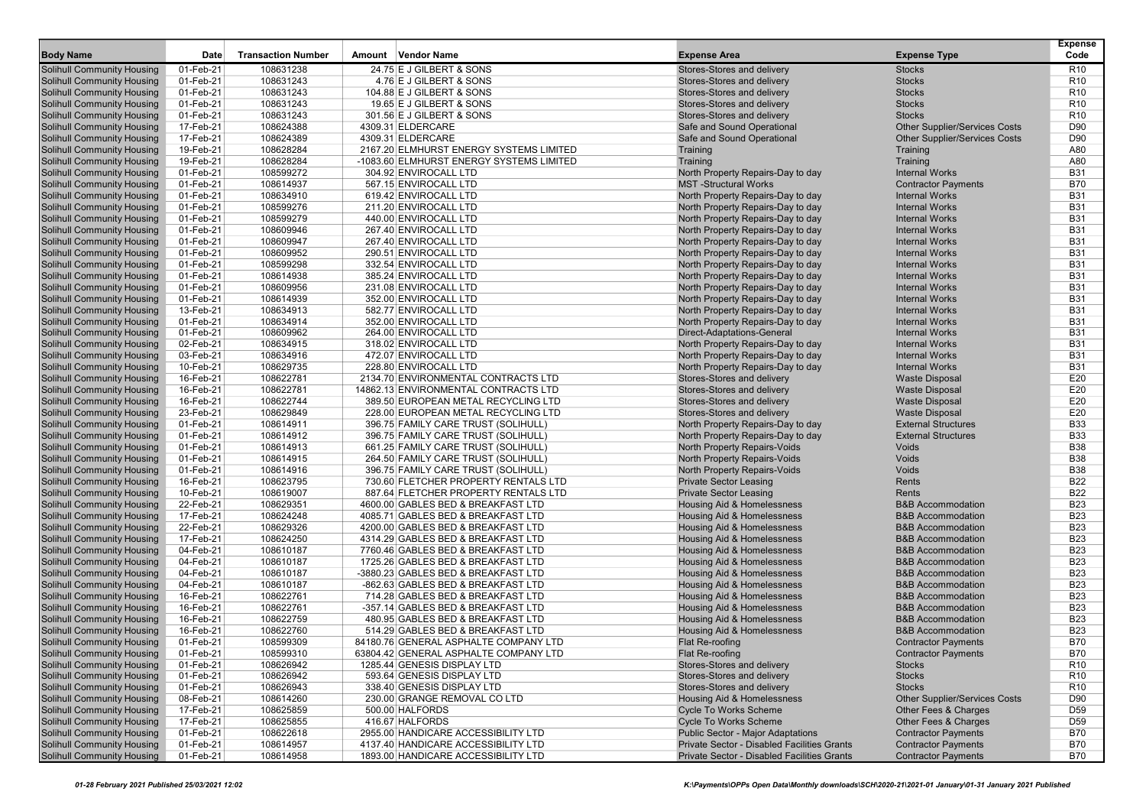|                                                                        |                        |                           |                                                                   |                                                                        |                                                              | <b>Expense</b>                     |
|------------------------------------------------------------------------|------------------------|---------------------------|-------------------------------------------------------------------|------------------------------------------------------------------------|--------------------------------------------------------------|------------------------------------|
| <b>Body Name</b>                                                       | Date                   | <b>Transaction Number</b> | Amount Vendor Name                                                | <b>Expense Area</b>                                                    | <b>Expense Type</b>                                          | Code                               |
| <b>Solihull Community Housing</b>                                      | 01-Feb-21              | 108631238                 | 24.75 E J GILBERT & SONS                                          | Stores-Stores and delivery                                             | <b>Stocks</b>                                                | R10                                |
| <b>Solihull Community Housing</b>                                      | 01-Feb-21              | 108631243                 | 4.76 E J GILBERT & SONS                                           | Stores-Stores and delivery                                             | <b>Stocks</b>                                                | R <sub>10</sub>                    |
| <b>Solihull Community Housing</b>                                      | 01-Feb-21              | 108631243                 | 104.88 E J GILBERT & SONS                                         | Stores-Stores and delivery                                             | <b>Stocks</b>                                                | R <sub>10</sub>                    |
| <b>Solihull Community Housing</b>                                      | 01-Feb-21              | 108631243                 | 19.65 E J GILBERT & SONS                                          | Stores-Stores and delivery                                             | <b>Stocks</b>                                                | R <sub>10</sub>                    |
| <b>Solihull Community Housing</b>                                      | 01-Feb-21              | 108631243                 | 301.56 E J GILBERT & SONS                                         | Stores-Stores and delivery                                             | <b>Stocks</b>                                                | R <sub>10</sub>                    |
| <b>Solihull Community Housing</b>                                      | 17-Feb-21              | 108624388                 | 4309.31 ELDERCARE                                                 | Safe and Sound Operational                                             | <b>Other Supplier/Services Costs</b>                         | D90                                |
| <b>Solihull Community Housing</b>                                      | 17-Feb-21              | 108624389                 | 4309.31 ELDERCARE                                                 | Safe and Sound Operational                                             | <b>Other Supplier/Services Costs</b>                         | D90                                |
| <b>Solihull Community Housing</b>                                      | 19-Feb-21              | 108628284                 | 2167.20 ELMHURST ENERGY SYSTEMS LIMITED                           | Training                                                               | Training                                                     | A80                                |
| <b>Solihull Community Housing</b>                                      | 19-Feb-21              | 108628284                 | -1083.60 ELMHURST ENERGY SYSTEMS LIMITED<br>304.92 ENVIROCALL LTD | Training                                                               | Training                                                     | A80                                |
| <b>Solihull Community Housing</b>                                      | 01-Feb-21              | 108599272                 |                                                                   | North Property Repairs-Day to day<br><b>MST-Structural Works</b>       | <b>Internal Works</b>                                        | <b>B31</b><br><b>B70</b>           |
| <b>Solihull Community Housing</b>                                      | 01-Feb-21              | 108614937<br>108634910    | 567.15 ENVIROCALL LTD<br>619.42 ENVIROCALL LTD                    |                                                                        | <b>Contractor Payments</b><br><b>Internal Works</b>          | <b>B31</b>                         |
| <b>Solihull Community Housing</b><br><b>Solihull Community Housing</b> | 01-Feb-21<br>01-Feb-21 | 108599276                 | 211.20 ENVIROCALL LTD                                             | North Property Repairs-Day to day<br>North Property Repairs-Day to day | <b>Internal Works</b>                                        | <b>B31</b>                         |
| <b>Solihull Community Housing</b>                                      | 01-Feb-21              | 108599279                 | 440.00 ENVIROCALL LTD                                             | North Property Repairs-Day to day                                      | <b>Internal Works</b>                                        | <b>B31</b>                         |
| <b>Solihull Community Housing</b>                                      | 01-Feb-21              | 108609946                 | 267.40 ENVIROCALL LTD                                             | North Property Repairs-Day to day                                      | <b>Internal Works</b>                                        | <b>B31</b>                         |
| <b>Solihull Community Housing</b>                                      | 01-Feb-21              | 108609947                 | 267.40 ENVIROCALL LTD                                             | North Property Repairs-Day to day                                      | <b>Internal Works</b>                                        | <b>B31</b>                         |
| <b>Solihull Community Housing</b>                                      | 01-Feb-21              | 108609952                 | 290.51 ENVIROCALL LTD                                             | North Property Repairs-Day to day                                      | <b>Internal Works</b>                                        | <b>B31</b>                         |
| <b>Solihull Community Housing</b>                                      | 01-Feb-21              | 108599298                 | 332.54 ENVIROCALL LTD                                             | North Property Repairs-Day to day                                      | <b>Internal Works</b>                                        | <b>B31</b>                         |
| <b>Solihull Community Housing</b>                                      | 01-Feb-21              | 108614938                 | 385.24 ENVIROCALL LTD                                             | North Property Repairs-Day to day                                      | <b>Internal Works</b>                                        | <b>B31</b>                         |
| <b>Solihull Community Housing</b>                                      | 01-Feb-21              | 108609956                 | 231.08 ENVIROCALL LTD                                             | North Property Repairs-Day to day                                      | <b>Internal Works</b>                                        | <b>B31</b>                         |
| <b>Solihull Community Housing</b>                                      | 01-Feb-21              | 108614939                 | 352.00 ENVIROCALL LTD                                             | North Property Repairs-Day to day                                      | <b>Internal Works</b>                                        | <b>B31</b>                         |
| <b>Solihull Community Housing</b>                                      | 13-Feb-21              | 108634913                 | 582.77 ENVIROCALL LTD                                             | North Property Repairs-Day to day                                      | <b>Internal Works</b>                                        | <b>B31</b>                         |
| <b>Solihull Community Housing</b>                                      | 01-Feb-21              | 108634914                 | 352.00 ENVIROCALL LTD                                             | North Property Repairs-Day to day                                      | <b>Internal Works</b>                                        | <b>B31</b>                         |
| <b>Solihull Community Housing</b>                                      | 01-Feb-21              | 108609962                 | 264.00 ENVIROCALL LTD                                             | Direct-Adaptations-General                                             | <b>Internal Works</b>                                        | <b>B31</b>                         |
| <b>Solihull Community Housing</b>                                      | 02-Feb-21              | 108634915                 | 318.02 ENVIROCALL LTD                                             | North Property Repairs-Day to day                                      | <b>Internal Works</b>                                        | <b>B31</b>                         |
| <b>Solihull Community Housing</b>                                      | 03-Feb-21              | 108634916                 | 472.07 ENVIROCALL LTD                                             | North Property Repairs-Day to day                                      | <b>Internal Works</b>                                        | <b>B31</b>                         |
| <b>Solihull Community Housing</b>                                      | 10-Feb-21              | 108629735                 | 228.80 ENVIROCALL LTD                                             | North Property Repairs-Day to day                                      | <b>Internal Works</b>                                        | <b>B31</b>                         |
| <b>Solihull Community Housing</b>                                      | 16-Feb-21              | 108622781                 | 2134.70 ENVIRONMENTAL CONTRACTS LTD                               | Stores-Stores and delivery                                             | <b>Waste Disposal</b>                                        | E20                                |
| <b>Solihull Community Housing</b>                                      | 16-Feb-21              | 108622781                 | 14862.13 ENVIRONMENTAL CONTRACTS LTD                              | Stores-Stores and delivery                                             | <b>Waste Disposal</b>                                        | E20                                |
| <b>Solihull Community Housing</b>                                      | 16-Feb-21              | 108622744                 | 389.50 EUROPEAN METAL RECYCLING LTD                               | Stores-Stores and delivery                                             | <b>Waste Disposal</b>                                        | E20                                |
| <b>Solihull Community Housing</b>                                      | 23-Feb-21              | 108629849                 | 228.00 EUROPEAN METAL RECYCLING LTD                               | Stores-Stores and delivery                                             | <b>Waste Disposal</b>                                        | E20                                |
| <b>Solihull Community Housing</b>                                      | 01-Feb-21              | 108614911                 | 396.75 FAMILY CARE TRUST (SOLIHULL)                               | North Property Repairs-Day to day                                      | <b>External Structures</b>                                   | <b>B33</b>                         |
| <b>Solihull Community Housing</b>                                      | 01-Feb-21              | 108614912                 | 396.75 FAMILY CARE TRUST (SOLIHULL)                               | North Property Repairs-Day to day                                      | <b>External Structures</b>                                   | <b>B33</b>                         |
| <b>Solihull Community Housing</b>                                      | 01-Feb-21              | 108614913                 | 661.25 FAMILY CARE TRUST (SOLIHULL)                               | North Property Repairs-Voids                                           | Voids                                                        | <b>B38</b>                         |
| <b>Solihull Community Housing</b>                                      | 01-Feb-21              | 108614915                 | 264.50 FAMILY CARE TRUST (SOLIHULL)                               | North Property Repairs-Voids                                           | Voids                                                        | <b>B38</b>                         |
| <b>Solihull Community Housing</b>                                      | 01-Feb-21              | 108614916                 | 396.75 FAMILY CARE TRUST (SOLIHULL)                               | North Property Repairs-Voids                                           | Voids                                                        | <b>B38</b>                         |
| <b>Solihull Community Housing</b>                                      | 16-Feb-21              | 108623795                 | 730.60 FLETCHER PROPERTY RENTALS LTD                              | <b>Private Sector Leasing</b>                                          | Rents                                                        | <b>B22</b>                         |
| <b>Solihull Community Housing</b>                                      | 10-Feb-21              | 108619007                 | 887.64 FLETCHER PROPERTY RENTALS LTD                              | <b>Private Sector Leasing</b>                                          | Rents                                                        | <b>B22</b>                         |
| <b>Solihull Community Housing</b>                                      | 22-Feb-21              | 108629351                 | 4600.00 GABLES BED & BREAKFAST LTD                                | Housing Aid & Homelessness                                             | <b>B&amp;B Accommodation</b>                                 | <b>B23</b>                         |
| <b>Solihull Community Housing</b>                                      | 17-Feb-21              | 108624248                 | 4085.71 GABLES BED & BREAKFAST LTD                                | Housing Aid & Homelessness                                             | <b>B&amp;B Accommodation</b>                                 | <b>B23</b>                         |
| <b>Solihull Community Housing</b>                                      | 22-Feb-21              | 108629326                 | 4200.00 GABLES BED & BREAKFAST LTD                                | Housing Aid & Homelessness                                             | <b>B&amp;B Accommodation</b>                                 | <b>B23</b>                         |
| <b>Solihull Community Housing</b>                                      | 17-Feb-21              | 108624250                 | 4314.29 GABLES BED & BREAKFAST LTD                                | Housing Aid & Homelessness                                             | <b>B&amp;B Accommodation</b>                                 | <b>B23</b>                         |
| <b>Solihull Community Housing</b>                                      | 04-Feb-21              | 108610187                 | 7760.46 GABLES BED & BREAKFAST LTD                                | Housing Aid & Homelessness                                             | <b>B&amp;B Accommodation</b>                                 | <b>B23</b>                         |
| <b>Solihull Community Housing</b>                                      | 04-Feb-21              | 108610187                 | 1725.26 GABLES BED & BREAKFAST LTD                                | Housing Aid & Homelessness                                             | <b>B&amp;B Accommodation</b>                                 | <b>B23</b>                         |
| <b>Solihull Community Housing</b>                                      | 04-Feb-21              | 108610187                 | -3880.23 GABLES BED & BREAKFAST LTD                               | <b>Housing Aid &amp; Homelessness</b>                                  | <b>B&amp;B Accommodation</b>                                 | <b>B23</b>                         |
| <b>Solihull Community Housing</b>                                      | 04-Feb-21              | 108610187                 | -862.63 GABLES BED & BREAKFAST LTD                                | Housing Aid & Homelessness                                             | <b>B&amp;B Accommodation</b>                                 | <b>B23</b>                         |
| <b>Solihull Community Housing</b>                                      | 16-Feb-21              | 108622761                 | 714.28 GABLES BED & BREAKFAST LTD                                 | Housing Aid & Homelessness                                             | <b>B&amp;B Accommodation</b>                                 | <b>B23</b>                         |
| <b>Solihull Community Housing</b>                                      | 16-Feb-21              | 108622761                 | -357.14 GABLES BED & BREAKFAST LTD                                | <b>Housing Aid &amp; Homelessness</b>                                  | <b>B&amp;B Accommodation</b>                                 | <b>B23</b>                         |
| <b>Solihull Community Housing</b>                                      | 16-Feb-21              | 108622759                 | 480.95 GABLES BED & BREAKFAST LTD                                 | <b>Housing Aid &amp; Homelessness</b>                                  | <b>B&amp;B Accommodation</b>                                 | <b>B23</b>                         |
| <b>Solihull Community Housing</b>                                      | 16-Feb-21              | 108622760                 | 514.29 GABLES BED & BREAKFAST LTD                                 | Housing Aid & Homelessness                                             | <b>B&amp;B Accommodation</b>                                 | <b>B23</b>                         |
| <b>Solihull Community Housing</b>                                      | 01-Feb-21              | 108599309                 | 84180.76 GENERAL ASPHALTE COMPANY LTD                             | Flat Re-roofing                                                        | <b>Contractor Payments</b>                                   | <b>B70</b>                         |
| <b>Solihull Community Housing</b>                                      | 01-Feb-21              | 108599310                 | 63804.42 GENERAL ASPHALTE COMPANY LTD                             | Flat Re-roofing                                                        | <b>Contractor Payments</b>                                   | B70                                |
| <b>Solihull Community Housing</b>                                      | 01-Feb-21              | 108626942                 | 1285.44 GENESIS DISPLAY LTD                                       | Stores-Stores and delivery                                             | <b>Stocks</b>                                                | R <sub>10</sub>                    |
| <b>Solihull Community Housing</b><br><b>Solihull Community Housing</b> | 01-Feb-21              | 108626942<br>108626943    | 593.64 GENESIS DISPLAY LTD                                        | Stores-Stores and delivery<br>Stores-Stores and delivery               | <b>Stocks</b><br><b>Stocks</b>                               | R <sub>10</sub><br>R <sub>10</sub> |
|                                                                        | 01-Feb-21              |                           | 338.40 GENESIS DISPLAY LTD                                        |                                                                        |                                                              |                                    |
| <b>Solihull Community Housing</b><br><b>Solihull Community Housing</b> | 08-Feb-21<br>17-Feb-21 | 108614260<br>108625859    | 230.00 GRANGE REMOVAL CO LTD<br>500.00 HALFORDS                   | Housing Aid & Homelessness<br><b>Cycle To Works Scheme</b>             | <b>Other Supplier/Services Costs</b><br>Other Fees & Charges | D90<br>D <sub>59</sub>             |
| <b>Solihull Community Housing</b>                                      | 17-Feb-21              | 108625855                 | 416.67 HALFORDS                                                   | <b>Cycle To Works Scheme</b>                                           | Other Fees & Charges                                         |                                    |
| <b>Solihull Community Housing</b>                                      | 01-Feb-21              | 108622618                 | 2955.00 HANDICARE ACCESSIBILITY LTD                               | <b>Public Sector - Major Adaptations</b>                               | <b>Contractor Payments</b>                                   | D <sub>59</sub><br>B70             |
| <b>Solihull Community Housing</b>                                      | 01-Feb-21              | 108614957                 | 4137.40 HANDICARE ACCESSIBILITY LTD                               | Private Sector - Disabled Facilities Grants                            | <b>Contractor Payments</b>                                   | <b>B70</b>                         |
| <b>Solihull Community Housing</b>                                      | 01-Feb-21              | 108614958                 | 1893.00 HANDICARE ACCESSIBILITY LTD                               | Private Sector - Disabled Facilities Grants                            | <b>Contractor Payments</b>                                   | <b>B70</b>                         |
|                                                                        |                        |                           |                                                                   |                                                                        |                                                              |                                    |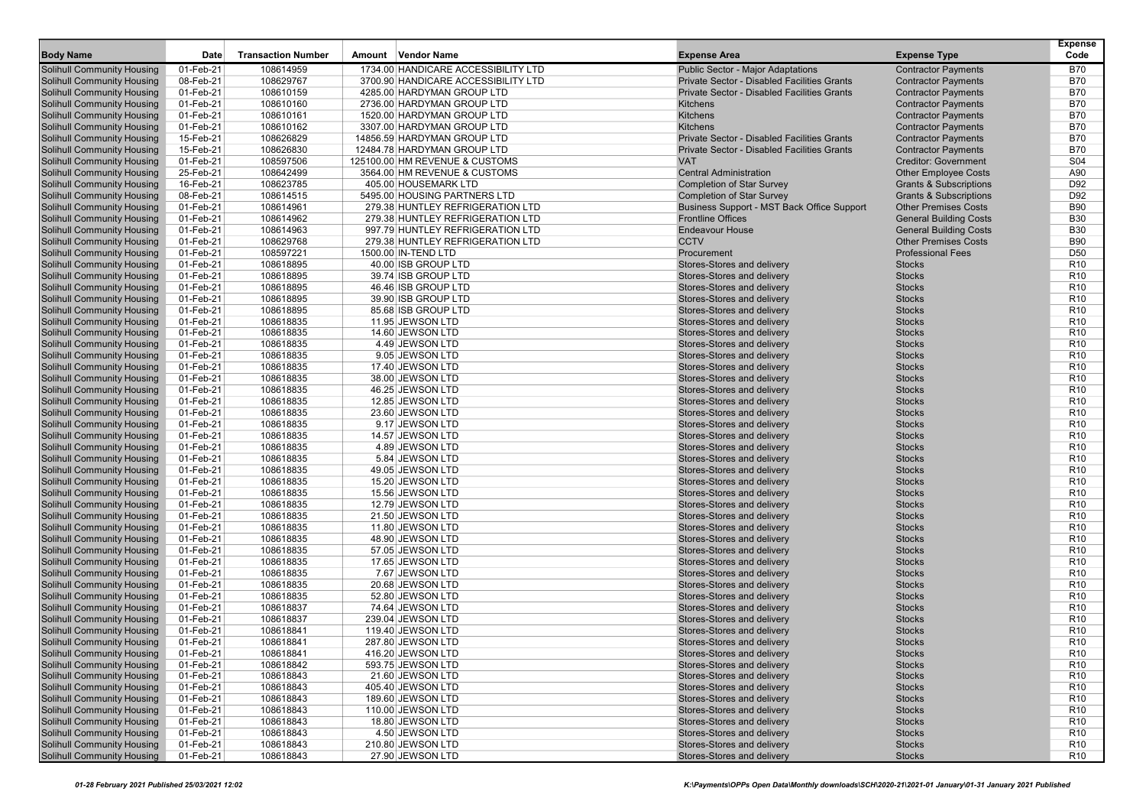| <b>Body Name</b>                                                       | Date                   | <b>Transaction Number</b> | Amount Vendor Name                                         | <b>Expense Area</b>                                |                                                          | <b>Expense</b><br>Code   |
|------------------------------------------------------------------------|------------------------|---------------------------|------------------------------------------------------------|----------------------------------------------------|----------------------------------------------------------|--------------------------|
|                                                                        |                        |                           |                                                            |                                                    | <b>Expense Type</b>                                      |                          |
| <b>Solihull Community Housing</b>                                      | 01-Feb-21              | 108614959                 | 1734.00 HANDICARE ACCESSIBILITY LTD                        | Public Sector - Major Adaptations                  | <b>Contractor Payments</b>                               | <b>B70</b>               |
| <b>Solihull Community Housing</b>                                      | 08-Feb-21              | 108629767                 | 3700.90 HANDICARE ACCESSIBILITY LTD                        | Private Sector - Disabled Facilities Grants        | <b>Contractor Payments</b>                               | <b>B70</b>               |
| <b>Solihull Community Housing</b>                                      | 01-Feb-21              | 108610159                 | 4285.00 HARDYMAN GROUP LTD                                 | Private Sector - Disabled Facilities Grants        | <b>Contractor Payments</b>                               | <b>B70</b>               |
| <b>Solihull Community Housing</b>                                      | 01-Feb-21              | 108610160                 | 2736.00 HARDYMAN GROUP LTD                                 | Kitchens                                           | <b>Contractor Payments</b>                               | <b>B70</b>               |
| <b>Solihull Community Housing</b>                                      | 01-Feb-21              | 108610161                 | 1520.00 HARDYMAN GROUP LTD                                 | Kitchens<br>Kitchens                               | <b>Contractor Payments</b>                               | <b>B70</b><br><b>B70</b> |
| <b>Solihull Community Housing</b>                                      | 01-Feb-21              | 108610162<br>108626829    | 3307.00 HARDYMAN GROUP LTD                                 | <b>Private Sector - Disabled Facilities Grants</b> | <b>Contractor Payments</b>                               | <b>B70</b>               |
| <b>Solihull Community Housing</b><br><b>Solihull Community Housing</b> | 15-Feb-21<br>15-Feb-21 | 108626830                 | 14856.59 HARDYMAN GROUP LTD<br>12484.78 HARDYMAN GROUP LTD | Private Sector - Disabled Facilities Grants        | <b>Contractor Payments</b><br><b>Contractor Payments</b> | <b>B70</b>               |
| <b>Solihull Community Housing</b>                                      | 01-Feb-21              | 108597506                 | 125100.00 HM REVENUE & CUSTOMS                             | <b>VAT</b>                                         | <b>Creditor: Government</b>                              | S <sub>04</sub>          |
| <b>Solihull Community Housing</b>                                      | 25-Feb-21              | 108642499                 | 3564.00 HM REVENUE & CUSTOMS                               | <b>Central Administration</b>                      | <b>Other Employee Costs</b>                              | A90                      |
| <b>Solihull Community Housing</b>                                      | 16-Feb-21              | 108623785                 | 405.00 HOUSEMARK LTD                                       | <b>Completion of Star Survey</b>                   | <b>Grants &amp; Subscriptions</b>                        | D92                      |
| <b>Solihull Community Housing</b>                                      | 08-Feb-21              | 108614515                 | 5495.00 HOUSING PARTNERS LTD                               | <b>Completion of Star Survey</b>                   | <b>Grants &amp; Subscriptions</b>                        | D92                      |
| <b>Solihull Community Housing</b>                                      | 01-Feb-21              | 108614961                 | 279.38 HUNTLEY REFRIGERATION LTD                           | Business Support - MST Back Office Support         | <b>Other Premises Costs</b>                              | <b>B90</b>               |
| <b>Solihull Community Housing</b>                                      | 01-Feb-21              | 108614962                 | 279.38 HUNTLEY REFRIGERATION LTD                           | <b>Frontline Offices</b>                           | <b>General Building Costs</b>                            | <b>B30</b>               |
| <b>Solihull Community Housing</b>                                      | 01-Feb-21              | 108614963                 | 997.79 HUNTLEY REFRIGERATION LTD                           | <b>Endeavour House</b>                             | <b>General Building Costs</b>                            | <b>B30</b>               |
| <b>Solihull Community Housing</b>                                      | 01-Feb-21              | 108629768                 | 279.38 HUNTLEY REFRIGERATION LTD                           | <b>CCTV</b>                                        | <b>Other Premises Costs</b>                              | <b>B90</b>               |
| <b>Solihull Community Housing</b>                                      | 01-Feb-21              | 108597221                 | 1500.00 IN-TEND LTD                                        | Procurement                                        | <b>Professional Fees</b>                                 | D <sub>50</sub>          |
| <b>Solihull Community Housing</b>                                      | 01-Feb-21              | 108618895                 | 40.00 ISB GROUP LTD                                        | Stores-Stores and delivery                         | <b>Stocks</b>                                            | R <sub>10</sub>          |
| <b>Solihull Community Housing</b>                                      | 01-Feb-21              | 108618895                 | 39.74 ISB GROUP LTD                                        | Stores-Stores and delivery                         | <b>Stocks</b>                                            | R <sub>10</sub>          |
| <b>Solihull Community Housing</b>                                      | 01-Feb-21              | 108618895                 | 46.46 ISB GROUP LTD                                        | Stores-Stores and delivery                         | <b>Stocks</b>                                            | R <sub>10</sub>          |
| <b>Solihull Community Housing</b>                                      | 01-Feb-21              | 108618895                 | 39.90 ISB GROUP LTD                                        | Stores-Stores and delivery                         | <b>Stocks</b>                                            | R <sub>10</sub>          |
| <b>Solihull Community Housing</b>                                      | 01-Feb-21              | 108618895                 | 85.68 ISB GROUP LTD                                        | Stores-Stores and delivery                         | <b>Stocks</b>                                            | R <sub>10</sub>          |
| <b>Solihull Community Housing</b>                                      | 01-Feb-21              | 108618835                 | 11.95 JEWSON LTD                                           | Stores-Stores and delivery                         | <b>Stocks</b>                                            | R <sub>10</sub>          |
| <b>Solihull Community Housing</b>                                      | 01-Feb-21              | 108618835                 | 14.60 JEWSON LTD                                           | Stores-Stores and delivery                         | <b>Stocks</b>                                            | R <sub>10</sub>          |
| <b>Solihull Community Housing</b>                                      | 01-Feb-21              | 108618835                 | 4.49 JEWSON LTD                                            | Stores-Stores and delivery                         | <b>Stocks</b>                                            | R <sub>10</sub>          |
| <b>Solihull Community Housing</b>                                      | 01-Feb-21              | 108618835                 | 9.05 JEWSON LTD                                            | Stores-Stores and delivery                         | <b>Stocks</b>                                            | R <sub>10</sub>          |
| <b>Solihull Community Housing</b>                                      | 01-Feb-21              | 108618835                 | 17.40 JEWSON LTD                                           | Stores-Stores and delivery                         | <b>Stocks</b>                                            | R <sub>10</sub>          |
| <b>Solihull Community Housing</b>                                      | 01-Feb-21              | 108618835                 | 38.00 JEWSON LTD                                           | Stores-Stores and delivery                         | <b>Stocks</b>                                            | R <sub>10</sub>          |
| <b>Solihull Community Housing</b>                                      | 01-Feb-21              | 108618835                 | 46.25 JEWSON LTD                                           | Stores-Stores and delivery                         | <b>Stocks</b>                                            | R <sub>10</sub>          |
| <b>Solihull Community Housing</b>                                      | 01-Feb-21              | 108618835                 | 12.85 JEWSON LTD                                           | Stores-Stores and delivery                         | <b>Stocks</b>                                            | R <sub>10</sub>          |
| <b>Solihull Community Housing</b>                                      | 01-Feb-21              | 108618835                 | 23.60 JEWSON LTD                                           | Stores-Stores and delivery                         | <b>Stocks</b>                                            | R <sub>10</sub>          |
| <b>Solihull Community Housing</b>                                      | 01-Feb-21              | 108618835                 | 9.17 JEWSON LTD                                            | Stores-Stores and delivery                         | <b>Stocks</b>                                            | R <sub>10</sub>          |
| <b>Solihull Community Housing</b>                                      | 01-Feb-21              | 108618835                 | 14.57 JEWSON LTD                                           | Stores-Stores and delivery                         | <b>Stocks</b>                                            | R <sub>10</sub>          |
| <b>Solihull Community Housing</b>                                      | 01-Feb-21              | 108618835                 | 4.89 JEWSON LTD                                            | Stores-Stores and delivery                         | <b>Stocks</b>                                            | R <sub>10</sub>          |
| <b>Solihull Community Housing</b>                                      | 01-Feb-21              | 108618835                 | 5.84 JEWSON LTD                                            | Stores-Stores and delivery                         | <b>Stocks</b>                                            | R <sub>10</sub>          |
| <b>Solihull Community Housing</b>                                      | 01-Feb-21              | 108618835                 | 49.05 JEWSON LTD                                           | Stores-Stores and delivery                         | <b>Stocks</b>                                            | R <sub>10</sub>          |
| <b>Solihull Community Housing</b>                                      | 01-Feb-21              | 108618835                 | 15.20 JEWSON LTD                                           | Stores-Stores and delivery                         | <b>Stocks</b>                                            | R <sub>10</sub>          |
| <b>Solihull Community Housing</b>                                      | 01-Feb-21              | 108618835                 | 15.56 JEWSON LTD                                           | Stores-Stores and delivery                         | <b>Stocks</b>                                            | R <sub>10</sub>          |
| <b>Solihull Community Housing</b>                                      | 01-Feb-21              | 108618835                 | 12.79 JEWSON LTD                                           | Stores-Stores and delivery                         | <b>Stocks</b>                                            | R <sub>10</sub>          |
| <b>Solihull Community Housing</b>                                      | 01-Feb-21              | 108618835                 | 21.50 JEWSON LTD                                           | Stores-Stores and delivery                         | <b>Stocks</b>                                            | R <sub>10</sub>          |
| <b>Solihull Community Housing</b>                                      | 01-Feb-21              | 108618835                 | 11.80 JEWSON LTD                                           | Stores-Stores and delivery                         | <b>Stocks</b>                                            | R <sub>10</sub>          |
| <b>Solihull Community Housing</b>                                      | 01-Feb-21              | 108618835                 | 48.90 JEWSON LTD                                           | Stores-Stores and delivery                         | <b>Stocks</b>                                            | R <sub>10</sub>          |
| <b>Solihull Community Housing</b>                                      | 01-Feb-21              | 108618835                 | 57.05 JEWSON LTD                                           | Stores-Stores and delivery                         | <b>Stocks</b>                                            | R <sub>10</sub>          |
| <b>Solihull Community Housing</b>                                      | 01-Feb-21              | 108618835                 | 17.65 JEWSON LTD                                           | Stores-Stores and delivery                         | <b>Stocks</b>                                            | R <sub>10</sub>          |
| <b>Solihull Community Housing</b>                                      | 01-Feb-21              | 108618835                 | 7.67 JEWSON LTD                                            | Stores-Stores and delivery                         | <b>Stocks</b>                                            | R <sub>10</sub>          |
| <b>Solihull Community Housing</b>                                      | 01-Feb-21              | 108618835                 | 20.68 JEWSON LTD                                           | Stores-Stores and delivery                         | <b>Stocks</b>                                            | R <sub>10</sub>          |
| <b>Solihull Community Housing</b>                                      | 01-Feb-21              | 108618835                 | 52.80 JEWSON LTD                                           | Stores-Stores and delivery                         | <b>Stocks</b>                                            | R <sub>10</sub>          |
| <b>Solihull Community Housing</b>                                      | 01-Feb-21              | 108618837                 | 74.64 JEWSON LTD                                           | Stores-Stores and delivery                         | <b>Stocks</b>                                            | R <sub>10</sub>          |
| <b>Solihull Community Housing</b>                                      | 01-Feb-21              | 108618837                 | 239.04 JEWSON LTD                                          | Stores-Stores and delivery                         | <b>Stocks</b>                                            | R <sub>10</sub>          |
| <b>Solihull Community Housing</b>                                      | 01-Feb-21              | 108618841                 | 119.40 JEWSON LTD                                          | Stores-Stores and delivery                         | <b>Stocks</b>                                            | R <sub>10</sub>          |
| <b>Solihull Community Housing</b>                                      | 01-Feb-21              | 108618841                 | 287.80 JEWSON LTD                                          | Stores-Stores and delivery                         | <b>Stocks</b>                                            | R <sub>10</sub>          |
| <b>Solihull Community Housing</b>                                      | 01-Feb-21              | 108618841                 | 416.20 JEWSON LTD                                          | Stores-Stores and delivery                         | <b>Stocks</b>                                            | R <sub>10</sub>          |
| <b>Solihull Community Housing</b>                                      | 01-Feb-21              | 108618842                 | 593.75 JEWSON LTD                                          | Stores-Stores and delivery                         | <b>Stocks</b>                                            | R <sub>10</sub>          |
| <b>Solihull Community Housing</b>                                      | 01-Feb-21              | 108618843                 | 21.60 JEWSON LTD                                           | Stores-Stores and delivery                         | <b>Stocks</b>                                            | R <sub>10</sub>          |
| <b>Solihull Community Housing</b>                                      | 01-Feb-21              | 108618843                 | 405.40 JEWSON LTD                                          | Stores-Stores and delivery                         | <b>Stocks</b>                                            | R <sub>10</sub>          |
| <b>Solihull Community Housing</b>                                      | 01-Feb-21              | 108618843                 | 189.60 JEWSON LTD                                          | Stores-Stores and delivery                         | <b>Stocks</b>                                            | R <sub>10</sub>          |
| <b>Solihull Community Housing</b>                                      | 01-Feb-21              | 108618843                 | 110.00 JEWSON LTD                                          | Stores-Stores and delivery                         | <b>Stocks</b>                                            | R <sub>10</sub>          |
| <b>Solihull Community Housing</b>                                      | 01-Feb-21              | 108618843                 | 18.80 JEWSON LTD                                           | Stores-Stores and delivery                         | <b>Stocks</b>                                            | R <sub>10</sub>          |
| <b>Solihull Community Housing</b>                                      | 01-Feb-21              | 108618843                 | 4.50 JEWSON LTD                                            | Stores-Stores and delivery                         | <b>Stocks</b>                                            | R <sub>10</sub>          |
| <b>Solihull Community Housing</b>                                      | 01-Feb-21              | 108618843                 | 210.80 JEWSON LTD                                          | Stores-Stores and delivery                         | <b>Stocks</b>                                            | R <sub>10</sub>          |
| <b>Solihull Community Housing</b>                                      | 01-Feb-21              | 108618843                 | 27.90 JEWSON LTD                                           | Stores-Stores and delivery                         | <b>Stocks</b>                                            | R <sub>10</sub>          |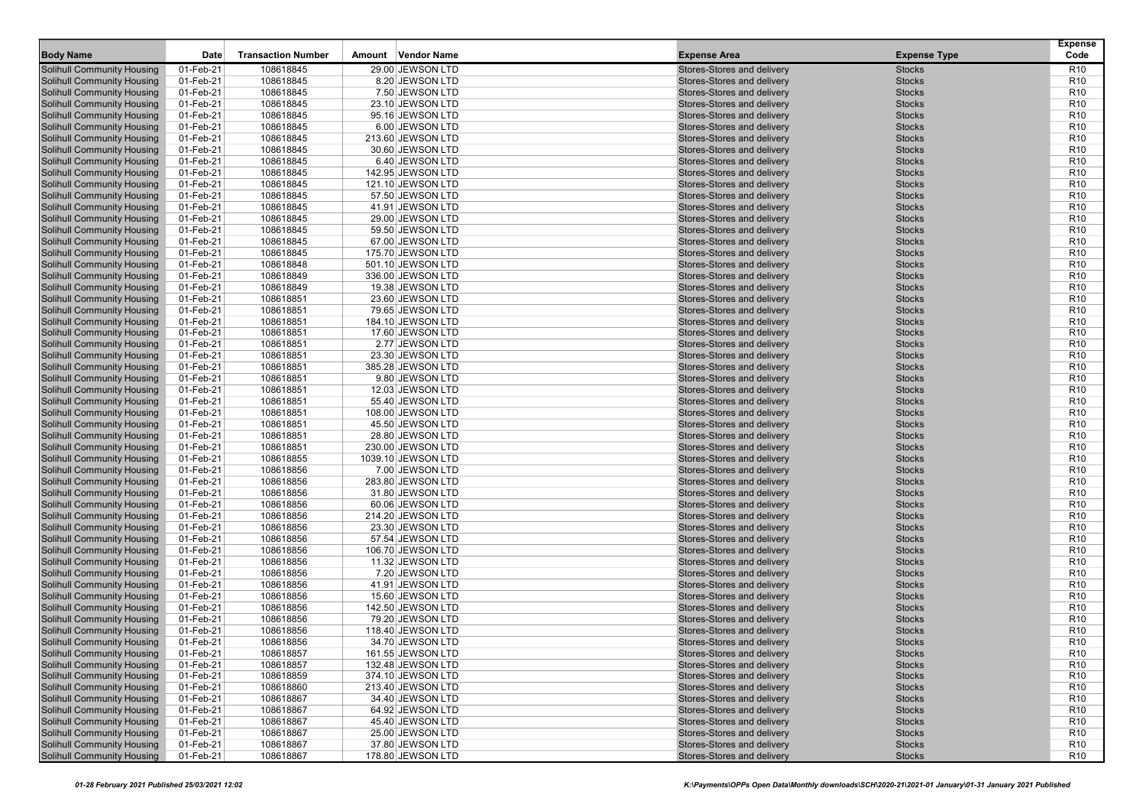| <b>Body Name</b>                                                       | Date                   | <b>Transaction Number</b> | Vendor Name<br>Amount                 | <b>Expense Area</b>                                      | <b>Expense Type</b>            | <b>Expense</b><br>Code             |
|------------------------------------------------------------------------|------------------------|---------------------------|---------------------------------------|----------------------------------------------------------|--------------------------------|------------------------------------|
| <b>Solihull Community Housing</b>                                      | 01-Feb-21              | 108618845                 | 29.00 JEWSON LTD                      | Stores-Stores and delivery                               | <b>Stocks</b>                  | R <sub>10</sub>                    |
| <b>Solihull Community Housing</b>                                      | 01-Feb-21              | 108618845                 | 8.20 JEWSON LTD                       | Stores-Stores and delivery                               | <b>Stocks</b>                  | R <sub>10</sub>                    |
| <b>Solihull Community Housing</b>                                      | 01-Feb-21              | 108618845                 | 7.50 JEWSON LTD                       | Stores-Stores and delivery                               | <b>Stocks</b>                  | R <sub>10</sub>                    |
| <b>Solihull Community Housing</b>                                      | 01-Feb-21              | 108618845                 | 23.10 JEWSON LTD                      | Stores-Stores and delivery                               | <b>Stocks</b>                  | R <sub>10</sub>                    |
| <b>Solihull Community Housing</b>                                      | 01-Feb-21              | 108618845                 | 95.16 JEWSON LTD                      | Stores-Stores and delivery                               | <b>Stocks</b>                  | R <sub>10</sub>                    |
| <b>Solihull Community Housing</b>                                      | 01-Feb-21              | 108618845                 | 6.00 JEWSON LTD                       | Stores-Stores and delivery                               | <b>Stocks</b>                  | R <sub>10</sub>                    |
| <b>Solihull Community Housing</b>                                      | 01-Feb-21              | 108618845                 | 213.60 JEWSON LTD                     | Stores-Stores and delivery                               | <b>Stocks</b>                  | R <sub>10</sub>                    |
| <b>Solihull Community Housing</b>                                      | 01-Feb-21              | 108618845                 | 30.60 JEWSON LTD                      | Stores-Stores and delivery                               | <b>Stocks</b>                  | R <sub>10</sub>                    |
| <b>Solihull Community Housing</b>                                      | 01-Feb-21              | 108618845                 | 6.40 JEWSON LTD                       | Stores-Stores and delivery                               | <b>Stocks</b>                  | R <sub>10</sub>                    |
| <b>Solihull Community Housing</b>                                      | 01-Feb-21              | 108618845                 | 142.95 JEWSON LTD                     | Stores-Stores and delivery                               | <b>Stocks</b>                  | R <sub>10</sub>                    |
| <b>Solihull Community Housing</b>                                      | 01-Feb-21              | 108618845                 | 121.10 JEWSON LTD                     | Stores-Stores and delivery                               | <b>Stocks</b>                  | R <sub>10</sub>                    |
| <b>Solihull Community Housing</b>                                      | 01-Feb-21              | 108618845                 | 57.50 JEWSON LTD                      | Stores-Stores and delivery                               | <b>Stocks</b>                  | R <sub>10</sub>                    |
| <b>Solihull Community Housing</b>                                      | 01-Feb-21              | 108618845                 | 41.91 JEWSON LTD                      | Stores-Stores and delivery                               | <b>Stocks</b>                  | R <sub>10</sub>                    |
| <b>Solihull Community Housing</b>                                      | 01-Feb-21              | 108618845                 | 29.00 JEWSON LTD                      | Stores-Stores and delivery                               | <b>Stocks</b>                  | R <sub>10</sub>                    |
| <b>Solihull Community Housing</b>                                      | 01-Feb-21              | 108618845                 | 59.50 JEWSON LTD                      | Stores-Stores and delivery                               | <b>Stocks</b>                  | R <sub>10</sub>                    |
| <b>Solihull Community Housing</b>                                      | 01-Feb-21              | 108618845                 | 67.00 JEWSON LTD                      | Stores-Stores and delivery                               | <b>Stocks</b>                  | R <sub>10</sub>                    |
| <b>Solihull Community Housing</b>                                      | 01-Feb-21              | 108618845                 | 175.70 JEWSON LTD                     | Stores-Stores and delivery                               | <b>Stocks</b>                  | R <sub>10</sub>                    |
| <b>Solihull Community Housing</b>                                      | 01-Feb-21              | 108618848                 | 501.10 JEWSON LTD                     | Stores-Stores and delivery                               | <b>Stocks</b>                  | R <sub>10</sub>                    |
| <b>Solihull Community Housing</b>                                      | 01-Feb-21              | 108618849                 | 336.00 JEWSON LTD                     | Stores-Stores and delivery                               | <b>Stocks</b>                  | R <sub>10</sub>                    |
| <b>Solihull Community Housing</b>                                      | 01-Feb-21              | 108618849                 | 19.38 JEWSON LTD                      | Stores-Stores and delivery                               | <b>Stocks</b>                  | R <sub>10</sub>                    |
| <b>Solihull Community Housing</b>                                      | 01-Feb-21              | 108618851                 | 23.60 JEWSON LTD                      | Stores-Stores and delivery                               | <b>Stocks</b>                  | R <sub>10</sub>                    |
| <b>Solihull Community Housing</b>                                      | 01-Feb-21              | 108618851                 | 79.65 JEWSON LTD                      | Stores-Stores and delivery                               | <b>Stocks</b>                  | R <sub>10</sub>                    |
| <b>Solihull Community Housing</b>                                      | 01-Feb-21              | 108618851                 | 184.10 JEWSON LTD                     | Stores-Stores and delivery                               | <b>Stocks</b>                  | R <sub>10</sub>                    |
| <b>Solihull Community Housing</b>                                      | 01-Feb-21              | 108618851                 | 17.60 JEWSON LTD                      | Stores-Stores and delivery                               | <b>Stocks</b>                  | R <sub>10</sub>                    |
| <b>Solihull Community Housing</b>                                      | 01-Feb-21              | 108618851                 | 2.77 JEWSON LTD                       | Stores-Stores and delivery                               | <b>Stocks</b>                  | R <sub>10</sub>                    |
| <b>Solihull Community Housing</b>                                      | 01-Feb-21              | 108618851                 | 23.30 JEWSON LTD                      | Stores-Stores and delivery                               | <b>Stocks</b>                  | R <sub>10</sub>                    |
| <b>Solihull Community Housing</b>                                      | 01-Feb-21              | 108618851                 | 385.28 JEWSON LTD                     | Stores-Stores and delivery                               | <b>Stocks</b>                  | R <sub>10</sub>                    |
| <b>Solihull Community Housing</b>                                      | 01-Feb-21              | 108618851                 | 9.80 JEWSON LTD                       | Stores-Stores and delivery<br>Stores-Stores and delivery | <b>Stocks</b>                  | R <sub>10</sub>                    |
| <b>Solihull Community Housing</b><br><b>Solihull Community Housing</b> | 01-Feb-21<br>01-Feb-21 | 108618851<br>108618851    | 12.03 JEWSON LTD<br>55.40 JEWSON LTD  | Stores-Stores and delivery                               | <b>Stocks</b><br><b>Stocks</b> | R <sub>10</sub><br>R <sub>10</sub> |
| <b>Solihull Community Housing</b>                                      | 01-Feb-21              | 108618851                 | 108.00 JEWSON LTD                     | Stores-Stores and delivery                               | <b>Stocks</b>                  | R <sub>10</sub>                    |
| <b>Solihull Community Housing</b>                                      | 01-Feb-21              | 108618851                 | 45.50 JEWSON LTD                      | Stores-Stores and delivery                               | <b>Stocks</b>                  | R <sub>10</sub>                    |
| <b>Solihull Community Housing</b>                                      | 01-Feb-21              | 108618851                 | 28.80 JEWSON LTD                      | Stores-Stores and delivery                               | <b>Stocks</b>                  | R <sub>10</sub>                    |
| <b>Solihull Community Housing</b>                                      | 01-Feb-21              | 108618851                 | 230.00 JEWSON LTD                     | Stores-Stores and delivery                               | <b>Stocks</b>                  | R <sub>10</sub>                    |
| <b>Solihull Community Housing</b>                                      | 01-Feb-21              | 108618855                 | 1039.10 JEWSON LTD                    | Stores-Stores and delivery                               | <b>Stocks</b>                  | R <sub>10</sub>                    |
| <b>Solihull Community Housing</b>                                      | 01-Feb-21              | 108618856                 | 7.00 JEWSON LTD                       | Stores-Stores and delivery                               | <b>Stocks</b>                  | R <sub>10</sub>                    |
| <b>Solihull Community Housing</b>                                      | 01-Feb-21              | 108618856                 | 283.80 JEWSON LTD                     | Stores-Stores and delivery                               | <b>Stocks</b>                  | R <sub>10</sub>                    |
| <b>Solihull Community Housing</b>                                      | 01-Feb-21              | 108618856                 | 31.80 JEWSON LTD                      | Stores-Stores and delivery                               | <b>Stocks</b>                  | R <sub>10</sub>                    |
| <b>Solihull Community Housing</b>                                      | 01-Feb-21              | 108618856                 | 60.06 JEWSON LTD                      | Stores-Stores and delivery                               | <b>Stocks</b>                  | R <sub>10</sub>                    |
| <b>Solihull Community Housing</b>                                      | 01-Feb-21              | 108618856                 | 214.20 JEWSON LTD                     | Stores-Stores and delivery                               | <b>Stocks</b>                  | R <sub>10</sub>                    |
| <b>Solihull Community Housing</b>                                      | 01-Feb-21              | 108618856                 | 23.30 JEWSON LTD                      | Stores-Stores and delivery                               | <b>Stocks</b>                  | R <sub>10</sub>                    |
| <b>Solihull Community Housing</b>                                      | 01-Feb-21              | 108618856                 | 57.54 JEWSON LTD                      | Stores-Stores and delivery                               | <b>Stocks</b>                  | R <sub>10</sub>                    |
| <b>Solihull Community Housing</b>                                      | 01-Feb-21              | 108618856                 | 106.70 JEWSON LTD                     | Stores-Stores and delivery                               | <b>Stocks</b>                  | R <sub>10</sub>                    |
| <b>Solihull Community Housing</b>                                      | 01-Feb-21              | 108618856                 | 11.32 JEWSON LTD                      | Stores-Stores and delivery                               | <b>Stocks</b>                  | R <sub>10</sub>                    |
| <b>Solihull Community Housing</b>                                      | 01-Feb-21              | 108618856                 | 7.20 JEWSON LTD                       | Stores-Stores and delivery                               | <b>Stocks</b>                  | R <sub>10</sub>                    |
| <b>Solihull Community Housing</b>                                      | 01-Feb-21              | 108618856                 | 41.91 JEWSON LTD                      | Stores-Stores and delivery                               | <b>Stocks</b>                  | R <sub>10</sub>                    |
| <b>Solihull Community Housing</b>                                      | 01-Feb-21              | 108618856                 | 15.60 JEWSON LTD                      | Stores-Stores and delivery                               | <b>Stocks</b>                  | R <sub>10</sub>                    |
| <b>Solihull Community Housing</b>                                      | 01-Feb-21              | 108618856                 | 142.50 JEWSON LTD                     | Stores-Stores and delivery                               | <b>Stocks</b>                  | R <sub>10</sub>                    |
| <b>Solihull Community Housing</b>                                      | 01-Feb-21              | 108618856                 | 79.20 JEWSON LTD                      | Stores-Stores and delivery                               | <b>Stocks</b>                  | R <sub>10</sub>                    |
| <b>Solihull Community Housing</b>                                      | 01-Feb-21              | 108618856                 | 118.40 JEWSON LTD                     | Stores-Stores and delivery                               | <b>Stocks</b>                  | R <sub>10</sub>                    |
| <b>Solihull Community Housing</b>                                      | 01-Feb-21              | 108618856                 | 34.70 JEWSON LTD                      | Stores-Stores and delivery                               | <b>Stocks</b>                  | R <sub>10</sub>                    |
| <b>Solihull Community Housing</b>                                      | 01-Feb-21              | 108618857                 | 161.55 JEWSON LTD                     | Stores-Stores and delivery                               | <b>Stocks</b>                  | R <sub>10</sub>                    |
| <b>Solihull Community Housing</b>                                      | 01-Feb-21              | 108618857                 | 132.48 JEWSON LTD                     | Stores-Stores and delivery                               | Stocks                         | R <sub>10</sub>                    |
| <b>Solihull Community Housing</b>                                      | 01-Feb-21              | 108618859                 | 374.10 JEWSON LTD                     | Stores-Stores and delivery                               | <b>Stocks</b>                  | R <sub>10</sub>                    |
| <b>Solihull Community Housing</b>                                      | 01-Feb-21              | 108618860                 | 213.40 JEWSON LTD                     | Stores-Stores and delivery                               | <b>Stocks</b>                  | R <sub>10</sub>                    |
| <b>Solihull Community Housing</b>                                      | 01-Feb-21              | 108618867                 | 34.40 JEWSON LTD                      | Stores-Stores and delivery                               | <b>Stocks</b>                  | R <sub>10</sub>                    |
| <b>Solihull Community Housing</b>                                      | 01-Feb-21              | 108618867                 | 64.92 JEWSON LTD                      | Stores-Stores and delivery                               | <b>Stocks</b>                  | R <sub>10</sub>                    |
| <b>Solihull Community Housing</b>                                      | 01-Feb-21              | 108618867                 | 45.40 JEWSON LTD                      | Stores-Stores and delivery                               | <b>Stocks</b>                  | R <sub>10</sub>                    |
| <b>Solihull Community Housing</b>                                      | 01-Feb-21              | 108618867                 | 25.00 JEWSON LTD                      | Stores-Stores and delivery<br>Stores-Stores and delivery | <b>Stocks</b>                  | R <sub>10</sub>                    |
| <b>Solihull Community Housing</b><br><b>Solihull Community Housing</b> | 01-Feb-21<br>01-Feb-21 | 108618867<br>108618867    | 37.80 JEWSON LTD<br>178.80 JEWSON LTD | Stores-Stores and delivery                               | <b>Stocks</b><br><b>Stocks</b> | R <sub>10</sub><br><b>R10</b>      |
|                                                                        |                        |                           |                                       |                                                          |                                |                                    |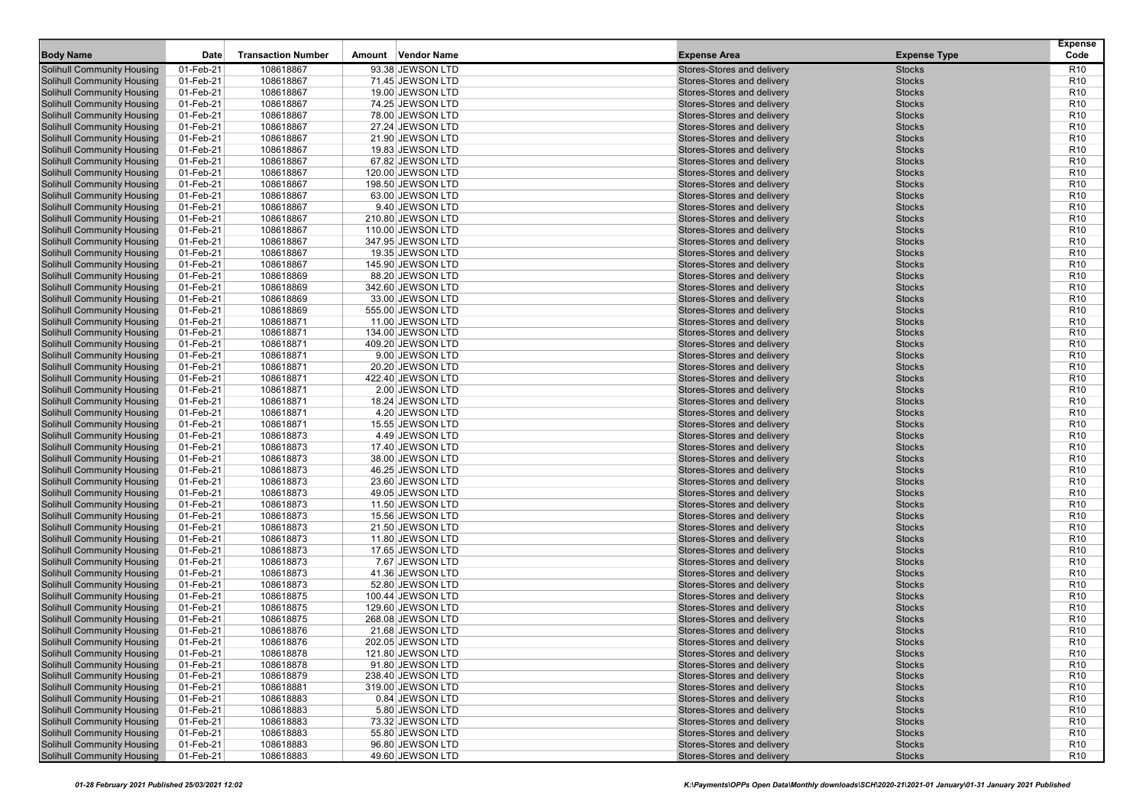| 01-Feb-21<br>108618867<br>93.38 JEWSON LTD<br>R <sub>10</sub><br><b>Solihull Community Housing</b><br>Stores-Stores and delivery<br><b>Stocks</b><br>01-Feb-21<br><b>Solihull Community Housing</b><br>108618867<br>71.45 JEWSON LTD<br>Stores-Stores and delivery<br><b>Stocks</b><br>R <sub>10</sub><br>108618867<br><b>Stocks</b><br>01-Feb-21<br>19.00 JEWSON LTD<br>Stores-Stores and delivery<br>R <sub>10</sub><br><b>Solihull Community Housing</b><br>108618867<br><b>Solihull Community Housing</b><br>01-Feb-21<br>74.25 JEWSON LTD<br>Stores-Stores and delivery<br><b>Stocks</b><br>R <sub>10</sub><br><b>Solihull Community Housing</b><br>01-Feb-21<br>108618867<br>Stores-Stores and delivery<br><b>Stocks</b><br>R <sub>10</sub><br>78.00 JEWSON LTD<br><b>Solihull Community Housing</b><br>01-Feb-21<br>108618867<br>27.24 JEWSON LTD<br>Stores-Stores and delivery<br><b>Stocks</b><br>R <sub>10</sub><br><b>Solihull Community Housing</b><br>01-Feb-21<br>108618867<br>21.90 JEWSON LTD<br>Stores-Stores and delivery<br><b>Stocks</b><br>R <sub>10</sub><br>108618867<br><b>Solihull Community Housing</b><br>01-Feb-21<br>19.83 JEWSON LTD<br>Stores-Stores and delivery<br><b>Stocks</b><br>R <sub>10</sub><br><b>Solihull Community Housing</b><br>01-Feb-21<br>108618867<br>67.82 JEWSON LTD<br>Stores-Stores and delivery<br><b>Stocks</b><br>R <sub>10</sub><br><b>Solihull Community Housing</b><br>01-Feb-21<br>108618867<br>Stores-Stores and delivery<br><b>Stocks</b><br>R <sub>10</sub><br>120.00 JEWSON LTD<br><b>Solihull Community Housing</b><br>01-Feb-21<br>108618867<br>Stores-Stores and delivery<br><b>Stocks</b><br>R <sub>10</sub><br>198.50 JEWSON LTD<br><b>Solihull Community Housing</b><br>01-Feb-21<br>108618867<br>63.00 JEWSON LTD<br>Stores-Stores and delivery<br><b>Stocks</b><br>R <sub>10</sub><br><b>Solihull Community Housing</b><br>01-Feb-21<br>108618867<br>9.40 JEWSON LTD<br>Stores-Stores and delivery<br><b>Stocks</b><br>R <sub>10</sub><br><b>Solihull Community Housing</b><br>01-Feb-21<br>108618867<br>210.80 JEWSON LTD<br>Stores-Stores and delivery<br><b>Stocks</b><br>R <sub>10</sub><br><b>Solihull Community Housing</b><br>01-Feb-21<br>108618867<br>Stores-Stores and delivery<br><b>Stocks</b><br>R <sub>10</sub><br>110.00 JEWSON LTD<br>108618867<br>R <sub>10</sub><br><b>Solihull Community Housing</b><br>01-Feb-21<br>347.95 JEWSON LTD<br>Stores-Stores and delivery<br><b>Stocks</b><br><b>Solihull Community Housing</b><br>01-Feb-21<br>108618867<br>19.35 JEWSON LTD<br>Stores-Stores and delivery<br><b>Stocks</b><br>R <sub>10</sub><br>108618867<br><b>Solihull Community Housing</b><br>01-Feb-21<br>Stores-Stores and delivery<br><b>Stocks</b><br>R <sub>10</sub><br>145.90 JEWSON LTD<br><b>Solihull Community Housing</b><br>01-Feb-21<br>108618869<br>88.20 JEWSON LTD<br>Stores-Stores and delivery<br><b>Stocks</b><br>R <sub>10</sub><br><b>Solihull Community Housing</b><br>01-Feb-21<br>108618869<br>Stores-Stores and delivery<br><b>Stocks</b><br>R <sub>10</sub><br>342.60 JEWSON LTD<br>108618869<br>R <sub>10</sub><br><b>Solihull Community Housing</b><br>01-Feb-21<br>33.00 JEWSON LTD<br>Stores-Stores and delivery<br><b>Stocks</b><br><b>Solihull Community Housing</b><br>01-Feb-21<br>108618869<br>555.00 JEWSON LTD<br>Stores-Stores and delivery<br><b>Stocks</b><br>R <sub>10</sub><br>01-Feb-21<br>108618871<br>Stores-Stores and delivery<br><b>Stocks</b><br>R <sub>10</sub><br><b>Solihull Community Housing</b><br>11.00 JEWSON LTD<br><b>Solihull Community Housing</b><br>01-Feb-21<br>108618871<br>134.00 JEWSON LTD<br>Stores-Stores and delivery<br><b>Stocks</b><br>R <sub>10</sub><br><b>Solihull Community Housing</b><br>01-Feb-21<br>108618871<br>Stores-Stores and delivery<br><b>Stocks</b><br>R <sub>10</sub><br>409.20 JEWSON LTD<br>01-Feb-21<br>108618871<br>R <sub>10</sub><br><b>Solihull Community Housing</b><br>9.00 JEWSON LTD<br>Stores-Stores and delivery<br><b>Stocks</b><br><b>Solihull Community Housing</b><br>01-Feb-21<br>108618871<br>20.20 JEWSON LTD<br>Stores-Stores and delivery<br><b>Stocks</b><br>R <sub>10</sub><br><b>Solihull Community Housing</b><br>01-Feb-21<br>108618871<br>422.40 JEWSON LTD<br>Stores-Stores and delivery<br><b>Stocks</b><br>R <sub>10</sub><br><b>Solihull Community Housing</b><br>01-Feb-21<br>108618871<br>2.00 JEWSON LTD<br>Stores-Stores and delivery<br><b>Stocks</b><br>R <sub>10</sub><br><b>Solihull Community Housing</b><br>01-Feb-21<br>108618871<br>Stores-Stores and delivery<br><b>Stocks</b><br>R <sub>10</sub><br>18.24 JEWSON LTD<br>108618871<br>R <sub>10</sub><br><b>Solihull Community Housing</b><br>01-Feb-21<br>4.20 JEWSON LTD<br>Stores-Stores and delivery<br><b>Stocks</b><br><b>Solihull Community Housing</b><br>01-Feb-21<br>108618871<br>15.55 JEWSON LTD<br>Stores-Stores and delivery<br><b>Stocks</b><br>R <sub>10</sub><br>01-Feb-21<br>108618873<br>4.49 JEWSON LTD<br>Stores-Stores and delivery<br><b>Stocks</b><br>R <sub>10</sub><br><b>Solihull Community Housing</b><br><b>Solihull Community Housing</b><br>01-Feb-21<br>108618873<br>17.40 JEWSON LTD<br>Stores-Stores and delivery<br><b>Stocks</b><br>R <sub>10</sub><br><b>Stocks</b><br><b>Solihull Community Housing</b><br>01-Feb-21<br>108618873<br>Stores-Stores and delivery<br>R <sub>10</sub><br>38.00 JEWSON LTD<br>108618873<br>R <sub>10</sub><br><b>Solihull Community Housing</b><br>01-Feb-21<br>46.25 JEWSON LTD<br>Stores-Stores and delivery<br><b>Stocks</b><br><b>Solihull Community Housing</b><br>01-Feb-21<br>108618873<br>23.60 JEWSON LTD<br>Stores-Stores and delivery<br><b>Stocks</b><br>R <sub>10</sub><br><b>Solihull Community Housing</b><br>01-Feb-21<br>108618873<br>Stores-Stores and delivery<br><b>Stocks</b><br>R <sub>10</sub><br>49.05 JEWSON LTD<br><b>Solihull Community Housing</b><br>01-Feb-21<br>108618873<br>11.50 JEWSON LTD<br>Stores-Stores and delivery<br><b>Stocks</b><br>R <sub>10</sub><br><b>Solihull Community Housing</b><br>01-Feb-21<br>108618873<br>Stores-Stores and delivery<br><b>Stocks</b><br>R <sub>10</sub><br>15.56 JEWSON LTD<br>108618873<br>R <sub>10</sub><br><b>Solihull Community Housing</b><br>01-Feb-21<br>Stores-Stores and delivery<br><b>Stocks</b><br>21.50 JEWSON LTD<br><b>Solihull Community Housing</b><br>01-Feb-21<br>108618873<br>11.80 JEWSON LTD<br>Stores-Stores and delivery<br><b>Stocks</b><br>R <sub>10</sub><br>01-Feb-21<br>108618873<br>17.65 JEWSON LTD<br>Stores-Stores and delivery<br><b>Stocks</b><br>R <sub>10</sub><br><b>Solihull Community Housing</b><br><b>Solihull Community Housing</b><br>01-Feb-21<br>108618873<br>7.67 JEWSON LTD<br>Stores-Stores and delivery<br><b>Stocks</b><br>R <sub>10</sub><br><b>Solihull Community Housing</b><br>01-Feb-21<br>Stores-Stores and delivery<br><b>Stocks</b><br>R <sub>10</sub><br>108618873<br>41.36 JEWSON LTD<br>108618873<br>R <sub>10</sub><br><b>Solihull Community Housing</b><br>01-Feb-21<br>52.80 JEWSON LTD<br>Stores-Stores and delivery<br><b>Stocks</b><br><b>Solihull Community Housing</b><br>01-Feb-21<br>108618875<br>100.44 JEWSON LTD<br>Stores-Stores and delivery<br><b>Stocks</b><br>R <sub>10</sub><br><b>Solihull Community Housing</b><br>01-Feb-21<br>108618875<br>129.60 JEWSON LTD<br>Stores-Stores and delivery<br><b>Stocks</b><br>R <sub>10</sub><br><b>Solihull Community Housing</b><br>01-Feb-21<br>108618875<br>268.08 JEWSON LTD<br>Stores-Stores and delivery<br><b>Stocks</b><br>R <sub>10</sub><br>R <sub>10</sub><br><b>Solihull Community Housing</b><br>Stores-Stores and delivery<br><b>Stocks</b><br>01-Feb-21<br>108618876<br>21.68 JEWSON LTD<br>R <sub>10</sub><br><b>Solihull Community Housing</b><br>01-Feb-21<br>108618876<br>202.05 JEWSON LTD<br>Stores-Stores and delivery<br><b>Stocks</b><br><b>Solihull Community Housing</b><br>01-Feb-21<br><b>Stocks</b><br>R <sub>10</sub><br>108618878<br>121.80 JEWSON LTD<br>Stores-Stores and delivery<br><b>Solihull Community Housing</b><br>01-Feb-21<br>108618878<br><b>Stocks</b><br>R <sub>10</sub><br>91.80 JEWSON LTD<br>Stores-Stores and delivery<br><b>Solihull Community Housing</b><br>01-Feb-21<br>108618879<br>238.40 JEWSON LTD<br>Stores-Stores and delivery<br><b>Stocks</b><br>R <sub>10</sub><br><b>Solihull Community Housing</b><br>01-Feb-21<br>108618881<br>Stores-Stores and delivery<br><b>Stocks</b><br>R <sub>10</sub><br>319.00 JEWSON LTD<br><b>Solihull Community Housing</b><br>108618883<br>01-Feb-21<br>0.84 JEWSON LTD<br>Stores-Stores and delivery<br><b>Stocks</b><br>R <sub>10</sub><br><b>Solihull Community Housing</b><br>01-Feb-21<br>108618883<br>5.80 JEWSON LTD<br>Stores-Stores and delivery<br><b>Stocks</b><br>R <sub>10</sub><br><b>Solihull Community Housing</b><br>01-Feb-21<br>108618883<br>73.32 JEWSON LTD<br>Stores-Stores and delivery<br><b>Stocks</b><br>R <sub>10</sub><br><b>Solihull Community Housing</b><br>01-Feb-21<br>108618883<br>55.80 JEWSON LTD<br>Stores-Stores and delivery<br><b>Stocks</b><br>R <sub>10</sub><br><b>Solihull Community Housing</b><br>01-Feb-21<br>Stores-Stores and delivery<br><b>Stocks</b><br>R <sub>10</sub><br>108618883<br>96.80 JEWSON LTD<br><b>Solihull Community Housing</b><br>49.60 JEWSON LTD<br>Stores-Stores and delivery<br><b>R10</b><br>01-Feb-21<br>108618883<br><b>Stocks</b> | <b>Body Name</b> | Date | <b>Transaction Number</b> | Vendor Name<br>Amount | <b>Expense Area</b> | <b>Expense Type</b> | <b>Expense</b><br>Code |
|--------------------------------------------------------------------------------------------------------------------------------------------------------------------------------------------------------------------------------------------------------------------------------------------------------------------------------------------------------------------------------------------------------------------------------------------------------------------------------------------------------------------------------------------------------------------------------------------------------------------------------------------------------------------------------------------------------------------------------------------------------------------------------------------------------------------------------------------------------------------------------------------------------------------------------------------------------------------------------------------------------------------------------------------------------------------------------------------------------------------------------------------------------------------------------------------------------------------------------------------------------------------------------------------------------------------------------------------------------------------------------------------------------------------------------------------------------------------------------------------------------------------------------------------------------------------------------------------------------------------------------------------------------------------------------------------------------------------------------------------------------------------------------------------------------------------------------------------------------------------------------------------------------------------------------------------------------------------------------------------------------------------------------------------------------------------------------------------------------------------------------------------------------------------------------------------------------------------------------------------------------------------------------------------------------------------------------------------------------------------------------------------------------------------------------------------------------------------------------------------------------------------------------------------------------------------------------------------------------------------------------------------------------------------------------------------------------------------------------------------------------------------------------------------------------------------------------------------------------------------------------------------------------------------------------------------------------------------------------------------------------------------------------------------------------------------------------------------------------------------------------------------------------------------------------------------------------------------------------------------------------------------------------------------------------------------------------------------------------------------------------------------------------------------------------------------------------------------------------------------------------------------------------------------------------------------------------------------------------------------------------------------------------------------------------------------------------------------------------------------------------------------------------------------------------------------------------------------------------------------------------------------------------------------------------------------------------------------------------------------------------------------------------------------------------------------------------------------------------------------------------------------------------------------------------------------------------------------------------------------------------------------------------------------------------------------------------------------------------------------------------------------------------------------------------------------------------------------------------------------------------------------------------------------------------------------------------------------------------------------------------------------------------------------------------------------------------------------------------------------------------------------------------------------------------------------------------------------------------------------------------------------------------------------------------------------------------------------------------------------------------------------------------------------------------------------------------------------------------------------------------------------------------------------------------------------------------------------------------------------------------------------------------------------------------------------------------------------------------------------------------------------------------------------------------------------------------------------------------------------------------------------------------------------------------------------------------------------------------------------------------------------------------------------------------------------------------------------------------------------------------------------------------------------------------------------------------------------------------------------------------------------------------------------------------------------------------------------------------------------------------------------------------------------------------------------------------------------------------------------------------------------------------------------------------------------------------------------------------------------------------------------------------------------------------------------------------------------------------------------------------------------------------------------------------------------------------------------------------------------------------------------------------------------------------------------------------------------------------------------------------------------------------------------------------------------------------------------------------------------------------------------------------------------------------------------------------------------------------------------------------------------------------------------------------------------------------------------------------------------------------------------------------------------------------------------------------------------------------------------------------------------------------------------------------------------------------------------------------------------------------------------------------------------------------------------------------------------------------------------------------------------------------------------------------------------------------------------------------------------------------------------------------------------------------------------------------------------------------------------------------------------------------------------------------------------------------------------------------------------------------------------------------------------------------------------------------------------------------------------------------------------------------------------------------------------------------------------------------------------------------------------------------------------------------------------------------------------------------------------------------------------------------------------------------------------------------------------------------------------------------------------------------------------------------------------------------------------------------------------------------------------------------------------------------------------------------------------------------------------------------------------------------------------------------------------------------------------------------------------------------------------------------------------------------------------------------------------------------------------------------------------------------------------------------------------------------------------------------------------------------------------------------------------------------------------------------------------------------------------------------------------------------------------------------------------------------------------------------------------------------------------------------------------------------------------------------------------------------------------------------------------------------------------------------------------------------------------------------------------------------------------------------------------------------------------------------------------|------------------|------|---------------------------|-----------------------|---------------------|---------------------|------------------------|
|                                                                                                                                                                                                                                                                                                                                                                                                                                                                                                                                                                                                                                                                                                                                                                                                                                                                                                                                                                                                                                                                                                                                                                                                                                                                                                                                                                                                                                                                                                                                                                                                                                                                                                                                                                                                                                                                                                                                                                                                                                                                                                                                                                                                                                                                                                                                                                                                                                                                                                                                                                                                                                                                                                                                                                                                                                                                                                                                                                                                                                                                                                                                                                                                                                                                                                                                                                                                                                                                                                                                                                                                                                                                                                                                                                                                                                                                                                                                                                                                                                                                                                                                                                                                                                                                                                                                                                                                                                                                                                                                                                                                                                                                                                                                                                                                                                                                                                                                                                                                                                                                                                                                                                                                                                                                                                                                                                                                                                                                                                                                                                                                                                                                                                                                                                                                                                                                                                                                                                                                                                                                                                                                                                                                                                                                                                                                                                                                                                                                                                                                                                                                                                                                                                                                                                                                                                                                                                                                                                                                                                                                                                                                                                                                                                                                                                                                                                                                                                                                                                                                                                                                                                                                                                                                                                                                                                                                                                                                                                                                                                                                                                                                                                                                                                                                                                                                                                                                                                                                                                                                                                                                                                                                                                                                                                                                                                                                                                                                                                                                                                                                                                                                                                                                                                                                                                                                                                                                                                                                    |                  |      |                           |                       |                     |                     |                        |
|                                                                                                                                                                                                                                                                                                                                                                                                                                                                                                                                                                                                                                                                                                                                                                                                                                                                                                                                                                                                                                                                                                                                                                                                                                                                                                                                                                                                                                                                                                                                                                                                                                                                                                                                                                                                                                                                                                                                                                                                                                                                                                                                                                                                                                                                                                                                                                                                                                                                                                                                                                                                                                                                                                                                                                                                                                                                                                                                                                                                                                                                                                                                                                                                                                                                                                                                                                                                                                                                                                                                                                                                                                                                                                                                                                                                                                                                                                                                                                                                                                                                                                                                                                                                                                                                                                                                                                                                                                                                                                                                                                                                                                                                                                                                                                                                                                                                                                                                                                                                                                                                                                                                                                                                                                                                                                                                                                                                                                                                                                                                                                                                                                                                                                                                                                                                                                                                                                                                                                                                                                                                                                                                                                                                                                                                                                                                                                                                                                                                                                                                                                                                                                                                                                                                                                                                                                                                                                                                                                                                                                                                                                                                                                                                                                                                                                                                                                                                                                                                                                                                                                                                                                                                                                                                                                                                                                                                                                                                                                                                                                                                                                                                                                                                                                                                                                                                                                                                                                                                                                                                                                                                                                                                                                                                                                                                                                                                                                                                                                                                                                                                                                                                                                                                                                                                                                                                                                                                                                                                    |                  |      |                           |                       |                     |                     |                        |
|                                                                                                                                                                                                                                                                                                                                                                                                                                                                                                                                                                                                                                                                                                                                                                                                                                                                                                                                                                                                                                                                                                                                                                                                                                                                                                                                                                                                                                                                                                                                                                                                                                                                                                                                                                                                                                                                                                                                                                                                                                                                                                                                                                                                                                                                                                                                                                                                                                                                                                                                                                                                                                                                                                                                                                                                                                                                                                                                                                                                                                                                                                                                                                                                                                                                                                                                                                                                                                                                                                                                                                                                                                                                                                                                                                                                                                                                                                                                                                                                                                                                                                                                                                                                                                                                                                                                                                                                                                                                                                                                                                                                                                                                                                                                                                                                                                                                                                                                                                                                                                                                                                                                                                                                                                                                                                                                                                                                                                                                                                                                                                                                                                                                                                                                                                                                                                                                                                                                                                                                                                                                                                                                                                                                                                                                                                                                                                                                                                                                                                                                                                                                                                                                                                                                                                                                                                                                                                                                                                                                                                                                                                                                                                                                                                                                                                                                                                                                                                                                                                                                                                                                                                                                                                                                                                                                                                                                                                                                                                                                                                                                                                                                                                                                                                                                                                                                                                                                                                                                                                                                                                                                                                                                                                                                                                                                                                                                                                                                                                                                                                                                                                                                                                                                                                                                                                                                                                                                                                                                    |                  |      |                           |                       |                     |                     |                        |
|                                                                                                                                                                                                                                                                                                                                                                                                                                                                                                                                                                                                                                                                                                                                                                                                                                                                                                                                                                                                                                                                                                                                                                                                                                                                                                                                                                                                                                                                                                                                                                                                                                                                                                                                                                                                                                                                                                                                                                                                                                                                                                                                                                                                                                                                                                                                                                                                                                                                                                                                                                                                                                                                                                                                                                                                                                                                                                                                                                                                                                                                                                                                                                                                                                                                                                                                                                                                                                                                                                                                                                                                                                                                                                                                                                                                                                                                                                                                                                                                                                                                                                                                                                                                                                                                                                                                                                                                                                                                                                                                                                                                                                                                                                                                                                                                                                                                                                                                                                                                                                                                                                                                                                                                                                                                                                                                                                                                                                                                                                                                                                                                                                                                                                                                                                                                                                                                                                                                                                                                                                                                                                                                                                                                                                                                                                                                                                                                                                                                                                                                                                                                                                                                                                                                                                                                                                                                                                                                                                                                                                                                                                                                                                                                                                                                                                                                                                                                                                                                                                                                                                                                                                                                                                                                                                                                                                                                                                                                                                                                                                                                                                                                                                                                                                                                                                                                                                                                                                                                                                                                                                                                                                                                                                                                                                                                                                                                                                                                                                                                                                                                                                                                                                                                                                                                                                                                                                                                                                                                    |                  |      |                           |                       |                     |                     |                        |
|                                                                                                                                                                                                                                                                                                                                                                                                                                                                                                                                                                                                                                                                                                                                                                                                                                                                                                                                                                                                                                                                                                                                                                                                                                                                                                                                                                                                                                                                                                                                                                                                                                                                                                                                                                                                                                                                                                                                                                                                                                                                                                                                                                                                                                                                                                                                                                                                                                                                                                                                                                                                                                                                                                                                                                                                                                                                                                                                                                                                                                                                                                                                                                                                                                                                                                                                                                                                                                                                                                                                                                                                                                                                                                                                                                                                                                                                                                                                                                                                                                                                                                                                                                                                                                                                                                                                                                                                                                                                                                                                                                                                                                                                                                                                                                                                                                                                                                                                                                                                                                                                                                                                                                                                                                                                                                                                                                                                                                                                                                                                                                                                                                                                                                                                                                                                                                                                                                                                                                                                                                                                                                                                                                                                                                                                                                                                                                                                                                                                                                                                                                                                                                                                                                                                                                                                                                                                                                                                                                                                                                                                                                                                                                                                                                                                                                                                                                                                                                                                                                                                                                                                                                                                                                                                                                                                                                                                                                                                                                                                                                                                                                                                                                                                                                                                                                                                                                                                                                                                                                                                                                                                                                                                                                                                                                                                                                                                                                                                                                                                                                                                                                                                                                                                                                                                                                                                                                                                                                                                    |                  |      |                           |                       |                     |                     |                        |
|                                                                                                                                                                                                                                                                                                                                                                                                                                                                                                                                                                                                                                                                                                                                                                                                                                                                                                                                                                                                                                                                                                                                                                                                                                                                                                                                                                                                                                                                                                                                                                                                                                                                                                                                                                                                                                                                                                                                                                                                                                                                                                                                                                                                                                                                                                                                                                                                                                                                                                                                                                                                                                                                                                                                                                                                                                                                                                                                                                                                                                                                                                                                                                                                                                                                                                                                                                                                                                                                                                                                                                                                                                                                                                                                                                                                                                                                                                                                                                                                                                                                                                                                                                                                                                                                                                                                                                                                                                                                                                                                                                                                                                                                                                                                                                                                                                                                                                                                                                                                                                                                                                                                                                                                                                                                                                                                                                                                                                                                                                                                                                                                                                                                                                                                                                                                                                                                                                                                                                                                                                                                                                                                                                                                                                                                                                                                                                                                                                                                                                                                                                                                                                                                                                                                                                                                                                                                                                                                                                                                                                                                                                                                                                                                                                                                                                                                                                                                                                                                                                                                                                                                                                                                                                                                                                                                                                                                                                                                                                                                                                                                                                                                                                                                                                                                                                                                                                                                                                                                                                                                                                                                                                                                                                                                                                                                                                                                                                                                                                                                                                                                                                                                                                                                                                                                                                                                                                                                                                                                    |                  |      |                           |                       |                     |                     |                        |
|                                                                                                                                                                                                                                                                                                                                                                                                                                                                                                                                                                                                                                                                                                                                                                                                                                                                                                                                                                                                                                                                                                                                                                                                                                                                                                                                                                                                                                                                                                                                                                                                                                                                                                                                                                                                                                                                                                                                                                                                                                                                                                                                                                                                                                                                                                                                                                                                                                                                                                                                                                                                                                                                                                                                                                                                                                                                                                                                                                                                                                                                                                                                                                                                                                                                                                                                                                                                                                                                                                                                                                                                                                                                                                                                                                                                                                                                                                                                                                                                                                                                                                                                                                                                                                                                                                                                                                                                                                                                                                                                                                                                                                                                                                                                                                                                                                                                                                                                                                                                                                                                                                                                                                                                                                                                                                                                                                                                                                                                                                                                                                                                                                                                                                                                                                                                                                                                                                                                                                                                                                                                                                                                                                                                                                                                                                                                                                                                                                                                                                                                                                                                                                                                                                                                                                                                                                                                                                                                                                                                                                                                                                                                                                                                                                                                                                                                                                                                                                                                                                                                                                                                                                                                                                                                                                                                                                                                                                                                                                                                                                                                                                                                                                                                                                                                                                                                                                                                                                                                                                                                                                                                                                                                                                                                                                                                                                                                                                                                                                                                                                                                                                                                                                                                                                                                                                                                                                                                                                                                    |                  |      |                           |                       |                     |                     |                        |
|                                                                                                                                                                                                                                                                                                                                                                                                                                                                                                                                                                                                                                                                                                                                                                                                                                                                                                                                                                                                                                                                                                                                                                                                                                                                                                                                                                                                                                                                                                                                                                                                                                                                                                                                                                                                                                                                                                                                                                                                                                                                                                                                                                                                                                                                                                                                                                                                                                                                                                                                                                                                                                                                                                                                                                                                                                                                                                                                                                                                                                                                                                                                                                                                                                                                                                                                                                                                                                                                                                                                                                                                                                                                                                                                                                                                                                                                                                                                                                                                                                                                                                                                                                                                                                                                                                                                                                                                                                                                                                                                                                                                                                                                                                                                                                                                                                                                                                                                                                                                                                                                                                                                                                                                                                                                                                                                                                                                                                                                                                                                                                                                                                                                                                                                                                                                                                                                                                                                                                                                                                                                                                                                                                                                                                                                                                                                                                                                                                                                                                                                                                                                                                                                                                                                                                                                                                                                                                                                                                                                                                                                                                                                                                                                                                                                                                                                                                                                                                                                                                                                                                                                                                                                                                                                                                                                                                                                                                                                                                                                                                                                                                                                                                                                                                                                                                                                                                                                                                                                                                                                                                                                                                                                                                                                                                                                                                                                                                                                                                                                                                                                                                                                                                                                                                                                                                                                                                                                                                                                    |                  |      |                           |                       |                     |                     |                        |
|                                                                                                                                                                                                                                                                                                                                                                                                                                                                                                                                                                                                                                                                                                                                                                                                                                                                                                                                                                                                                                                                                                                                                                                                                                                                                                                                                                                                                                                                                                                                                                                                                                                                                                                                                                                                                                                                                                                                                                                                                                                                                                                                                                                                                                                                                                                                                                                                                                                                                                                                                                                                                                                                                                                                                                                                                                                                                                                                                                                                                                                                                                                                                                                                                                                                                                                                                                                                                                                                                                                                                                                                                                                                                                                                                                                                                                                                                                                                                                                                                                                                                                                                                                                                                                                                                                                                                                                                                                                                                                                                                                                                                                                                                                                                                                                                                                                                                                                                                                                                                                                                                                                                                                                                                                                                                                                                                                                                                                                                                                                                                                                                                                                                                                                                                                                                                                                                                                                                                                                                                                                                                                                                                                                                                                                                                                                                                                                                                                                                                                                                                                                                                                                                                                                                                                                                                                                                                                                                                                                                                                                                                                                                                                                                                                                                                                                                                                                                                                                                                                                                                                                                                                                                                                                                                                                                                                                                                                                                                                                                                                                                                                                                                                                                                                                                                                                                                                                                                                                                                                                                                                                                                                                                                                                                                                                                                                                                                                                                                                                                                                                                                                                                                                                                                                                                                                                                                                                                                                                                    |                  |      |                           |                       |                     |                     |                        |
|                                                                                                                                                                                                                                                                                                                                                                                                                                                                                                                                                                                                                                                                                                                                                                                                                                                                                                                                                                                                                                                                                                                                                                                                                                                                                                                                                                                                                                                                                                                                                                                                                                                                                                                                                                                                                                                                                                                                                                                                                                                                                                                                                                                                                                                                                                                                                                                                                                                                                                                                                                                                                                                                                                                                                                                                                                                                                                                                                                                                                                                                                                                                                                                                                                                                                                                                                                                                                                                                                                                                                                                                                                                                                                                                                                                                                                                                                                                                                                                                                                                                                                                                                                                                                                                                                                                                                                                                                                                                                                                                                                                                                                                                                                                                                                                                                                                                                                                                                                                                                                                                                                                                                                                                                                                                                                                                                                                                                                                                                                                                                                                                                                                                                                                                                                                                                                                                                                                                                                                                                                                                                                                                                                                                                                                                                                                                                                                                                                                                                                                                                                                                                                                                                                                                                                                                                                                                                                                                                                                                                                                                                                                                                                                                                                                                                                                                                                                                                                                                                                                                                                                                                                                                                                                                                                                                                                                                                                                                                                                                                                                                                                                                                                                                                                                                                                                                                                                                                                                                                                                                                                                                                                                                                                                                                                                                                                                                                                                                                                                                                                                                                                                                                                                                                                                                                                                                                                                                                                                                    |                  |      |                           |                       |                     |                     |                        |
|                                                                                                                                                                                                                                                                                                                                                                                                                                                                                                                                                                                                                                                                                                                                                                                                                                                                                                                                                                                                                                                                                                                                                                                                                                                                                                                                                                                                                                                                                                                                                                                                                                                                                                                                                                                                                                                                                                                                                                                                                                                                                                                                                                                                                                                                                                                                                                                                                                                                                                                                                                                                                                                                                                                                                                                                                                                                                                                                                                                                                                                                                                                                                                                                                                                                                                                                                                                                                                                                                                                                                                                                                                                                                                                                                                                                                                                                                                                                                                                                                                                                                                                                                                                                                                                                                                                                                                                                                                                                                                                                                                                                                                                                                                                                                                                                                                                                                                                                                                                                                                                                                                                                                                                                                                                                                                                                                                                                                                                                                                                                                                                                                                                                                                                                                                                                                                                                                                                                                                                                                                                                                                                                                                                                                                                                                                                                                                                                                                                                                                                                                                                                                                                                                                                                                                                                                                                                                                                                                                                                                                                                                                                                                                                                                                                                                                                                                                                                                                                                                                                                                                                                                                                                                                                                                                                                                                                                                                                                                                                                                                                                                                                                                                                                                                                                                                                                                                                                                                                                                                                                                                                                                                                                                                                                                                                                                                                                                                                                                                                                                                                                                                                                                                                                                                                                                                                                                                                                                                                                    |                  |      |                           |                       |                     |                     |                        |
|                                                                                                                                                                                                                                                                                                                                                                                                                                                                                                                                                                                                                                                                                                                                                                                                                                                                                                                                                                                                                                                                                                                                                                                                                                                                                                                                                                                                                                                                                                                                                                                                                                                                                                                                                                                                                                                                                                                                                                                                                                                                                                                                                                                                                                                                                                                                                                                                                                                                                                                                                                                                                                                                                                                                                                                                                                                                                                                                                                                                                                                                                                                                                                                                                                                                                                                                                                                                                                                                                                                                                                                                                                                                                                                                                                                                                                                                                                                                                                                                                                                                                                                                                                                                                                                                                                                                                                                                                                                                                                                                                                                                                                                                                                                                                                                                                                                                                                                                                                                                                                                                                                                                                                                                                                                                                                                                                                                                                                                                                                                                                                                                                                                                                                                                                                                                                                                                                                                                                                                                                                                                                                                                                                                                                                                                                                                                                                                                                                                                                                                                                                                                                                                                                                                                                                                                                                                                                                                                                                                                                                                                                                                                                                                                                                                                                                                                                                                                                                                                                                                                                                                                                                                                                                                                                                                                                                                                                                                                                                                                                                                                                                                                                                                                                                                                                                                                                                                                                                                                                                                                                                                                                                                                                                                                                                                                                                                                                                                                                                                                                                                                                                                                                                                                                                                                                                                                                                                                                                                                    |                  |      |                           |                       |                     |                     |                        |
|                                                                                                                                                                                                                                                                                                                                                                                                                                                                                                                                                                                                                                                                                                                                                                                                                                                                                                                                                                                                                                                                                                                                                                                                                                                                                                                                                                                                                                                                                                                                                                                                                                                                                                                                                                                                                                                                                                                                                                                                                                                                                                                                                                                                                                                                                                                                                                                                                                                                                                                                                                                                                                                                                                                                                                                                                                                                                                                                                                                                                                                                                                                                                                                                                                                                                                                                                                                                                                                                                                                                                                                                                                                                                                                                                                                                                                                                                                                                                                                                                                                                                                                                                                                                                                                                                                                                                                                                                                                                                                                                                                                                                                                                                                                                                                                                                                                                                                                                                                                                                                                                                                                                                                                                                                                                                                                                                                                                                                                                                                                                                                                                                                                                                                                                                                                                                                                                                                                                                                                                                                                                                                                                                                                                                                                                                                                                                                                                                                                                                                                                                                                                                                                                                                                                                                                                                                                                                                                                                                                                                                                                                                                                                                                                                                                                                                                                                                                                                                                                                                                                                                                                                                                                                                                                                                                                                                                                                                                                                                                                                                                                                                                                                                                                                                                                                                                                                                                                                                                                                                                                                                                                                                                                                                                                                                                                                                                                                                                                                                                                                                                                                                                                                                                                                                                                                                                                                                                                                                                                    |                  |      |                           |                       |                     |                     |                        |
|                                                                                                                                                                                                                                                                                                                                                                                                                                                                                                                                                                                                                                                                                                                                                                                                                                                                                                                                                                                                                                                                                                                                                                                                                                                                                                                                                                                                                                                                                                                                                                                                                                                                                                                                                                                                                                                                                                                                                                                                                                                                                                                                                                                                                                                                                                                                                                                                                                                                                                                                                                                                                                                                                                                                                                                                                                                                                                                                                                                                                                                                                                                                                                                                                                                                                                                                                                                                                                                                                                                                                                                                                                                                                                                                                                                                                                                                                                                                                                                                                                                                                                                                                                                                                                                                                                                                                                                                                                                                                                                                                                                                                                                                                                                                                                                                                                                                                                                                                                                                                                                                                                                                                                                                                                                                                                                                                                                                                                                                                                                                                                                                                                                                                                                                                                                                                                                                                                                                                                                                                                                                                                                                                                                                                                                                                                                                                                                                                                                                                                                                                                                                                                                                                                                                                                                                                                                                                                                                                                                                                                                                                                                                                                                                                                                                                                                                                                                                                                                                                                                                                                                                                                                                                                                                                                                                                                                                                                                                                                                                                                                                                                                                                                                                                                                                                                                                                                                                                                                                                                                                                                                                                                                                                                                                                                                                                                                                                                                                                                                                                                                                                                                                                                                                                                                                                                                                                                                                                                                                    |                  |      |                           |                       |                     |                     |                        |
|                                                                                                                                                                                                                                                                                                                                                                                                                                                                                                                                                                                                                                                                                                                                                                                                                                                                                                                                                                                                                                                                                                                                                                                                                                                                                                                                                                                                                                                                                                                                                                                                                                                                                                                                                                                                                                                                                                                                                                                                                                                                                                                                                                                                                                                                                                                                                                                                                                                                                                                                                                                                                                                                                                                                                                                                                                                                                                                                                                                                                                                                                                                                                                                                                                                                                                                                                                                                                                                                                                                                                                                                                                                                                                                                                                                                                                                                                                                                                                                                                                                                                                                                                                                                                                                                                                                                                                                                                                                                                                                                                                                                                                                                                                                                                                                                                                                                                                                                                                                                                                                                                                                                                                                                                                                                                                                                                                                                                                                                                                                                                                                                                                                                                                                                                                                                                                                                                                                                                                                                                                                                                                                                                                                                                                                                                                                                                                                                                                                                                                                                                                                                                                                                                                                                                                                                                                                                                                                                                                                                                                                                                                                                                                                                                                                                                                                                                                                                                                                                                                                                                                                                                                                                                                                                                                                                                                                                                                                                                                                                                                                                                                                                                                                                                                                                                                                                                                                                                                                                                                                                                                                                                                                                                                                                                                                                                                                                                                                                                                                                                                                                                                                                                                                                                                                                                                                                                                                                                                                                    |                  |      |                           |                       |                     |                     |                        |
|                                                                                                                                                                                                                                                                                                                                                                                                                                                                                                                                                                                                                                                                                                                                                                                                                                                                                                                                                                                                                                                                                                                                                                                                                                                                                                                                                                                                                                                                                                                                                                                                                                                                                                                                                                                                                                                                                                                                                                                                                                                                                                                                                                                                                                                                                                                                                                                                                                                                                                                                                                                                                                                                                                                                                                                                                                                                                                                                                                                                                                                                                                                                                                                                                                                                                                                                                                                                                                                                                                                                                                                                                                                                                                                                                                                                                                                                                                                                                                                                                                                                                                                                                                                                                                                                                                                                                                                                                                                                                                                                                                                                                                                                                                                                                                                                                                                                                                                                                                                                                                                                                                                                                                                                                                                                                                                                                                                                                                                                                                                                                                                                                                                                                                                                                                                                                                                                                                                                                                                                                                                                                                                                                                                                                                                                                                                                                                                                                                                                                                                                                                                                                                                                                                                                                                                                                                                                                                                                                                                                                                                                                                                                                                                                                                                                                                                                                                                                                                                                                                                                                                                                                                                                                                                                                                                                                                                                                                                                                                                                                                                                                                                                                                                                                                                                                                                                                                                                                                                                                                                                                                                                                                                                                                                                                                                                                                                                                                                                                                                                                                                                                                                                                                                                                                                                                                                                                                                                                                                                    |                  |      |                           |                       |                     |                     |                        |
|                                                                                                                                                                                                                                                                                                                                                                                                                                                                                                                                                                                                                                                                                                                                                                                                                                                                                                                                                                                                                                                                                                                                                                                                                                                                                                                                                                                                                                                                                                                                                                                                                                                                                                                                                                                                                                                                                                                                                                                                                                                                                                                                                                                                                                                                                                                                                                                                                                                                                                                                                                                                                                                                                                                                                                                                                                                                                                                                                                                                                                                                                                                                                                                                                                                                                                                                                                                                                                                                                                                                                                                                                                                                                                                                                                                                                                                                                                                                                                                                                                                                                                                                                                                                                                                                                                                                                                                                                                                                                                                                                                                                                                                                                                                                                                                                                                                                                                                                                                                                                                                                                                                                                                                                                                                                                                                                                                                                                                                                                                                                                                                                                                                                                                                                                                                                                                                                                                                                                                                                                                                                                                                                                                                                                                                                                                                                                                                                                                                                                                                                                                                                                                                                                                                                                                                                                                                                                                                                                                                                                                                                                                                                                                                                                                                                                                                                                                                                                                                                                                                                                                                                                                                                                                                                                                                                                                                                                                                                                                                                                                                                                                                                                                                                                                                                                                                                                                                                                                                                                                                                                                                                                                                                                                                                                                                                                                                                                                                                                                                                                                                                                                                                                                                                                                                                                                                                                                                                                                                                    |                  |      |                           |                       |                     |                     |                        |
|                                                                                                                                                                                                                                                                                                                                                                                                                                                                                                                                                                                                                                                                                                                                                                                                                                                                                                                                                                                                                                                                                                                                                                                                                                                                                                                                                                                                                                                                                                                                                                                                                                                                                                                                                                                                                                                                                                                                                                                                                                                                                                                                                                                                                                                                                                                                                                                                                                                                                                                                                                                                                                                                                                                                                                                                                                                                                                                                                                                                                                                                                                                                                                                                                                                                                                                                                                                                                                                                                                                                                                                                                                                                                                                                                                                                                                                                                                                                                                                                                                                                                                                                                                                                                                                                                                                                                                                                                                                                                                                                                                                                                                                                                                                                                                                                                                                                                                                                                                                                                                                                                                                                                                                                                                                                                                                                                                                                                                                                                                                                                                                                                                                                                                                                                                                                                                                                                                                                                                                                                                                                                                                                                                                                                                                                                                                                                                                                                                                                                                                                                                                                                                                                                                                                                                                                                                                                                                                                                                                                                                                                                                                                                                                                                                                                                                                                                                                                                                                                                                                                                                                                                                                                                                                                                                                                                                                                                                                                                                                                                                                                                                                                                                                                                                                                                                                                                                                                                                                                                                                                                                                                                                                                                                                                                                                                                                                                                                                                                                                                                                                                                                                                                                                                                                                                                                                                                                                                                                                                    |                  |      |                           |                       |                     |                     |                        |
|                                                                                                                                                                                                                                                                                                                                                                                                                                                                                                                                                                                                                                                                                                                                                                                                                                                                                                                                                                                                                                                                                                                                                                                                                                                                                                                                                                                                                                                                                                                                                                                                                                                                                                                                                                                                                                                                                                                                                                                                                                                                                                                                                                                                                                                                                                                                                                                                                                                                                                                                                                                                                                                                                                                                                                                                                                                                                                                                                                                                                                                                                                                                                                                                                                                                                                                                                                                                                                                                                                                                                                                                                                                                                                                                                                                                                                                                                                                                                                                                                                                                                                                                                                                                                                                                                                                                                                                                                                                                                                                                                                                                                                                                                                                                                                                                                                                                                                                                                                                                                                                                                                                                                                                                                                                                                                                                                                                                                                                                                                                                                                                                                                                                                                                                                                                                                                                                                                                                                                                                                                                                                                                                                                                                                                                                                                                                                                                                                                                                                                                                                                                                                                                                                                                                                                                                                                                                                                                                                                                                                                                                                                                                                                                                                                                                                                                                                                                                                                                                                                                                                                                                                                                                                                                                                                                                                                                                                                                                                                                                                                                                                                                                                                                                                                                                                                                                                                                                                                                                                                                                                                                                                                                                                                                                                                                                                                                                                                                                                                                                                                                                                                                                                                                                                                                                                                                                                                                                                                                                    |                  |      |                           |                       |                     |                     |                        |
|                                                                                                                                                                                                                                                                                                                                                                                                                                                                                                                                                                                                                                                                                                                                                                                                                                                                                                                                                                                                                                                                                                                                                                                                                                                                                                                                                                                                                                                                                                                                                                                                                                                                                                                                                                                                                                                                                                                                                                                                                                                                                                                                                                                                                                                                                                                                                                                                                                                                                                                                                                                                                                                                                                                                                                                                                                                                                                                                                                                                                                                                                                                                                                                                                                                                                                                                                                                                                                                                                                                                                                                                                                                                                                                                                                                                                                                                                                                                                                                                                                                                                                                                                                                                                                                                                                                                                                                                                                                                                                                                                                                                                                                                                                                                                                                                                                                                                                                                                                                                                                                                                                                                                                                                                                                                                                                                                                                                                                                                                                                                                                                                                                                                                                                                                                                                                                                                                                                                                                                                                                                                                                                                                                                                                                                                                                                                                                                                                                                                                                                                                                                                                                                                                                                                                                                                                                                                                                                                                                                                                                                                                                                                                                                                                                                                                                                                                                                                                                                                                                                                                                                                                                                                                                                                                                                                                                                                                                                                                                                                                                                                                                                                                                                                                                                                                                                                                                                                                                                                                                                                                                                                                                                                                                                                                                                                                                                                                                                                                                                                                                                                                                                                                                                                                                                                                                                                                                                                                                                                    |                  |      |                           |                       |                     |                     |                        |
|                                                                                                                                                                                                                                                                                                                                                                                                                                                                                                                                                                                                                                                                                                                                                                                                                                                                                                                                                                                                                                                                                                                                                                                                                                                                                                                                                                                                                                                                                                                                                                                                                                                                                                                                                                                                                                                                                                                                                                                                                                                                                                                                                                                                                                                                                                                                                                                                                                                                                                                                                                                                                                                                                                                                                                                                                                                                                                                                                                                                                                                                                                                                                                                                                                                                                                                                                                                                                                                                                                                                                                                                                                                                                                                                                                                                                                                                                                                                                                                                                                                                                                                                                                                                                                                                                                                                                                                                                                                                                                                                                                                                                                                                                                                                                                                                                                                                                                                                                                                                                                                                                                                                                                                                                                                                                                                                                                                                                                                                                                                                                                                                                                                                                                                                                                                                                                                                                                                                                                                                                                                                                                                                                                                                                                                                                                                                                                                                                                                                                                                                                                                                                                                                                                                                                                                                                                                                                                                                                                                                                                                                                                                                                                                                                                                                                                                                                                                                                                                                                                                                                                                                                                                                                                                                                                                                                                                                                                                                                                                                                                                                                                                                                                                                                                                                                                                                                                                                                                                                                                                                                                                                                                                                                                                                                                                                                                                                                                                                                                                                                                                                                                                                                                                                                                                                                                                                                                                                                                                                    |                  |      |                           |                       |                     |                     |                        |
|                                                                                                                                                                                                                                                                                                                                                                                                                                                                                                                                                                                                                                                                                                                                                                                                                                                                                                                                                                                                                                                                                                                                                                                                                                                                                                                                                                                                                                                                                                                                                                                                                                                                                                                                                                                                                                                                                                                                                                                                                                                                                                                                                                                                                                                                                                                                                                                                                                                                                                                                                                                                                                                                                                                                                                                                                                                                                                                                                                                                                                                                                                                                                                                                                                                                                                                                                                                                                                                                                                                                                                                                                                                                                                                                                                                                                                                                                                                                                                                                                                                                                                                                                                                                                                                                                                                                                                                                                                                                                                                                                                                                                                                                                                                                                                                                                                                                                                                                                                                                                                                                                                                                                                                                                                                                                                                                                                                                                                                                                                                                                                                                                                                                                                                                                                                                                                                                                                                                                                                                                                                                                                                                                                                                                                                                                                                                                                                                                                                                                                                                                                                                                                                                                                                                                                                                                                                                                                                                                                                                                                                                                                                                                                                                                                                                                                                                                                                                                                                                                                                                                                                                                                                                                                                                                                                                                                                                                                                                                                                                                                                                                                                                                                                                                                                                                                                                                                                                                                                                                                                                                                                                                                                                                                                                                                                                                                                                                                                                                                                                                                                                                                                                                                                                                                                                                                                                                                                                                                                                    |                  |      |                           |                       |                     |                     |                        |
|                                                                                                                                                                                                                                                                                                                                                                                                                                                                                                                                                                                                                                                                                                                                                                                                                                                                                                                                                                                                                                                                                                                                                                                                                                                                                                                                                                                                                                                                                                                                                                                                                                                                                                                                                                                                                                                                                                                                                                                                                                                                                                                                                                                                                                                                                                                                                                                                                                                                                                                                                                                                                                                                                                                                                                                                                                                                                                                                                                                                                                                                                                                                                                                                                                                                                                                                                                                                                                                                                                                                                                                                                                                                                                                                                                                                                                                                                                                                                                                                                                                                                                                                                                                                                                                                                                                                                                                                                                                                                                                                                                                                                                                                                                                                                                                                                                                                                                                                                                                                                                                                                                                                                                                                                                                                                                                                                                                                                                                                                                                                                                                                                                                                                                                                                                                                                                                                                                                                                                                                                                                                                                                                                                                                                                                                                                                                                                                                                                                                                                                                                                                                                                                                                                                                                                                                                                                                                                                                                                                                                                                                                                                                                                                                                                                                                                                                                                                                                                                                                                                                                                                                                                                                                                                                                                                                                                                                                                                                                                                                                                                                                                                                                                                                                                                                                                                                                                                                                                                                                                                                                                                                                                                                                                                                                                                                                                                                                                                                                                                                                                                                                                                                                                                                                                                                                                                                                                                                                                                                    |                  |      |                           |                       |                     |                     |                        |
|                                                                                                                                                                                                                                                                                                                                                                                                                                                                                                                                                                                                                                                                                                                                                                                                                                                                                                                                                                                                                                                                                                                                                                                                                                                                                                                                                                                                                                                                                                                                                                                                                                                                                                                                                                                                                                                                                                                                                                                                                                                                                                                                                                                                                                                                                                                                                                                                                                                                                                                                                                                                                                                                                                                                                                                                                                                                                                                                                                                                                                                                                                                                                                                                                                                                                                                                                                                                                                                                                                                                                                                                                                                                                                                                                                                                                                                                                                                                                                                                                                                                                                                                                                                                                                                                                                                                                                                                                                                                                                                                                                                                                                                                                                                                                                                                                                                                                                                                                                                                                                                                                                                                                                                                                                                                                                                                                                                                                                                                                                                                                                                                                                                                                                                                                                                                                                                                                                                                                                                                                                                                                                                                                                                                                                                                                                                                                                                                                                                                                                                                                                                                                                                                                                                                                                                                                                                                                                                                                                                                                                                                                                                                                                                                                                                                                                                                                                                                                                                                                                                                                                                                                                                                                                                                                                                                                                                                                                                                                                                                                                                                                                                                                                                                                                                                                                                                                                                                                                                                                                                                                                                                                                                                                                                                                                                                                                                                                                                                                                                                                                                                                                                                                                                                                                                                                                                                                                                                                                                                    |                  |      |                           |                       |                     |                     |                        |
|                                                                                                                                                                                                                                                                                                                                                                                                                                                                                                                                                                                                                                                                                                                                                                                                                                                                                                                                                                                                                                                                                                                                                                                                                                                                                                                                                                                                                                                                                                                                                                                                                                                                                                                                                                                                                                                                                                                                                                                                                                                                                                                                                                                                                                                                                                                                                                                                                                                                                                                                                                                                                                                                                                                                                                                                                                                                                                                                                                                                                                                                                                                                                                                                                                                                                                                                                                                                                                                                                                                                                                                                                                                                                                                                                                                                                                                                                                                                                                                                                                                                                                                                                                                                                                                                                                                                                                                                                                                                                                                                                                                                                                                                                                                                                                                                                                                                                                                                                                                                                                                                                                                                                                                                                                                                                                                                                                                                                                                                                                                                                                                                                                                                                                                                                                                                                                                                                                                                                                                                                                                                                                                                                                                                                                                                                                                                                                                                                                                                                                                                                                                                                                                                                                                                                                                                                                                                                                                                                                                                                                                                                                                                                                                                                                                                                                                                                                                                                                                                                                                                                                                                                                                                                                                                                                                                                                                                                                                                                                                                                                                                                                                                                                                                                                                                                                                                                                                                                                                                                                                                                                                                                                                                                                                                                                                                                                                                                                                                                                                                                                                                                                                                                                                                                                                                                                                                                                                                                                                                    |                  |      |                           |                       |                     |                     |                        |
|                                                                                                                                                                                                                                                                                                                                                                                                                                                                                                                                                                                                                                                                                                                                                                                                                                                                                                                                                                                                                                                                                                                                                                                                                                                                                                                                                                                                                                                                                                                                                                                                                                                                                                                                                                                                                                                                                                                                                                                                                                                                                                                                                                                                                                                                                                                                                                                                                                                                                                                                                                                                                                                                                                                                                                                                                                                                                                                                                                                                                                                                                                                                                                                                                                                                                                                                                                                                                                                                                                                                                                                                                                                                                                                                                                                                                                                                                                                                                                                                                                                                                                                                                                                                                                                                                                                                                                                                                                                                                                                                                                                                                                                                                                                                                                                                                                                                                                                                                                                                                                                                                                                                                                                                                                                                                                                                                                                                                                                                                                                                                                                                                                                                                                                                                                                                                                                                                                                                                                                                                                                                                                                                                                                                                                                                                                                                                                                                                                                                                                                                                                                                                                                                                                                                                                                                                                                                                                                                                                                                                                                                                                                                                                                                                                                                                                                                                                                                                                                                                                                                                                                                                                                                                                                                                                                                                                                                                                                                                                                                                                                                                                                                                                                                                                                                                                                                                                                                                                                                                                                                                                                                                                                                                                                                                                                                                                                                                                                                                                                                                                                                                                                                                                                                                                                                                                                                                                                                                                                                    |                  |      |                           |                       |                     |                     |                        |
|                                                                                                                                                                                                                                                                                                                                                                                                                                                                                                                                                                                                                                                                                                                                                                                                                                                                                                                                                                                                                                                                                                                                                                                                                                                                                                                                                                                                                                                                                                                                                                                                                                                                                                                                                                                                                                                                                                                                                                                                                                                                                                                                                                                                                                                                                                                                                                                                                                                                                                                                                                                                                                                                                                                                                                                                                                                                                                                                                                                                                                                                                                                                                                                                                                                                                                                                                                                                                                                                                                                                                                                                                                                                                                                                                                                                                                                                                                                                                                                                                                                                                                                                                                                                                                                                                                                                                                                                                                                                                                                                                                                                                                                                                                                                                                                                                                                                                                                                                                                                                                                                                                                                                                                                                                                                                                                                                                                                                                                                                                                                                                                                                                                                                                                                                                                                                                                                                                                                                                                                                                                                                                                                                                                                                                                                                                                                                                                                                                                                                                                                                                                                                                                                                                                                                                                                                                                                                                                                                                                                                                                                                                                                                                                                                                                                                                                                                                                                                                                                                                                                                                                                                                                                                                                                                                                                                                                                                                                                                                                                                                                                                                                                                                                                                                                                                                                                                                                                                                                                                                                                                                                                                                                                                                                                                                                                                                                                                                                                                                                                                                                                                                                                                                                                                                                                                                                                                                                                                                                                    |                  |      |                           |                       |                     |                     |                        |
|                                                                                                                                                                                                                                                                                                                                                                                                                                                                                                                                                                                                                                                                                                                                                                                                                                                                                                                                                                                                                                                                                                                                                                                                                                                                                                                                                                                                                                                                                                                                                                                                                                                                                                                                                                                                                                                                                                                                                                                                                                                                                                                                                                                                                                                                                                                                                                                                                                                                                                                                                                                                                                                                                                                                                                                                                                                                                                                                                                                                                                                                                                                                                                                                                                                                                                                                                                                                                                                                                                                                                                                                                                                                                                                                                                                                                                                                                                                                                                                                                                                                                                                                                                                                                                                                                                                                                                                                                                                                                                                                                                                                                                                                                                                                                                                                                                                                                                                                                                                                                                                                                                                                                                                                                                                                                                                                                                                                                                                                                                                                                                                                                                                                                                                                                                                                                                                                                                                                                                                                                                                                                                                                                                                                                                                                                                                                                                                                                                                                                                                                                                                                                                                                                                                                                                                                                                                                                                                                                                                                                                                                                                                                                                                                                                                                                                                                                                                                                                                                                                                                                                                                                                                                                                                                                                                                                                                                                                                                                                                                                                                                                                                                                                                                                                                                                                                                                                                                                                                                                                                                                                                                                                                                                                                                                                                                                                                                                                                                                                                                                                                                                                                                                                                                                                                                                                                                                                                                                                                                    |                  |      |                           |                       |                     |                     |                        |
|                                                                                                                                                                                                                                                                                                                                                                                                                                                                                                                                                                                                                                                                                                                                                                                                                                                                                                                                                                                                                                                                                                                                                                                                                                                                                                                                                                                                                                                                                                                                                                                                                                                                                                                                                                                                                                                                                                                                                                                                                                                                                                                                                                                                                                                                                                                                                                                                                                                                                                                                                                                                                                                                                                                                                                                                                                                                                                                                                                                                                                                                                                                                                                                                                                                                                                                                                                                                                                                                                                                                                                                                                                                                                                                                                                                                                                                                                                                                                                                                                                                                                                                                                                                                                                                                                                                                                                                                                                                                                                                                                                                                                                                                                                                                                                                                                                                                                                                                                                                                                                                                                                                                                                                                                                                                                                                                                                                                                                                                                                                                                                                                                                                                                                                                                                                                                                                                                                                                                                                                                                                                                                                                                                                                                                                                                                                                                                                                                                                                                                                                                                                                                                                                                                                                                                                                                                                                                                                                                                                                                                                                                                                                                                                                                                                                                                                                                                                                                                                                                                                                                                                                                                                                                                                                                                                                                                                                                                                                                                                                                                                                                                                                                                                                                                                                                                                                                                                                                                                                                                                                                                                                                                                                                                                                                                                                                                                                                                                                                                                                                                                                                                                                                                                                                                                                                                                                                                                                                                                                    |                  |      |                           |                       |                     |                     |                        |
|                                                                                                                                                                                                                                                                                                                                                                                                                                                                                                                                                                                                                                                                                                                                                                                                                                                                                                                                                                                                                                                                                                                                                                                                                                                                                                                                                                                                                                                                                                                                                                                                                                                                                                                                                                                                                                                                                                                                                                                                                                                                                                                                                                                                                                                                                                                                                                                                                                                                                                                                                                                                                                                                                                                                                                                                                                                                                                                                                                                                                                                                                                                                                                                                                                                                                                                                                                                                                                                                                                                                                                                                                                                                                                                                                                                                                                                                                                                                                                                                                                                                                                                                                                                                                                                                                                                                                                                                                                                                                                                                                                                                                                                                                                                                                                                                                                                                                                                                                                                                                                                                                                                                                                                                                                                                                                                                                                                                                                                                                                                                                                                                                                                                                                                                                                                                                                                                                                                                                                                                                                                                                                                                                                                                                                                                                                                                                                                                                                                                                                                                                                                                                                                                                                                                                                                                                                                                                                                                                                                                                                                                                                                                                                                                                                                                                                                                                                                                                                                                                                                                                                                                                                                                                                                                                                                                                                                                                                                                                                                                                                                                                                                                                                                                                                                                                                                                                                                                                                                                                                                                                                                                                                                                                                                                                                                                                                                                                                                                                                                                                                                                                                                                                                                                                                                                                                                                                                                                                                                                    |                  |      |                           |                       |                     |                     |                        |
|                                                                                                                                                                                                                                                                                                                                                                                                                                                                                                                                                                                                                                                                                                                                                                                                                                                                                                                                                                                                                                                                                                                                                                                                                                                                                                                                                                                                                                                                                                                                                                                                                                                                                                                                                                                                                                                                                                                                                                                                                                                                                                                                                                                                                                                                                                                                                                                                                                                                                                                                                                                                                                                                                                                                                                                                                                                                                                                                                                                                                                                                                                                                                                                                                                                                                                                                                                                                                                                                                                                                                                                                                                                                                                                                                                                                                                                                                                                                                                                                                                                                                                                                                                                                                                                                                                                                                                                                                                                                                                                                                                                                                                                                                                                                                                                                                                                                                                                                                                                                                                                                                                                                                                                                                                                                                                                                                                                                                                                                                                                                                                                                                                                                                                                                                                                                                                                                                                                                                                                                                                                                                                                                                                                                                                                                                                                                                                                                                                                                                                                                                                                                                                                                                                                                                                                                                                                                                                                                                                                                                                                                                                                                                                                                                                                                                                                                                                                                                                                                                                                                                                                                                                                                                                                                                                                                                                                                                                                                                                                                                                                                                                                                                                                                                                                                                                                                                                                                                                                                                                                                                                                                                                                                                                                                                                                                                                                                                                                                                                                                                                                                                                                                                                                                                                                                                                                                                                                                                                                                    |                  |      |                           |                       |                     |                     |                        |
|                                                                                                                                                                                                                                                                                                                                                                                                                                                                                                                                                                                                                                                                                                                                                                                                                                                                                                                                                                                                                                                                                                                                                                                                                                                                                                                                                                                                                                                                                                                                                                                                                                                                                                                                                                                                                                                                                                                                                                                                                                                                                                                                                                                                                                                                                                                                                                                                                                                                                                                                                                                                                                                                                                                                                                                                                                                                                                                                                                                                                                                                                                                                                                                                                                                                                                                                                                                                                                                                                                                                                                                                                                                                                                                                                                                                                                                                                                                                                                                                                                                                                                                                                                                                                                                                                                                                                                                                                                                                                                                                                                                                                                                                                                                                                                                                                                                                                                                                                                                                                                                                                                                                                                                                                                                                                                                                                                                                                                                                                                                                                                                                                                                                                                                                                                                                                                                                                                                                                                                                                                                                                                                                                                                                                                                                                                                                                                                                                                                                                                                                                                                                                                                                                                                                                                                                                                                                                                                                                                                                                                                                                                                                                                                                                                                                                                                                                                                                                                                                                                                                                                                                                                                                                                                                                                                                                                                                                                                                                                                                                                                                                                                                                                                                                                                                                                                                                                                                                                                                                                                                                                                                                                                                                                                                                                                                                                                                                                                                                                                                                                                                                                                                                                                                                                                                                                                                                                                                                                                                    |                  |      |                           |                       |                     |                     |                        |
|                                                                                                                                                                                                                                                                                                                                                                                                                                                                                                                                                                                                                                                                                                                                                                                                                                                                                                                                                                                                                                                                                                                                                                                                                                                                                                                                                                                                                                                                                                                                                                                                                                                                                                                                                                                                                                                                                                                                                                                                                                                                                                                                                                                                                                                                                                                                                                                                                                                                                                                                                                                                                                                                                                                                                                                                                                                                                                                                                                                                                                                                                                                                                                                                                                                                                                                                                                                                                                                                                                                                                                                                                                                                                                                                                                                                                                                                                                                                                                                                                                                                                                                                                                                                                                                                                                                                                                                                                                                                                                                                                                                                                                                                                                                                                                                                                                                                                                                                                                                                                                                                                                                                                                                                                                                                                                                                                                                                                                                                                                                                                                                                                                                                                                                                                                                                                                                                                                                                                                                                                                                                                                                                                                                                                                                                                                                                                                                                                                                                                                                                                                                                                                                                                                                                                                                                                                                                                                                                                                                                                                                                                                                                                                                                                                                                                                                                                                                                                                                                                                                                                                                                                                                                                                                                                                                                                                                                                                                                                                                                                                                                                                                                                                                                                                                                                                                                                                                                                                                                                                                                                                                                                                                                                                                                                                                                                                                                                                                                                                                                                                                                                                                                                                                                                                                                                                                                                                                                                                                                    |                  |      |                           |                       |                     |                     |                        |
|                                                                                                                                                                                                                                                                                                                                                                                                                                                                                                                                                                                                                                                                                                                                                                                                                                                                                                                                                                                                                                                                                                                                                                                                                                                                                                                                                                                                                                                                                                                                                                                                                                                                                                                                                                                                                                                                                                                                                                                                                                                                                                                                                                                                                                                                                                                                                                                                                                                                                                                                                                                                                                                                                                                                                                                                                                                                                                                                                                                                                                                                                                                                                                                                                                                                                                                                                                                                                                                                                                                                                                                                                                                                                                                                                                                                                                                                                                                                                                                                                                                                                                                                                                                                                                                                                                                                                                                                                                                                                                                                                                                                                                                                                                                                                                                                                                                                                                                                                                                                                                                                                                                                                                                                                                                                                                                                                                                                                                                                                                                                                                                                                                                                                                                                                                                                                                                                                                                                                                                                                                                                                                                                                                                                                                                                                                                                                                                                                                                                                                                                                                                                                                                                                                                                                                                                                                                                                                                                                                                                                                                                                                                                                                                                                                                                                                                                                                                                                                                                                                                                                                                                                                                                                                                                                                                                                                                                                                                                                                                                                                                                                                                                                                                                                                                                                                                                                                                                                                                                                                                                                                                                                                                                                                                                                                                                                                                                                                                                                                                                                                                                                                                                                                                                                                                                                                                                                                                                                                                                    |                  |      |                           |                       |                     |                     |                        |
|                                                                                                                                                                                                                                                                                                                                                                                                                                                                                                                                                                                                                                                                                                                                                                                                                                                                                                                                                                                                                                                                                                                                                                                                                                                                                                                                                                                                                                                                                                                                                                                                                                                                                                                                                                                                                                                                                                                                                                                                                                                                                                                                                                                                                                                                                                                                                                                                                                                                                                                                                                                                                                                                                                                                                                                                                                                                                                                                                                                                                                                                                                                                                                                                                                                                                                                                                                                                                                                                                                                                                                                                                                                                                                                                                                                                                                                                                                                                                                                                                                                                                                                                                                                                                                                                                                                                                                                                                                                                                                                                                                                                                                                                                                                                                                                                                                                                                                                                                                                                                                                                                                                                                                                                                                                                                                                                                                                                                                                                                                                                                                                                                                                                                                                                                                                                                                                                                                                                                                                                                                                                                                                                                                                                                                                                                                                                                                                                                                                                                                                                                                                                                                                                                                                                                                                                                                                                                                                                                                                                                                                                                                                                                                                                                                                                                                                                                                                                                                                                                                                                                                                                                                                                                                                                                                                                                                                                                                                                                                                                                                                                                                                                                                                                                                                                                                                                                                                                                                                                                                                                                                                                                                                                                                                                                                                                                                                                                                                                                                                                                                                                                                                                                                                                                                                                                                                                                                                                                                                                    |                  |      |                           |                       |                     |                     |                        |
|                                                                                                                                                                                                                                                                                                                                                                                                                                                                                                                                                                                                                                                                                                                                                                                                                                                                                                                                                                                                                                                                                                                                                                                                                                                                                                                                                                                                                                                                                                                                                                                                                                                                                                                                                                                                                                                                                                                                                                                                                                                                                                                                                                                                                                                                                                                                                                                                                                                                                                                                                                                                                                                                                                                                                                                                                                                                                                                                                                                                                                                                                                                                                                                                                                                                                                                                                                                                                                                                                                                                                                                                                                                                                                                                                                                                                                                                                                                                                                                                                                                                                                                                                                                                                                                                                                                                                                                                                                                                                                                                                                                                                                                                                                                                                                                                                                                                                                                                                                                                                                                                                                                                                                                                                                                                                                                                                                                                                                                                                                                                                                                                                                                                                                                                                                                                                                                                                                                                                                                                                                                                                                                                                                                                                                                                                                                                                                                                                                                                                                                                                                                                                                                                                                                                                                                                                                                                                                                                                                                                                                                                                                                                                                                                                                                                                                                                                                                                                                                                                                                                                                                                                                                                                                                                                                                                                                                                                                                                                                                                                                                                                                                                                                                                                                                                                                                                                                                                                                                                                                                                                                                                                                                                                                                                                                                                                                                                                                                                                                                                                                                                                                                                                                                                                                                                                                                                                                                                                                                                    |                  |      |                           |                       |                     |                     |                        |
|                                                                                                                                                                                                                                                                                                                                                                                                                                                                                                                                                                                                                                                                                                                                                                                                                                                                                                                                                                                                                                                                                                                                                                                                                                                                                                                                                                                                                                                                                                                                                                                                                                                                                                                                                                                                                                                                                                                                                                                                                                                                                                                                                                                                                                                                                                                                                                                                                                                                                                                                                                                                                                                                                                                                                                                                                                                                                                                                                                                                                                                                                                                                                                                                                                                                                                                                                                                                                                                                                                                                                                                                                                                                                                                                                                                                                                                                                                                                                                                                                                                                                                                                                                                                                                                                                                                                                                                                                                                                                                                                                                                                                                                                                                                                                                                                                                                                                                                                                                                                                                                                                                                                                                                                                                                                                                                                                                                                                                                                                                                                                                                                                                                                                                                                                                                                                                                                                                                                                                                                                                                                                                                                                                                                                                                                                                                                                                                                                                                                                                                                                                                                                                                                                                                                                                                                                                                                                                                                                                                                                                                                                                                                                                                                                                                                                                                                                                                                                                                                                                                                                                                                                                                                                                                                                                                                                                                                                                                                                                                                                                                                                                                                                                                                                                                                                                                                                                                                                                                                                                                                                                                                                                                                                                                                                                                                                                                                                                                                                                                                                                                                                                                                                                                                                                                                                                                                                                                                                                                                    |                  |      |                           |                       |                     |                     |                        |
|                                                                                                                                                                                                                                                                                                                                                                                                                                                                                                                                                                                                                                                                                                                                                                                                                                                                                                                                                                                                                                                                                                                                                                                                                                                                                                                                                                                                                                                                                                                                                                                                                                                                                                                                                                                                                                                                                                                                                                                                                                                                                                                                                                                                                                                                                                                                                                                                                                                                                                                                                                                                                                                                                                                                                                                                                                                                                                                                                                                                                                                                                                                                                                                                                                                                                                                                                                                                                                                                                                                                                                                                                                                                                                                                                                                                                                                                                                                                                                                                                                                                                                                                                                                                                                                                                                                                                                                                                                                                                                                                                                                                                                                                                                                                                                                                                                                                                                                                                                                                                                                                                                                                                                                                                                                                                                                                                                                                                                                                                                                                                                                                                                                                                                                                                                                                                                                                                                                                                                                                                                                                                                                                                                                                                                                                                                                                                                                                                                                                                                                                                                                                                                                                                                                                                                                                                                                                                                                                                                                                                                                                                                                                                                                                                                                                                                                                                                                                                                                                                                                                                                                                                                                                                                                                                                                                                                                                                                                                                                                                                                                                                                                                                                                                                                                                                                                                                                                                                                                                                                                                                                                                                                                                                                                                                                                                                                                                                                                                                                                                                                                                                                                                                                                                                                                                                                                                                                                                                                                                    |                  |      |                           |                       |                     |                     |                        |
|                                                                                                                                                                                                                                                                                                                                                                                                                                                                                                                                                                                                                                                                                                                                                                                                                                                                                                                                                                                                                                                                                                                                                                                                                                                                                                                                                                                                                                                                                                                                                                                                                                                                                                                                                                                                                                                                                                                                                                                                                                                                                                                                                                                                                                                                                                                                                                                                                                                                                                                                                                                                                                                                                                                                                                                                                                                                                                                                                                                                                                                                                                                                                                                                                                                                                                                                                                                                                                                                                                                                                                                                                                                                                                                                                                                                                                                                                                                                                                                                                                                                                                                                                                                                                                                                                                                                                                                                                                                                                                                                                                                                                                                                                                                                                                                                                                                                                                                                                                                                                                                                                                                                                                                                                                                                                                                                                                                                                                                                                                                                                                                                                                                                                                                                                                                                                                                                                                                                                                                                                                                                                                                                                                                                                                                                                                                                                                                                                                                                                                                                                                                                                                                                                                                                                                                                                                                                                                                                                                                                                                                                                                                                                                                                                                                                                                                                                                                                                                                                                                                                                                                                                                                                                                                                                                                                                                                                                                                                                                                                                                                                                                                                                                                                                                                                                                                                                                                                                                                                                                                                                                                                                                                                                                                                                                                                                                                                                                                                                                                                                                                                                                                                                                                                                                                                                                                                                                                                                                                                    |                  |      |                           |                       |                     |                     |                        |
|                                                                                                                                                                                                                                                                                                                                                                                                                                                                                                                                                                                                                                                                                                                                                                                                                                                                                                                                                                                                                                                                                                                                                                                                                                                                                                                                                                                                                                                                                                                                                                                                                                                                                                                                                                                                                                                                                                                                                                                                                                                                                                                                                                                                                                                                                                                                                                                                                                                                                                                                                                                                                                                                                                                                                                                                                                                                                                                                                                                                                                                                                                                                                                                                                                                                                                                                                                                                                                                                                                                                                                                                                                                                                                                                                                                                                                                                                                                                                                                                                                                                                                                                                                                                                                                                                                                                                                                                                                                                                                                                                                                                                                                                                                                                                                                                                                                                                                                                                                                                                                                                                                                                                                                                                                                                                                                                                                                                                                                                                                                                                                                                                                                                                                                                                                                                                                                                                                                                                                                                                                                                                                                                                                                                                                                                                                                                                                                                                                                                                                                                                                                                                                                                                                                                                                                                                                                                                                                                                                                                                                                                                                                                                                                                                                                                                                                                                                                                                                                                                                                                                                                                                                                                                                                                                                                                                                                                                                                                                                                                                                                                                                                                                                                                                                                                                                                                                                                                                                                                                                                                                                                                                                                                                                                                                                                                                                                                                                                                                                                                                                                                                                                                                                                                                                                                                                                                                                                                                                                                    |                  |      |                           |                       |                     |                     |                        |
|                                                                                                                                                                                                                                                                                                                                                                                                                                                                                                                                                                                                                                                                                                                                                                                                                                                                                                                                                                                                                                                                                                                                                                                                                                                                                                                                                                                                                                                                                                                                                                                                                                                                                                                                                                                                                                                                                                                                                                                                                                                                                                                                                                                                                                                                                                                                                                                                                                                                                                                                                                                                                                                                                                                                                                                                                                                                                                                                                                                                                                                                                                                                                                                                                                                                                                                                                                                                                                                                                                                                                                                                                                                                                                                                                                                                                                                                                                                                                                                                                                                                                                                                                                                                                                                                                                                                                                                                                                                                                                                                                                                                                                                                                                                                                                                                                                                                                                                                                                                                                                                                                                                                                                                                                                                                                                                                                                                                                                                                                                                                                                                                                                                                                                                                                                                                                                                                                                                                                                                                                                                                                                                                                                                                                                                                                                                                                                                                                                                                                                                                                                                                                                                                                                                                                                                                                                                                                                                                                                                                                                                                                                                                                                                                                                                                                                                                                                                                                                                                                                                                                                                                                                                                                                                                                                                                                                                                                                                                                                                                                                                                                                                                                                                                                                                                                                                                                                                                                                                                                                                                                                                                                                                                                                                                                                                                                                                                                                                                                                                                                                                                                                                                                                                                                                                                                                                                                                                                                                                                    |                  |      |                           |                       |                     |                     |                        |
|                                                                                                                                                                                                                                                                                                                                                                                                                                                                                                                                                                                                                                                                                                                                                                                                                                                                                                                                                                                                                                                                                                                                                                                                                                                                                                                                                                                                                                                                                                                                                                                                                                                                                                                                                                                                                                                                                                                                                                                                                                                                                                                                                                                                                                                                                                                                                                                                                                                                                                                                                                                                                                                                                                                                                                                                                                                                                                                                                                                                                                                                                                                                                                                                                                                                                                                                                                                                                                                                                                                                                                                                                                                                                                                                                                                                                                                                                                                                                                                                                                                                                                                                                                                                                                                                                                                                                                                                                                                                                                                                                                                                                                                                                                                                                                                                                                                                                                                                                                                                                                                                                                                                                                                                                                                                                                                                                                                                                                                                                                                                                                                                                                                                                                                                                                                                                                                                                                                                                                                                                                                                                                                                                                                                                                                                                                                                                                                                                                                                                                                                                                                                                                                                                                                                                                                                                                                                                                                                                                                                                                                                                                                                                                                                                                                                                                                                                                                                                                                                                                                                                                                                                                                                                                                                                                                                                                                                                                                                                                                                                                                                                                                                                                                                                                                                                                                                                                                                                                                                                                                                                                                                                                                                                                                                                                                                                                                                                                                                                                                                                                                                                                                                                                                                                                                                                                                                                                                                                                                                    |                  |      |                           |                       |                     |                     |                        |
|                                                                                                                                                                                                                                                                                                                                                                                                                                                                                                                                                                                                                                                                                                                                                                                                                                                                                                                                                                                                                                                                                                                                                                                                                                                                                                                                                                                                                                                                                                                                                                                                                                                                                                                                                                                                                                                                                                                                                                                                                                                                                                                                                                                                                                                                                                                                                                                                                                                                                                                                                                                                                                                                                                                                                                                                                                                                                                                                                                                                                                                                                                                                                                                                                                                                                                                                                                                                                                                                                                                                                                                                                                                                                                                                                                                                                                                                                                                                                                                                                                                                                                                                                                                                                                                                                                                                                                                                                                                                                                                                                                                                                                                                                                                                                                                                                                                                                                                                                                                                                                                                                                                                                                                                                                                                                                                                                                                                                                                                                                                                                                                                                                                                                                                                                                                                                                                                                                                                                                                                                                                                                                                                                                                                                                                                                                                                                                                                                                                                                                                                                                                                                                                                                                                                                                                                                                                                                                                                                                                                                                                                                                                                                                                                                                                                                                                                                                                                                                                                                                                                                                                                                                                                                                                                                                                                                                                                                                                                                                                                                                                                                                                                                                                                                                                                                                                                                                                                                                                                                                                                                                                                                                                                                                                                                                                                                                                                                                                                                                                                                                                                                                                                                                                                                                                                                                                                                                                                                                                                    |                  |      |                           |                       |                     |                     |                        |
|                                                                                                                                                                                                                                                                                                                                                                                                                                                                                                                                                                                                                                                                                                                                                                                                                                                                                                                                                                                                                                                                                                                                                                                                                                                                                                                                                                                                                                                                                                                                                                                                                                                                                                                                                                                                                                                                                                                                                                                                                                                                                                                                                                                                                                                                                                                                                                                                                                                                                                                                                                                                                                                                                                                                                                                                                                                                                                                                                                                                                                                                                                                                                                                                                                                                                                                                                                                                                                                                                                                                                                                                                                                                                                                                                                                                                                                                                                                                                                                                                                                                                                                                                                                                                                                                                                                                                                                                                                                                                                                                                                                                                                                                                                                                                                                                                                                                                                                                                                                                                                                                                                                                                                                                                                                                                                                                                                                                                                                                                                                                                                                                                                                                                                                                                                                                                                                                                                                                                                                                                                                                                                                                                                                                                                                                                                                                                                                                                                                                                                                                                                                                                                                                                                                                                                                                                                                                                                                                                                                                                                                                                                                                                                                                                                                                                                                                                                                                                                                                                                                                                                                                                                                                                                                                                                                                                                                                                                                                                                                                                                                                                                                                                                                                                                                                                                                                                                                                                                                                                                                                                                                                                                                                                                                                                                                                                                                                                                                                                                                                                                                                                                                                                                                                                                                                                                                                                                                                                                                                    |                  |      |                           |                       |                     |                     |                        |
|                                                                                                                                                                                                                                                                                                                                                                                                                                                                                                                                                                                                                                                                                                                                                                                                                                                                                                                                                                                                                                                                                                                                                                                                                                                                                                                                                                                                                                                                                                                                                                                                                                                                                                                                                                                                                                                                                                                                                                                                                                                                                                                                                                                                                                                                                                                                                                                                                                                                                                                                                                                                                                                                                                                                                                                                                                                                                                                                                                                                                                                                                                                                                                                                                                                                                                                                                                                                                                                                                                                                                                                                                                                                                                                                                                                                                                                                                                                                                                                                                                                                                                                                                                                                                                                                                                                                                                                                                                                                                                                                                                                                                                                                                                                                                                                                                                                                                                                                                                                                                                                                                                                                                                                                                                                                                                                                                                                                                                                                                                                                                                                                                                                                                                                                                                                                                                                                                                                                                                                                                                                                                                                                                                                                                                                                                                                                                                                                                                                                                                                                                                                                                                                                                                                                                                                                                                                                                                                                                                                                                                                                                                                                                                                                                                                                                                                                                                                                                                                                                                                                                                                                                                                                                                                                                                                                                                                                                                                                                                                                                                                                                                                                                                                                                                                                                                                                                                                                                                                                                                                                                                                                                                                                                                                                                                                                                                                                                                                                                                                                                                                                                                                                                                                                                                                                                                                                                                                                                                                                    |                  |      |                           |                       |                     |                     |                        |
|                                                                                                                                                                                                                                                                                                                                                                                                                                                                                                                                                                                                                                                                                                                                                                                                                                                                                                                                                                                                                                                                                                                                                                                                                                                                                                                                                                                                                                                                                                                                                                                                                                                                                                                                                                                                                                                                                                                                                                                                                                                                                                                                                                                                                                                                                                                                                                                                                                                                                                                                                                                                                                                                                                                                                                                                                                                                                                                                                                                                                                                                                                                                                                                                                                                                                                                                                                                                                                                                                                                                                                                                                                                                                                                                                                                                                                                                                                                                                                                                                                                                                                                                                                                                                                                                                                                                                                                                                                                                                                                                                                                                                                                                                                                                                                                                                                                                                                                                                                                                                                                                                                                                                                                                                                                                                                                                                                                                                                                                                                                                                                                                                                                                                                                                                                                                                                                                                                                                                                                                                                                                                                                                                                                                                                                                                                                                                                                                                                                                                                                                                                                                                                                                                                                                                                                                                                                                                                                                                                                                                                                                                                                                                                                                                                                                                                                                                                                                                                                                                                                                                                                                                                                                                                                                                                                                                                                                                                                                                                                                                                                                                                                                                                                                                                                                                                                                                                                                                                                                                                                                                                                                                                                                                                                                                                                                                                                                                                                                                                                                                                                                                                                                                                                                                                                                                                                                                                                                                                                                    |                  |      |                           |                       |                     |                     |                        |
|                                                                                                                                                                                                                                                                                                                                                                                                                                                                                                                                                                                                                                                                                                                                                                                                                                                                                                                                                                                                                                                                                                                                                                                                                                                                                                                                                                                                                                                                                                                                                                                                                                                                                                                                                                                                                                                                                                                                                                                                                                                                                                                                                                                                                                                                                                                                                                                                                                                                                                                                                                                                                                                                                                                                                                                                                                                                                                                                                                                                                                                                                                                                                                                                                                                                                                                                                                                                                                                                                                                                                                                                                                                                                                                                                                                                                                                                                                                                                                                                                                                                                                                                                                                                                                                                                                                                                                                                                                                                                                                                                                                                                                                                                                                                                                                                                                                                                                                                                                                                                                                                                                                                                                                                                                                                                                                                                                                                                                                                                                                                                                                                                                                                                                                                                                                                                                                                                                                                                                                                                                                                                                                                                                                                                                                                                                                                                                                                                                                                                                                                                                                                                                                                                                                                                                                                                                                                                                                                                                                                                                                                                                                                                                                                                                                                                                                                                                                                                                                                                                                                                                                                                                                                                                                                                                                                                                                                                                                                                                                                                                                                                                                                                                                                                                                                                                                                                                                                                                                                                                                                                                                                                                                                                                                                                                                                                                                                                                                                                                                                                                                                                                                                                                                                                                                                                                                                                                                                                                                                    |                  |      |                           |                       |                     |                     |                        |
|                                                                                                                                                                                                                                                                                                                                                                                                                                                                                                                                                                                                                                                                                                                                                                                                                                                                                                                                                                                                                                                                                                                                                                                                                                                                                                                                                                                                                                                                                                                                                                                                                                                                                                                                                                                                                                                                                                                                                                                                                                                                                                                                                                                                                                                                                                                                                                                                                                                                                                                                                                                                                                                                                                                                                                                                                                                                                                                                                                                                                                                                                                                                                                                                                                                                                                                                                                                                                                                                                                                                                                                                                                                                                                                                                                                                                                                                                                                                                                                                                                                                                                                                                                                                                                                                                                                                                                                                                                                                                                                                                                                                                                                                                                                                                                                                                                                                                                                                                                                                                                                                                                                                                                                                                                                                                                                                                                                                                                                                                                                                                                                                                                                                                                                                                                                                                                                                                                                                                                                                                                                                                                                                                                                                                                                                                                                                                                                                                                                                                                                                                                                                                                                                                                                                                                                                                                                                                                                                                                                                                                                                                                                                                                                                                                                                                                                                                                                                                                                                                                                                                                                                                                                                                                                                                                                                                                                                                                                                                                                                                                                                                                                                                                                                                                                                                                                                                                                                                                                                                                                                                                                                                                                                                                                                                                                                                                                                                                                                                                                                                                                                                                                                                                                                                                                                                                                                                                                                                                                                    |                  |      |                           |                       |                     |                     |                        |
|                                                                                                                                                                                                                                                                                                                                                                                                                                                                                                                                                                                                                                                                                                                                                                                                                                                                                                                                                                                                                                                                                                                                                                                                                                                                                                                                                                                                                                                                                                                                                                                                                                                                                                                                                                                                                                                                                                                                                                                                                                                                                                                                                                                                                                                                                                                                                                                                                                                                                                                                                                                                                                                                                                                                                                                                                                                                                                                                                                                                                                                                                                                                                                                                                                                                                                                                                                                                                                                                                                                                                                                                                                                                                                                                                                                                                                                                                                                                                                                                                                                                                                                                                                                                                                                                                                                                                                                                                                                                                                                                                                                                                                                                                                                                                                                                                                                                                                                                                                                                                                                                                                                                                                                                                                                                                                                                                                                                                                                                                                                                                                                                                                                                                                                                                                                                                                                                                                                                                                                                                                                                                                                                                                                                                                                                                                                                                                                                                                                                                                                                                                                                                                                                                                                                                                                                                                                                                                                                                                                                                                                                                                                                                                                                                                                                                                                                                                                                                                                                                                                                                                                                                                                                                                                                                                                                                                                                                                                                                                                                                                                                                                                                                                                                                                                                                                                                                                                                                                                                                                                                                                                                                                                                                                                                                                                                                                                                                                                                                                                                                                                                                                                                                                                                                                                                                                                                                                                                                                                                    |                  |      |                           |                       |                     |                     |                        |
|                                                                                                                                                                                                                                                                                                                                                                                                                                                                                                                                                                                                                                                                                                                                                                                                                                                                                                                                                                                                                                                                                                                                                                                                                                                                                                                                                                                                                                                                                                                                                                                                                                                                                                                                                                                                                                                                                                                                                                                                                                                                                                                                                                                                                                                                                                                                                                                                                                                                                                                                                                                                                                                                                                                                                                                                                                                                                                                                                                                                                                                                                                                                                                                                                                                                                                                                                                                                                                                                                                                                                                                                                                                                                                                                                                                                                                                                                                                                                                                                                                                                                                                                                                                                                                                                                                                                                                                                                                                                                                                                                                                                                                                                                                                                                                                                                                                                                                                                                                                                                                                                                                                                                                                                                                                                                                                                                                                                                                                                                                                                                                                                                                                                                                                                                                                                                                                                                                                                                                                                                                                                                                                                                                                                                                                                                                                                                                                                                                                                                                                                                                                                                                                                                                                                                                                                                                                                                                                                                                                                                                                                                                                                                                                                                                                                                                                                                                                                                                                                                                                                                                                                                                                                                                                                                                                                                                                                                                                                                                                                                                                                                                                                                                                                                                                                                                                                                                                                                                                                                                                                                                                                                                                                                                                                                                                                                                                                                                                                                                                                                                                                                                                                                                                                                                                                                                                                                                                                                                                                    |                  |      |                           |                       |                     |                     |                        |
|                                                                                                                                                                                                                                                                                                                                                                                                                                                                                                                                                                                                                                                                                                                                                                                                                                                                                                                                                                                                                                                                                                                                                                                                                                                                                                                                                                                                                                                                                                                                                                                                                                                                                                                                                                                                                                                                                                                                                                                                                                                                                                                                                                                                                                                                                                                                                                                                                                                                                                                                                                                                                                                                                                                                                                                                                                                                                                                                                                                                                                                                                                                                                                                                                                                                                                                                                                                                                                                                                                                                                                                                                                                                                                                                                                                                                                                                                                                                                                                                                                                                                                                                                                                                                                                                                                                                                                                                                                                                                                                                                                                                                                                                                                                                                                                                                                                                                                                                                                                                                                                                                                                                                                                                                                                                                                                                                                                                                                                                                                                                                                                                                                                                                                                                                                                                                                                                                                                                                                                                                                                                                                                                                                                                                                                                                                                                                                                                                                                                                                                                                                                                                                                                                                                                                                                                                                                                                                                                                                                                                                                                                                                                                                                                                                                                                                                                                                                                                                                                                                                                                                                                                                                                                                                                                                                                                                                                                                                                                                                                                                                                                                                                                                                                                                                                                                                                                                                                                                                                                                                                                                                                                                                                                                                                                                                                                                                                                                                                                                                                                                                                                                                                                                                                                                                                                                                                                                                                                                                                    |                  |      |                           |                       |                     |                     |                        |
|                                                                                                                                                                                                                                                                                                                                                                                                                                                                                                                                                                                                                                                                                                                                                                                                                                                                                                                                                                                                                                                                                                                                                                                                                                                                                                                                                                                                                                                                                                                                                                                                                                                                                                                                                                                                                                                                                                                                                                                                                                                                                                                                                                                                                                                                                                                                                                                                                                                                                                                                                                                                                                                                                                                                                                                                                                                                                                                                                                                                                                                                                                                                                                                                                                                                                                                                                                                                                                                                                                                                                                                                                                                                                                                                                                                                                                                                                                                                                                                                                                                                                                                                                                                                                                                                                                                                                                                                                                                                                                                                                                                                                                                                                                                                                                                                                                                                                                                                                                                                                                                                                                                                                                                                                                                                                                                                                                                                                                                                                                                                                                                                                                                                                                                                                                                                                                                                                                                                                                                                                                                                                                                                                                                                                                                                                                                                                                                                                                                                                                                                                                                                                                                                                                                                                                                                                                                                                                                                                                                                                                                                                                                                                                                                                                                                                                                                                                                                                                                                                                                                                                                                                                                                                                                                                                                                                                                                                                                                                                                                                                                                                                                                                                                                                                                                                                                                                                                                                                                                                                                                                                                                                                                                                                                                                                                                                                                                                                                                                                                                                                                                                                                                                                                                                                                                                                                                                                                                                                                                    |                  |      |                           |                       |                     |                     |                        |
|                                                                                                                                                                                                                                                                                                                                                                                                                                                                                                                                                                                                                                                                                                                                                                                                                                                                                                                                                                                                                                                                                                                                                                                                                                                                                                                                                                                                                                                                                                                                                                                                                                                                                                                                                                                                                                                                                                                                                                                                                                                                                                                                                                                                                                                                                                                                                                                                                                                                                                                                                                                                                                                                                                                                                                                                                                                                                                                                                                                                                                                                                                                                                                                                                                                                                                                                                                                                                                                                                                                                                                                                                                                                                                                                                                                                                                                                                                                                                                                                                                                                                                                                                                                                                                                                                                                                                                                                                                                                                                                                                                                                                                                                                                                                                                                                                                                                                                                                                                                                                                                                                                                                                                                                                                                                                                                                                                                                                                                                                                                                                                                                                                                                                                                                                                                                                                                                                                                                                                                                                                                                                                                                                                                                                                                                                                                                                                                                                                                                                                                                                                                                                                                                                                                                                                                                                                                                                                                                                                                                                                                                                                                                                                                                                                                                                                                                                                                                                                                                                                                                                                                                                                                                                                                                                                                                                                                                                                                                                                                                                                                                                                                                                                                                                                                                                                                                                                                                                                                                                                                                                                                                                                                                                                                                                                                                                                                                                                                                                                                                                                                                                                                                                                                                                                                                                                                                                                                                                                                                    |                  |      |                           |                       |                     |                     |                        |
|                                                                                                                                                                                                                                                                                                                                                                                                                                                                                                                                                                                                                                                                                                                                                                                                                                                                                                                                                                                                                                                                                                                                                                                                                                                                                                                                                                                                                                                                                                                                                                                                                                                                                                                                                                                                                                                                                                                                                                                                                                                                                                                                                                                                                                                                                                                                                                                                                                                                                                                                                                                                                                                                                                                                                                                                                                                                                                                                                                                                                                                                                                                                                                                                                                                                                                                                                                                                                                                                                                                                                                                                                                                                                                                                                                                                                                                                                                                                                                                                                                                                                                                                                                                                                                                                                                                                                                                                                                                                                                                                                                                                                                                                                                                                                                                                                                                                                                                                                                                                                                                                                                                                                                                                                                                                                                                                                                                                                                                                                                                                                                                                                                                                                                                                                                                                                                                                                                                                                                                                                                                                                                                                                                                                                                                                                                                                                                                                                                                                                                                                                                                                                                                                                                                                                                                                                                                                                                                                                                                                                                                                                                                                                                                                                                                                                                                                                                                                                                                                                                                                                                                                                                                                                                                                                                                                                                                                                                                                                                                                                                                                                                                                                                                                                                                                                                                                                                                                                                                                                                                                                                                                                                                                                                                                                                                                                                                                                                                                                                                                                                                                                                                                                                                                                                                                                                                                                                                                                                                                    |                  |      |                           |                       |                     |                     |                        |
|                                                                                                                                                                                                                                                                                                                                                                                                                                                                                                                                                                                                                                                                                                                                                                                                                                                                                                                                                                                                                                                                                                                                                                                                                                                                                                                                                                                                                                                                                                                                                                                                                                                                                                                                                                                                                                                                                                                                                                                                                                                                                                                                                                                                                                                                                                                                                                                                                                                                                                                                                                                                                                                                                                                                                                                                                                                                                                                                                                                                                                                                                                                                                                                                                                                                                                                                                                                                                                                                                                                                                                                                                                                                                                                                                                                                                                                                                                                                                                                                                                                                                                                                                                                                                                                                                                                                                                                                                                                                                                                                                                                                                                                                                                                                                                                                                                                                                                                                                                                                                                                                                                                                                                                                                                                                                                                                                                                                                                                                                                                                                                                                                                                                                                                                                                                                                                                                                                                                                                                                                                                                                                                                                                                                                                                                                                                                                                                                                                                                                                                                                                                                                                                                                                                                                                                                                                                                                                                                                                                                                                                                                                                                                                                                                                                                                                                                                                                                                                                                                                                                                                                                                                                                                                                                                                                                                                                                                                                                                                                                                                                                                                                                                                                                                                                                                                                                                                                                                                                                                                                                                                                                                                                                                                                                                                                                                                                                                                                                                                                                                                                                                                                                                                                                                                                                                                                                                                                                                                                                    |                  |      |                           |                       |                     |                     |                        |
|                                                                                                                                                                                                                                                                                                                                                                                                                                                                                                                                                                                                                                                                                                                                                                                                                                                                                                                                                                                                                                                                                                                                                                                                                                                                                                                                                                                                                                                                                                                                                                                                                                                                                                                                                                                                                                                                                                                                                                                                                                                                                                                                                                                                                                                                                                                                                                                                                                                                                                                                                                                                                                                                                                                                                                                                                                                                                                                                                                                                                                                                                                                                                                                                                                                                                                                                                                                                                                                                                                                                                                                                                                                                                                                                                                                                                                                                                                                                                                                                                                                                                                                                                                                                                                                                                                                                                                                                                                                                                                                                                                                                                                                                                                                                                                                                                                                                                                                                                                                                                                                                                                                                                                                                                                                                                                                                                                                                                                                                                                                                                                                                                                                                                                                                                                                                                                                                                                                                                                                                                                                                                                                                                                                                                                                                                                                                                                                                                                                                                                                                                                                                                                                                                                                                                                                                                                                                                                                                                                                                                                                                                                                                                                                                                                                                                                                                                                                                                                                                                                                                                                                                                                                                                                                                                                                                                                                                                                                                                                                                                                                                                                                                                                                                                                                                                                                                                                                                                                                                                                                                                                                                                                                                                                                                                                                                                                                                                                                                                                                                                                                                                                                                                                                                                                                                                                                                                                                                                                                                    |                  |      |                           |                       |                     |                     |                        |
|                                                                                                                                                                                                                                                                                                                                                                                                                                                                                                                                                                                                                                                                                                                                                                                                                                                                                                                                                                                                                                                                                                                                                                                                                                                                                                                                                                                                                                                                                                                                                                                                                                                                                                                                                                                                                                                                                                                                                                                                                                                                                                                                                                                                                                                                                                                                                                                                                                                                                                                                                                                                                                                                                                                                                                                                                                                                                                                                                                                                                                                                                                                                                                                                                                                                                                                                                                                                                                                                                                                                                                                                                                                                                                                                                                                                                                                                                                                                                                                                                                                                                                                                                                                                                                                                                                                                                                                                                                                                                                                                                                                                                                                                                                                                                                                                                                                                                                                                                                                                                                                                                                                                                                                                                                                                                                                                                                                                                                                                                                                                                                                                                                                                                                                                                                                                                                                                                                                                                                                                                                                                                                                                                                                                                                                                                                                                                                                                                                                                                                                                                                                                                                                                                                                                                                                                                                                                                                                                                                                                                                                                                                                                                                                                                                                                                                                                                                                                                                                                                                                                                                                                                                                                                                                                                                                                                                                                                                                                                                                                                                                                                                                                                                                                                                                                                                                                                                                                                                                                                                                                                                                                                                                                                                                                                                                                                                                                                                                                                                                                                                                                                                                                                                                                                                                                                                                                                                                                                                                                    |                  |      |                           |                       |                     |                     |                        |
|                                                                                                                                                                                                                                                                                                                                                                                                                                                                                                                                                                                                                                                                                                                                                                                                                                                                                                                                                                                                                                                                                                                                                                                                                                                                                                                                                                                                                                                                                                                                                                                                                                                                                                                                                                                                                                                                                                                                                                                                                                                                                                                                                                                                                                                                                                                                                                                                                                                                                                                                                                                                                                                                                                                                                                                                                                                                                                                                                                                                                                                                                                                                                                                                                                                                                                                                                                                                                                                                                                                                                                                                                                                                                                                                                                                                                                                                                                                                                                                                                                                                                                                                                                                                                                                                                                                                                                                                                                                                                                                                                                                                                                                                                                                                                                                                                                                                                                                                                                                                                                                                                                                                                                                                                                                                                                                                                                                                                                                                                                                                                                                                                                                                                                                                                                                                                                                                                                                                                                                                                                                                                                                                                                                                                                                                                                                                                                                                                                                                                                                                                                                                                                                                                                                                                                                                                                                                                                                                                                                                                                                                                                                                                                                                                                                                                                                                                                                                                                                                                                                                                                                                                                                                                                                                                                                                                                                                                                                                                                                                                                                                                                                                                                                                                                                                                                                                                                                                                                                                                                                                                                                                                                                                                                                                                                                                                                                                                                                                                                                                                                                                                                                                                                                                                                                                                                                                                                                                                                                                    |                  |      |                           |                       |                     |                     |                        |
|                                                                                                                                                                                                                                                                                                                                                                                                                                                                                                                                                                                                                                                                                                                                                                                                                                                                                                                                                                                                                                                                                                                                                                                                                                                                                                                                                                                                                                                                                                                                                                                                                                                                                                                                                                                                                                                                                                                                                                                                                                                                                                                                                                                                                                                                                                                                                                                                                                                                                                                                                                                                                                                                                                                                                                                                                                                                                                                                                                                                                                                                                                                                                                                                                                                                                                                                                                                                                                                                                                                                                                                                                                                                                                                                                                                                                                                                                                                                                                                                                                                                                                                                                                                                                                                                                                                                                                                                                                                                                                                                                                                                                                                                                                                                                                                                                                                                                                                                                                                                                                                                                                                                                                                                                                                                                                                                                                                                                                                                                                                                                                                                                                                                                                                                                                                                                                                                                                                                                                                                                                                                                                                                                                                                                                                                                                                                                                                                                                                                                                                                                                                                                                                                                                                                                                                                                                                                                                                                                                                                                                                                                                                                                                                                                                                                                                                                                                                                                                                                                                                                                                                                                                                                                                                                                                                                                                                                                                                                                                                                                                                                                                                                                                                                                                                                                                                                                                                                                                                                                                                                                                                                                                                                                                                                                                                                                                                                                                                                                                                                                                                                                                                                                                                                                                                                                                                                                                                                                                                                    |                  |      |                           |                       |                     |                     |                        |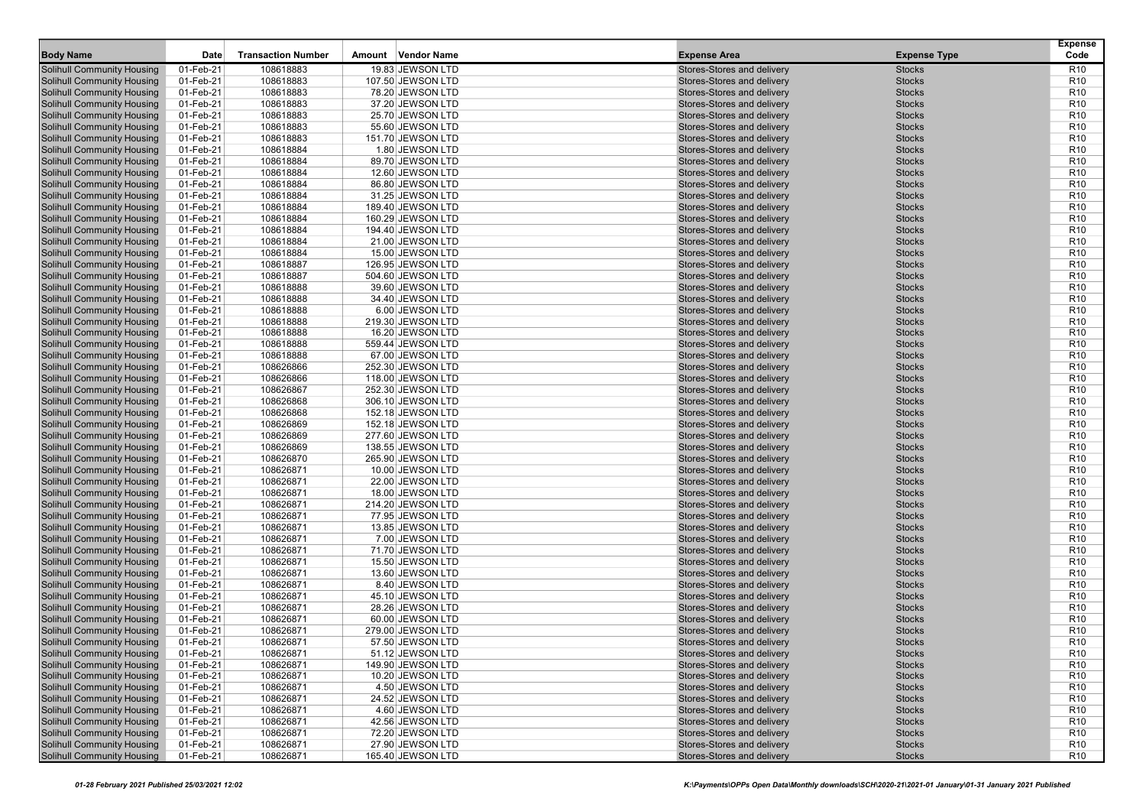| <b>Body Name</b>                                                       | Date                   | <b>Transaction Number</b> | Vendor Name<br>Amount                  | <b>Expense Area</b>                                      | <b>Expense Type</b>            | <b>Expense</b><br>Code             |
|------------------------------------------------------------------------|------------------------|---------------------------|----------------------------------------|----------------------------------------------------------|--------------------------------|------------------------------------|
| <b>Solihull Community Housing</b>                                      | 01-Feb-21              | 108618883                 | 19.83 JEWSON LTD                       | Stores-Stores and delivery                               | <b>Stocks</b>                  | R <sub>10</sub>                    |
| <b>Solihull Community Housing</b>                                      | 01-Feb-21              | 108618883                 | 107.50 JEWSON LTD                      | Stores-Stores and delivery                               | <b>Stocks</b>                  | R <sub>10</sub>                    |
| <b>Solihull Community Housing</b>                                      | 01-Feb-21              | 108618883                 | 78.20 JEWSON LTD                       | Stores-Stores and delivery                               | <b>Stocks</b>                  | R <sub>10</sub>                    |
| <b>Solihull Community Housing</b>                                      | 01-Feb-21              | 108618883                 | 37.20 JEWSON LTD                       | Stores-Stores and delivery                               | <b>Stocks</b>                  | R <sub>10</sub>                    |
| <b>Solihull Community Housing</b>                                      | 01-Feb-21              | 108618883                 | 25.70 JEWSON LTD                       | Stores-Stores and delivery                               | <b>Stocks</b>                  | R <sub>10</sub>                    |
| <b>Solihull Community Housing</b>                                      | 01-Feb-21              | 108618883                 | 55.60 JEWSON LTD                       | Stores-Stores and delivery                               | <b>Stocks</b>                  | R <sub>10</sub>                    |
| <b>Solihull Community Housing</b>                                      | 01-Feb-21              | 108618883                 | 151.70 JEWSON LTD                      | Stores-Stores and delivery                               | <b>Stocks</b>                  | R <sub>10</sub>                    |
| <b>Solihull Community Housing</b>                                      | 01-Feb-21              | 108618884                 | 1.80 JEWSON LTD                        | Stores-Stores and delivery                               | <b>Stocks</b>                  | R <sub>10</sub>                    |
| <b>Solihull Community Housing</b>                                      | 01-Feb-21              | 108618884                 | 89.70 JEWSON LTD                       | Stores-Stores and delivery                               | <b>Stocks</b>                  | R <sub>10</sub>                    |
| <b>Solihull Community Housing</b>                                      | 01-Feb-21              | 108618884                 | 12.60 JEWSON LTD                       | Stores-Stores and delivery                               | <b>Stocks</b>                  | R <sub>10</sub>                    |
| <b>Solihull Community Housing</b>                                      | 01-Feb-21              | 108618884                 | 86.80 JEWSON LTD                       | Stores-Stores and delivery                               | <b>Stocks</b>                  | R <sub>10</sub>                    |
| <b>Solihull Community Housing</b>                                      | 01-Feb-21              | 108618884                 | 31.25 JEWSON LTD                       | Stores-Stores and delivery                               | <b>Stocks</b>                  | R <sub>10</sub>                    |
| <b>Solihull Community Housing</b>                                      | 01-Feb-21              | 108618884                 | 189.40 JEWSON LTD                      | Stores-Stores and delivery                               | <b>Stocks</b>                  | R <sub>10</sub>                    |
| <b>Solihull Community Housing</b>                                      | 01-Feb-21              | 108618884                 | 160.29 JEWSON LTD                      | Stores-Stores and delivery                               | <b>Stocks</b>                  | R <sub>10</sub>                    |
| <b>Solihull Community Housing</b>                                      | 01-Feb-21              | 108618884                 | 194.40 JEWSON LTD                      | Stores-Stores and delivery                               | <b>Stocks</b>                  | R <sub>10</sub>                    |
| <b>Solihull Community Housing</b>                                      | 01-Feb-21              | 108618884                 | 21.00 JEWSON LTD                       | Stores-Stores and delivery                               | <b>Stocks</b>                  | R <sub>10</sub>                    |
| <b>Solihull Community Housing</b>                                      | 01-Feb-21              | 108618884                 | 15.00 JEWSON LTD                       | Stores-Stores and delivery                               | <b>Stocks</b>                  | R <sub>10</sub>                    |
| <b>Solihull Community Housing</b>                                      | 01-Feb-21              | 108618887                 | 126.95 JEWSON LTD                      | Stores-Stores and delivery                               | <b>Stocks</b>                  | R <sub>10</sub>                    |
| <b>Solihull Community Housing</b>                                      | 01-Feb-21              | 108618887                 | 504.60 JEWSON LTD                      | Stores-Stores and delivery                               | <b>Stocks</b>                  | R <sub>10</sub>                    |
| <b>Solihull Community Housing</b>                                      | 01-Feb-21              | 108618888                 | 39.60 JEWSON LTD                       | Stores-Stores and delivery                               | <b>Stocks</b>                  | R <sub>10</sub>                    |
| <b>Solihull Community Housing</b>                                      | 01-Feb-21              | 108618888                 | 34.40 JEWSON LTD                       | Stores-Stores and delivery                               | <b>Stocks</b>                  | R <sub>10</sub>                    |
| <b>Solihull Community Housing</b>                                      | 01-Feb-21              | 108618888                 | 6.00 JEWSON LTD                        | Stores-Stores and delivery                               | <b>Stocks</b>                  | R <sub>10</sub>                    |
| <b>Solihull Community Housing</b>                                      | 01-Feb-21              | 108618888                 | 219.30 JEWSON LTD                      | Stores-Stores and delivery                               | <b>Stocks</b>                  | R <sub>10</sub>                    |
| <b>Solihull Community Housing</b>                                      | 01-Feb-21              | 108618888                 | 16.20 JEWSON LTD                       | Stores-Stores and delivery                               | <b>Stocks</b>                  | R <sub>10</sub>                    |
| <b>Solihull Community Housing</b>                                      | 01-Feb-21              | 108618888                 | 559.44 JEWSON LTD                      | Stores-Stores and delivery                               | <b>Stocks</b>                  | R <sub>10</sub>                    |
| <b>Solihull Community Housing</b>                                      | 01-Feb-21              | 108618888                 | 67.00 JEWSON LTD                       | Stores-Stores and delivery                               | <b>Stocks</b>                  | R <sub>10</sub>                    |
| <b>Solihull Community Housing</b>                                      | 01-Feb-21              | 108626866<br>108626866    | 252.30 JEWSON LTD                      | Stores-Stores and delivery                               | <b>Stocks</b>                  | R <sub>10</sub><br>R <sub>10</sub> |
| <b>Solihull Community Housing</b><br><b>Solihull Community Housing</b> | 01-Feb-21              |                           | 118.00 JEWSON LTD                      | Stores-Stores and delivery<br>Stores-Stores and delivery | <b>Stocks</b><br><b>Stocks</b> | R <sub>10</sub>                    |
| <b>Solihull Community Housing</b>                                      | 01-Feb-21<br>01-Feb-21 | 108626867<br>108626868    | 252.30 JEWSON LTD<br>306.10 JEWSON LTD | Stores-Stores and delivery                               | <b>Stocks</b>                  | R <sub>10</sub>                    |
| <b>Solihull Community Housing</b>                                      | 01-Feb-21              | 108626868                 | 152.18 JEWSON LTD                      | Stores-Stores and delivery                               | <b>Stocks</b>                  | R <sub>10</sub>                    |
| <b>Solihull Community Housing</b>                                      | 01-Feb-21              | 108626869                 | 152.18 JEWSON LTD                      | Stores-Stores and delivery                               | <b>Stocks</b>                  | R <sub>10</sub>                    |
| <b>Solihull Community Housing</b>                                      | 01-Feb-21              | 108626869                 | 277.60 JEWSON LTD                      | Stores-Stores and delivery                               | <b>Stocks</b>                  | R <sub>10</sub>                    |
| <b>Solihull Community Housing</b>                                      | 01-Feb-21              | 108626869                 | 138.55 JEWSON LTD                      | Stores-Stores and delivery                               | <b>Stocks</b>                  | R <sub>10</sub>                    |
| <b>Solihull Community Housing</b>                                      | 01-Feb-21              | 108626870                 | 265.90 JEWSON LTD                      | Stores-Stores and delivery                               | <b>Stocks</b>                  | R <sub>10</sub>                    |
| <b>Solihull Community Housing</b>                                      | 01-Feb-21              | 108626871                 | 10.00 JEWSON LTD                       | Stores-Stores and delivery                               | <b>Stocks</b>                  | R <sub>10</sub>                    |
| <b>Solihull Community Housing</b>                                      | 01-Feb-21              | 108626871                 | 22.00 JEWSON LTD                       | Stores-Stores and delivery                               | <b>Stocks</b>                  | R <sub>10</sub>                    |
| <b>Solihull Community Housing</b>                                      | 01-Feb-21              | 108626871                 | 18.00 JEWSON LTD                       | Stores-Stores and delivery                               | <b>Stocks</b>                  | R <sub>10</sub>                    |
| <b>Solihull Community Housing</b>                                      | 01-Feb-21              | 108626871                 | 214.20 JEWSON LTD                      | Stores-Stores and delivery                               | <b>Stocks</b>                  | R <sub>10</sub>                    |
| <b>Solihull Community Housing</b>                                      | 01-Feb-21              | 108626871                 | 77.95 JEWSON LTD                       | Stores-Stores and delivery                               | <b>Stocks</b>                  | R <sub>10</sub>                    |
| <b>Solihull Community Housing</b>                                      | 01-Feb-21              | 108626871                 | 13.85 JEWSON LTD                       | Stores-Stores and delivery                               | <b>Stocks</b>                  | R <sub>10</sub>                    |
| <b>Solihull Community Housing</b>                                      | 01-Feb-21              | 108626871                 | 7.00 JEWSON LTD                        | Stores-Stores and delivery                               | <b>Stocks</b>                  | R <sub>10</sub>                    |
| <b>Solihull Community Housing</b>                                      | 01-Feb-21              | 108626871                 | 71.70 JEWSON LTD                       | Stores-Stores and delivery                               | <b>Stocks</b>                  | R <sub>10</sub>                    |
| <b>Solihull Community Housing</b>                                      | 01-Feb-21              | 108626871                 | 15.50 JEWSON LTD                       | Stores-Stores and delivery                               | <b>Stocks</b>                  | R <sub>10</sub>                    |
| <b>Solihull Community Housing</b>                                      | 01-Feb-21              | 108626871                 | 13.60 JEWSON LTD                       | Stores-Stores and delivery                               | <b>Stocks</b>                  | R <sub>10</sub>                    |
| <b>Solihull Community Housing</b>                                      | 01-Feb-21              | 108626871                 | 8.40 JEWSON LTD                        | Stores-Stores and delivery                               | <b>Stocks</b>                  | R <sub>10</sub>                    |
| <b>Solihull Community Housing</b>                                      | 01-Feb-21              | 108626871                 | 45.10 JEWSON LTD                       | Stores-Stores and delivery                               | <b>Stocks</b>                  | R <sub>10</sub>                    |
| <b>Solihull Community Housing</b>                                      | 01-Feb-21              | 108626871                 | 28.26 JEWSON LTD                       | Stores-Stores and delivery                               | <b>Stocks</b>                  | R <sub>10</sub>                    |
| <b>Solihull Community Housing</b>                                      | 01-Feb-21              | 108626871                 | 60.00 JEWSON LTD                       | Stores-Stores and delivery                               | <b>Stocks</b>                  | R <sub>10</sub>                    |
| <b>Solihull Community Housing</b>                                      | 01-Feb-21              | 108626871                 | 279.00 JEWSON LTD                      | Stores-Stores and delivery                               | <b>Stocks</b>                  | R <sub>10</sub>                    |
| <b>Solihull Community Housing</b>                                      | 01-Feb-21              | 108626871                 | 57.50 JEWSON LTD                       | Stores-Stores and delivery                               | <b>Stocks</b>                  | R <sub>10</sub>                    |
| <b>Solihull Community Housing</b>                                      | 01-Feb-21              | 108626871                 | 51.12 JEWSON LTD                       | Stores-Stores and delivery                               | <b>Stocks</b>                  | R <sub>10</sub>                    |
| <b>Solihull Community Housing</b>                                      | 01-Feb-21              | 108626871                 | 149.90 JEWSON LTD                      | Stores-Stores and delivery                               | <b>Stocks</b>                  | R <sub>10</sub>                    |
| <b>Solihull Community Housing</b><br><b>Solihull Community Housing</b> | 01-Feb-21              | 108626871                 | 10.20 JEWSON LTD                       | Stores-Stores and delivery<br>Stores-Stores and delivery | <b>Stocks</b>                  | R <sub>10</sub><br>R <sub>10</sub> |
| <b>Solihull Community Housing</b>                                      | 01-Feb-21<br>01-Feb-21 | 108626871<br>108626871    | 4.50 JEWSON LTD<br>24.52 JEWSON LTD    | Stores-Stores and delivery                               | <b>Stocks</b><br><b>Stocks</b> | R <sub>10</sub>                    |
| <b>Solihull Community Housing</b>                                      | 01-Feb-21              | 108626871                 | 4.60 JEWSON LTD                        | Stores-Stores and delivery                               | <b>Stocks</b>                  | R <sub>10</sub>                    |
| <b>Solihull Community Housing</b>                                      | 01-Feb-21              | 108626871                 | 42.56 JEWSON LTD                       | Stores-Stores and delivery                               | <b>Stocks</b>                  | R <sub>10</sub>                    |
| <b>Solihull Community Housing</b>                                      | 01-Feb-21              | 108626871                 | 72.20 JEWSON LTD                       | Stores-Stores and delivery                               | <b>Stocks</b>                  | R <sub>10</sub>                    |
| <b>Solihull Community Housing</b>                                      | 01-Feb-21              | 108626871                 | 27.90 JEWSON LTD                       | Stores-Stores and delivery                               | <b>Stocks</b>                  | R <sub>10</sub>                    |
| <b>Solihull Community Housing</b>                                      | 01-Feb-21              | 108626871                 | 165.40 JEWSON LTD                      | Stores-Stores and delivery                               | <b>Stocks</b>                  | <b>R10</b>                         |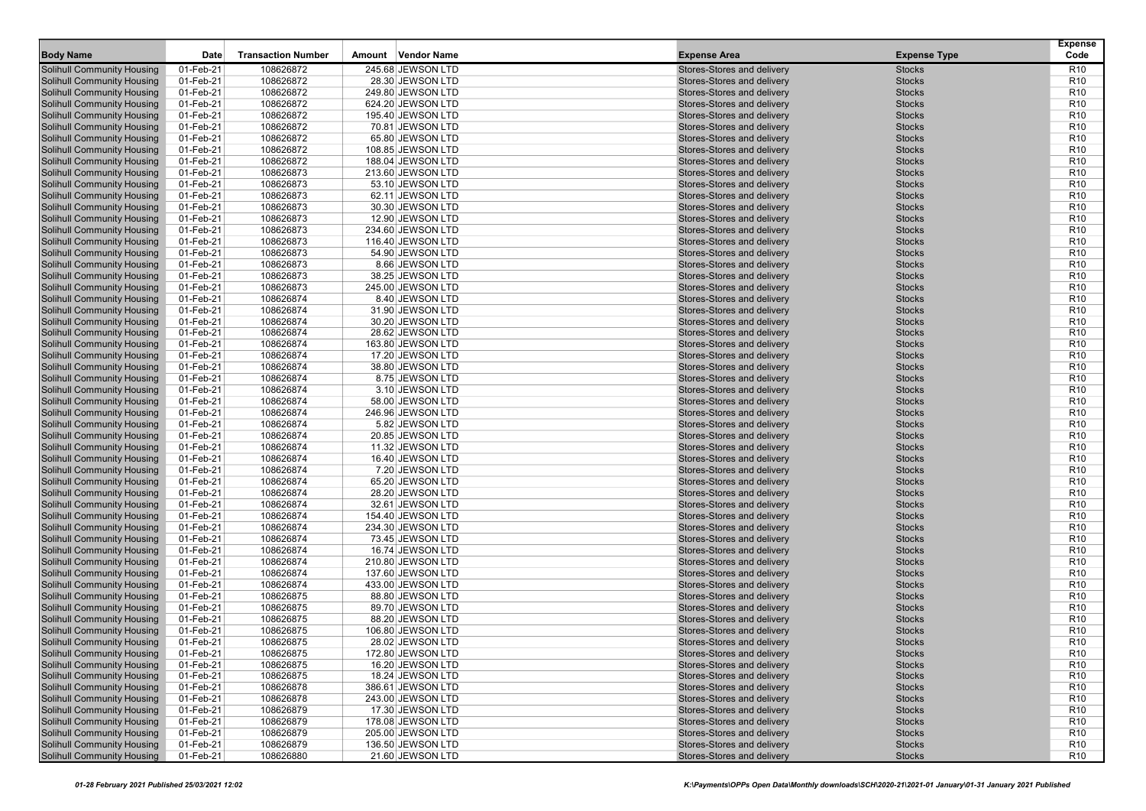| <b>Body Name</b>                                                       | Date                   | <b>Transaction Number</b> | Vendor Name<br>Amount               | <b>Expense Area</b>                                      | <b>Expense Type</b>            | <b>Expense</b><br>Code             |
|------------------------------------------------------------------------|------------------------|---------------------------|-------------------------------------|----------------------------------------------------------|--------------------------------|------------------------------------|
| <b>Solihull Community Housing</b>                                      | 01-Feb-21              | 108626872                 | 245.68 JEWSON LTD                   | Stores-Stores and delivery                               | <b>Stocks</b>                  | R <sub>10</sub>                    |
| <b>Solihull Community Housing</b>                                      | 01-Feb-21              | 108626872                 | 28.30 JEWSON LTD                    | Stores-Stores and delivery                               | <b>Stocks</b>                  | R <sub>10</sub>                    |
| <b>Solihull Community Housing</b>                                      | 01-Feb-21              | 108626872                 | 249.80 JEWSON LTD                   | Stores-Stores and delivery                               | <b>Stocks</b>                  | R <sub>10</sub>                    |
| <b>Solihull Community Housing</b>                                      | 01-Feb-21              | 108626872                 | 624.20 JEWSON LTD                   | Stores-Stores and delivery                               | <b>Stocks</b>                  | R <sub>10</sub>                    |
| <b>Solihull Community Housing</b>                                      | 01-Feb-21              | 108626872                 | 195.40 JEWSON LTD                   | Stores-Stores and delivery                               | <b>Stocks</b>                  | R <sub>10</sub>                    |
| <b>Solihull Community Housing</b>                                      | 01-Feb-21              | 108626872                 | 70.81 JEWSON LTD                    | Stores-Stores and delivery                               | <b>Stocks</b>                  | R <sub>10</sub>                    |
| <b>Solihull Community Housing</b>                                      | 01-Feb-21              | 108626872                 | 65.80 JEWSON LTD                    | Stores-Stores and delivery                               | <b>Stocks</b>                  | R <sub>10</sub>                    |
| <b>Solihull Community Housing</b>                                      | 01-Feb-21              | 108626872                 | 108.85 JEWSON LTD                   | Stores-Stores and delivery                               | <b>Stocks</b>                  | R <sub>10</sub>                    |
| <b>Solihull Community Housing</b>                                      | 01-Feb-21              | 108626872                 | 188.04 JEWSON LTD                   | Stores-Stores and delivery                               | <b>Stocks</b>                  | R <sub>10</sub>                    |
| <b>Solihull Community Housing</b>                                      | 01-Feb-21              | 108626873                 | 213.60 JEWSON LTD                   | Stores-Stores and delivery                               | <b>Stocks</b>                  | R <sub>10</sub>                    |
| <b>Solihull Community Housing</b>                                      | 01-Feb-21              | 108626873                 | 53.10 JEWSON LTD                    | Stores-Stores and delivery                               | <b>Stocks</b>                  | R <sub>10</sub>                    |
| <b>Solihull Community Housing</b>                                      | 01-Feb-21              | 108626873                 | 62.11 JEWSON LTD                    | Stores-Stores and delivery                               | <b>Stocks</b>                  | R <sub>10</sub>                    |
| <b>Solihull Community Housing</b>                                      | 01-Feb-21              | 108626873                 | 30.30 JEWSON LTD                    | Stores-Stores and delivery                               | <b>Stocks</b>                  | R <sub>10</sub>                    |
| <b>Solihull Community Housing</b>                                      | 01-Feb-21              | 108626873                 | 12.90 JEWSON LTD                    | Stores-Stores and delivery                               | <b>Stocks</b>                  | R <sub>10</sub>                    |
| <b>Solihull Community Housing</b>                                      | 01-Feb-21              | 108626873                 | 234.60 JEWSON LTD                   | Stores-Stores and delivery                               | <b>Stocks</b>                  | R <sub>10</sub>                    |
| <b>Solihull Community Housing</b>                                      | 01-Feb-21              | 108626873                 | 116.40 JEWSON LTD                   | Stores-Stores and delivery                               | <b>Stocks</b>                  | R <sub>10</sub>                    |
| <b>Solihull Community Housing</b>                                      | 01-Feb-21              | 108626873                 | 54.90 JEWSON LTD                    | Stores-Stores and delivery                               | <b>Stocks</b>                  | R <sub>10</sub>                    |
| <b>Solihull Community Housing</b>                                      | 01-Feb-21              | 108626873                 | 8.66 JEWSON LTD                     | Stores-Stores and delivery                               | <b>Stocks</b>                  | R <sub>10</sub>                    |
| <b>Solihull Community Housing</b>                                      | 01-Feb-21              | 108626873                 | 38.25 JEWSON LTD                    | Stores-Stores and delivery                               | <b>Stocks</b>                  | R <sub>10</sub>                    |
| <b>Solihull Community Housing</b>                                      | 01-Feb-21              | 108626873                 | 245.00 JEWSON LTD                   | Stores-Stores and delivery                               | <b>Stocks</b>                  | R <sub>10</sub>                    |
| <b>Solihull Community Housing</b>                                      | 01-Feb-21              | 108626874                 | 8.40 JEWSON LTD                     | Stores-Stores and delivery                               | <b>Stocks</b>                  | R <sub>10</sub>                    |
| <b>Solihull Community Housing</b>                                      | 01-Feb-21              | 108626874                 | 31.90 JEWSON LTD                    | Stores-Stores and delivery                               | <b>Stocks</b>                  | R <sub>10</sub>                    |
| <b>Solihull Community Housing</b>                                      | 01-Feb-21              | 108626874                 | 30.20 JEWSON LTD                    | Stores-Stores and delivery                               | <b>Stocks</b>                  | R <sub>10</sub>                    |
| <b>Solihull Community Housing</b>                                      | 01-Feb-21              | 108626874                 | 28.62 JEWSON LTD                    | Stores-Stores and delivery                               | <b>Stocks</b>                  | R <sub>10</sub>                    |
| <b>Solihull Community Housing</b>                                      | 01-Feb-21              | 108626874                 | 163.80 JEWSON LTD                   | Stores-Stores and delivery                               | <b>Stocks</b>                  | R <sub>10</sub>                    |
| <b>Solihull Community Housing</b><br><b>Solihull Community Housing</b> | 01-Feb-21              | 108626874                 | 17.20 JEWSON LTD                    | Stores-Stores and delivery                               | <b>Stocks</b>                  | R <sub>10</sub>                    |
|                                                                        | 01-Feb-21              | 108626874<br>108626874    | 38.80 JEWSON LTD                    | Stores-Stores and delivery                               | <b>Stocks</b>                  | R <sub>10</sub><br>R <sub>10</sub> |
| <b>Solihull Community Housing</b><br><b>Solihull Community Housing</b> | 01-Feb-21              | 108626874                 | 8.75 JEWSON LTD                     | Stores-Stores and delivery<br>Stores-Stores and delivery | <b>Stocks</b><br><b>Stocks</b> | R <sub>10</sub>                    |
| <b>Solihull Community Housing</b>                                      | 01-Feb-21<br>01-Feb-21 | 108626874                 | 3.10 JEWSON LTD<br>58.00 JEWSON LTD | Stores-Stores and delivery                               | <b>Stocks</b>                  | R <sub>10</sub>                    |
| <b>Solihull Community Housing</b>                                      | 01-Feb-21              | 108626874                 | 246.96 JEWSON LTD                   | Stores-Stores and delivery                               | <b>Stocks</b>                  | R <sub>10</sub>                    |
| <b>Solihull Community Housing</b>                                      | 01-Feb-21              | 108626874                 | 5.82 JEWSON LTD                     | Stores-Stores and delivery                               | <b>Stocks</b>                  | R <sub>10</sub>                    |
| <b>Solihull Community Housing</b>                                      | 01-Feb-21              | 108626874                 | 20.85 JEWSON LTD                    | Stores-Stores and delivery                               | <b>Stocks</b>                  | R <sub>10</sub>                    |
| <b>Solihull Community Housing</b>                                      | 01-Feb-21              | 108626874                 | 11.32 JEWSON LTD                    | Stores-Stores and delivery                               | <b>Stocks</b>                  | R <sub>10</sub>                    |
| <b>Solihull Community Housing</b>                                      | 01-Feb-21              | 108626874                 | 16.40 JEWSON LTD                    | Stores-Stores and delivery                               | <b>Stocks</b>                  | R <sub>10</sub>                    |
| <b>Solihull Community Housing</b>                                      | 01-Feb-21              | 108626874                 | 7.20 JEWSON LTD                     | Stores-Stores and delivery                               | <b>Stocks</b>                  | R <sub>10</sub>                    |
| <b>Solihull Community Housing</b>                                      | 01-Feb-21              | 108626874                 | 65.20 JEWSON LTD                    | Stores-Stores and delivery                               | <b>Stocks</b>                  | R <sub>10</sub>                    |
| <b>Solihull Community Housing</b>                                      | 01-Feb-21              | 108626874                 | 28.20 JEWSON LTD                    | Stores-Stores and delivery                               | <b>Stocks</b>                  | R <sub>10</sub>                    |
| <b>Solihull Community Housing</b>                                      | 01-Feb-21              | 108626874                 | 32.61 JEWSON LTD                    | Stores-Stores and delivery                               | <b>Stocks</b>                  | R <sub>10</sub>                    |
| <b>Solihull Community Housing</b>                                      | 01-Feb-21              | 108626874                 | 154.40 JEWSON LTD                   | Stores-Stores and delivery                               | <b>Stocks</b>                  | R <sub>10</sub>                    |
| <b>Solihull Community Housing</b>                                      | 01-Feb-21              | 108626874                 | 234.30 JEWSON LTD                   | Stores-Stores and delivery                               | <b>Stocks</b>                  | R <sub>10</sub>                    |
| <b>Solihull Community Housing</b>                                      | 01-Feb-21              | 108626874                 | 73.45 JEWSON LTD                    | Stores-Stores and delivery                               | <b>Stocks</b>                  | R <sub>10</sub>                    |
| <b>Solihull Community Housing</b>                                      | 01-Feb-21              | 108626874                 | 16.74 JEWSON LTD                    | Stores-Stores and delivery                               | <b>Stocks</b>                  | R <sub>10</sub>                    |
| <b>Solihull Community Housing</b>                                      | 01-Feb-21              | 108626874                 | 210.80 JEWSON LTD                   | Stores-Stores and delivery                               | <b>Stocks</b>                  | R <sub>10</sub>                    |
| <b>Solihull Community Housing</b>                                      | 01-Feb-21              | 108626874                 | 137.60 JEWSON LTD                   | Stores-Stores and delivery                               | <b>Stocks</b>                  | R <sub>10</sub>                    |
| <b>Solihull Community Housing</b>                                      | 01-Feb-21              | 108626874                 | 433.00 JEWSON LTD                   | Stores-Stores and delivery                               | <b>Stocks</b>                  | R <sub>10</sub>                    |
| <b>Solihull Community Housing</b>                                      | 01-Feb-21              | 108626875                 | 88.80 JEWSON LTD                    | Stores-Stores and delivery                               | <b>Stocks</b>                  | R <sub>10</sub>                    |
| <b>Solihull Community Housing</b>                                      | 01-Feb-21              | 108626875                 | 89.70 JEWSON LTD                    | Stores-Stores and delivery                               | <b>Stocks</b>                  | R <sub>10</sub>                    |
| <b>Solihull Community Housing</b>                                      | 01-Feb-21              | 108626875                 | 88.20 JEWSON LTD                    | Stores-Stores and delivery                               | <b>Stocks</b>                  | R <sub>10</sub>                    |
| <b>Solihull Community Housing</b>                                      | 01-Feb-21              | 108626875                 | 106.80 JEWSON LTD                   | Stores-Stores and delivery                               | <b>Stocks</b>                  | R <sub>10</sub>                    |
| <b>Solihull Community Housing</b>                                      | 01-Feb-21              | 108626875                 | 28.02 JEWSON LTD                    | Stores-Stores and delivery                               | <b>Stocks</b>                  | R <sub>10</sub>                    |
| <b>Solihull Community Housing</b>                                      | 01-Feb-21              | 108626875                 | 172.80 JEWSON LTD                   | Stores-Stores and delivery                               | <b>Stocks</b>                  | R <sub>10</sub>                    |
| <b>Solihull Community Housing</b>                                      | 01-Feb-21              | 108626875                 | 16.20 JEWSON LTD                    | Stores-Stores and delivery                               | Stocks                         | R <sub>10</sub>                    |
| <b>Solihull Community Housing</b>                                      | 01-Feb-21              | 108626875                 | 18.24 JEWSON LTD                    | Stores-Stores and delivery                               | <b>Stocks</b>                  | R <sub>10</sub>                    |
| <b>Solihull Community Housing</b>                                      | 01-Feb-21              | 108626878                 | 386.61 JEWSON LTD                   | Stores-Stores and delivery                               | <b>Stocks</b>                  | R <sub>10</sub>                    |
| <b>Solihull Community Housing</b>                                      | 01-Feb-21              | 108626878                 | 243.00 JEWSON LTD                   | Stores-Stores and delivery                               | <b>Stocks</b>                  | R <sub>10</sub>                    |
| <b>Solihull Community Housing</b>                                      | 01-Feb-21              | 108626879                 | 17.30 JEWSON LTD                    | Stores-Stores and delivery                               | <b>Stocks</b>                  | R <sub>10</sub>                    |
| <b>Solihull Community Housing</b>                                      | 01-Feb-21              | 108626879                 | 178.08 JEWSON LTD                   | Stores-Stores and delivery                               | <b>Stocks</b>                  | R <sub>10</sub>                    |
| <b>Solihull Community Housing</b>                                      | 01-Feb-21              | 108626879                 | 205.00 JEWSON LTD                   | Stores-Stores and delivery<br>Stores-Stores and delivery | <b>Stocks</b>                  | R <sub>10</sub>                    |
| <b>Solihull Community Housing</b><br><b>Solihull Community Housing</b> | 01-Feb-21              | 108626879<br>108626880    | 136.50 JEWSON LTD                   | Stores-Stores and delivery                               | <b>Stocks</b><br><b>Stocks</b> | R <sub>10</sub><br><b>R10</b>      |
|                                                                        | $01$ -Feb-21           |                           | 21.60 JEWSON LTD                    |                                                          |                                |                                    |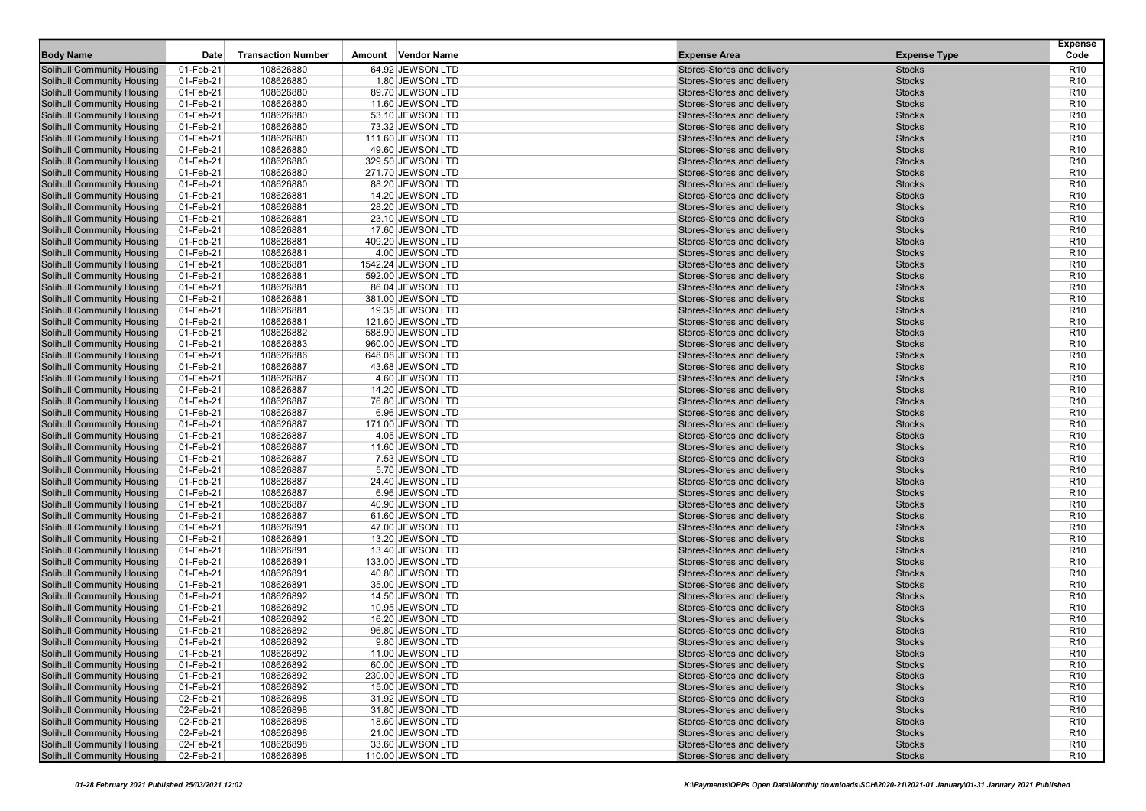| <b>Body Name</b>                                                       | Date                   | <b>Transaction Number</b> | Vendor Name<br>Amount                 | <b>Expense Area</b>                                      | <b>Expense Type</b>            | <b>Expense</b><br>Code             |
|------------------------------------------------------------------------|------------------------|---------------------------|---------------------------------------|----------------------------------------------------------|--------------------------------|------------------------------------|
| <b>Solihull Community Housing</b>                                      | 01-Feb-21              | 108626880                 | 64.92 JEWSON LTD                      | Stores-Stores and delivery                               | <b>Stocks</b>                  | R <sub>10</sub>                    |
| <b>Solihull Community Housing</b>                                      | 01-Feb-21              | 108626880                 | 1.80 JEWSON LTD                       | Stores-Stores and delivery                               | <b>Stocks</b>                  | R <sub>10</sub>                    |
| <b>Solihull Community Housing</b>                                      | 01-Feb-21              | 108626880                 | 89.70 JEWSON LTD                      | Stores-Stores and delivery                               | <b>Stocks</b>                  | R <sub>10</sub>                    |
| <b>Solihull Community Housing</b>                                      | 01-Feb-21              | 108626880                 | 11.60 JEWSON LTD                      | Stores-Stores and delivery                               | <b>Stocks</b>                  | R <sub>10</sub>                    |
| <b>Solihull Community Housing</b>                                      | 01-Feb-21              | 108626880                 | 53.10 JEWSON LTD                      | Stores-Stores and delivery                               | <b>Stocks</b>                  | R <sub>10</sub>                    |
| <b>Solihull Community Housing</b>                                      | 01-Feb-21              | 108626880                 | 73.32 JEWSON LTD                      | Stores-Stores and delivery                               | <b>Stocks</b>                  | R <sub>10</sub>                    |
| <b>Solihull Community Housing</b>                                      | 01-Feb-21              | 108626880                 | 111.60 JEWSON LTD                     | Stores-Stores and delivery                               | <b>Stocks</b>                  | R <sub>10</sub>                    |
| <b>Solihull Community Housing</b>                                      | 01-Feb-21              | 108626880                 | 49.60 JEWSON LTD                      | Stores-Stores and delivery                               | <b>Stocks</b>                  | R <sub>10</sub>                    |
| <b>Solihull Community Housing</b>                                      | 01-Feb-21              | 108626880                 | 329.50 JEWSON LTD                     | Stores-Stores and delivery                               | <b>Stocks</b>                  | R <sub>10</sub>                    |
| <b>Solihull Community Housing</b>                                      | 01-Feb-21              | 108626880                 | 271.70 JEWSON LTD                     | Stores-Stores and delivery                               | <b>Stocks</b>                  | R <sub>10</sub>                    |
| <b>Solihull Community Housing</b>                                      | 01-Feb-21              | 108626880                 | 88.20 JEWSON LTD                      | Stores-Stores and delivery                               | <b>Stocks</b>                  | R <sub>10</sub>                    |
| <b>Solihull Community Housing</b>                                      | 01-Feb-21              | 108626881                 | 14.20 JEWSON LTD                      | Stores-Stores and delivery                               | <b>Stocks</b>                  | R <sub>10</sub>                    |
| <b>Solihull Community Housing</b>                                      | 01-Feb-21              | 108626881                 | 28.20 JEWSON LTD                      | Stores-Stores and delivery                               | <b>Stocks</b>                  | R <sub>10</sub>                    |
| <b>Solihull Community Housing</b>                                      | 01-Feb-21              | 108626881                 | 23.10 JEWSON LTD                      | Stores-Stores and delivery                               | <b>Stocks</b>                  | R <sub>10</sub>                    |
| <b>Solihull Community Housing</b>                                      | 01-Feb-21              | 108626881                 | 17.60 JEWSON LTD                      | Stores-Stores and delivery                               | <b>Stocks</b>                  | R <sub>10</sub>                    |
| <b>Solihull Community Housing</b>                                      | 01-Feb-21              | 108626881                 | 409.20 JEWSON LTD                     | Stores-Stores and delivery                               | <b>Stocks</b>                  | R <sub>10</sub>                    |
| <b>Solihull Community Housing</b>                                      | 01-Feb-21              | 108626881                 | 4.00 JEWSON LTD                       | Stores-Stores and delivery                               | <b>Stocks</b>                  | R <sub>10</sub>                    |
| <b>Solihull Community Housing</b>                                      | 01-Feb-21              | 108626881                 | 1542.24 JEWSON LTD                    | Stores-Stores and delivery                               | <b>Stocks</b>                  | R <sub>10</sub>                    |
| <b>Solihull Community Housing</b>                                      | 01-Feb-21              | 108626881                 | 592.00 JEWSON LTD                     | Stores-Stores and delivery                               | <b>Stocks</b>                  | R <sub>10</sub>                    |
| <b>Solihull Community Housing</b><br><b>Solihull Community Housing</b> | 01-Feb-21              | 108626881<br>108626881    | 86.04 JEWSON LTD                      | Stores-Stores and delivery                               | <b>Stocks</b>                  | R <sub>10</sub><br>R <sub>10</sub> |
| <b>Solihull Community Housing</b>                                      | 01-Feb-21<br>01-Feb-21 | 108626881                 | 381.00 JEWSON LTD<br>19.35 JEWSON LTD | Stores-Stores and delivery<br>Stores-Stores and delivery | <b>Stocks</b><br><b>Stocks</b> | R <sub>10</sub>                    |
| <b>Solihull Community Housing</b>                                      | 01-Feb-21              | 108626881                 | 121.60 JEWSON LTD                     | Stores-Stores and delivery                               | <b>Stocks</b>                  | R <sub>10</sub>                    |
| <b>Solihull Community Housing</b>                                      | 01-Feb-21              | 108626882                 | 588.90 JEWSON LTD                     | Stores-Stores and delivery                               | <b>Stocks</b>                  | R <sub>10</sub>                    |
| <b>Solihull Community Housing</b>                                      | 01-Feb-21              | 108626883                 | 960.00 JEWSON LTD                     | Stores-Stores and delivery                               | <b>Stocks</b>                  | R <sub>10</sub>                    |
| <b>Solihull Community Housing</b>                                      | 01-Feb-21              | 108626886                 | 648.08 JEWSON LTD                     | Stores-Stores and delivery                               | <b>Stocks</b>                  | R <sub>10</sub>                    |
| <b>Solihull Community Housing</b>                                      | 01-Feb-21              | 108626887                 | 43.68 JEWSON LTD                      | Stores-Stores and delivery                               | <b>Stocks</b>                  | R <sub>10</sub>                    |
| <b>Solihull Community Housing</b>                                      | 01-Feb-21              | 108626887                 | 4.60 JEWSON LTD                       | Stores-Stores and delivery                               | <b>Stocks</b>                  | R <sub>10</sub>                    |
| <b>Solihull Community Housing</b>                                      | 01-Feb-21              | 108626887                 | 14.20 JEWSON LTD                      | Stores-Stores and delivery                               | <b>Stocks</b>                  | R <sub>10</sub>                    |
| <b>Solihull Community Housing</b>                                      | 01-Feb-21              | 108626887                 | 76.80 JEWSON LTD                      | Stores-Stores and delivery                               | <b>Stocks</b>                  | R <sub>10</sub>                    |
| <b>Solihull Community Housing</b>                                      | 01-Feb-21              | 108626887                 | 6.96 JEWSON LTD                       | Stores-Stores and delivery                               | <b>Stocks</b>                  | R <sub>10</sub>                    |
| <b>Solihull Community Housing</b>                                      | 01-Feb-21              | 108626887                 | 171.00 JEWSON LTD                     | Stores-Stores and delivery                               | <b>Stocks</b>                  | R <sub>10</sub>                    |
| <b>Solihull Community Housing</b>                                      | 01-Feb-21              | 108626887                 | 4.05 JEWSON LTD                       | Stores-Stores and delivery                               | <b>Stocks</b>                  | R <sub>10</sub>                    |
| <b>Solihull Community Housing</b>                                      | 01-Feb-21              | 108626887                 | 11.60 JEWSON LTD                      | Stores-Stores and delivery                               | <b>Stocks</b>                  | R <sub>10</sub>                    |
| <b>Solihull Community Housing</b>                                      | 01-Feb-21              | 108626887                 | 7.53 JEWSON LTD                       | Stores-Stores and delivery                               | <b>Stocks</b>                  | R <sub>10</sub>                    |
| <b>Solihull Community Housing</b>                                      | 01-Feb-21              | 108626887                 | 5.70 JEWSON LTD                       | Stores-Stores and delivery                               | <b>Stocks</b>                  | R <sub>10</sub>                    |
| <b>Solihull Community Housing</b>                                      | 01-Feb-21              | 108626887                 | 24.40 JEWSON LTD                      | Stores-Stores and delivery                               | <b>Stocks</b>                  | R <sub>10</sub>                    |
| <b>Solihull Community Housing</b>                                      | 01-Feb-21              | 108626887                 | 6.96 JEWSON LTD                       | Stores-Stores and delivery                               | <b>Stocks</b>                  | R <sub>10</sub>                    |
| <b>Solihull Community Housing</b>                                      | 01-Feb-21              | 108626887                 | 40.90 JEWSON LTD                      | Stores-Stores and delivery                               | <b>Stocks</b>                  | R <sub>10</sub>                    |
| <b>Solihull Community Housing</b>                                      | 01-Feb-21              | 108626887                 | 61.60 JEWSON LTD                      | Stores-Stores and delivery                               | <b>Stocks</b>                  | R <sub>10</sub>                    |
| <b>Solihull Community Housing</b>                                      | 01-Feb-21              | 108626891                 | 47.00 JEWSON LTD                      | Stores-Stores and delivery                               | <b>Stocks</b>                  | R <sub>10</sub>                    |
| <b>Solihull Community Housing</b>                                      | 01-Feb-21              | 108626891                 | 13.20 JEWSON LTD                      | Stores-Stores and delivery                               | <b>Stocks</b>                  | R <sub>10</sub>                    |
| <b>Solihull Community Housing</b>                                      | 01-Feb-21              | 108626891                 | 13.40 JEWSON LTD                      | Stores-Stores and delivery                               | <b>Stocks</b>                  | R <sub>10</sub>                    |
| <b>Solihull Community Housing</b>                                      | 01-Feb-21              | 108626891                 | 133.00 JEWSON LTD                     | Stores-Stores and delivery                               | <b>Stocks</b>                  | R <sub>10</sub>                    |
| <b>Solihull Community Housing</b>                                      | 01-Feb-21              | 108626891                 | 40.80 JEWSON LTD                      | Stores-Stores and delivery                               | <b>Stocks</b>                  | R <sub>10</sub>                    |
| <b>Solihull Community Housing</b>                                      | 01-Feb-21              | 108626891                 | 35.00 JEWSON LTD                      | Stores-Stores and delivery                               | <b>Stocks</b>                  | R <sub>10</sub>                    |
| <b>Solihull Community Housing</b>                                      | 01-Feb-21              | 108626892                 | 14.50 JEWSON LTD                      | Stores-Stores and delivery                               | <b>Stocks</b>                  | R <sub>10</sub>                    |
| <b>Solihull Community Housing</b>                                      | 01-Feb-21              | 108626892                 | 10.95 JEWSON LTD                      | Stores-Stores and delivery                               | <b>Stocks</b>                  | R <sub>10</sub>                    |
| <b>Solihull Community Housing</b>                                      | 01-Feb-21              | 108626892                 | 16.20 JEWSON LTD                      | Stores-Stores and delivery                               | <b>Stocks</b>                  | R <sub>10</sub>                    |
| <b>Solihull Community Housing</b><br><b>Solihull Community Housing</b> | 01-Feb-21<br>01-Feb-21 | 108626892<br>108626892    | 96.80 JEWSON LTD<br>9.80 JEWSON LTD   | Stores-Stores and delivery<br>Stores-Stores and delivery | <b>Stocks</b><br><b>Stocks</b> | R <sub>10</sub><br>R <sub>10</sub> |
|                                                                        |                        |                           |                                       |                                                          |                                |                                    |
| <b>Solihull Community Housing</b><br><b>Solihull Community Housing</b> | 01-Feb-21<br>01-Feb-21 | 108626892<br>108626892    | 11.00 JEWSON LTD<br>60.00 JEWSON LTD  | Stores-Stores and delivery<br>Stores-Stores and delivery | <b>Stocks</b><br><b>Stocks</b> | R <sub>10</sub><br>R <sub>10</sub> |
| <b>Solihull Community Housing</b>                                      | 01-Feb-21              | 108626892                 | 230.00 JEWSON LTD                     | Stores-Stores and delivery                               | <b>Stocks</b>                  | R <sub>10</sub>                    |
| <b>Solihull Community Housing</b>                                      | 01-Feb-21              | 108626892                 | 15.00 JEWSON LTD                      | Stores-Stores and delivery                               | <b>Stocks</b>                  | R <sub>10</sub>                    |
| <b>Solihull Community Housing</b>                                      | 02-Feb-21              | 108626898                 | 31.92 JEWSON LTD                      | Stores-Stores and delivery                               | <b>Stocks</b>                  | R <sub>10</sub>                    |
| <b>Solihull Community Housing</b>                                      | 02-Feb-21              | 108626898                 | 31.80 JEWSON LTD                      | Stores-Stores and delivery                               | <b>Stocks</b>                  | R <sub>10</sub>                    |
| <b>Solihull Community Housing</b>                                      | 02-Feb-21              | 108626898                 | 18.60 JEWSON LTD                      | Stores-Stores and delivery                               | <b>Stocks</b>                  | R <sub>10</sub>                    |
| <b>Solihull Community Housing</b>                                      | 02-Feb-21              | 108626898                 | 21.00 JEWSON LTD                      | Stores-Stores and delivery                               | <b>Stocks</b>                  | R <sub>10</sub>                    |
| <b>Solihull Community Housing</b>                                      | 02-Feb-21              | 108626898                 | 33.60 JEWSON LTD                      | Stores-Stores and delivery                               | <b>Stocks</b>                  | R <sub>10</sub>                    |
| <b>Solihull Community Housing</b>                                      | 02-Feb-21              | 108626898                 | 110.00 JEWSON LTD                     | Stores-Stores and delivery                               | <b>Stocks</b>                  | <b>R10</b>                         |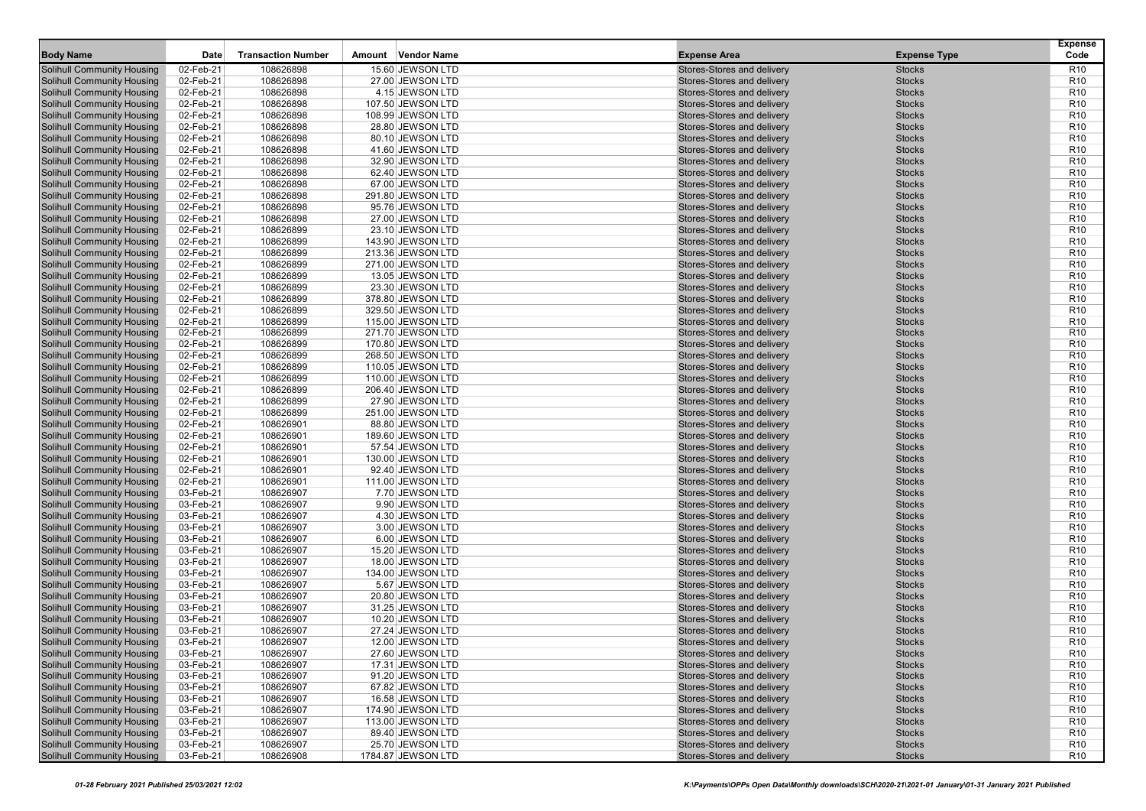| 02-Feb-21<br>108626898<br>15.60 JEWSON LTD<br>R <sub>10</sub><br><b>Solihull Community Housing</b><br>Stores-Stores and delivery<br><b>Stocks</b><br>02-Feb-21<br><b>Solihull Community Housing</b><br>108626898<br>27.00 JEWSON LTD<br>Stores-Stores and delivery<br><b>Stocks</b><br>R <sub>10</sub><br>108626898<br>02-Feb-21<br>4.15 JEWSON LTD<br>Stores-Stores and delivery<br><b>Stocks</b><br>R <sub>10</sub><br><b>Solihull Community Housing</b><br>108626898<br><b>Solihull Community Housing</b><br>02-Feb-21<br>107.50 JEWSON LTD<br>Stores-Stores and delivery<br><b>Stocks</b><br>R <sub>10</sub><br><b>Solihull Community Housing</b><br>02-Feb-21<br>108626898<br>Stores-Stores and delivery<br><b>Stocks</b><br>R <sub>10</sub><br>108.99 JEWSON LTD<br><b>Solihull Community Housing</b><br>02-Feb-21<br>108626898<br>Stores-Stores and delivery<br><b>Stocks</b><br>R <sub>10</sub><br>28.80 JEWSON LTD<br><b>Solihull Community Housing</b><br>02-Feb-21<br>108626898<br>80.10 JEWSON LTD<br>Stores-Stores and delivery<br><b>Stocks</b><br>R <sub>10</sub><br>108626898<br><b>Solihull Community Housing</b><br>02-Feb-21<br>41.60 JEWSON LTD<br>Stores-Stores and delivery<br><b>Stocks</b><br>R <sub>10</sub><br><b>Solihull Community Housing</b><br>108626898<br>02-Feb-21<br>32.90 JEWSON LTD<br>Stores-Stores and delivery<br><b>Stocks</b><br>R <sub>10</sub><br><b>Solihull Community Housing</b><br>02-Feb-21<br>108626898<br>Stores-Stores and delivery<br><b>Stocks</b><br>R <sub>10</sub><br>62.40 JEWSON LTD<br><b>Solihull Community Housing</b><br>02-Feb-21<br>108626898<br>Stores-Stores and delivery<br><b>Stocks</b><br>R <sub>10</sub><br>67.00 JEWSON LTD<br><b>Solihull Community Housing</b><br>02-Feb-21<br>108626898<br>291.80 JEWSON LTD<br>Stores-Stores and delivery<br><b>Stocks</b><br>R <sub>10</sub><br>108626898<br><b>Solihull Community Housing</b><br>02-Feb-21<br>Stores-Stores and delivery<br><b>Stocks</b><br>R <sub>10</sub><br>95.76 JEWSON LTD<br>108626898<br><b>Solihull Community Housing</b><br>02-Feb-21<br>27.00 JEWSON LTD<br>Stores-Stores and delivery<br><b>Stocks</b><br>R <sub>10</sub><br><b>Solihull Community Housing</b><br>02-Feb-21<br>108626899<br>Stores-Stores and delivery<br><b>Stocks</b><br>R <sub>10</sub><br>23.10 JEWSON LTD<br>108626899<br>R <sub>10</sub><br><b>Solihull Community Housing</b><br>02-Feb-21<br>143.90 JEWSON LTD<br>Stores-Stores and delivery<br><b>Stocks</b><br><b>Solihull Community Housing</b><br>02-Feb-21<br>108626899<br>213.36 JEWSON LTD<br>Stores-Stores and delivery<br><b>Stocks</b><br>R <sub>10</sub><br>108626899<br><b>Solihull Community Housing</b><br>02-Feb-21<br>Stores-Stores and delivery<br><b>Stocks</b><br>R <sub>10</sub><br>271.00 JEWSON LTD<br><b>Solihull Community Housing</b><br>02-Feb-21<br>108626899<br>13.05 JEWSON LTD<br>Stores-Stores and delivery<br><b>Stocks</b><br>R <sub>10</sub><br><b>Solihull Community Housing</b><br>02-Feb-21<br>108626899<br>Stores-Stores and delivery<br><b>Stocks</b><br>R <sub>10</sub><br>23.30 JEWSON LTD<br>108626899<br>R <sub>10</sub><br><b>Solihull Community Housing</b><br>02-Feb-21<br>Stores-Stores and delivery<br><b>Stocks</b><br>378.80 JEWSON LTD<br><b>Solihull Community Housing</b><br>02-Feb-21<br>108626899<br>329.50 JEWSON LTD<br>Stores-Stores and delivery<br><b>Stocks</b><br>R <sub>10</sub><br>108626899<br>02-Feb-21<br>Stores-Stores and delivery<br><b>Stocks</b><br>R <sub>10</sub><br><b>Solihull Community Housing</b><br>115.00 JEWSON LTD<br><b>Solihull Community Housing</b><br>02-Feb-21<br>108626899<br>271.70 JEWSON LTD<br>Stores-Stores and delivery<br><b>Stocks</b><br>R <sub>10</sub><br><b>Solihull Community Housing</b><br>02-Feb-21<br>108626899<br>Stores-Stores and delivery<br><b>Stocks</b><br>R <sub>10</sub><br>170.80 JEWSON LTD<br>108626899<br>R <sub>10</sub><br><b>Solihull Community Housing</b><br>02-Feb-21<br>Stores-Stores and delivery<br><b>Stocks</b><br>268.50 JEWSON LTD<br><b>Solihull Community Housing</b><br>02-Feb-21<br>108626899<br>110.05 JEWSON LTD<br>Stores-Stores and delivery<br><b>Stocks</b><br>R <sub>10</sub><br>108626899<br><b>Solihull Community Housing</b><br>02-Feb-21<br>Stores-Stores and delivery<br><b>Stocks</b><br>R <sub>10</sub><br>110.00 JEWSON LTD<br><b>Solihull Community Housing</b><br>02-Feb-21<br>108626899<br>206.40 JEWSON LTD<br>Stores-Stores and delivery<br><b>Stocks</b><br>R <sub>10</sub><br><b>Solihull Community Housing</b><br>02-Feb-21<br>108626899<br>Stores-Stores and delivery<br><b>Stocks</b><br>R <sub>10</sub><br>27.90 JEWSON LTD<br>108626899<br>R <sub>10</sub><br><b>Solihull Community Housing</b><br>02-Feb-21<br>Stores-Stores and delivery<br><b>Stocks</b><br>251.00 JEWSON LTD<br><b>Solihull Community Housing</b><br>02-Feb-21<br>108626901<br>88.80 JEWSON LTD<br>Stores-Stores and delivery<br><b>Stocks</b><br>R <sub>10</sub><br>108626901<br>02-Feb-21<br>Stores-Stores and delivery<br><b>Stocks</b><br>R <sub>10</sub><br><b>Solihull Community Housing</b><br>189.60 JEWSON LTD<br><b>Solihull Community Housing</b><br>02-Feb-21<br>108626901<br>57.54 JEWSON LTD<br>Stores-Stores and delivery<br><b>Stocks</b><br>R <sub>10</sub><br><b>Solihull Community Housing</b><br>02-Feb-21<br>108626901<br>Stores-Stores and delivery<br><b>Stocks</b><br>R <sub>10</sub><br>130.00 JEWSON LTD<br>108626901<br>R <sub>10</sub><br><b>Solihull Community Housing</b><br>02-Feb-21<br>92.40 JEWSON LTD<br>Stores-Stores and delivery<br><b>Stocks</b><br><b>Solihull Community Housing</b><br>02-Feb-21<br>108626901<br>111.00 JEWSON LTD<br>Stores-Stores and delivery<br><b>Stocks</b><br>R <sub>10</sub><br>108626907<br><b>Solihull Community Housing</b><br>03-Feb-21<br>Stores-Stores and delivery<br><b>Stocks</b><br>R <sub>10</sub><br>7.70 JEWSON LTD<br><b>Solihull Community Housing</b><br>03-Feb-21<br>108626907<br>9.90 JEWSON LTD<br>Stores-Stores and delivery<br><b>Stocks</b><br>R <sub>10</sub><br><b>Solihull Community Housing</b><br>03-Feb-21<br>108626907<br>Stores-Stores and delivery<br><b>Stocks</b><br>R <sub>10</sub><br>4.30 JEWSON LTD<br>108626907<br>R <sub>10</sub><br><b>Solihull Community Housing</b><br>03-Feb-21<br>3.00 JEWSON LTD<br>Stores-Stores and delivery<br><b>Stocks</b><br><b>Solihull Community Housing</b><br>03-Feb-21<br>108626907<br>6.00 JEWSON LTD<br>Stores-Stores and delivery<br><b>Stocks</b><br>R <sub>10</sub><br>108626907<br>03-Feb-21<br>15.20 JEWSON LTD<br>Stores-Stores and delivery<br><b>Stocks</b><br>R <sub>10</sub><br><b>Solihull Community Housing</b><br>108626907<br><b>Solihull Community Housing</b><br>03-Feb-21<br>18.00 JEWSON LTD<br>Stores-Stores and delivery<br><b>Stocks</b><br>R <sub>10</sub><br><b>Solihull Community Housing</b><br>03-Feb-21<br>108626907<br><b>Stocks</b><br>R <sub>10</sub><br>134.00 JEWSON LTD<br>Stores-Stores and delivery<br>108626907<br>R <sub>10</sub><br><b>Solihull Community Housing</b><br>03-Feb-21<br>5.67 JEWSON LTD<br>Stores-Stores and delivery<br><b>Stocks</b><br><b>Solihull Community Housing</b><br>03-Feb-21<br>108626907<br>20.80 JEWSON LTD<br>Stores-Stores and delivery<br><b>Stocks</b><br>R <sub>10</sub><br>108626907<br><b>Solihull Community Housing</b><br>03-Feb-21<br>31.25 JEWSON LTD<br>Stores-Stores and delivery<br><b>Stocks</b><br>R <sub>10</sub><br><b>Solihull Community Housing</b><br>03-Feb-21<br>108626907<br>10.20 JEWSON LTD<br>Stores-Stores and delivery<br><b>Stocks</b><br>R <sub>10</sub><br>R <sub>10</sub><br><b>Solihull Community Housing</b><br>108626907<br>Stores-Stores and delivery<br><b>Stocks</b><br>03-Feb-21<br>27.24 JEWSON LTD<br>108626907<br>R <sub>10</sub><br><b>Solihull Community Housing</b><br>03-Feb-21<br>12.00 JEWSON LTD<br>Stores-Stores and delivery<br><b>Stocks</b><br><b>Solihull Community Housing</b><br>03-Feb-21<br>108626907<br><b>Stocks</b><br>R <sub>10</sub><br>27.60 JEWSON LTD<br>Stores-Stores and delivery<br><b>Solihull Community Housing</b><br>03-Feb-21<br>108626907<br>Stocks<br>R <sub>10</sub><br>17.31 JEWSON LTD<br>Stores-Stores and delivery<br><b>Solihull Community Housing</b><br>03-Feb-21<br>108626907<br>91.20 JEWSON LTD<br>Stores-Stores and delivery<br><b>Stocks</b><br>R <sub>10</sub><br><b>Solihull Community Housing</b><br>03-Feb-21<br>108626907<br>Stores-Stores and delivery<br><b>Stocks</b><br>R <sub>10</sub><br>67.82 JEWSON LTD<br><b>Solihull Community Housing</b><br>108626907<br>03-Feb-21<br>16.58 JEWSON LTD<br>Stores-Stores and delivery<br><b>Stocks</b><br>R <sub>10</sub><br><b>Solihull Community Housing</b><br>03-Feb-21<br>108626907<br>174.90 JEWSON LTD<br>Stores-Stores and delivery<br><b>Stocks</b><br>R <sub>10</sub><br><b>Solihull Community Housing</b><br>108626907<br>03-Feb-21<br>113.00 JEWSON LTD<br>Stores-Stores and delivery<br><b>Stocks</b><br>R <sub>10</sub><br><b>Solihull Community Housing</b><br>03-Feb-21<br>108626907<br>89.40 JEWSON LTD<br>Stores-Stores and delivery<br><b>Stocks</b><br>R <sub>10</sub><br><b>Solihull Community Housing</b><br>03-Feb-21<br>108626907<br>Stores-Stores and delivery<br><b>Stocks</b><br>R <sub>10</sub><br>25.70 JEWSON LTD<br><b>Solihull Community Housing</b><br>108626908<br>Stores-Stores and delivery<br><b>R10</b><br>03-Feb-21<br>1784.87 JEWSON LTD<br><b>Stocks</b> | <b>Body Name</b> | Date | <b>Transaction Number</b> | Vendor Name<br>Amount | <b>Expense Area</b> | <b>Expense Type</b> | <b>Expense</b><br>Code |
|--------------------------------------------------------------------------------------------------------------------------------------------------------------------------------------------------------------------------------------------------------------------------------------------------------------------------------------------------------------------------------------------------------------------------------------------------------------------------------------------------------------------------------------------------------------------------------------------------------------------------------------------------------------------------------------------------------------------------------------------------------------------------------------------------------------------------------------------------------------------------------------------------------------------------------------------------------------------------------------------------------------------------------------------------------------------------------------------------------------------------------------------------------------------------------------------------------------------------------------------------------------------------------------------------------------------------------------------------------------------------------------------------------------------------------------------------------------------------------------------------------------------------------------------------------------------------------------------------------------------------------------------------------------------------------------------------------------------------------------------------------------------------------------------------------------------------------------------------------------------------------------------------------------------------------------------------------------------------------------------------------------------------------------------------------------------------------------------------------------------------------------------------------------------------------------------------------------------------------------------------------------------------------------------------------------------------------------------------------------------------------------------------------------------------------------------------------------------------------------------------------------------------------------------------------------------------------------------------------------------------------------------------------------------------------------------------------------------------------------------------------------------------------------------------------------------------------------------------------------------------------------------------------------------------------------------------------------------------------------------------------------------------------------------------------------------------------------------------------------------------------------------------------------------------------------------------------------------------------------------------------------------------------------------------------------------------------------------------------------------------------------------------------------------------------------------------------------------------------------------------------------------------------------------------------------------------------------------------------------------------------------------------------------------------------------------------------------------------------------------------------------------------------------------------------------------------------------------------------------------------------------------------------------------------------------------------------------------------------------------------------------------------------------------------------------------------------------------------------------------------------------------------------------------------------------------------------------------------------------------------------------------------------------------------------------------------------------------------------------------------------------------------------------------------------------------------------------------------------------------------------------------------------------------------------------------------------------------------------------------------------------------------------------------------------------------------------------------------------------------------------------------------------------------------------------------------------------------------------------------------------------------------------------------------------------------------------------------------------------------------------------------------------------------------------------------------------------------------------------------------------------------------------------------------------------------------------------------------------------------------------------------------------------------------------------------------------------------------------------------------------------------------------------------------------------------------------------------------------------------------------------------------------------------------------------------------------------------------------------------------------------------------------------------------------------------------------------------------------------------------------------------------------------------------------------------------------------------------------------------------------------------------------------------------------------------------------------------------------------------------------------------------------------------------------------------------------------------------------------------------------------------------------------------------------------------------------------------------------------------------------------------------------------------------------------------------------------------------------------------------------------------------------------------------------------------------------------------------------------------------------------------------------------------------------------------------------------------------------------------------------------------------------------------------------------------------------------------------------------------------------------------------------------------------------------------------------------------------------------------------------------------------------------------------------------------------------------------------------------------------------------------------------------------------------------------------------------------------------------------------------------------------------------------------------------------------------------------------------------------------------------------------------------------------------------------------------------------------------------------------------------------------------------------------------------------------------------------------------------------------------------------------------------------------------------------------------------------------------------------------------------------------------------------------------------------------------------------------------------------------------------------------------------------------------------------------------------------------------------------------------------------------------------------------------------------------------------------------------------------------------------------------------------------------------------------------------------------------------------------------------------------------------------------------------------------------------------------------------------------------------------------------------------------------------------------------------------------------------------------------------------------------------------------------------------------------------------------------------------------------------------------------------------------------------------------------------------------------------------------------------------------------------------------------------------------------------------------------------------------------------------------------------------------------------------------------------------------------------------------------------------------------------------------------------------------------------------------------------------------------------------------------------------------------------------------------------------------------------------------------------------------------------------------------------------------------------------------------------------------------------------------------------------------------------------------------------------------------------------------------------------------------------------------------------------------------------------------|------------------|------|---------------------------|-----------------------|---------------------|---------------------|------------------------|
|                                                                                                                                                                                                                                                                                                                                                                                                                                                                                                                                                                                                                                                                                                                                                                                                                                                                                                                                                                                                                                                                                                                                                                                                                                                                                                                                                                                                                                                                                                                                                                                                                                                                                                                                                                                                                                                                                                                                                                                                                                                                                                                                                                                                                                                                                                                                                                                                                                                                                                                                                                                                                                                                                                                                                                                                                                                                                                                                                                                                                                                                                                                                                                                                                                                                                                                                                                                                                                                                                                                                                                                                                                                                                                                                                                                                                                                                                                                                                                                                                                                                                                                                                                                                                                                                                                                                                                                                                                                                                                                                                                                                                                                                                                                                                                                                                                                                                                                                                                                                                                                                                                                                                                                                                                                                                                                                                                                                                                                                                                                                                                                                                                                                                                                                                                                                                                                                                                                                                                                                                                                                                                                                                                                                                                                                                                                                                                                                                                                                                                                                                                                                                                                                                                                                                                                                                                                                                                                                                                                                                                                                                                                                                                                                                                                                                                                                                                                                                                                                                                                                                                                                                                                                                                                                                                                                                                                                                                                                                                                                                                                                                                                                                                                                                                                                                                                                                                                                                                                                                                                                                                                                                                                                                                                                                                                                                                                                                                                                                                                                                                                                                                                                                                                                                                                                                                                                                                                                                                                                    |                  |      |                           |                       |                     |                     |                        |
|                                                                                                                                                                                                                                                                                                                                                                                                                                                                                                                                                                                                                                                                                                                                                                                                                                                                                                                                                                                                                                                                                                                                                                                                                                                                                                                                                                                                                                                                                                                                                                                                                                                                                                                                                                                                                                                                                                                                                                                                                                                                                                                                                                                                                                                                                                                                                                                                                                                                                                                                                                                                                                                                                                                                                                                                                                                                                                                                                                                                                                                                                                                                                                                                                                                                                                                                                                                                                                                                                                                                                                                                                                                                                                                                                                                                                                                                                                                                                                                                                                                                                                                                                                                                                                                                                                                                                                                                                                                                                                                                                                                                                                                                                                                                                                                                                                                                                                                                                                                                                                                                                                                                                                                                                                                                                                                                                                                                                                                                                                                                                                                                                                                                                                                                                                                                                                                                                                                                                                                                                                                                                                                                                                                                                                                                                                                                                                                                                                                                                                                                                                                                                                                                                                                                                                                                                                                                                                                                                                                                                                                                                                                                                                                                                                                                                                                                                                                                                                                                                                                                                                                                                                                                                                                                                                                                                                                                                                                                                                                                                                                                                                                                                                                                                                                                                                                                                                                                                                                                                                                                                                                                                                                                                                                                                                                                                                                                                                                                                                                                                                                                                                                                                                                                                                                                                                                                                                                                                                                                    |                  |      |                           |                       |                     |                     |                        |
|                                                                                                                                                                                                                                                                                                                                                                                                                                                                                                                                                                                                                                                                                                                                                                                                                                                                                                                                                                                                                                                                                                                                                                                                                                                                                                                                                                                                                                                                                                                                                                                                                                                                                                                                                                                                                                                                                                                                                                                                                                                                                                                                                                                                                                                                                                                                                                                                                                                                                                                                                                                                                                                                                                                                                                                                                                                                                                                                                                                                                                                                                                                                                                                                                                                                                                                                                                                                                                                                                                                                                                                                                                                                                                                                                                                                                                                                                                                                                                                                                                                                                                                                                                                                                                                                                                                                                                                                                                                                                                                                                                                                                                                                                                                                                                                                                                                                                                                                                                                                                                                                                                                                                                                                                                                                                                                                                                                                                                                                                                                                                                                                                                                                                                                                                                                                                                                                                                                                                                                                                                                                                                                                                                                                                                                                                                                                                                                                                                                                                                                                                                                                                                                                                                                                                                                                                                                                                                                                                                                                                                                                                                                                                                                                                                                                                                                                                                                                                                                                                                                                                                                                                                                                                                                                                                                                                                                                                                                                                                                                                                                                                                                                                                                                                                                                                                                                                                                                                                                                                                                                                                                                                                                                                                                                                                                                                                                                                                                                                                                                                                                                                                                                                                                                                                                                                                                                                                                                                                                                    |                  |      |                           |                       |                     |                     |                        |
|                                                                                                                                                                                                                                                                                                                                                                                                                                                                                                                                                                                                                                                                                                                                                                                                                                                                                                                                                                                                                                                                                                                                                                                                                                                                                                                                                                                                                                                                                                                                                                                                                                                                                                                                                                                                                                                                                                                                                                                                                                                                                                                                                                                                                                                                                                                                                                                                                                                                                                                                                                                                                                                                                                                                                                                                                                                                                                                                                                                                                                                                                                                                                                                                                                                                                                                                                                                                                                                                                                                                                                                                                                                                                                                                                                                                                                                                                                                                                                                                                                                                                                                                                                                                                                                                                                                                                                                                                                                                                                                                                                                                                                                                                                                                                                                                                                                                                                                                                                                                                                                                                                                                                                                                                                                                                                                                                                                                                                                                                                                                                                                                                                                                                                                                                                                                                                                                                                                                                                                                                                                                                                                                                                                                                                                                                                                                                                                                                                                                                                                                                                                                                                                                                                                                                                                                                                                                                                                                                                                                                                                                                                                                                                                                                                                                                                                                                                                                                                                                                                                                                                                                                                                                                                                                                                                                                                                                                                                                                                                                                                                                                                                                                                                                                                                                                                                                                                                                                                                                                                                                                                                                                                                                                                                                                                                                                                                                                                                                                                                                                                                                                                                                                                                                                                                                                                                                                                                                                                                                    |                  |      |                           |                       |                     |                     |                        |
|                                                                                                                                                                                                                                                                                                                                                                                                                                                                                                                                                                                                                                                                                                                                                                                                                                                                                                                                                                                                                                                                                                                                                                                                                                                                                                                                                                                                                                                                                                                                                                                                                                                                                                                                                                                                                                                                                                                                                                                                                                                                                                                                                                                                                                                                                                                                                                                                                                                                                                                                                                                                                                                                                                                                                                                                                                                                                                                                                                                                                                                                                                                                                                                                                                                                                                                                                                                                                                                                                                                                                                                                                                                                                                                                                                                                                                                                                                                                                                                                                                                                                                                                                                                                                                                                                                                                                                                                                                                                                                                                                                                                                                                                                                                                                                                                                                                                                                                                                                                                                                                                                                                                                                                                                                                                                                                                                                                                                                                                                                                                                                                                                                                                                                                                                                                                                                                                                                                                                                                                                                                                                                                                                                                                                                                                                                                                                                                                                                                                                                                                                                                                                                                                                                                                                                                                                                                                                                                                                                                                                                                                                                                                                                                                                                                                                                                                                                                                                                                                                                                                                                                                                                                                                                                                                                                                                                                                                                                                                                                                                                                                                                                                                                                                                                                                                                                                                                                                                                                                                                                                                                                                                                                                                                                                                                                                                                                                                                                                                                                                                                                                                                                                                                                                                                                                                                                                                                                                                                                                    |                  |      |                           |                       |                     |                     |                        |
|                                                                                                                                                                                                                                                                                                                                                                                                                                                                                                                                                                                                                                                                                                                                                                                                                                                                                                                                                                                                                                                                                                                                                                                                                                                                                                                                                                                                                                                                                                                                                                                                                                                                                                                                                                                                                                                                                                                                                                                                                                                                                                                                                                                                                                                                                                                                                                                                                                                                                                                                                                                                                                                                                                                                                                                                                                                                                                                                                                                                                                                                                                                                                                                                                                                                                                                                                                                                                                                                                                                                                                                                                                                                                                                                                                                                                                                                                                                                                                                                                                                                                                                                                                                                                                                                                                                                                                                                                                                                                                                                                                                                                                                                                                                                                                                                                                                                                                                                                                                                                                                                                                                                                                                                                                                                                                                                                                                                                                                                                                                                                                                                                                                                                                                                                                                                                                                                                                                                                                                                                                                                                                                                                                                                                                                                                                                                                                                                                                                                                                                                                                                                                                                                                                                                                                                                                                                                                                                                                                                                                                                                                                                                                                                                                                                                                                                                                                                                                                                                                                                                                                                                                                                                                                                                                                                                                                                                                                                                                                                                                                                                                                                                                                                                                                                                                                                                                                                                                                                                                                                                                                                                                                                                                                                                                                                                                                                                                                                                                                                                                                                                                                                                                                                                                                                                                                                                                                                                                                                                    |                  |      |                           |                       |                     |                     |                        |
|                                                                                                                                                                                                                                                                                                                                                                                                                                                                                                                                                                                                                                                                                                                                                                                                                                                                                                                                                                                                                                                                                                                                                                                                                                                                                                                                                                                                                                                                                                                                                                                                                                                                                                                                                                                                                                                                                                                                                                                                                                                                                                                                                                                                                                                                                                                                                                                                                                                                                                                                                                                                                                                                                                                                                                                                                                                                                                                                                                                                                                                                                                                                                                                                                                                                                                                                                                                                                                                                                                                                                                                                                                                                                                                                                                                                                                                                                                                                                                                                                                                                                                                                                                                                                                                                                                                                                                                                                                                                                                                                                                                                                                                                                                                                                                                                                                                                                                                                                                                                                                                                                                                                                                                                                                                                                                                                                                                                                                                                                                                                                                                                                                                                                                                                                                                                                                                                                                                                                                                                                                                                                                                                                                                                                                                                                                                                                                                                                                                                                                                                                                                                                                                                                                                                                                                                                                                                                                                                                                                                                                                                                                                                                                                                                                                                                                                                                                                                                                                                                                                                                                                                                                                                                                                                                                                                                                                                                                                                                                                                                                                                                                                                                                                                                                                                                                                                                                                                                                                                                                                                                                                                                                                                                                                                                                                                                                                                                                                                                                                                                                                                                                                                                                                                                                                                                                                                                                                                                                                                    |                  |      |                           |                       |                     |                     |                        |
|                                                                                                                                                                                                                                                                                                                                                                                                                                                                                                                                                                                                                                                                                                                                                                                                                                                                                                                                                                                                                                                                                                                                                                                                                                                                                                                                                                                                                                                                                                                                                                                                                                                                                                                                                                                                                                                                                                                                                                                                                                                                                                                                                                                                                                                                                                                                                                                                                                                                                                                                                                                                                                                                                                                                                                                                                                                                                                                                                                                                                                                                                                                                                                                                                                                                                                                                                                                                                                                                                                                                                                                                                                                                                                                                                                                                                                                                                                                                                                                                                                                                                                                                                                                                                                                                                                                                                                                                                                                                                                                                                                                                                                                                                                                                                                                                                                                                                                                                                                                                                                                                                                                                                                                                                                                                                                                                                                                                                                                                                                                                                                                                                                                                                                                                                                                                                                                                                                                                                                                                                                                                                                                                                                                                                                                                                                                                                                                                                                                                                                                                                                                                                                                                                                                                                                                                                                                                                                                                                                                                                                                                                                                                                                                                                                                                                                                                                                                                                                                                                                                                                                                                                                                                                                                                                                                                                                                                                                                                                                                                                                                                                                                                                                                                                                                                                                                                                                                                                                                                                                                                                                                                                                                                                                                                                                                                                                                                                                                                                                                                                                                                                                                                                                                                                                                                                                                                                                                                                                                                    |                  |      |                           |                       |                     |                     |                        |
|                                                                                                                                                                                                                                                                                                                                                                                                                                                                                                                                                                                                                                                                                                                                                                                                                                                                                                                                                                                                                                                                                                                                                                                                                                                                                                                                                                                                                                                                                                                                                                                                                                                                                                                                                                                                                                                                                                                                                                                                                                                                                                                                                                                                                                                                                                                                                                                                                                                                                                                                                                                                                                                                                                                                                                                                                                                                                                                                                                                                                                                                                                                                                                                                                                                                                                                                                                                                                                                                                                                                                                                                                                                                                                                                                                                                                                                                                                                                                                                                                                                                                                                                                                                                                                                                                                                                                                                                                                                                                                                                                                                                                                                                                                                                                                                                                                                                                                                                                                                                                                                                                                                                                                                                                                                                                                                                                                                                                                                                                                                                                                                                                                                                                                                                                                                                                                                                                                                                                                                                                                                                                                                                                                                                                                                                                                                                                                                                                                                                                                                                                                                                                                                                                                                                                                                                                                                                                                                                                                                                                                                                                                                                                                                                                                                                                                                                                                                                                                                                                                                                                                                                                                                                                                                                                                                                                                                                                                                                                                                                                                                                                                                                                                                                                                                                                                                                                                                                                                                                                                                                                                                                                                                                                                                                                                                                                                                                                                                                                                                                                                                                                                                                                                                                                                                                                                                                                                                                                                                                    |                  |      |                           |                       |                     |                     |                        |
|                                                                                                                                                                                                                                                                                                                                                                                                                                                                                                                                                                                                                                                                                                                                                                                                                                                                                                                                                                                                                                                                                                                                                                                                                                                                                                                                                                                                                                                                                                                                                                                                                                                                                                                                                                                                                                                                                                                                                                                                                                                                                                                                                                                                                                                                                                                                                                                                                                                                                                                                                                                                                                                                                                                                                                                                                                                                                                                                                                                                                                                                                                                                                                                                                                                                                                                                                                                                                                                                                                                                                                                                                                                                                                                                                                                                                                                                                                                                                                                                                                                                                                                                                                                                                                                                                                                                                                                                                                                                                                                                                                                                                                                                                                                                                                                                                                                                                                                                                                                                                                                                                                                                                                                                                                                                                                                                                                                                                                                                                                                                                                                                                                                                                                                                                                                                                                                                                                                                                                                                                                                                                                                                                                                                                                                                                                                                                                                                                                                                                                                                                                                                                                                                                                                                                                                                                                                                                                                                                                                                                                                                                                                                                                                                                                                                                                                                                                                                                                                                                                                                                                                                                                                                                                                                                                                                                                                                                                                                                                                                                                                                                                                                                                                                                                                                                                                                                                                                                                                                                                                                                                                                                                                                                                                                                                                                                                                                                                                                                                                                                                                                                                                                                                                                                                                                                                                                                                                                                                                                    |                  |      |                           |                       |                     |                     |                        |
|                                                                                                                                                                                                                                                                                                                                                                                                                                                                                                                                                                                                                                                                                                                                                                                                                                                                                                                                                                                                                                                                                                                                                                                                                                                                                                                                                                                                                                                                                                                                                                                                                                                                                                                                                                                                                                                                                                                                                                                                                                                                                                                                                                                                                                                                                                                                                                                                                                                                                                                                                                                                                                                                                                                                                                                                                                                                                                                                                                                                                                                                                                                                                                                                                                                                                                                                                                                                                                                                                                                                                                                                                                                                                                                                                                                                                                                                                                                                                                                                                                                                                                                                                                                                                                                                                                                                                                                                                                                                                                                                                                                                                                                                                                                                                                                                                                                                                                                                                                                                                                                                                                                                                                                                                                                                                                                                                                                                                                                                                                                                                                                                                                                                                                                                                                                                                                                                                                                                                                                                                                                                                                                                                                                                                                                                                                                                                                                                                                                                                                                                                                                                                                                                                                                                                                                                                                                                                                                                                                                                                                                                                                                                                                                                                                                                                                                                                                                                                                                                                                                                                                                                                                                                                                                                                                                                                                                                                                                                                                                                                                                                                                                                                                                                                                                                                                                                                                                                                                                                                                                                                                                                                                                                                                                                                                                                                                                                                                                                                                                                                                                                                                                                                                                                                                                                                                                                                                                                                                                                    |                  |      |                           |                       |                     |                     |                        |
|                                                                                                                                                                                                                                                                                                                                                                                                                                                                                                                                                                                                                                                                                                                                                                                                                                                                                                                                                                                                                                                                                                                                                                                                                                                                                                                                                                                                                                                                                                                                                                                                                                                                                                                                                                                                                                                                                                                                                                                                                                                                                                                                                                                                                                                                                                                                                                                                                                                                                                                                                                                                                                                                                                                                                                                                                                                                                                                                                                                                                                                                                                                                                                                                                                                                                                                                                                                                                                                                                                                                                                                                                                                                                                                                                                                                                                                                                                                                                                                                                                                                                                                                                                                                                                                                                                                                                                                                                                                                                                                                                                                                                                                                                                                                                                                                                                                                                                                                                                                                                                                                                                                                                                                                                                                                                                                                                                                                                                                                                                                                                                                                                                                                                                                                                                                                                                                                                                                                                                                                                                                                                                                                                                                                                                                                                                                                                                                                                                                                                                                                                                                                                                                                                                                                                                                                                                                                                                                                                                                                                                                                                                                                                                                                                                                                                                                                                                                                                                                                                                                                                                                                                                                                                                                                                                                                                                                                                                                                                                                                                                                                                                                                                                                                                                                                                                                                                                                                                                                                                                                                                                                                                                                                                                                                                                                                                                                                                                                                                                                                                                                                                                                                                                                                                                                                                                                                                                                                                                                                    |                  |      |                           |                       |                     |                     |                        |
|                                                                                                                                                                                                                                                                                                                                                                                                                                                                                                                                                                                                                                                                                                                                                                                                                                                                                                                                                                                                                                                                                                                                                                                                                                                                                                                                                                                                                                                                                                                                                                                                                                                                                                                                                                                                                                                                                                                                                                                                                                                                                                                                                                                                                                                                                                                                                                                                                                                                                                                                                                                                                                                                                                                                                                                                                                                                                                                                                                                                                                                                                                                                                                                                                                                                                                                                                                                                                                                                                                                                                                                                                                                                                                                                                                                                                                                                                                                                                                                                                                                                                                                                                                                                                                                                                                                                                                                                                                                                                                                                                                                                                                                                                                                                                                                                                                                                                                                                                                                                                                                                                                                                                                                                                                                                                                                                                                                                                                                                                                                                                                                                                                                                                                                                                                                                                                                                                                                                                                                                                                                                                                                                                                                                                                                                                                                                                                                                                                                                                                                                                                                                                                                                                                                                                                                                                                                                                                                                                                                                                                                                                                                                                                                                                                                                                                                                                                                                                                                                                                                                                                                                                                                                                                                                                                                                                                                                                                                                                                                                                                                                                                                                                                                                                                                                                                                                                                                                                                                                                                                                                                                                                                                                                                                                                                                                                                                                                                                                                                                                                                                                                                                                                                                                                                                                                                                                                                                                                                                                    |                  |      |                           |                       |                     |                     |                        |
|                                                                                                                                                                                                                                                                                                                                                                                                                                                                                                                                                                                                                                                                                                                                                                                                                                                                                                                                                                                                                                                                                                                                                                                                                                                                                                                                                                                                                                                                                                                                                                                                                                                                                                                                                                                                                                                                                                                                                                                                                                                                                                                                                                                                                                                                                                                                                                                                                                                                                                                                                                                                                                                                                                                                                                                                                                                                                                                                                                                                                                                                                                                                                                                                                                                                                                                                                                                                                                                                                                                                                                                                                                                                                                                                                                                                                                                                                                                                                                                                                                                                                                                                                                                                                                                                                                                                                                                                                                                                                                                                                                                                                                                                                                                                                                                                                                                                                                                                                                                                                                                                                                                                                                                                                                                                                                                                                                                                                                                                                                                                                                                                                                                                                                                                                                                                                                                                                                                                                                                                                                                                                                                                                                                                                                                                                                                                                                                                                                                                                                                                                                                                                                                                                                                                                                                                                                                                                                                                                                                                                                                                                                                                                                                                                                                                                                                                                                                                                                                                                                                                                                                                                                                                                                                                                                                                                                                                                                                                                                                                                                                                                                                                                                                                                                                                                                                                                                                                                                                                                                                                                                                                                                                                                                                                                                                                                                                                                                                                                                                                                                                                                                                                                                                                                                                                                                                                                                                                                                                                    |                  |      |                           |                       |                     |                     |                        |
|                                                                                                                                                                                                                                                                                                                                                                                                                                                                                                                                                                                                                                                                                                                                                                                                                                                                                                                                                                                                                                                                                                                                                                                                                                                                                                                                                                                                                                                                                                                                                                                                                                                                                                                                                                                                                                                                                                                                                                                                                                                                                                                                                                                                                                                                                                                                                                                                                                                                                                                                                                                                                                                                                                                                                                                                                                                                                                                                                                                                                                                                                                                                                                                                                                                                                                                                                                                                                                                                                                                                                                                                                                                                                                                                                                                                                                                                                                                                                                                                                                                                                                                                                                                                                                                                                                                                                                                                                                                                                                                                                                                                                                                                                                                                                                                                                                                                                                                                                                                                                                                                                                                                                                                                                                                                                                                                                                                                                                                                                                                                                                                                                                                                                                                                                                                                                                                                                                                                                                                                                                                                                                                                                                                                                                                                                                                                                                                                                                                                                                                                                                                                                                                                                                                                                                                                                                                                                                                                                                                                                                                                                                                                                                                                                                                                                                                                                                                                                                                                                                                                                                                                                                                                                                                                                                                                                                                                                                                                                                                                                                                                                                                                                                                                                                                                                                                                                                                                                                                                                                                                                                                                                                                                                                                                                                                                                                                                                                                                                                                                                                                                                                                                                                                                                                                                                                                                                                                                                                                                    |                  |      |                           |                       |                     |                     |                        |
|                                                                                                                                                                                                                                                                                                                                                                                                                                                                                                                                                                                                                                                                                                                                                                                                                                                                                                                                                                                                                                                                                                                                                                                                                                                                                                                                                                                                                                                                                                                                                                                                                                                                                                                                                                                                                                                                                                                                                                                                                                                                                                                                                                                                                                                                                                                                                                                                                                                                                                                                                                                                                                                                                                                                                                                                                                                                                                                                                                                                                                                                                                                                                                                                                                                                                                                                                                                                                                                                                                                                                                                                                                                                                                                                                                                                                                                                                                                                                                                                                                                                                                                                                                                                                                                                                                                                                                                                                                                                                                                                                                                                                                                                                                                                                                                                                                                                                                                                                                                                                                                                                                                                                                                                                                                                                                                                                                                                                                                                                                                                                                                                                                                                                                                                                                                                                                                                                                                                                                                                                                                                                                                                                                                                                                                                                                                                                                                                                                                                                                                                                                                                                                                                                                                                                                                                                                                                                                                                                                                                                                                                                                                                                                                                                                                                                                                                                                                                                                                                                                                                                                                                                                                                                                                                                                                                                                                                                                                                                                                                                                                                                                                                                                                                                                                                                                                                                                                                                                                                                                                                                                                                                                                                                                                                                                                                                                                                                                                                                                                                                                                                                                                                                                                                                                                                                                                                                                                                                                                                    |                  |      |                           |                       |                     |                     |                        |
|                                                                                                                                                                                                                                                                                                                                                                                                                                                                                                                                                                                                                                                                                                                                                                                                                                                                                                                                                                                                                                                                                                                                                                                                                                                                                                                                                                                                                                                                                                                                                                                                                                                                                                                                                                                                                                                                                                                                                                                                                                                                                                                                                                                                                                                                                                                                                                                                                                                                                                                                                                                                                                                                                                                                                                                                                                                                                                                                                                                                                                                                                                                                                                                                                                                                                                                                                                                                                                                                                                                                                                                                                                                                                                                                                                                                                                                                                                                                                                                                                                                                                                                                                                                                                                                                                                                                                                                                                                                                                                                                                                                                                                                                                                                                                                                                                                                                                                                                                                                                                                                                                                                                                                                                                                                                                                                                                                                                                                                                                                                                                                                                                                                                                                                                                                                                                                                                                                                                                                                                                                                                                                                                                                                                                                                                                                                                                                                                                                                                                                                                                                                                                                                                                                                                                                                                                                                                                                                                                                                                                                                                                                                                                                                                                                                                                                                                                                                                                                                                                                                                                                                                                                                                                                                                                                                                                                                                                                                                                                                                                                                                                                                                                                                                                                                                                                                                                                                                                                                                                                                                                                                                                                                                                                                                                                                                                                                                                                                                                                                                                                                                                                                                                                                                                                                                                                                                                                                                                                                                    |                  |      |                           |                       |                     |                     |                        |
|                                                                                                                                                                                                                                                                                                                                                                                                                                                                                                                                                                                                                                                                                                                                                                                                                                                                                                                                                                                                                                                                                                                                                                                                                                                                                                                                                                                                                                                                                                                                                                                                                                                                                                                                                                                                                                                                                                                                                                                                                                                                                                                                                                                                                                                                                                                                                                                                                                                                                                                                                                                                                                                                                                                                                                                                                                                                                                                                                                                                                                                                                                                                                                                                                                                                                                                                                                                                                                                                                                                                                                                                                                                                                                                                                                                                                                                                                                                                                                                                                                                                                                                                                                                                                                                                                                                                                                                                                                                                                                                                                                                                                                                                                                                                                                                                                                                                                                                                                                                                                                                                                                                                                                                                                                                                                                                                                                                                                                                                                                                                                                                                                                                                                                                                                                                                                                                                                                                                                                                                                                                                                                                                                                                                                                                                                                                                                                                                                                                                                                                                                                                                                                                                                                                                                                                                                                                                                                                                                                                                                                                                                                                                                                                                                                                                                                                                                                                                                                                                                                                                                                                                                                                                                                                                                                                                                                                                                                                                                                                                                                                                                                                                                                                                                                                                                                                                                                                                                                                                                                                                                                                                                                                                                                                                                                                                                                                                                                                                                                                                                                                                                                                                                                                                                                                                                                                                                                                                                                                                    |                  |      |                           |                       |                     |                     |                        |
|                                                                                                                                                                                                                                                                                                                                                                                                                                                                                                                                                                                                                                                                                                                                                                                                                                                                                                                                                                                                                                                                                                                                                                                                                                                                                                                                                                                                                                                                                                                                                                                                                                                                                                                                                                                                                                                                                                                                                                                                                                                                                                                                                                                                                                                                                                                                                                                                                                                                                                                                                                                                                                                                                                                                                                                                                                                                                                                                                                                                                                                                                                                                                                                                                                                                                                                                                                                                                                                                                                                                                                                                                                                                                                                                                                                                                                                                                                                                                                                                                                                                                                                                                                                                                                                                                                                                                                                                                                                                                                                                                                                                                                                                                                                                                                                                                                                                                                                                                                                                                                                                                                                                                                                                                                                                                                                                                                                                                                                                                                                                                                                                                                                                                                                                                                                                                                                                                                                                                                                                                                                                                                                                                                                                                                                                                                                                                                                                                                                                                                                                                                                                                                                                                                                                                                                                                                                                                                                                                                                                                                                                                                                                                                                                                                                                                                                                                                                                                                                                                                                                                                                                                                                                                                                                                                                                                                                                                                                                                                                                                                                                                                                                                                                                                                                                                                                                                                                                                                                                                                                                                                                                                                                                                                                                                                                                                                                                                                                                                                                                                                                                                                                                                                                                                                                                                                                                                                                                                                                                    |                  |      |                           |                       |                     |                     |                        |
|                                                                                                                                                                                                                                                                                                                                                                                                                                                                                                                                                                                                                                                                                                                                                                                                                                                                                                                                                                                                                                                                                                                                                                                                                                                                                                                                                                                                                                                                                                                                                                                                                                                                                                                                                                                                                                                                                                                                                                                                                                                                                                                                                                                                                                                                                                                                                                                                                                                                                                                                                                                                                                                                                                                                                                                                                                                                                                                                                                                                                                                                                                                                                                                                                                                                                                                                                                                                                                                                                                                                                                                                                                                                                                                                                                                                                                                                                                                                                                                                                                                                                                                                                                                                                                                                                                                                                                                                                                                                                                                                                                                                                                                                                                                                                                                                                                                                                                                                                                                                                                                                                                                                                                                                                                                                                                                                                                                                                                                                                                                                                                                                                                                                                                                                                                                                                                                                                                                                                                                                                                                                                                                                                                                                                                                                                                                                                                                                                                                                                                                                                                                                                                                                                                                                                                                                                                                                                                                                                                                                                                                                                                                                                                                                                                                                                                                                                                                                                                                                                                                                                                                                                                                                                                                                                                                                                                                                                                                                                                                                                                                                                                                                                                                                                                                                                                                                                                                                                                                                                                                                                                                                                                                                                                                                                                                                                                                                                                                                                                                                                                                                                                                                                                                                                                                                                                                                                                                                                                                                    |                  |      |                           |                       |                     |                     |                        |
|                                                                                                                                                                                                                                                                                                                                                                                                                                                                                                                                                                                                                                                                                                                                                                                                                                                                                                                                                                                                                                                                                                                                                                                                                                                                                                                                                                                                                                                                                                                                                                                                                                                                                                                                                                                                                                                                                                                                                                                                                                                                                                                                                                                                                                                                                                                                                                                                                                                                                                                                                                                                                                                                                                                                                                                                                                                                                                                                                                                                                                                                                                                                                                                                                                                                                                                                                                                                                                                                                                                                                                                                                                                                                                                                                                                                                                                                                                                                                                                                                                                                                                                                                                                                                                                                                                                                                                                                                                                                                                                                                                                                                                                                                                                                                                                                                                                                                                                                                                                                                                                                                                                                                                                                                                                                                                                                                                                                                                                                                                                                                                                                                                                                                                                                                                                                                                                                                                                                                                                                                                                                                                                                                                                                                                                                                                                                                                                                                                                                                                                                                                                                                                                                                                                                                                                                                                                                                                                                                                                                                                                                                                                                                                                                                                                                                                                                                                                                                                                                                                                                                                                                                                                                                                                                                                                                                                                                                                                                                                                                                                                                                                                                                                                                                                                                                                                                                                                                                                                                                                                                                                                                                                                                                                                                                                                                                                                                                                                                                                                                                                                                                                                                                                                                                                                                                                                                                                                                                                                                    |                  |      |                           |                       |                     |                     |                        |
|                                                                                                                                                                                                                                                                                                                                                                                                                                                                                                                                                                                                                                                                                                                                                                                                                                                                                                                                                                                                                                                                                                                                                                                                                                                                                                                                                                                                                                                                                                                                                                                                                                                                                                                                                                                                                                                                                                                                                                                                                                                                                                                                                                                                                                                                                                                                                                                                                                                                                                                                                                                                                                                                                                                                                                                                                                                                                                                                                                                                                                                                                                                                                                                                                                                                                                                                                                                                                                                                                                                                                                                                                                                                                                                                                                                                                                                                                                                                                                                                                                                                                                                                                                                                                                                                                                                                                                                                                                                                                                                                                                                                                                                                                                                                                                                                                                                                                                                                                                                                                                                                                                                                                                                                                                                                                                                                                                                                                                                                                                                                                                                                                                                                                                                                                                                                                                                                                                                                                                                                                                                                                                                                                                                                                                                                                                                                                                                                                                                                                                                                                                                                                                                                                                                                                                                                                                                                                                                                                                                                                                                                                                                                                                                                                                                                                                                                                                                                                                                                                                                                                                                                                                                                                                                                                                                                                                                                                                                                                                                                                                                                                                                                                                                                                                                                                                                                                                                                                                                                                                                                                                                                                                                                                                                                                                                                                                                                                                                                                                                                                                                                                                                                                                                                                                                                                                                                                                                                                                                                    |                  |      |                           |                       |                     |                     |                        |
|                                                                                                                                                                                                                                                                                                                                                                                                                                                                                                                                                                                                                                                                                                                                                                                                                                                                                                                                                                                                                                                                                                                                                                                                                                                                                                                                                                                                                                                                                                                                                                                                                                                                                                                                                                                                                                                                                                                                                                                                                                                                                                                                                                                                                                                                                                                                                                                                                                                                                                                                                                                                                                                                                                                                                                                                                                                                                                                                                                                                                                                                                                                                                                                                                                                                                                                                                                                                                                                                                                                                                                                                                                                                                                                                                                                                                                                                                                                                                                                                                                                                                                                                                                                                                                                                                                                                                                                                                                                                                                                                                                                                                                                                                                                                                                                                                                                                                                                                                                                                                                                                                                                                                                                                                                                                                                                                                                                                                                                                                                                                                                                                                                                                                                                                                                                                                                                                                                                                                                                                                                                                                                                                                                                                                                                                                                                                                                                                                                                                                                                                                                                                                                                                                                                                                                                                                                                                                                                                                                                                                                                                                                                                                                                                                                                                                                                                                                                                                                                                                                                                                                                                                                                                                                                                                                                                                                                                                                                                                                                                                                                                                                                                                                                                                                                                                                                                                                                                                                                                                                                                                                                                                                                                                                                                                                                                                                                                                                                                                                                                                                                                                                                                                                                                                                                                                                                                                                                                                                                                    |                  |      |                           |                       |                     |                     |                        |
|                                                                                                                                                                                                                                                                                                                                                                                                                                                                                                                                                                                                                                                                                                                                                                                                                                                                                                                                                                                                                                                                                                                                                                                                                                                                                                                                                                                                                                                                                                                                                                                                                                                                                                                                                                                                                                                                                                                                                                                                                                                                                                                                                                                                                                                                                                                                                                                                                                                                                                                                                                                                                                                                                                                                                                                                                                                                                                                                                                                                                                                                                                                                                                                                                                                                                                                                                                                                                                                                                                                                                                                                                                                                                                                                                                                                                                                                                                                                                                                                                                                                                                                                                                                                                                                                                                                                                                                                                                                                                                                                                                                                                                                                                                                                                                                                                                                                                                                                                                                                                                                                                                                                                                                                                                                                                                                                                                                                                                                                                                                                                                                                                                                                                                                                                                                                                                                                                                                                                                                                                                                                                                                                                                                                                                                                                                                                                                                                                                                                                                                                                                                                                                                                                                                                                                                                                                                                                                                                                                                                                                                                                                                                                                                                                                                                                                                                                                                                                                                                                                                                                                                                                                                                                                                                                                                                                                                                                                                                                                                                                                                                                                                                                                                                                                                                                                                                                                                                                                                                                                                                                                                                                                                                                                                                                                                                                                                                                                                                                                                                                                                                                                                                                                                                                                                                                                                                                                                                                                                                    |                  |      |                           |                       |                     |                     |                        |
|                                                                                                                                                                                                                                                                                                                                                                                                                                                                                                                                                                                                                                                                                                                                                                                                                                                                                                                                                                                                                                                                                                                                                                                                                                                                                                                                                                                                                                                                                                                                                                                                                                                                                                                                                                                                                                                                                                                                                                                                                                                                                                                                                                                                                                                                                                                                                                                                                                                                                                                                                                                                                                                                                                                                                                                                                                                                                                                                                                                                                                                                                                                                                                                                                                                                                                                                                                                                                                                                                                                                                                                                                                                                                                                                                                                                                                                                                                                                                                                                                                                                                                                                                                                                                                                                                                                                                                                                                                                                                                                                                                                                                                                                                                                                                                                                                                                                                                                                                                                                                                                                                                                                                                                                                                                                                                                                                                                                                                                                                                                                                                                                                                                                                                                                                                                                                                                                                                                                                                                                                                                                                                                                                                                                                                                                                                                                                                                                                                                                                                                                                                                                                                                                                                                                                                                                                                                                                                                                                                                                                                                                                                                                                                                                                                                                                                                                                                                                                                                                                                                                                                                                                                                                                                                                                                                                                                                                                                                                                                                                                                                                                                                                                                                                                                                                                                                                                                                                                                                                                                                                                                                                                                                                                                                                                                                                                                                                                                                                                                                                                                                                                                                                                                                                                                                                                                                                                                                                                                                                    |                  |      |                           |                       |                     |                     |                        |
|                                                                                                                                                                                                                                                                                                                                                                                                                                                                                                                                                                                                                                                                                                                                                                                                                                                                                                                                                                                                                                                                                                                                                                                                                                                                                                                                                                                                                                                                                                                                                                                                                                                                                                                                                                                                                                                                                                                                                                                                                                                                                                                                                                                                                                                                                                                                                                                                                                                                                                                                                                                                                                                                                                                                                                                                                                                                                                                                                                                                                                                                                                                                                                                                                                                                                                                                                                                                                                                                                                                                                                                                                                                                                                                                                                                                                                                                                                                                                                                                                                                                                                                                                                                                                                                                                                                                                                                                                                                                                                                                                                                                                                                                                                                                                                                                                                                                                                                                                                                                                                                                                                                                                                                                                                                                                                                                                                                                                                                                                                                                                                                                                                                                                                                                                                                                                                                                                                                                                                                                                                                                                                                                                                                                                                                                                                                                                                                                                                                                                                                                                                                                                                                                                                                                                                                                                                                                                                                                                                                                                                                                                                                                                                                                                                                                                                                                                                                                                                                                                                                                                                                                                                                                                                                                                                                                                                                                                                                                                                                                                                                                                                                                                                                                                                                                                                                                                                                                                                                                                                                                                                                                                                                                                                                                                                                                                                                                                                                                                                                                                                                                                                                                                                                                                                                                                                                                                                                                                                                                    |                  |      |                           |                       |                     |                     |                        |
|                                                                                                                                                                                                                                                                                                                                                                                                                                                                                                                                                                                                                                                                                                                                                                                                                                                                                                                                                                                                                                                                                                                                                                                                                                                                                                                                                                                                                                                                                                                                                                                                                                                                                                                                                                                                                                                                                                                                                                                                                                                                                                                                                                                                                                                                                                                                                                                                                                                                                                                                                                                                                                                                                                                                                                                                                                                                                                                                                                                                                                                                                                                                                                                                                                                                                                                                                                                                                                                                                                                                                                                                                                                                                                                                                                                                                                                                                                                                                                                                                                                                                                                                                                                                                                                                                                                                                                                                                                                                                                                                                                                                                                                                                                                                                                                                                                                                                                                                                                                                                                                                                                                                                                                                                                                                                                                                                                                                                                                                                                                                                                                                                                                                                                                                                                                                                                                                                                                                                                                                                                                                                                                                                                                                                                                                                                                                                                                                                                                                                                                                                                                                                                                                                                                                                                                                                                                                                                                                                                                                                                                                                                                                                                                                                                                                                                                                                                                                                                                                                                                                                                                                                                                                                                                                                                                                                                                                                                                                                                                                                                                                                                                                                                                                                                                                                                                                                                                                                                                                                                                                                                                                                                                                                                                                                                                                                                                                                                                                                                                                                                                                                                                                                                                                                                                                                                                                                                                                                                                                    |                  |      |                           |                       |                     |                     |                        |
|                                                                                                                                                                                                                                                                                                                                                                                                                                                                                                                                                                                                                                                                                                                                                                                                                                                                                                                                                                                                                                                                                                                                                                                                                                                                                                                                                                                                                                                                                                                                                                                                                                                                                                                                                                                                                                                                                                                                                                                                                                                                                                                                                                                                                                                                                                                                                                                                                                                                                                                                                                                                                                                                                                                                                                                                                                                                                                                                                                                                                                                                                                                                                                                                                                                                                                                                                                                                                                                                                                                                                                                                                                                                                                                                                                                                                                                                                                                                                                                                                                                                                                                                                                                                                                                                                                                                                                                                                                                                                                                                                                                                                                                                                                                                                                                                                                                                                                                                                                                                                                                                                                                                                                                                                                                                                                                                                                                                                                                                                                                                                                                                                                                                                                                                                                                                                                                                                                                                                                                                                                                                                                                                                                                                                                                                                                                                                                                                                                                                                                                                                                                                                                                                                                                                                                                                                                                                                                                                                                                                                                                                                                                                                                                                                                                                                                                                                                                                                                                                                                                                                                                                                                                                                                                                                                                                                                                                                                                                                                                                                                                                                                                                                                                                                                                                                                                                                                                                                                                                                                                                                                                                                                                                                                                                                                                                                                                                                                                                                                                                                                                                                                                                                                                                                                                                                                                                                                                                                                                                    |                  |      |                           |                       |                     |                     |                        |
|                                                                                                                                                                                                                                                                                                                                                                                                                                                                                                                                                                                                                                                                                                                                                                                                                                                                                                                                                                                                                                                                                                                                                                                                                                                                                                                                                                                                                                                                                                                                                                                                                                                                                                                                                                                                                                                                                                                                                                                                                                                                                                                                                                                                                                                                                                                                                                                                                                                                                                                                                                                                                                                                                                                                                                                                                                                                                                                                                                                                                                                                                                                                                                                                                                                                                                                                                                                                                                                                                                                                                                                                                                                                                                                                                                                                                                                                                                                                                                                                                                                                                                                                                                                                                                                                                                                                                                                                                                                                                                                                                                                                                                                                                                                                                                                                                                                                                                                                                                                                                                                                                                                                                                                                                                                                                                                                                                                                                                                                                                                                                                                                                                                                                                                                                                                                                                                                                                                                                                                                                                                                                                                                                                                                                                                                                                                                                                                                                                                                                                                                                                                                                                                                                                                                                                                                                                                                                                                                                                                                                                                                                                                                                                                                                                                                                                                                                                                                                                                                                                                                                                                                                                                                                                                                                                                                                                                                                                                                                                                                                                                                                                                                                                                                                                                                                                                                                                                                                                                                                                                                                                                                                                                                                                                                                                                                                                                                                                                                                                                                                                                                                                                                                                                                                                                                                                                                                                                                                                                                    |                  |      |                           |                       |                     |                     |                        |
|                                                                                                                                                                                                                                                                                                                                                                                                                                                                                                                                                                                                                                                                                                                                                                                                                                                                                                                                                                                                                                                                                                                                                                                                                                                                                                                                                                                                                                                                                                                                                                                                                                                                                                                                                                                                                                                                                                                                                                                                                                                                                                                                                                                                                                                                                                                                                                                                                                                                                                                                                                                                                                                                                                                                                                                                                                                                                                                                                                                                                                                                                                                                                                                                                                                                                                                                                                                                                                                                                                                                                                                                                                                                                                                                                                                                                                                                                                                                                                                                                                                                                                                                                                                                                                                                                                                                                                                                                                                                                                                                                                                                                                                                                                                                                                                                                                                                                                                                                                                                                                                                                                                                                                                                                                                                                                                                                                                                                                                                                                                                                                                                                                                                                                                                                                                                                                                                                                                                                                                                                                                                                                                                                                                                                                                                                                                                                                                                                                                                                                                                                                                                                                                                                                                                                                                                                                                                                                                                                                                                                                                                                                                                                                                                                                                                                                                                                                                                                                                                                                                                                                                                                                                                                                                                                                                                                                                                                                                                                                                                                                                                                                                                                                                                                                                                                                                                                                                                                                                                                                                                                                                                                                                                                                                                                                                                                                                                                                                                                                                                                                                                                                                                                                                                                                                                                                                                                                                                                                                                    |                  |      |                           |                       |                     |                     |                        |
|                                                                                                                                                                                                                                                                                                                                                                                                                                                                                                                                                                                                                                                                                                                                                                                                                                                                                                                                                                                                                                                                                                                                                                                                                                                                                                                                                                                                                                                                                                                                                                                                                                                                                                                                                                                                                                                                                                                                                                                                                                                                                                                                                                                                                                                                                                                                                                                                                                                                                                                                                                                                                                                                                                                                                                                                                                                                                                                                                                                                                                                                                                                                                                                                                                                                                                                                                                                                                                                                                                                                                                                                                                                                                                                                                                                                                                                                                                                                                                                                                                                                                                                                                                                                                                                                                                                                                                                                                                                                                                                                                                                                                                                                                                                                                                                                                                                                                                                                                                                                                                                                                                                                                                                                                                                                                                                                                                                                                                                                                                                                                                                                                                                                                                                                                                                                                                                                                                                                                                                                                                                                                                                                                                                                                                                                                                                                                                                                                                                                                                                                                                                                                                                                                                                                                                                                                                                                                                                                                                                                                                                                                                                                                                                                                                                                                                                                                                                                                                                                                                                                                                                                                                                                                                                                                                                                                                                                                                                                                                                                                                                                                                                                                                                                                                                                                                                                                                                                                                                                                                                                                                                                                                                                                                                                                                                                                                                                                                                                                                                                                                                                                                                                                                                                                                                                                                                                                                                                                                                                    |                  |      |                           |                       |                     |                     |                        |
|                                                                                                                                                                                                                                                                                                                                                                                                                                                                                                                                                                                                                                                                                                                                                                                                                                                                                                                                                                                                                                                                                                                                                                                                                                                                                                                                                                                                                                                                                                                                                                                                                                                                                                                                                                                                                                                                                                                                                                                                                                                                                                                                                                                                                                                                                                                                                                                                                                                                                                                                                                                                                                                                                                                                                                                                                                                                                                                                                                                                                                                                                                                                                                                                                                                                                                                                                                                                                                                                                                                                                                                                                                                                                                                                                                                                                                                                                                                                                                                                                                                                                                                                                                                                                                                                                                                                                                                                                                                                                                                                                                                                                                                                                                                                                                                                                                                                                                                                                                                                                                                                                                                                                                                                                                                                                                                                                                                                                                                                                                                                                                                                                                                                                                                                                                                                                                                                                                                                                                                                                                                                                                                                                                                                                                                                                                                                                                                                                                                                                                                                                                                                                                                                                                                                                                                                                                                                                                                                                                                                                                                                                                                                                                                                                                                                                                                                                                                                                                                                                                                                                                                                                                                                                                                                                                                                                                                                                                                                                                                                                                                                                                                                                                                                                                                                                                                                                                                                                                                                                                                                                                                                                                                                                                                                                                                                                                                                                                                                                                                                                                                                                                                                                                                                                                                                                                                                                                                                                                                                    |                  |      |                           |                       |                     |                     |                        |
|                                                                                                                                                                                                                                                                                                                                                                                                                                                                                                                                                                                                                                                                                                                                                                                                                                                                                                                                                                                                                                                                                                                                                                                                                                                                                                                                                                                                                                                                                                                                                                                                                                                                                                                                                                                                                                                                                                                                                                                                                                                                                                                                                                                                                                                                                                                                                                                                                                                                                                                                                                                                                                                                                                                                                                                                                                                                                                                                                                                                                                                                                                                                                                                                                                                                                                                                                                                                                                                                                                                                                                                                                                                                                                                                                                                                                                                                                                                                                                                                                                                                                                                                                                                                                                                                                                                                                                                                                                                                                                                                                                                                                                                                                                                                                                                                                                                                                                                                                                                                                                                                                                                                                                                                                                                                                                                                                                                                                                                                                                                                                                                                                                                                                                                                                                                                                                                                                                                                                                                                                                                                                                                                                                                                                                                                                                                                                                                                                                                                                                                                                                                                                                                                                                                                                                                                                                                                                                                                                                                                                                                                                                                                                                                                                                                                                                                                                                                                                                                                                                                                                                                                                                                                                                                                                                                                                                                                                                                                                                                                                                                                                                                                                                                                                                                                                                                                                                                                                                                                                                                                                                                                                                                                                                                                                                                                                                                                                                                                                                                                                                                                                                                                                                                                                                                                                                                                                                                                                                                                    |                  |      |                           |                       |                     |                     |                        |
|                                                                                                                                                                                                                                                                                                                                                                                                                                                                                                                                                                                                                                                                                                                                                                                                                                                                                                                                                                                                                                                                                                                                                                                                                                                                                                                                                                                                                                                                                                                                                                                                                                                                                                                                                                                                                                                                                                                                                                                                                                                                                                                                                                                                                                                                                                                                                                                                                                                                                                                                                                                                                                                                                                                                                                                                                                                                                                                                                                                                                                                                                                                                                                                                                                                                                                                                                                                                                                                                                                                                                                                                                                                                                                                                                                                                                                                                                                                                                                                                                                                                                                                                                                                                                                                                                                                                                                                                                                                                                                                                                                                                                                                                                                                                                                                                                                                                                                                                                                                                                                                                                                                                                                                                                                                                                                                                                                                                                                                                                                                                                                                                                                                                                                                                                                                                                                                                                                                                                                                                                                                                                                                                                                                                                                                                                                                                                                                                                                                                                                                                                                                                                                                                                                                                                                                                                                                                                                                                                                                                                                                                                                                                                                                                                                                                                                                                                                                                                                                                                                                                                                                                                                                                                                                                                                                                                                                                                                                                                                                                                                                                                                                                                                                                                                                                                                                                                                                                                                                                                                                                                                                                                                                                                                                                                                                                                                                                                                                                                                                                                                                                                                                                                                                                                                                                                                                                                                                                                                                                    |                  |      |                           |                       |                     |                     |                        |
|                                                                                                                                                                                                                                                                                                                                                                                                                                                                                                                                                                                                                                                                                                                                                                                                                                                                                                                                                                                                                                                                                                                                                                                                                                                                                                                                                                                                                                                                                                                                                                                                                                                                                                                                                                                                                                                                                                                                                                                                                                                                                                                                                                                                                                                                                                                                                                                                                                                                                                                                                                                                                                                                                                                                                                                                                                                                                                                                                                                                                                                                                                                                                                                                                                                                                                                                                                                                                                                                                                                                                                                                                                                                                                                                                                                                                                                                                                                                                                                                                                                                                                                                                                                                                                                                                                                                                                                                                                                                                                                                                                                                                                                                                                                                                                                                                                                                                                                                                                                                                                                                                                                                                                                                                                                                                                                                                                                                                                                                                                                                                                                                                                                                                                                                                                                                                                                                                                                                                                                                                                                                                                                                                                                                                                                                                                                                                                                                                                                                                                                                                                                                                                                                                                                                                                                                                                                                                                                                                                                                                                                                                                                                                                                                                                                                                                                                                                                                                                                                                                                                                                                                                                                                                                                                                                                                                                                                                                                                                                                                                                                                                                                                                                                                                                                                                                                                                                                                                                                                                                                                                                                                                                                                                                                                                                                                                                                                                                                                                                                                                                                                                                                                                                                                                                                                                                                                                                                                                                                                    |                  |      |                           |                       |                     |                     |                        |
|                                                                                                                                                                                                                                                                                                                                                                                                                                                                                                                                                                                                                                                                                                                                                                                                                                                                                                                                                                                                                                                                                                                                                                                                                                                                                                                                                                                                                                                                                                                                                                                                                                                                                                                                                                                                                                                                                                                                                                                                                                                                                                                                                                                                                                                                                                                                                                                                                                                                                                                                                                                                                                                                                                                                                                                                                                                                                                                                                                                                                                                                                                                                                                                                                                                                                                                                                                                                                                                                                                                                                                                                                                                                                                                                                                                                                                                                                                                                                                                                                                                                                                                                                                                                                                                                                                                                                                                                                                                                                                                                                                                                                                                                                                                                                                                                                                                                                                                                                                                                                                                                                                                                                                                                                                                                                                                                                                                                                                                                                                                                                                                                                                                                                                                                                                                                                                                                                                                                                                                                                                                                                                                                                                                                                                                                                                                                                                                                                                                                                                                                                                                                                                                                                                                                                                                                                                                                                                                                                                                                                                                                                                                                                                                                                                                                                                                                                                                                                                                                                                                                                                                                                                                                                                                                                                                                                                                                                                                                                                                                                                                                                                                                                                                                                                                                                                                                                                                                                                                                                                                                                                                                                                                                                                                                                                                                                                                                                                                                                                                                                                                                                                                                                                                                                                                                                                                                                                                                                                                                    |                  |      |                           |                       |                     |                     |                        |
|                                                                                                                                                                                                                                                                                                                                                                                                                                                                                                                                                                                                                                                                                                                                                                                                                                                                                                                                                                                                                                                                                                                                                                                                                                                                                                                                                                                                                                                                                                                                                                                                                                                                                                                                                                                                                                                                                                                                                                                                                                                                                                                                                                                                                                                                                                                                                                                                                                                                                                                                                                                                                                                                                                                                                                                                                                                                                                                                                                                                                                                                                                                                                                                                                                                                                                                                                                                                                                                                                                                                                                                                                                                                                                                                                                                                                                                                                                                                                                                                                                                                                                                                                                                                                                                                                                                                                                                                                                                                                                                                                                                                                                                                                                                                                                                                                                                                                                                                                                                                                                                                                                                                                                                                                                                                                                                                                                                                                                                                                                                                                                                                                                                                                                                                                                                                                                                                                                                                                                                                                                                                                                                                                                                                                                                                                                                                                                                                                                                                                                                                                                                                                                                                                                                                                                                                                                                                                                                                                                                                                                                                                                                                                                                                                                                                                                                                                                                                                                                                                                                                                                                                                                                                                                                                                                                                                                                                                                                                                                                                                                                                                                                                                                                                                                                                                                                                                                                                                                                                                                                                                                                                                                                                                                                                                                                                                                                                                                                                                                                                                                                                                                                                                                                                                                                                                                                                                                                                                                                                    |                  |      |                           |                       |                     |                     |                        |
|                                                                                                                                                                                                                                                                                                                                                                                                                                                                                                                                                                                                                                                                                                                                                                                                                                                                                                                                                                                                                                                                                                                                                                                                                                                                                                                                                                                                                                                                                                                                                                                                                                                                                                                                                                                                                                                                                                                                                                                                                                                                                                                                                                                                                                                                                                                                                                                                                                                                                                                                                                                                                                                                                                                                                                                                                                                                                                                                                                                                                                                                                                                                                                                                                                                                                                                                                                                                                                                                                                                                                                                                                                                                                                                                                                                                                                                                                                                                                                                                                                                                                                                                                                                                                                                                                                                                                                                                                                                                                                                                                                                                                                                                                                                                                                                                                                                                                                                                                                                                                                                                                                                                                                                                                                                                                                                                                                                                                                                                                                                                                                                                                                                                                                                                                                                                                                                                                                                                                                                                                                                                                                                                                                                                                                                                                                                                                                                                                                                                                                                                                                                                                                                                                                                                                                                                                                                                                                                                                                                                                                                                                                                                                                                                                                                                                                                                                                                                                                                                                                                                                                                                                                                                                                                                                                                                                                                                                                                                                                                                                                                                                                                                                                                                                                                                                                                                                                                                                                                                                                                                                                                                                                                                                                                                                                                                                                                                                                                                                                                                                                                                                                                                                                                                                                                                                                                                                                                                                                                                    |                  |      |                           |                       |                     |                     |                        |
|                                                                                                                                                                                                                                                                                                                                                                                                                                                                                                                                                                                                                                                                                                                                                                                                                                                                                                                                                                                                                                                                                                                                                                                                                                                                                                                                                                                                                                                                                                                                                                                                                                                                                                                                                                                                                                                                                                                                                                                                                                                                                                                                                                                                                                                                                                                                                                                                                                                                                                                                                                                                                                                                                                                                                                                                                                                                                                                                                                                                                                                                                                                                                                                                                                                                                                                                                                                                                                                                                                                                                                                                                                                                                                                                                                                                                                                                                                                                                                                                                                                                                                                                                                                                                                                                                                                                                                                                                                                                                                                                                                                                                                                                                                                                                                                                                                                                                                                                                                                                                                                                                                                                                                                                                                                                                                                                                                                                                                                                                                                                                                                                                                                                                                                                                                                                                                                                                                                                                                                                                                                                                                                                                                                                                                                                                                                                                                                                                                                                                                                                                                                                                                                                                                                                                                                                                                                                                                                                                                                                                                                                                                                                                                                                                                                                                                                                                                                                                                                                                                                                                                                                                                                                                                                                                                                                                                                                                                                                                                                                                                                                                                                                                                                                                                                                                                                                                                                                                                                                                                                                                                                                                                                                                                                                                                                                                                                                                                                                                                                                                                                                                                                                                                                                                                                                                                                                                                                                                                                                    |                  |      |                           |                       |                     |                     |                        |
|                                                                                                                                                                                                                                                                                                                                                                                                                                                                                                                                                                                                                                                                                                                                                                                                                                                                                                                                                                                                                                                                                                                                                                                                                                                                                                                                                                                                                                                                                                                                                                                                                                                                                                                                                                                                                                                                                                                                                                                                                                                                                                                                                                                                                                                                                                                                                                                                                                                                                                                                                                                                                                                                                                                                                                                                                                                                                                                                                                                                                                                                                                                                                                                                                                                                                                                                                                                                                                                                                                                                                                                                                                                                                                                                                                                                                                                                                                                                                                                                                                                                                                                                                                                                                                                                                                                                                                                                                                                                                                                                                                                                                                                                                                                                                                                                                                                                                                                                                                                                                                                                                                                                                                                                                                                                                                                                                                                                                                                                                                                                                                                                                                                                                                                                                                                                                                                                                                                                                                                                                                                                                                                                                                                                                                                                                                                                                                                                                                                                                                                                                                                                                                                                                                                                                                                                                                                                                                                                                                                                                                                                                                                                                                                                                                                                                                                                                                                                                                                                                                                                                                                                                                                                                                                                                                                                                                                                                                                                                                                                                                                                                                                                                                                                                                                                                                                                                                                                                                                                                                                                                                                                                                                                                                                                                                                                                                                                                                                                                                                                                                                                                                                                                                                                                                                                                                                                                                                                                                                                    |                  |      |                           |                       |                     |                     |                        |
|                                                                                                                                                                                                                                                                                                                                                                                                                                                                                                                                                                                                                                                                                                                                                                                                                                                                                                                                                                                                                                                                                                                                                                                                                                                                                                                                                                                                                                                                                                                                                                                                                                                                                                                                                                                                                                                                                                                                                                                                                                                                                                                                                                                                                                                                                                                                                                                                                                                                                                                                                                                                                                                                                                                                                                                                                                                                                                                                                                                                                                                                                                                                                                                                                                                                                                                                                                                                                                                                                                                                                                                                                                                                                                                                                                                                                                                                                                                                                                                                                                                                                                                                                                                                                                                                                                                                                                                                                                                                                                                                                                                                                                                                                                                                                                                                                                                                                                                                                                                                                                                                                                                                                                                                                                                                                                                                                                                                                                                                                                                                                                                                                                                                                                                                                                                                                                                                                                                                                                                                                                                                                                                                                                                                                                                                                                                                                                                                                                                                                                                                                                                                                                                                                                                                                                                                                                                                                                                                                                                                                                                                                                                                                                                                                                                                                                                                                                                                                                                                                                                                                                                                                                                                                                                                                                                                                                                                                                                                                                                                                                                                                                                                                                                                                                                                                                                                                                                                                                                                                                                                                                                                                                                                                                                                                                                                                                                                                                                                                                                                                                                                                                                                                                                                                                                                                                                                                                                                                                                                    |                  |      |                           |                       |                     |                     |                        |
|                                                                                                                                                                                                                                                                                                                                                                                                                                                                                                                                                                                                                                                                                                                                                                                                                                                                                                                                                                                                                                                                                                                                                                                                                                                                                                                                                                                                                                                                                                                                                                                                                                                                                                                                                                                                                                                                                                                                                                                                                                                                                                                                                                                                                                                                                                                                                                                                                                                                                                                                                                                                                                                                                                                                                                                                                                                                                                                                                                                                                                                                                                                                                                                                                                                                                                                                                                                                                                                                                                                                                                                                                                                                                                                                                                                                                                                                                                                                                                                                                                                                                                                                                                                                                                                                                                                                                                                                                                                                                                                                                                                                                                                                                                                                                                                                                                                                                                                                                                                                                                                                                                                                                                                                                                                                                                                                                                                                                                                                                                                                                                                                                                                                                                                                                                                                                                                                                                                                                                                                                                                                                                                                                                                                                                                                                                                                                                                                                                                                                                                                                                                                                                                                                                                                                                                                                                                                                                                                                                                                                                                                                                                                                                                                                                                                                                                                                                                                                                                                                                                                                                                                                                                                                                                                                                                                                                                                                                                                                                                                                                                                                                                                                                                                                                                                                                                                                                                                                                                                                                                                                                                                                                                                                                                                                                                                                                                                                                                                                                                                                                                                                                                                                                                                                                                                                                                                                                                                                                                                    |                  |      |                           |                       |                     |                     |                        |
|                                                                                                                                                                                                                                                                                                                                                                                                                                                                                                                                                                                                                                                                                                                                                                                                                                                                                                                                                                                                                                                                                                                                                                                                                                                                                                                                                                                                                                                                                                                                                                                                                                                                                                                                                                                                                                                                                                                                                                                                                                                                                                                                                                                                                                                                                                                                                                                                                                                                                                                                                                                                                                                                                                                                                                                                                                                                                                                                                                                                                                                                                                                                                                                                                                                                                                                                                                                                                                                                                                                                                                                                                                                                                                                                                                                                                                                                                                                                                                                                                                                                                                                                                                                                                                                                                                                                                                                                                                                                                                                                                                                                                                                                                                                                                                                                                                                                                                                                                                                                                                                                                                                                                                                                                                                                                                                                                                                                                                                                                                                                                                                                                                                                                                                                                                                                                                                                                                                                                                                                                                                                                                                                                                                                                                                                                                                                                                                                                                                                                                                                                                                                                                                                                                                                                                                                                                                                                                                                                                                                                                                                                                                                                                                                                                                                                                                                                                                                                                                                                                                                                                                                                                                                                                                                                                                                                                                                                                                                                                                                                                                                                                                                                                                                                                                                                                                                                                                                                                                                                                                                                                                                                                                                                                                                                                                                                                                                                                                                                                                                                                                                                                                                                                                                                                                                                                                                                                                                                                                                    |                  |      |                           |                       |                     |                     |                        |
|                                                                                                                                                                                                                                                                                                                                                                                                                                                                                                                                                                                                                                                                                                                                                                                                                                                                                                                                                                                                                                                                                                                                                                                                                                                                                                                                                                                                                                                                                                                                                                                                                                                                                                                                                                                                                                                                                                                                                                                                                                                                                                                                                                                                                                                                                                                                                                                                                                                                                                                                                                                                                                                                                                                                                                                                                                                                                                                                                                                                                                                                                                                                                                                                                                                                                                                                                                                                                                                                                                                                                                                                                                                                                                                                                                                                                                                                                                                                                                                                                                                                                                                                                                                                                                                                                                                                                                                                                                                                                                                                                                                                                                                                                                                                                                                                                                                                                                                                                                                                                                                                                                                                                                                                                                                                                                                                                                                                                                                                                                                                                                                                                                                                                                                                                                                                                                                                                                                                                                                                                                                                                                                                                                                                                                                                                                                                                                                                                                                                                                                                                                                                                                                                                                                                                                                                                                                                                                                                                                                                                                                                                                                                                                                                                                                                                                                                                                                                                                                                                                                                                                                                                                                                                                                                                                                                                                                                                                                                                                                                                                                                                                                                                                                                                                                                                                                                                                                                                                                                                                                                                                                                                                                                                                                                                                                                                                                                                                                                                                                                                                                                                                                                                                                                                                                                                                                                                                                                                                                                    |                  |      |                           |                       |                     |                     |                        |
|                                                                                                                                                                                                                                                                                                                                                                                                                                                                                                                                                                                                                                                                                                                                                                                                                                                                                                                                                                                                                                                                                                                                                                                                                                                                                                                                                                                                                                                                                                                                                                                                                                                                                                                                                                                                                                                                                                                                                                                                                                                                                                                                                                                                                                                                                                                                                                                                                                                                                                                                                                                                                                                                                                                                                                                                                                                                                                                                                                                                                                                                                                                                                                                                                                                                                                                                                                                                                                                                                                                                                                                                                                                                                                                                                                                                                                                                                                                                                                                                                                                                                                                                                                                                                                                                                                                                                                                                                                                                                                                                                                                                                                                                                                                                                                                                                                                                                                                                                                                                                                                                                                                                                                                                                                                                                                                                                                                                                                                                                                                                                                                                                                                                                                                                                                                                                                                                                                                                                                                                                                                                                                                                                                                                                                                                                                                                                                                                                                                                                                                                                                                                                                                                                                                                                                                                                                                                                                                                                                                                                                                                                                                                                                                                                                                                                                                                                                                                                                                                                                                                                                                                                                                                                                                                                                                                                                                                                                                                                                                                                                                                                                                                                                                                                                                                                                                                                                                                                                                                                                                                                                                                                                                                                                                                                                                                                                                                                                                                                                                                                                                                                                                                                                                                                                                                                                                                                                                                                                                                    |                  |      |                           |                       |                     |                     |                        |
|                                                                                                                                                                                                                                                                                                                                                                                                                                                                                                                                                                                                                                                                                                                                                                                                                                                                                                                                                                                                                                                                                                                                                                                                                                                                                                                                                                                                                                                                                                                                                                                                                                                                                                                                                                                                                                                                                                                                                                                                                                                                                                                                                                                                                                                                                                                                                                                                                                                                                                                                                                                                                                                                                                                                                                                                                                                                                                                                                                                                                                                                                                                                                                                                                                                                                                                                                                                                                                                                                                                                                                                                                                                                                                                                                                                                                                                                                                                                                                                                                                                                                                                                                                                                                                                                                                                                                                                                                                                                                                                                                                                                                                                                                                                                                                                                                                                                                                                                                                                                                                                                                                                                                                                                                                                                                                                                                                                                                                                                                                                                                                                                                                                                                                                                                                                                                                                                                                                                                                                                                                                                                                                                                                                                                                                                                                                                                                                                                                                                                                                                                                                                                                                                                                                                                                                                                                                                                                                                                                                                                                                                                                                                                                                                                                                                                                                                                                                                                                                                                                                                                                                                                                                                                                                                                                                                                                                                                                                                                                                                                                                                                                                                                                                                                                                                                                                                                                                                                                                                                                                                                                                                                                                                                                                                                                                                                                                                                                                                                                                                                                                                                                                                                                                                                                                                                                                                                                                                                                                                    |                  |      |                           |                       |                     |                     |                        |
|                                                                                                                                                                                                                                                                                                                                                                                                                                                                                                                                                                                                                                                                                                                                                                                                                                                                                                                                                                                                                                                                                                                                                                                                                                                                                                                                                                                                                                                                                                                                                                                                                                                                                                                                                                                                                                                                                                                                                                                                                                                                                                                                                                                                                                                                                                                                                                                                                                                                                                                                                                                                                                                                                                                                                                                                                                                                                                                                                                                                                                                                                                                                                                                                                                                                                                                                                                                                                                                                                                                                                                                                                                                                                                                                                                                                                                                                                                                                                                                                                                                                                                                                                                                                                                                                                                                                                                                                                                                                                                                                                                                                                                                                                                                                                                                                                                                                                                                                                                                                                                                                                                                                                                                                                                                                                                                                                                                                                                                                                                                                                                                                                                                                                                                                                                                                                                                                                                                                                                                                                                                                                                                                                                                                                                                                                                                                                                                                                                                                                                                                                                                                                                                                                                                                                                                                                                                                                                                                                                                                                                                                                                                                                                                                                                                                                                                                                                                                                                                                                                                                                                                                                                                                                                                                                                                                                                                                                                                                                                                                                                                                                                                                                                                                                                                                                                                                                                                                                                                                                                                                                                                                                                                                                                                                                                                                                                                                                                                                                                                                                                                                                                                                                                                                                                                                                                                                                                                                                                                                    |                  |      |                           |                       |                     |                     |                        |
|                                                                                                                                                                                                                                                                                                                                                                                                                                                                                                                                                                                                                                                                                                                                                                                                                                                                                                                                                                                                                                                                                                                                                                                                                                                                                                                                                                                                                                                                                                                                                                                                                                                                                                                                                                                                                                                                                                                                                                                                                                                                                                                                                                                                                                                                                                                                                                                                                                                                                                                                                                                                                                                                                                                                                                                                                                                                                                                                                                                                                                                                                                                                                                                                                                                                                                                                                                                                                                                                                                                                                                                                                                                                                                                                                                                                                                                                                                                                                                                                                                                                                                                                                                                                                                                                                                                                                                                                                                                                                                                                                                                                                                                                                                                                                                                                                                                                                                                                                                                                                                                                                                                                                                                                                                                                                                                                                                                                                                                                                                                                                                                                                                                                                                                                                                                                                                                                                                                                                                                                                                                                                                                                                                                                                                                                                                                                                                                                                                                                                                                                                                                                                                                                                                                                                                                                                                                                                                                                                                                                                                                                                                                                                                                                                                                                                                                                                                                                                                                                                                                                                                                                                                                                                                                                                                                                                                                                                                                                                                                                                                                                                                                                                                                                                                                                                                                                                                                                                                                                                                                                                                                                                                                                                                                                                                                                                                                                                                                                                                                                                                                                                                                                                                                                                                                                                                                                                                                                                                                                    |                  |      |                           |                       |                     |                     |                        |
|                                                                                                                                                                                                                                                                                                                                                                                                                                                                                                                                                                                                                                                                                                                                                                                                                                                                                                                                                                                                                                                                                                                                                                                                                                                                                                                                                                                                                                                                                                                                                                                                                                                                                                                                                                                                                                                                                                                                                                                                                                                                                                                                                                                                                                                                                                                                                                                                                                                                                                                                                                                                                                                                                                                                                                                                                                                                                                                                                                                                                                                                                                                                                                                                                                                                                                                                                                                                                                                                                                                                                                                                                                                                                                                                                                                                                                                                                                                                                                                                                                                                                                                                                                                                                                                                                                                                                                                                                                                                                                                                                                                                                                                                                                                                                                                                                                                                                                                                                                                                                                                                                                                                                                                                                                                                                                                                                                                                                                                                                                                                                                                                                                                                                                                                                                                                                                                                                                                                                                                                                                                                                                                                                                                                                                                                                                                                                                                                                                                                                                                                                                                                                                                                                                                                                                                                                                                                                                                                                                                                                                                                                                                                                                                                                                                                                                                                                                                                                                                                                                                                                                                                                                                                                                                                                                                                                                                                                                                                                                                                                                                                                                                                                                                                                                                                                                                                                                                                                                                                                                                                                                                                                                                                                                                                                                                                                                                                                                                                                                                                                                                                                                                                                                                                                                                                                                                                                                                                                                                                    |                  |      |                           |                       |                     |                     |                        |
|                                                                                                                                                                                                                                                                                                                                                                                                                                                                                                                                                                                                                                                                                                                                                                                                                                                                                                                                                                                                                                                                                                                                                                                                                                                                                                                                                                                                                                                                                                                                                                                                                                                                                                                                                                                                                                                                                                                                                                                                                                                                                                                                                                                                                                                                                                                                                                                                                                                                                                                                                                                                                                                                                                                                                                                                                                                                                                                                                                                                                                                                                                                                                                                                                                                                                                                                                                                                                                                                                                                                                                                                                                                                                                                                                                                                                                                                                                                                                                                                                                                                                                                                                                                                                                                                                                                                                                                                                                                                                                                                                                                                                                                                                                                                                                                                                                                                                                                                                                                                                                                                                                                                                                                                                                                                                                                                                                                                                                                                                                                                                                                                                                                                                                                                                                                                                                                                                                                                                                                                                                                                                                                                                                                                                                                                                                                                                                                                                                                                                                                                                                                                                                                                                                                                                                                                                                                                                                                                                                                                                                                                                                                                                                                                                                                                                                                                                                                                                                                                                                                                                                                                                                                                                                                                                                                                                                                                                                                                                                                                                                                                                                                                                                                                                                                                                                                                                                                                                                                                                                                                                                                                                                                                                                                                                                                                                                                                                                                                                                                                                                                                                                                                                                                                                                                                                                                                                                                                                                                                    |                  |      |                           |                       |                     |                     |                        |
|                                                                                                                                                                                                                                                                                                                                                                                                                                                                                                                                                                                                                                                                                                                                                                                                                                                                                                                                                                                                                                                                                                                                                                                                                                                                                                                                                                                                                                                                                                                                                                                                                                                                                                                                                                                                                                                                                                                                                                                                                                                                                                                                                                                                                                                                                                                                                                                                                                                                                                                                                                                                                                                                                                                                                                                                                                                                                                                                                                                                                                                                                                                                                                                                                                                                                                                                                                                                                                                                                                                                                                                                                                                                                                                                                                                                                                                                                                                                                                                                                                                                                                                                                                                                                                                                                                                                                                                                                                                                                                                                                                                                                                                                                                                                                                                                                                                                                                                                                                                                                                                                                                                                                                                                                                                                                                                                                                                                                                                                                                                                                                                                                                                                                                                                                                                                                                                                                                                                                                                                                                                                                                                                                                                                                                                                                                                                                                                                                                                                                                                                                                                                                                                                                                                                                                                                                                                                                                                                                                                                                                                                                                                                                                                                                                                                                                                                                                                                                                                                                                                                                                                                                                                                                                                                                                                                                                                                                                                                                                                                                                                                                                                                                                                                                                                                                                                                                                                                                                                                                                                                                                                                                                                                                                                                                                                                                                                                                                                                                                                                                                                                                                                                                                                                                                                                                                                                                                                                                                                                    |                  |      |                           |                       |                     |                     |                        |
|                                                                                                                                                                                                                                                                                                                                                                                                                                                                                                                                                                                                                                                                                                                                                                                                                                                                                                                                                                                                                                                                                                                                                                                                                                                                                                                                                                                                                                                                                                                                                                                                                                                                                                                                                                                                                                                                                                                                                                                                                                                                                                                                                                                                                                                                                                                                                                                                                                                                                                                                                                                                                                                                                                                                                                                                                                                                                                                                                                                                                                                                                                                                                                                                                                                                                                                                                                                                                                                                                                                                                                                                                                                                                                                                                                                                                                                                                                                                                                                                                                                                                                                                                                                                                                                                                                                                                                                                                                                                                                                                                                                                                                                                                                                                                                                                                                                                                                                                                                                                                                                                                                                                                                                                                                                                                                                                                                                                                                                                                                                                                                                                                                                                                                                                                                                                                                                                                                                                                                                                                                                                                                                                                                                                                                                                                                                                                                                                                                                                                                                                                                                                                                                                                                                                                                                                                                                                                                                                                                                                                                                                                                                                                                                                                                                                                                                                                                                                                                                                                                                                                                                                                                                                                                                                                                                                                                                                                                                                                                                                                                                                                                                                                                                                                                                                                                                                                                                                                                                                                                                                                                                                                                                                                                                                                                                                                                                                                                                                                                                                                                                                                                                                                                                                                                                                                                                                                                                                                                                                    |                  |      |                           |                       |                     |                     |                        |
|                                                                                                                                                                                                                                                                                                                                                                                                                                                                                                                                                                                                                                                                                                                                                                                                                                                                                                                                                                                                                                                                                                                                                                                                                                                                                                                                                                                                                                                                                                                                                                                                                                                                                                                                                                                                                                                                                                                                                                                                                                                                                                                                                                                                                                                                                                                                                                                                                                                                                                                                                                                                                                                                                                                                                                                                                                                                                                                                                                                                                                                                                                                                                                                                                                                                                                                                                                                                                                                                                                                                                                                                                                                                                                                                                                                                                                                                                                                                                                                                                                                                                                                                                                                                                                                                                                                                                                                                                                                                                                                                                                                                                                                                                                                                                                                                                                                                                                                                                                                                                                                                                                                                                                                                                                                                                                                                                                                                                                                                                                                                                                                                                                                                                                                                                                                                                                                                                                                                                                                                                                                                                                                                                                                                                                                                                                                                                                                                                                                                                                                                                                                                                                                                                                                                                                                                                                                                                                                                                                                                                                                                                                                                                                                                                                                                                                                                                                                                                                                                                                                                                                                                                                                                                                                                                                                                                                                                                                                                                                                                                                                                                                                                                                                                                                                                                                                                                                                                                                                                                                                                                                                                                                                                                                                                                                                                                                                                                                                                                                                                                                                                                                                                                                                                                                                                                                                                                                                                                                                                    |                  |      |                           |                       |                     |                     |                        |
|                                                                                                                                                                                                                                                                                                                                                                                                                                                                                                                                                                                                                                                                                                                                                                                                                                                                                                                                                                                                                                                                                                                                                                                                                                                                                                                                                                                                                                                                                                                                                                                                                                                                                                                                                                                                                                                                                                                                                                                                                                                                                                                                                                                                                                                                                                                                                                                                                                                                                                                                                                                                                                                                                                                                                                                                                                                                                                                                                                                                                                                                                                                                                                                                                                                                                                                                                                                                                                                                                                                                                                                                                                                                                                                                                                                                                                                                                                                                                                                                                                                                                                                                                                                                                                                                                                                                                                                                                                                                                                                                                                                                                                                                                                                                                                                                                                                                                                                                                                                                                                                                                                                                                                                                                                                                                                                                                                                                                                                                                                                                                                                                                                                                                                                                                                                                                                                                                                                                                                                                                                                                                                                                                                                                                                                                                                                                                                                                                                                                                                                                                                                                                                                                                                                                                                                                                                                                                                                                                                                                                                                                                                                                                                                                                                                                                                                                                                                                                                                                                                                                                                                                                                                                                                                                                                                                                                                                                                                                                                                                                                                                                                                                                                                                                                                                                                                                                                                                                                                                                                                                                                                                                                                                                                                                                                                                                                                                                                                                                                                                                                                                                                                                                                                                                                                                                                                                                                                                                                                                    |                  |      |                           |                       |                     |                     |                        |
|                                                                                                                                                                                                                                                                                                                                                                                                                                                                                                                                                                                                                                                                                                                                                                                                                                                                                                                                                                                                                                                                                                                                                                                                                                                                                                                                                                                                                                                                                                                                                                                                                                                                                                                                                                                                                                                                                                                                                                                                                                                                                                                                                                                                                                                                                                                                                                                                                                                                                                                                                                                                                                                                                                                                                                                                                                                                                                                                                                                                                                                                                                                                                                                                                                                                                                                                                                                                                                                                                                                                                                                                                                                                                                                                                                                                                                                                                                                                                                                                                                                                                                                                                                                                                                                                                                                                                                                                                                                                                                                                                                                                                                                                                                                                                                                                                                                                                                                                                                                                                                                                                                                                                                                                                                                                                                                                                                                                                                                                                                                                                                                                                                                                                                                                                                                                                                                                                                                                                                                                                                                                                                                                                                                                                                                                                                                                                                                                                                                                                                                                                                                                                                                                                                                                                                                                                                                                                                                                                                                                                                                                                                                                                                                                                                                                                                                                                                                                                                                                                                                                                                                                                                                                                                                                                                                                                                                                                                                                                                                                                                                                                                                                                                                                                                                                                                                                                                                                                                                                                                                                                                                                                                                                                                                                                                                                                                                                                                                                                                                                                                                                                                                                                                                                                                                                                                                                                                                                                                                                    |                  |      |                           |                       |                     |                     |                        |
|                                                                                                                                                                                                                                                                                                                                                                                                                                                                                                                                                                                                                                                                                                                                                                                                                                                                                                                                                                                                                                                                                                                                                                                                                                                                                                                                                                                                                                                                                                                                                                                                                                                                                                                                                                                                                                                                                                                                                                                                                                                                                                                                                                                                                                                                                                                                                                                                                                                                                                                                                                                                                                                                                                                                                                                                                                                                                                                                                                                                                                                                                                                                                                                                                                                                                                                                                                                                                                                                                                                                                                                                                                                                                                                                                                                                                                                                                                                                                                                                                                                                                                                                                                                                                                                                                                                                                                                                                                                                                                                                                                                                                                                                                                                                                                                                                                                                                                                                                                                                                                                                                                                                                                                                                                                                                                                                                                                                                                                                                                                                                                                                                                                                                                                                                                                                                                                                                                                                                                                                                                                                                                                                                                                                                                                                                                                                                                                                                                                                                                                                                                                                                                                                                                                                                                                                                                                                                                                                                                                                                                                                                                                                                                                                                                                                                                                                                                                                                                                                                                                                                                                                                                                                                                                                                                                                                                                                                                                                                                                                                                                                                                                                                                                                                                                                                                                                                                                                                                                                                                                                                                                                                                                                                                                                                                                                                                                                                                                                                                                                                                                                                                                                                                                                                                                                                                                                                                                                                                                                    |                  |      |                           |                       |                     |                     |                        |
|                                                                                                                                                                                                                                                                                                                                                                                                                                                                                                                                                                                                                                                                                                                                                                                                                                                                                                                                                                                                                                                                                                                                                                                                                                                                                                                                                                                                                                                                                                                                                                                                                                                                                                                                                                                                                                                                                                                                                                                                                                                                                                                                                                                                                                                                                                                                                                                                                                                                                                                                                                                                                                                                                                                                                                                                                                                                                                                                                                                                                                                                                                                                                                                                                                                                                                                                                                                                                                                                                                                                                                                                                                                                                                                                                                                                                                                                                                                                                                                                                                                                                                                                                                                                                                                                                                                                                                                                                                                                                                                                                                                                                                                                                                                                                                                                                                                                                                                                                                                                                                                                                                                                                                                                                                                                                                                                                                                                                                                                                                                                                                                                                                                                                                                                                                                                                                                                                                                                                                                                                                                                                                                                                                                                                                                                                                                                                                                                                                                                                                                                                                                                                                                                                                                                                                                                                                                                                                                                                                                                                                                                                                                                                                                                                                                                                                                                                                                                                                                                                                                                                                                                                                                                                                                                                                                                                                                                                                                                                                                                                                                                                                                                                                                                                                                                                                                                                                                                                                                                                                                                                                                                                                                                                                                                                                                                                                                                                                                                                                                                                                                                                                                                                                                                                                                                                                                                                                                                                                                                    |                  |      |                           |                       |                     |                     |                        |
|                                                                                                                                                                                                                                                                                                                                                                                                                                                                                                                                                                                                                                                                                                                                                                                                                                                                                                                                                                                                                                                                                                                                                                                                                                                                                                                                                                                                                                                                                                                                                                                                                                                                                                                                                                                                                                                                                                                                                                                                                                                                                                                                                                                                                                                                                                                                                                                                                                                                                                                                                                                                                                                                                                                                                                                                                                                                                                                                                                                                                                                                                                                                                                                                                                                                                                                                                                                                                                                                                                                                                                                                                                                                                                                                                                                                                                                                                                                                                                                                                                                                                                                                                                                                                                                                                                                                                                                                                                                                                                                                                                                                                                                                                                                                                                                                                                                                                                                                                                                                                                                                                                                                                                                                                                                                                                                                                                                                                                                                                                                                                                                                                                                                                                                                                                                                                                                                                                                                                                                                                                                                                                                                                                                                                                                                                                                                                                                                                                                                                                                                                                                                                                                                                                                                                                                                                                                                                                                                                                                                                                                                                                                                                                                                                                                                                                                                                                                                                                                                                                                                                                                                                                                                                                                                                                                                                                                                                                                                                                                                                                                                                                                                                                                                                                                                                                                                                                                                                                                                                                                                                                                                                                                                                                                                                                                                                                                                                                                                                                                                                                                                                                                                                                                                                                                                                                                                                                                                                                                                    |                  |      |                           |                       |                     |                     |                        |
|                                                                                                                                                                                                                                                                                                                                                                                                                                                                                                                                                                                                                                                                                                                                                                                                                                                                                                                                                                                                                                                                                                                                                                                                                                                                                                                                                                                                                                                                                                                                                                                                                                                                                                                                                                                                                                                                                                                                                                                                                                                                                                                                                                                                                                                                                                                                                                                                                                                                                                                                                                                                                                                                                                                                                                                                                                                                                                                                                                                                                                                                                                                                                                                                                                                                                                                                                                                                                                                                                                                                                                                                                                                                                                                                                                                                                                                                                                                                                                                                                                                                                                                                                                                                                                                                                                                                                                                                                                                                                                                                                                                                                                                                                                                                                                                                                                                                                                                                                                                                                                                                                                                                                                                                                                                                                                                                                                                                                                                                                                                                                                                                                                                                                                                                                                                                                                                                                                                                                                                                                                                                                                                                                                                                                                                                                                                                                                                                                                                                                                                                                                                                                                                                                                                                                                                                                                                                                                                                                                                                                                                                                                                                                                                                                                                                                                                                                                                                                                                                                                                                                                                                                                                                                                                                                                                                                                                                                                                                                                                                                                                                                                                                                                                                                                                                                                                                                                                                                                                                                                                                                                                                                                                                                                                                                                                                                                                                                                                                                                                                                                                                                                                                                                                                                                                                                                                                                                                                                                                                    |                  |      |                           |                       |                     |                     |                        |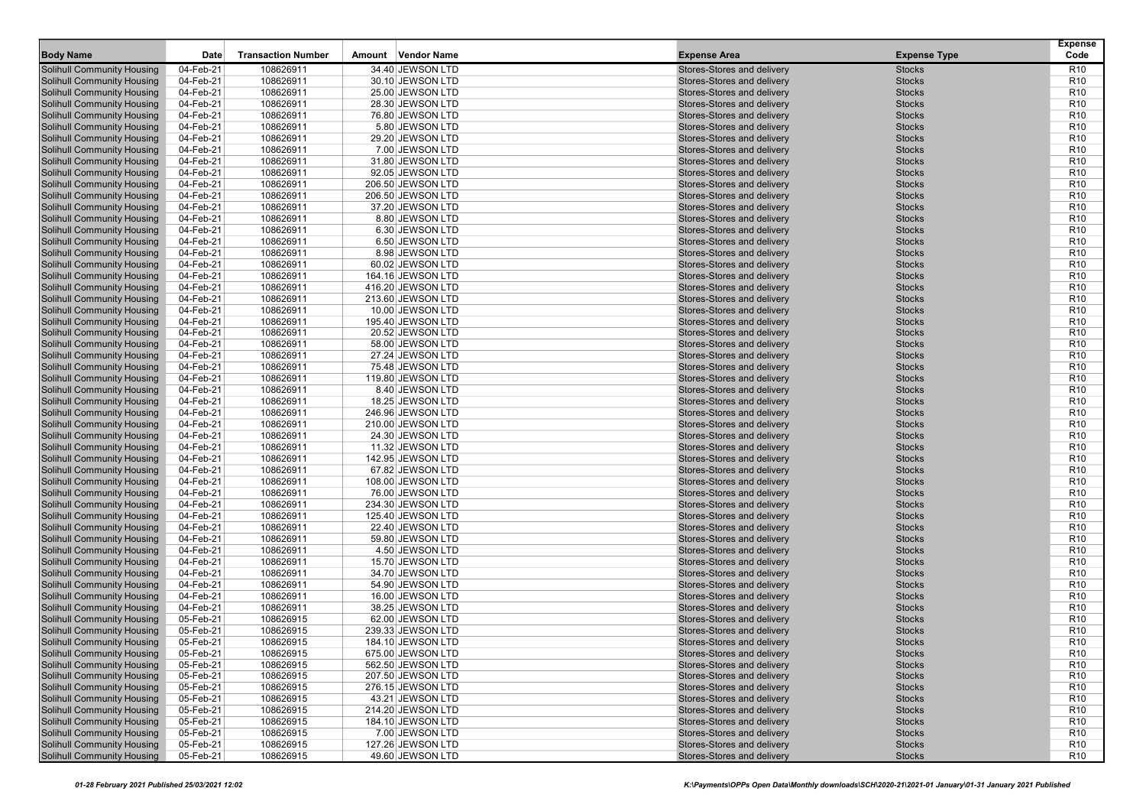| <b>Body Name</b>                                                       | Date                   | <b>Transaction Number</b> | Vendor Name<br>Amount                 | <b>Expense Area</b>                                      | <b>Expense Type</b>            | <b>Expense</b><br>Code             |
|------------------------------------------------------------------------|------------------------|---------------------------|---------------------------------------|----------------------------------------------------------|--------------------------------|------------------------------------|
| <b>Solihull Community Housing</b>                                      | 04-Feb-21              | 108626911                 | 34.40 JEWSON LTD                      | Stores-Stores and delivery                               | <b>Stocks</b>                  | R <sub>10</sub>                    |
| <b>Solihull Community Housing</b>                                      | 04-Feb-21              | 108626911                 | 30.10 JEWSON LTD                      | Stores-Stores and delivery                               | <b>Stocks</b>                  | R <sub>10</sub>                    |
| <b>Solihull Community Housing</b>                                      | 04-Feb-21              | 108626911                 | 25.00 JEWSON LTD                      | Stores-Stores and delivery                               | <b>Stocks</b>                  | R <sub>10</sub>                    |
| <b>Solihull Community Housing</b>                                      | 04-Feb-21              | 108626911                 | 28.30 JEWSON LTD                      | Stores-Stores and delivery                               | <b>Stocks</b>                  | R <sub>10</sub>                    |
| <b>Solihull Community Housing</b>                                      | 04-Feb-21              | 108626911                 | 76.80 JEWSON LTD                      | Stores-Stores and delivery                               | <b>Stocks</b>                  | R <sub>10</sub>                    |
| <b>Solihull Community Housing</b>                                      | 04-Feb-21              | 108626911                 | 5.80 JEWSON LTD                       | Stores-Stores and delivery                               | <b>Stocks</b>                  | R <sub>10</sub>                    |
| <b>Solihull Community Housing</b>                                      | 04-Feb-21              | 108626911                 | 29.20 JEWSON LTD                      | Stores-Stores and delivery                               | <b>Stocks</b>                  | R <sub>10</sub>                    |
| <b>Solihull Community Housing</b>                                      | 04-Feb-21              | 108626911                 | 7.00 JEWSON LTD                       | Stores-Stores and delivery                               | <b>Stocks</b>                  | R <sub>10</sub>                    |
| <b>Solihull Community Housing</b>                                      | 04-Feb-21              | 108626911                 | 31.80 JEWSON LTD                      | Stores-Stores and delivery                               | <b>Stocks</b>                  | R <sub>10</sub>                    |
| <b>Solihull Community Housing</b>                                      | 04-Feb-21              | 108626911                 | 92.05 JEWSON LTD                      | Stores-Stores and delivery                               | <b>Stocks</b>                  | R <sub>10</sub>                    |
| <b>Solihull Community Housing</b>                                      | 04-Feb-21              | 108626911                 | 206.50 JEWSON LTD                     | Stores-Stores and delivery                               | <b>Stocks</b>                  | R <sub>10</sub>                    |
| <b>Solihull Community Housing</b>                                      | 04-Feb-21              | 108626911                 | 206.50 JEWSON LTD                     | Stores-Stores and delivery                               | <b>Stocks</b>                  | R <sub>10</sub>                    |
| <b>Solihull Community Housing</b>                                      | 04-Feb-21              | 108626911                 | 37.20 JEWSON LTD                      | Stores-Stores and delivery                               | <b>Stocks</b>                  | R <sub>10</sub>                    |
| <b>Solihull Community Housing</b>                                      | 04-Feb-21              | 108626911                 | 8.80 JEWSON LTD                       | Stores-Stores and delivery                               | <b>Stocks</b>                  | R <sub>10</sub>                    |
| <b>Solihull Community Housing</b>                                      | 04-Feb-21              | 108626911                 | 6.30 JEWSON LTD                       | Stores-Stores and delivery                               | <b>Stocks</b>                  | R <sub>10</sub>                    |
| <b>Solihull Community Housing</b>                                      | 04-Feb-21              | 108626911                 | 6.50 JEWSON LTD                       | Stores-Stores and delivery                               | <b>Stocks</b>                  | R <sub>10</sub>                    |
| <b>Solihull Community Housing</b>                                      | 04-Feb-21              | 108626911                 | 8.98 JEWSON LTD                       | Stores-Stores and delivery                               | <b>Stocks</b>                  | R <sub>10</sub>                    |
| <b>Solihull Community Housing</b>                                      | 04-Feb-21              | 108626911                 | 60.02 JEWSON LTD                      | Stores-Stores and delivery                               | <b>Stocks</b>                  | R <sub>10</sub>                    |
| <b>Solihull Community Housing</b>                                      | 04-Feb-21              | 108626911                 | 164.16 JEWSON LTD                     | Stores-Stores and delivery                               | <b>Stocks</b>                  | R <sub>10</sub>                    |
| <b>Solihull Community Housing</b>                                      | 04-Feb-21              | 108626911                 | 416.20 JEWSON LTD                     | Stores-Stores and delivery                               | <b>Stocks</b>                  | R <sub>10</sub>                    |
| <b>Solihull Community Housing</b>                                      | 04-Feb-21              | 108626911                 | 213.60 JEWSON LTD                     | Stores-Stores and delivery                               | <b>Stocks</b>                  | R <sub>10</sub>                    |
| <b>Solihull Community Housing</b>                                      | 04-Feb-21              | 108626911                 | 10.00 JEWSON LTD                      | Stores-Stores and delivery                               | <b>Stocks</b>                  | R <sub>10</sub>                    |
| <b>Solihull Community Housing</b>                                      | 04-Feb-21              | 108626911                 | 195.40 JEWSON LTD                     | Stores-Stores and delivery                               | <b>Stocks</b>                  | R <sub>10</sub>                    |
| <b>Solihull Community Housing</b>                                      | 04-Feb-21              | 108626911                 | 20.52 JEWSON LTD                      | Stores-Stores and delivery                               | <b>Stocks</b>                  | R <sub>10</sub>                    |
| <b>Solihull Community Housing</b>                                      | 04-Feb-21              | 108626911                 | 58.00 JEWSON LTD                      | Stores-Stores and delivery                               | <b>Stocks</b>                  | R <sub>10</sub>                    |
| <b>Solihull Community Housing</b>                                      | 04-Feb-21              | 108626911                 | 27.24 JEWSON LTD                      | Stores-Stores and delivery                               | <b>Stocks</b><br><b>Stocks</b> | R <sub>10</sub><br>R <sub>10</sub> |
| <b>Solihull Community Housing</b><br><b>Solihull Community Housing</b> | 04-Feb-21<br>04-Feb-21 | 108626911<br>108626911    | 75.48 JEWSON LTD                      | Stores-Stores and delivery<br>Stores-Stores and delivery | <b>Stocks</b>                  | R <sub>10</sub>                    |
| <b>Solihull Community Housing</b>                                      | 04-Feb-21              | 108626911                 | 119.80 JEWSON LTD<br>8.40 JEWSON LTD  | Stores-Stores and delivery                               | <b>Stocks</b>                  | R <sub>10</sub>                    |
| <b>Solihull Community Housing</b>                                      | 04-Feb-21              | 108626911                 | 18.25 JEWSON LTD                      | Stores-Stores and delivery                               | <b>Stocks</b>                  | R <sub>10</sub>                    |
| <b>Solihull Community Housing</b>                                      | 04-Feb-21              | 108626911                 | 246.96 JEWSON LTD                     | Stores-Stores and delivery                               | <b>Stocks</b>                  | R <sub>10</sub>                    |
| <b>Solihull Community Housing</b>                                      | 04-Feb-21              | 108626911                 | 210.00 JEWSON LTD                     | Stores-Stores and delivery                               | <b>Stocks</b>                  | R <sub>10</sub>                    |
| <b>Solihull Community Housing</b>                                      | 04-Feb-21              | 108626911                 | 24.30 JEWSON LTD                      | Stores-Stores and delivery                               | <b>Stocks</b>                  | R <sub>10</sub>                    |
| <b>Solihull Community Housing</b>                                      | 04-Feb-21              | 108626911                 | 11.32 JEWSON LTD                      | Stores-Stores and delivery                               | <b>Stocks</b>                  | R <sub>10</sub>                    |
| <b>Solihull Community Housing</b>                                      | 04-Feb-21              | 108626911                 | 142.95 JEWSON LTD                     | Stores-Stores and delivery                               | <b>Stocks</b>                  | R <sub>10</sub>                    |
| <b>Solihull Community Housing</b>                                      | 04-Feb-21              | 108626911                 | 67.82 JEWSON LTD                      | Stores-Stores and delivery                               | <b>Stocks</b>                  | R <sub>10</sub>                    |
| <b>Solihull Community Housing</b>                                      | 04-Feb-21              | 108626911                 | 108.00 JEWSON LTD                     | Stores-Stores and delivery                               | <b>Stocks</b>                  | R <sub>10</sub>                    |
| <b>Solihull Community Housing</b>                                      | 04-Feb-21              | 108626911                 | 76.00 JEWSON LTD                      | Stores-Stores and delivery                               | <b>Stocks</b>                  | R <sub>10</sub>                    |
| <b>Solihull Community Housing</b>                                      | 04-Feb-21              | 108626911                 | 234.30 JEWSON LTD                     | Stores-Stores and delivery                               | <b>Stocks</b>                  | R <sub>10</sub>                    |
| <b>Solihull Community Housing</b>                                      | 04-Feb-21              | 108626911                 | 125.40 JEWSON LTD                     | Stores-Stores and delivery                               | <b>Stocks</b>                  | R <sub>10</sub>                    |
| <b>Solihull Community Housing</b>                                      | 04-Feb-21              | 108626911                 | 22.40 JEWSON LTD                      | Stores-Stores and delivery                               | <b>Stocks</b>                  | R <sub>10</sub>                    |
| <b>Solihull Community Housing</b>                                      | 04-Feb-21              | 108626911                 | 59.80 JEWSON LTD                      | Stores-Stores and delivery                               | <b>Stocks</b>                  | R <sub>10</sub>                    |
| <b>Solihull Community Housing</b>                                      | 04-Feb-21              | 108626911                 | 4.50 JEWSON LTD                       | Stores-Stores and delivery                               | <b>Stocks</b>                  | R <sub>10</sub>                    |
| <b>Solihull Community Housing</b>                                      | 04-Feb-21              | 108626911                 | 15.70 JEWSON LTD                      | Stores-Stores and delivery                               | <b>Stocks</b>                  | R <sub>10</sub>                    |
| <b>Solihull Community Housing</b>                                      | 04-Feb-21              | 108626911                 | 34.70 JEWSON LTD                      | Stores-Stores and delivery                               | <b>Stocks</b>                  | R <sub>10</sub>                    |
| <b>Solihull Community Housing</b>                                      | 04-Feb-21              | 108626911                 | 54.90 JEWSON LTD                      | Stores-Stores and delivery                               | <b>Stocks</b>                  | R <sub>10</sub>                    |
| <b>Solihull Community Housing</b>                                      | 04-Feb-21              | 108626911                 | 16.00 JEWSON LTD                      | Stores-Stores and delivery                               | <b>Stocks</b>                  | R <sub>10</sub>                    |
| <b>Solihull Community Housing</b>                                      | 04-Feb-21              | 108626911                 | 38.25 JEWSON LTD                      | Stores-Stores and delivery                               | <b>Stocks</b>                  | R <sub>10</sub>                    |
| <b>Solihull Community Housing</b>                                      | 05-Feb-21              | 108626915                 | 62.00 JEWSON LTD                      | Stores-Stores and delivery                               | <b>Stocks</b>                  | R <sub>10</sub>                    |
| <b>Solihull Community Housing</b>                                      | 05-Feb-21              | 108626915                 | 239.33 JEWSON LTD                     | Stores-Stores and delivery                               | <b>Stocks</b>                  | R <sub>10</sub>                    |
| <b>Solihull Community Housing</b>                                      | 05-Feb-21              | 108626915                 | 184.10 JEWSON LTD                     | Stores-Stores and delivery                               | <b>Stocks</b>                  | R <sub>10</sub>                    |
| <b>Solihull Community Housing</b>                                      | 05-Feb-21              | 108626915                 | 675.00 JEWSON LTD                     | Stores-Stores and delivery                               | <b>Stocks</b>                  | R <sub>10</sub>                    |
| <b>Solihull Community Housing</b>                                      | 05-Feb-21              | 108626915                 | 562.50 JEWSON LTD                     | Stores-Stores and delivery                               | <b>Stocks</b>                  | R <sub>10</sub>                    |
| <b>Solihull Community Housing</b><br><b>Solihull Community Housing</b> | 05-Feb-21<br>05-Feb-21 | 108626915                 | 207.50 JEWSON LTD                     | Stores-Stores and delivery<br>Stores-Stores and delivery | <b>Stocks</b>                  | R <sub>10</sub><br>R <sub>10</sub> |
| <b>Solihull Community Housing</b>                                      | 05-Feb-21              | 108626915<br>108626915    | 276.15 JEWSON LTD<br>43.21 JEWSON LTD | Stores-Stores and delivery                               | <b>Stocks</b><br><b>Stocks</b> | R <sub>10</sub>                    |
| <b>Solihull Community Housing</b>                                      | 05-Feb-21              | 108626915                 | 214.20 JEWSON LTD                     | Stores-Stores and delivery                               | <b>Stocks</b>                  | R <sub>10</sub>                    |
| <b>Solihull Community Housing</b>                                      | 05-Feb-21              | 108626915                 | 184.10 JEWSON LTD                     | Stores-Stores and delivery                               | <b>Stocks</b>                  | R <sub>10</sub>                    |
| <b>Solihull Community Housing</b>                                      | 05-Feb-21              | 108626915                 | 7.00 JEWSON LTD                       | Stores-Stores and delivery                               | <b>Stocks</b>                  | R <sub>10</sub>                    |
| <b>Solihull Community Housing</b>                                      | 05-Feb-21              | 108626915                 | 127.26 JEWSON LTD                     | Stores-Stores and delivery                               | <b>Stocks</b>                  | R <sub>10</sub>                    |
| <b>Solihull Community Housing</b>                                      | 05-Feb-21              | 108626915                 | 49.60 JEWSON LTD                      | Stores-Stores and delivery                               | <b>Stocks</b>                  | <b>R10</b>                         |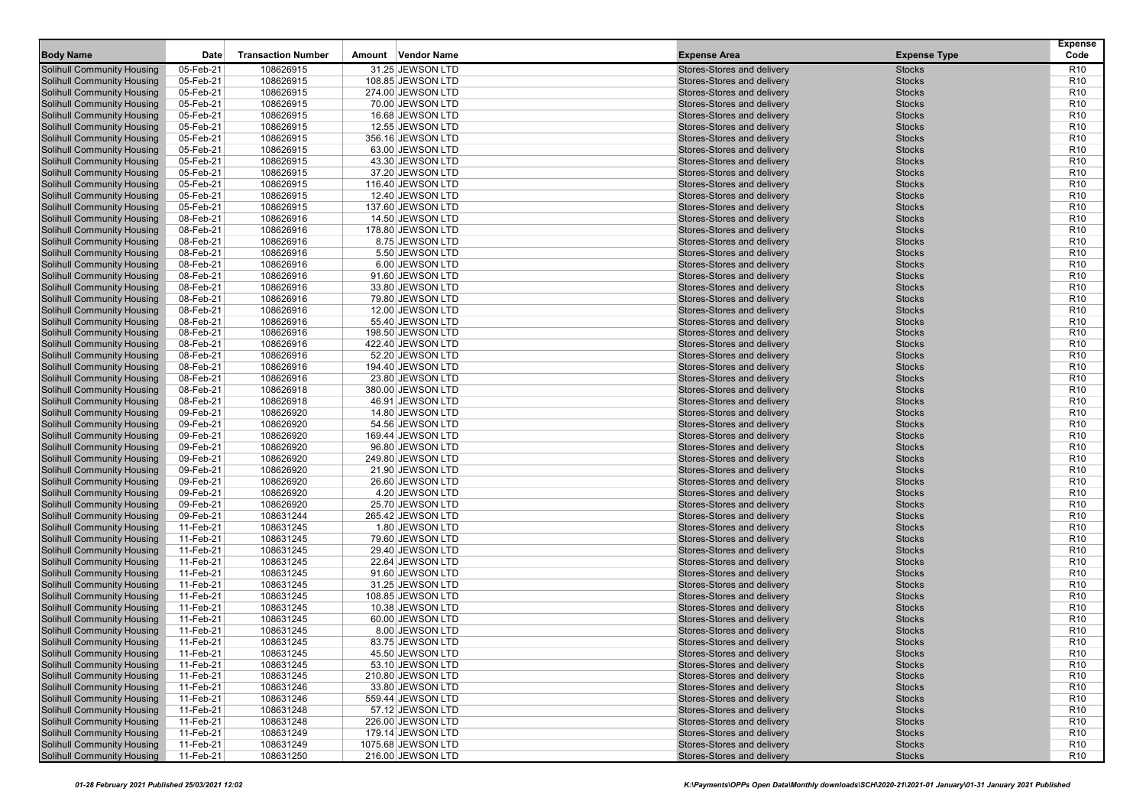| 05-Feb-21<br>108626915<br>31.25 JEWSON LTD<br>R <sub>10</sub><br><b>Solihull Community Housing</b><br>Stores-Stores and delivery<br><b>Stocks</b><br>05-Feb-21<br><b>Solihull Community Housing</b><br>108626915<br>108.85 JEWSON LTD<br>Stores-Stores and delivery<br><b>Stocks</b><br>R <sub>10</sub><br>108626915<br><b>Stocks</b><br>05-Feb-21<br>274.00 JEWSON LTD<br>Stores-Stores and delivery<br>R <sub>10</sub><br><b>Solihull Community Housing</b><br>108626915<br><b>Solihull Community Housing</b><br>05-Feb-21<br>70.00 JEWSON LTD<br>Stores-Stores and delivery<br><b>Stocks</b><br>R <sub>10</sub><br><b>Solihull Community Housing</b><br>05-Feb-21<br>108626915<br>Stores-Stores and delivery<br><b>Stocks</b><br>R <sub>10</sub><br>16.68 JEWSON LTD<br>108626915<br><b>Solihull Community Housing</b><br>05-Feb-21<br>12.55 JEWSON LTD<br>Stores-Stores and delivery<br><b>Stocks</b><br>R <sub>10</sub><br><b>Solihull Community Housing</b><br>05-Feb-21<br>108626915<br>356.16 JEWSON LTD<br>Stores-Stores and delivery<br><b>Stocks</b><br>R <sub>10</sub><br>108626915<br><b>Solihull Community Housing</b><br>05-Feb-21<br>63.00 JEWSON LTD<br>Stores-Stores and delivery<br><b>Stocks</b><br>R <sub>10</sub><br><b>Solihull Community Housing</b><br>108626915<br>05-Feb-21<br>43.30 JEWSON LTD<br>Stores-Stores and delivery<br><b>Stocks</b><br>R <sub>10</sub><br><b>Solihull Community Housing</b><br>05-Feb-21<br>108626915<br>Stores-Stores and delivery<br><b>Stocks</b><br>R <sub>10</sub><br>37.20 JEWSON LTD<br><b>Solihull Community Housing</b><br>05-Feb-21<br>108626915<br>Stores-Stores and delivery<br><b>Stocks</b><br>R <sub>10</sub><br>116.40 JEWSON LTD<br><b>Solihull Community Housing</b><br>05-Feb-21<br>108626915<br>12.40 JEWSON LTD<br>Stores-Stores and delivery<br><b>Stocks</b><br>R <sub>10</sub><br>108626915<br><b>Solihull Community Housing</b><br>05-Feb-21<br>Stores-Stores and delivery<br><b>Stocks</b><br>R <sub>10</sub><br>137.60 JEWSON LTD<br>108626916<br><b>Solihull Community Housing</b><br>08-Feb-21<br>14.50 JEWSON LTD<br>Stores-Stores and delivery<br><b>Stocks</b><br>R <sub>10</sub><br><b>Solihull Community Housing</b><br>08-Feb-21<br>108626916<br>Stores-Stores and delivery<br><b>Stocks</b><br>R <sub>10</sub><br>178.80 JEWSON LTD<br>108626916<br>R <sub>10</sub><br><b>Solihull Community Housing</b><br>08-Feb-21<br>8.75 JEWSON LTD<br>Stores-Stores and delivery<br><b>Stocks</b><br><b>Solihull Community Housing</b><br>08-Feb-21<br>108626916<br>5.50 JEWSON LTD<br>Stores-Stores and delivery<br><b>Stocks</b><br>R <sub>10</sub><br>108626916<br><b>Solihull Community Housing</b><br>08-Feb-21<br>6.00 JEWSON LTD<br>Stores-Stores and delivery<br><b>Stocks</b><br>R <sub>10</sub><br><b>Solihull Community Housing</b><br>08-Feb-21<br>108626916<br>91.60 JEWSON LTD<br>Stores-Stores and delivery<br><b>Stocks</b><br>R <sub>10</sub><br><b>Solihull Community Housing</b><br>08-Feb-21<br>108626916<br>Stores-Stores and delivery<br><b>Stocks</b><br>R <sub>10</sub><br>33.80 JEWSON LTD<br>108626916<br>R <sub>10</sub><br><b>Solihull Community Housing</b><br>08-Feb-21<br>79.80 JEWSON LTD<br>Stores-Stores and delivery<br><b>Stocks</b><br><b>Solihull Community Housing</b><br>08-Feb-21<br>108626916<br>12.00 JEWSON LTD<br>Stores-Stores and delivery<br><b>Stocks</b><br>R <sub>10</sub><br>108626916<br><b>Solihull Community Housing</b><br>08-Feb-21<br>55.40 JEWSON LTD<br>Stores-Stores and delivery<br><b>Stocks</b><br>R <sub>10</sub><br><b>Solihull Community Housing</b><br>08-Feb-21<br>108626916<br>198.50 JEWSON LTD<br>Stores-Stores and delivery<br><b>Stocks</b><br>R <sub>10</sub><br><b>Solihull Community Housing</b><br>08-Feb-21<br>108626916<br>Stores-Stores and delivery<br><b>Stocks</b><br>R <sub>10</sub><br>422.40 JEWSON LTD<br>108626916<br>R <sub>10</sub><br><b>Solihull Community Housing</b><br>08-Feb-21<br>52.20 JEWSON LTD<br>Stores-Stores and delivery<br><b>Stocks</b><br><b>Solihull Community Housing</b><br>08-Feb-21<br>108626916<br>194.40 JEWSON LTD<br>Stores-Stores and delivery<br><b>Stocks</b><br>R <sub>10</sub><br>108626916<br><b>Solihull Community Housing</b><br>08-Feb-21<br>Stores-Stores and delivery<br><b>Stocks</b><br>R <sub>10</sub><br>23.80 JEWSON LTD<br><b>Solihull Community Housing</b><br>08-Feb-21<br>108626918<br>380.00 JEWSON LTD<br>Stores-Stores and delivery<br><b>Stocks</b><br>R <sub>10</sub><br><b>Solihull Community Housing</b><br>08-Feb-21<br>108626918<br>Stores-Stores and delivery<br><b>Stocks</b><br>R <sub>10</sub><br>46.91 JEWSON LTD<br>108626920<br>R <sub>10</sub><br><b>Solihull Community Housing</b><br>09-Feb-21<br>Stores-Stores and delivery<br><b>Stocks</b><br>14.80 JEWSON LTD<br><b>Solihull Community Housing</b><br>09-Feb-21<br>108626920<br>54.56 JEWSON LTD<br>Stores-Stores and delivery<br><b>Stocks</b><br>R <sub>10</sub><br>108626920<br>09-Feb-21<br>Stores-Stores and delivery<br><b>Stocks</b><br>R <sub>10</sub><br><b>Solihull Community Housing</b><br>169.44 JEWSON LTD<br><b>Solihull Community Housing</b><br>09-Feb-21<br>108626920<br>96.80 JEWSON LTD<br>Stores-Stores and delivery<br><b>Stocks</b><br>R <sub>10</sub><br><b>Solihull Community Housing</b><br>09-Feb-21<br>108626920<br>Stores-Stores and delivery<br><b>Stocks</b><br>R <sub>10</sub><br>249.80 JEWSON LTD<br>108626920<br>R <sub>10</sub><br><b>Solihull Community Housing</b><br>09-Feb-21<br>Stores-Stores and delivery<br><b>Stocks</b><br>21.90 JEWSON LTD<br><b>Solihull Community Housing</b><br>09-Feb-21<br>108626920<br>26.60 JEWSON LTD<br>Stores-Stores and delivery<br><b>Stocks</b><br>R <sub>10</sub><br>108626920<br><b>Solihull Community Housing</b><br>09-Feb-21<br>Stores-Stores and delivery<br><b>Stocks</b><br>R <sub>10</sub><br>4.20 JEWSON LTD<br><b>Solihull Community Housing</b><br>09-Feb-21<br>108626920<br>25.70 JEWSON LTD<br>Stores-Stores and delivery<br><b>Stocks</b><br>R <sub>10</sub><br><b>Solihull Community Housing</b><br>09-Feb-21<br>108631244<br>Stores-Stores and delivery<br><b>Stocks</b><br>R <sub>10</sub><br>265.42 JEWSON LTD<br>108631245<br>R <sub>10</sub><br><b>Solihull Community Housing</b><br>11-Feb-21<br>Stores-Stores and delivery<br><b>Stocks</b><br>1.80 JEWSON LTD<br><b>Solihull Community Housing</b><br>11-Feb-21<br>108631245<br>79.60 JEWSON LTD<br>Stores-Stores and delivery<br><b>Stocks</b><br>R <sub>10</sub><br>108631245<br>11-Feb-21<br>29.40 JEWSON LTD<br>Stores-Stores and delivery<br><b>Stocks</b><br>R <sub>10</sub><br><b>Solihull Community Housing</b><br><b>Solihull Community Housing</b><br>11-Feb-21<br>108631245<br>22.64 JEWSON LTD<br>Stores-Stores and delivery<br><b>Stocks</b><br>R <sub>10</sub><br><b>Solihull Community Housing</b><br>11-Feb-21<br>108631245<br>Stores-Stores and delivery<br><b>Stocks</b><br>R <sub>10</sub><br>91.60 JEWSON LTD<br>108631245<br>R <sub>10</sub><br><b>Solihull Community Housing</b><br>11-Feb-21<br>31.25 JEWSON LTD<br>Stores-Stores and delivery<br><b>Stocks</b><br><b>Solihull Community Housing</b><br>11-Feb-21<br>108631245<br>108.85 JEWSON LTD<br>Stores-Stores and delivery<br><b>Stocks</b><br>R <sub>10</sub><br><b>Solihull Community Housing</b><br>11-Feb-21<br>108631245<br>10.38 JEWSON LTD<br>Stores-Stores and delivery<br><b>Stocks</b><br>R <sub>10</sub><br><b>Solihull Community Housing</b><br>11-Feb-21<br>108631245<br>60.00 JEWSON LTD<br>Stores-Stores and delivery<br><b>Stocks</b><br>R <sub>10</sub><br>R <sub>10</sub><br><b>Solihull Community Housing</b><br>11-Feb-21<br>Stores-Stores and delivery<br><b>Stocks</b><br>108631245<br>8.00 JEWSON LTD<br>108631245<br>R <sub>10</sub><br><b>Solihull Community Housing</b><br>11-Feb-21<br>83.75 JEWSON LTD<br>Stores-Stores and delivery<br><b>Stocks</b><br><b>Solihull Community Housing</b><br>11-Feb-21<br><b>Stocks</b><br>R <sub>10</sub><br>108631245<br>45.50 JEWSON LTD<br>Stores-Stores and delivery<br><b>Solihull Community Housing</b><br>11-Feb-21<br>108631245<br>Stocks<br>R <sub>10</sub><br>53.10 JEWSON LTD<br>Stores-Stores and delivery<br><b>Solihull Community Housing</b><br>11-Feb-21<br>108631245<br>210.80 JEWSON LTD<br>Stores-Stores and delivery<br><b>Stocks</b><br>R <sub>10</sub><br><b>Solihull Community Housing</b><br>11-Feb-21<br>108631246<br>Stores-Stores and delivery<br><b>Stocks</b><br>R <sub>10</sub><br>33.80 JEWSON LTD<br><b>Solihull Community Housing</b><br>108631246<br>11-Feb-21<br>559.44 JEWSON LTD<br>Stores-Stores and delivery<br><b>Stocks</b><br>R <sub>10</sub><br><b>Solihull Community Housing</b><br>11-Feb-21<br>108631248<br>57.12 JEWSON LTD<br>Stores-Stores and delivery<br><b>Stocks</b><br>R <sub>10</sub><br><b>Solihull Community Housing</b><br>108631248<br>11-Feb-21<br>226.00 JEWSON LTD<br>Stores-Stores and delivery<br><b>Stocks</b><br>R <sub>10</sub><br><b>Solihull Community Housing</b><br>11-Feb-21<br>108631249<br>179.14 JEWSON LTD<br>Stores-Stores and delivery<br><b>Stocks</b><br>R <sub>10</sub><br><b>Solihull Community Housing</b><br>11-Feb-21<br>108631249<br>Stores-Stores and delivery<br><b>Stocks</b><br>R <sub>10</sub><br>1075.68 JEWSON LTD<br><b>Solihull Community Housing</b><br>108631250<br>Stores-Stores and delivery<br><b>R10</b><br>11-Feb-21<br>216.00 JEWSON LTD<br><b>Stocks</b> | <b>Body Name</b> | Date | <b>Transaction Number</b> | Vendor Name<br>Amount | <b>Expense Area</b> | <b>Expense Type</b> | <b>Expense</b><br>Code |
|------------------------------------------------------------------------------------------------------------------------------------------------------------------------------------------------------------------------------------------------------------------------------------------------------------------------------------------------------------------------------------------------------------------------------------------------------------------------------------------------------------------------------------------------------------------------------------------------------------------------------------------------------------------------------------------------------------------------------------------------------------------------------------------------------------------------------------------------------------------------------------------------------------------------------------------------------------------------------------------------------------------------------------------------------------------------------------------------------------------------------------------------------------------------------------------------------------------------------------------------------------------------------------------------------------------------------------------------------------------------------------------------------------------------------------------------------------------------------------------------------------------------------------------------------------------------------------------------------------------------------------------------------------------------------------------------------------------------------------------------------------------------------------------------------------------------------------------------------------------------------------------------------------------------------------------------------------------------------------------------------------------------------------------------------------------------------------------------------------------------------------------------------------------------------------------------------------------------------------------------------------------------------------------------------------------------------------------------------------------------------------------------------------------------------------------------------------------------------------------------------------------------------------------------------------------------------------------------------------------------------------------------------------------------------------------------------------------------------------------------------------------------------------------------------------------------------------------------------------------------------------------------------------------------------------------------------------------------------------------------------------------------------------------------------------------------------------------------------------------------------------------------------------------------------------------------------------------------------------------------------------------------------------------------------------------------------------------------------------------------------------------------------------------------------------------------------------------------------------------------------------------------------------------------------------------------------------------------------------------------------------------------------------------------------------------------------------------------------------------------------------------------------------------------------------------------------------------------------------------------------------------------------------------------------------------------------------------------------------------------------------------------------------------------------------------------------------------------------------------------------------------------------------------------------------------------------------------------------------------------------------------------------------------------------------------------------------------------------------------------------------------------------------------------------------------------------------------------------------------------------------------------------------------------------------------------------------------------------------------------------------------------------------------------------------------------------------------------------------------------------------------------------------------------------------------------------------------------------------------------------------------------------------------------------------------------------------------------------------------------------------------------------------------------------------------------------------------------------------------------------------------------------------------------------------------------------------------------------------------------------------------------------------------------------------------------------------------------------------------------------------------------------------------------------------------------------------------------------------------------------------------------------------------------------------------------------------------------------------------------------------------------------------------------------------------------------------------------------------------------------------------------------------------------------------------------------------------------------------------------------------------------------------------------------------------------------------------------------------------------------------------------------------------------------------------------------------------------------------------------------------------------------------------------------------------------------------------------------------------------------------------------------------------------------------------------------------------------------------------------------------------------------------------------------------------------------------------------------------------------------------------------------------------------------------------------------------------------------------------------------------------------------------------------------------------------------------------------------------------------------------------------------------------------------------------------------------------------------------------------------------------------------------------------------------------------------------------------------------------------------------------------------------------------------------------------------------------------------------------------------------------------------------------------------------------------------------------------------------------------------------------------------------------------------------------------------------------------------------------------------------------------------------------------------------------------------------------------------------------------------------------------------------------------------------------------------------------------------------------------------------------------------------------------------------------------------------------------------------------------------------------------------------------------------------------------------------------------------------------------------------------------------------------------------------------------------------------------------------------------------------------------------------------------------------------------------------------------------------------------------------------------------------------------------------------------------------------------------------------------------------------------------------------------------------------------------------------------------------------------------------------------------------------------------------------------------------------------------------------------------------------------------------------------------------------------------------------------------------------------------------------------------------------------------------------------------------------------------------------------------------------------------------------------------------------------------------------------------------------------------------------------------------------------------------------------------------------------------------------------------------------------------------------------------------------------------------------------------------------------------------------------------------------------------------------------------------------------------------------------------------------------------------------------------------------------------------------------------------------------------------------------------------------------------------------------------------------|------------------|------|---------------------------|-----------------------|---------------------|---------------------|------------------------|
|                                                                                                                                                                                                                                                                                                                                                                                                                                                                                                                                                                                                                                                                                                                                                                                                                                                                                                                                                                                                                                                                                                                                                                                                                                                                                                                                                                                                                                                                                                                                                                                                                                                                                                                                                                                                                                                                                                                                                                                                                                                                                                                                                                                                                                                                                                                                                                                                                                                                                                                                                                                                                                                                                                                                                                                                                                                                                                                                                                                                                                                                                                                                                                                                                                                                                                                                                                                                                                                                                                                                                                                                                                                                                                                                                                                                                                                                                                                                                                                                                                                                                                                                                                                                                                                                                                                                                                                                                                                                                                                                                                                                                                                                                                                                                                                                                                                                                                                                                                                                                                                                                                                                                                                                                                                                                                                                                                                                                                                                                                                                                                                                                                                                                                                                                                                                                                                                                                                                                                                                                                                                                                                                                                                                                                                                                                                                                                                                                                                                                                                                                                                                                                                                                                                                                                                                                                                                                                                                                                                                                                                                                                                                                                                                                                                                                                                                                                                                                                                                                                                                                                                                                                                                                                                                                                                                                                                                                                                                                                                                                                                                                                                                                                                                                                                                                                                                                                                                                                                                                                                                                                                                                                                                                                                                                                                                                                                                                                                                                                                                                                                                                                                                                                                                                                                                                                                                                                                                                                                                  |                  |      |                           |                       |                     |                     |                        |
|                                                                                                                                                                                                                                                                                                                                                                                                                                                                                                                                                                                                                                                                                                                                                                                                                                                                                                                                                                                                                                                                                                                                                                                                                                                                                                                                                                                                                                                                                                                                                                                                                                                                                                                                                                                                                                                                                                                                                                                                                                                                                                                                                                                                                                                                                                                                                                                                                                                                                                                                                                                                                                                                                                                                                                                                                                                                                                                                                                                                                                                                                                                                                                                                                                                                                                                                                                                                                                                                                                                                                                                                                                                                                                                                                                                                                                                                                                                                                                                                                                                                                                                                                                                                                                                                                                                                                                                                                                                                                                                                                                                                                                                                                                                                                                                                                                                                                                                                                                                                                                                                                                                                                                                                                                                                                                                                                                                                                                                                                                                                                                                                                                                                                                                                                                                                                                                                                                                                                                                                                                                                                                                                                                                                                                                                                                                                                                                                                                                                                                                                                                                                                                                                                                                                                                                                                                                                                                                                                                                                                                                                                                                                                                                                                                                                                                                                                                                                                                                                                                                                                                                                                                                                                                                                                                                                                                                                                                                                                                                                                                                                                                                                                                                                                                                                                                                                                                                                                                                                                                                                                                                                                                                                                                                                                                                                                                                                                                                                                                                                                                                                                                                                                                                                                                                                                                                                                                                                                                                                  |                  |      |                           |                       |                     |                     |                        |
|                                                                                                                                                                                                                                                                                                                                                                                                                                                                                                                                                                                                                                                                                                                                                                                                                                                                                                                                                                                                                                                                                                                                                                                                                                                                                                                                                                                                                                                                                                                                                                                                                                                                                                                                                                                                                                                                                                                                                                                                                                                                                                                                                                                                                                                                                                                                                                                                                                                                                                                                                                                                                                                                                                                                                                                                                                                                                                                                                                                                                                                                                                                                                                                                                                                                                                                                                                                                                                                                                                                                                                                                                                                                                                                                                                                                                                                                                                                                                                                                                                                                                                                                                                                                                                                                                                                                                                                                                                                                                                                                                                                                                                                                                                                                                                                                                                                                                                                                                                                                                                                                                                                                                                                                                                                                                                                                                                                                                                                                                                                                                                                                                                                                                                                                                                                                                                                                                                                                                                                                                                                                                                                                                                                                                                                                                                                                                                                                                                                                                                                                                                                                                                                                                                                                                                                                                                                                                                                                                                                                                                                                                                                                                                                                                                                                                                                                                                                                                                                                                                                                                                                                                                                                                                                                                                                                                                                                                                                                                                                                                                                                                                                                                                                                                                                                                                                                                                                                                                                                                                                                                                                                                                                                                                                                                                                                                                                                                                                                                                                                                                                                                                                                                                                                                                                                                                                                                                                                                                                                  |                  |      |                           |                       |                     |                     |                        |
|                                                                                                                                                                                                                                                                                                                                                                                                                                                                                                                                                                                                                                                                                                                                                                                                                                                                                                                                                                                                                                                                                                                                                                                                                                                                                                                                                                                                                                                                                                                                                                                                                                                                                                                                                                                                                                                                                                                                                                                                                                                                                                                                                                                                                                                                                                                                                                                                                                                                                                                                                                                                                                                                                                                                                                                                                                                                                                                                                                                                                                                                                                                                                                                                                                                                                                                                                                                                                                                                                                                                                                                                                                                                                                                                                                                                                                                                                                                                                                                                                                                                                                                                                                                                                                                                                                                                                                                                                                                                                                                                                                                                                                                                                                                                                                                                                                                                                                                                                                                                                                                                                                                                                                                                                                                                                                                                                                                                                                                                                                                                                                                                                                                                                                                                                                                                                                                                                                                                                                                                                                                                                                                                                                                                                                                                                                                                                                                                                                                                                                                                                                                                                                                                                                                                                                                                                                                                                                                                                                                                                                                                                                                                                                                                                                                                                                                                                                                                                                                                                                                                                                                                                                                                                                                                                                                                                                                                                                                                                                                                                                                                                                                                                                                                                                                                                                                                                                                                                                                                                                                                                                                                                                                                                                                                                                                                                                                                                                                                                                                                                                                                                                                                                                                                                                                                                                                                                                                                                                                                  |                  |      |                           |                       |                     |                     |                        |
|                                                                                                                                                                                                                                                                                                                                                                                                                                                                                                                                                                                                                                                                                                                                                                                                                                                                                                                                                                                                                                                                                                                                                                                                                                                                                                                                                                                                                                                                                                                                                                                                                                                                                                                                                                                                                                                                                                                                                                                                                                                                                                                                                                                                                                                                                                                                                                                                                                                                                                                                                                                                                                                                                                                                                                                                                                                                                                                                                                                                                                                                                                                                                                                                                                                                                                                                                                                                                                                                                                                                                                                                                                                                                                                                                                                                                                                                                                                                                                                                                                                                                                                                                                                                                                                                                                                                                                                                                                                                                                                                                                                                                                                                                                                                                                                                                                                                                                                                                                                                                                                                                                                                                                                                                                                                                                                                                                                                                                                                                                                                                                                                                                                                                                                                                                                                                                                                                                                                                                                                                                                                                                                                                                                                                                                                                                                                                                                                                                                                                                                                                                                                                                                                                                                                                                                                                                                                                                                                                                                                                                                                                                                                                                                                                                                                                                                                                                                                                                                                                                                                                                                                                                                                                                                                                                                                                                                                                                                                                                                                                                                                                                                                                                                                                                                                                                                                                                                                                                                                                                                                                                                                                                                                                                                                                                                                                                                                                                                                                                                                                                                                                                                                                                                                                                                                                                                                                                                                                                                                  |                  |      |                           |                       |                     |                     |                        |
|                                                                                                                                                                                                                                                                                                                                                                                                                                                                                                                                                                                                                                                                                                                                                                                                                                                                                                                                                                                                                                                                                                                                                                                                                                                                                                                                                                                                                                                                                                                                                                                                                                                                                                                                                                                                                                                                                                                                                                                                                                                                                                                                                                                                                                                                                                                                                                                                                                                                                                                                                                                                                                                                                                                                                                                                                                                                                                                                                                                                                                                                                                                                                                                                                                                                                                                                                                                                                                                                                                                                                                                                                                                                                                                                                                                                                                                                                                                                                                                                                                                                                                                                                                                                                                                                                                                                                                                                                                                                                                                                                                                                                                                                                                                                                                                                                                                                                                                                                                                                                                                                                                                                                                                                                                                                                                                                                                                                                                                                                                                                                                                                                                                                                                                                                                                                                                                                                                                                                                                                                                                                                                                                                                                                                                                                                                                                                                                                                                                                                                                                                                                                                                                                                                                                                                                                                                                                                                                                                                                                                                                                                                                                                                                                                                                                                                                                                                                                                                                                                                                                                                                                                                                                                                                                                                                                                                                                                                                                                                                                                                                                                                                                                                                                                                                                                                                                                                                                                                                                                                                                                                                                                                                                                                                                                                                                                                                                                                                                                                                                                                                                                                                                                                                                                                                                                                                                                                                                                                                                  |                  |      |                           |                       |                     |                     |                        |
|                                                                                                                                                                                                                                                                                                                                                                                                                                                                                                                                                                                                                                                                                                                                                                                                                                                                                                                                                                                                                                                                                                                                                                                                                                                                                                                                                                                                                                                                                                                                                                                                                                                                                                                                                                                                                                                                                                                                                                                                                                                                                                                                                                                                                                                                                                                                                                                                                                                                                                                                                                                                                                                                                                                                                                                                                                                                                                                                                                                                                                                                                                                                                                                                                                                                                                                                                                                                                                                                                                                                                                                                                                                                                                                                                                                                                                                                                                                                                                                                                                                                                                                                                                                                                                                                                                                                                                                                                                                                                                                                                                                                                                                                                                                                                                                                                                                                                                                                                                                                                                                                                                                                                                                                                                                                                                                                                                                                                                                                                                                                                                                                                                                                                                                                                                                                                                                                                                                                                                                                                                                                                                                                                                                                                                                                                                                                                                                                                                                                                                                                                                                                                                                                                                                                                                                                                                                                                                                                                                                                                                                                                                                                                                                                                                                                                                                                                                                                                                                                                                                                                                                                                                                                                                                                                                                                                                                                                                                                                                                                                                                                                                                                                                                                                                                                                                                                                                                                                                                                                                                                                                                                                                                                                                                                                                                                                                                                                                                                                                                                                                                                                                                                                                                                                                                                                                                                                                                                                                                                  |                  |      |                           |                       |                     |                     |                        |
|                                                                                                                                                                                                                                                                                                                                                                                                                                                                                                                                                                                                                                                                                                                                                                                                                                                                                                                                                                                                                                                                                                                                                                                                                                                                                                                                                                                                                                                                                                                                                                                                                                                                                                                                                                                                                                                                                                                                                                                                                                                                                                                                                                                                                                                                                                                                                                                                                                                                                                                                                                                                                                                                                                                                                                                                                                                                                                                                                                                                                                                                                                                                                                                                                                                                                                                                                                                                                                                                                                                                                                                                                                                                                                                                                                                                                                                                                                                                                                                                                                                                                                                                                                                                                                                                                                                                                                                                                                                                                                                                                                                                                                                                                                                                                                                                                                                                                                                                                                                                                                                                                                                                                                                                                                                                                                                                                                                                                                                                                                                                                                                                                                                                                                                                                                                                                                                                                                                                                                                                                                                                                                                                                                                                                                                                                                                                                                                                                                                                                                                                                                                                                                                                                                                                                                                                                                                                                                                                                                                                                                                                                                                                                                                                                                                                                                                                                                                                                                                                                                                                                                                                                                                                                                                                                                                                                                                                                                                                                                                                                                                                                                                                                                                                                                                                                                                                                                                                                                                                                                                                                                                                                                                                                                                                                                                                                                                                                                                                                                                                                                                                                                                                                                                                                                                                                                                                                                                                                                                                  |                  |      |                           |                       |                     |                     |                        |
|                                                                                                                                                                                                                                                                                                                                                                                                                                                                                                                                                                                                                                                                                                                                                                                                                                                                                                                                                                                                                                                                                                                                                                                                                                                                                                                                                                                                                                                                                                                                                                                                                                                                                                                                                                                                                                                                                                                                                                                                                                                                                                                                                                                                                                                                                                                                                                                                                                                                                                                                                                                                                                                                                                                                                                                                                                                                                                                                                                                                                                                                                                                                                                                                                                                                                                                                                                                                                                                                                                                                                                                                                                                                                                                                                                                                                                                                                                                                                                                                                                                                                                                                                                                                                                                                                                                                                                                                                                                                                                                                                                                                                                                                                                                                                                                                                                                                                                                                                                                                                                                                                                                                                                                                                                                                                                                                                                                                                                                                                                                                                                                                                                                                                                                                                                                                                                                                                                                                                                                                                                                                                                                                                                                                                                                                                                                                                                                                                                                                                                                                                                                                                                                                                                                                                                                                                                                                                                                                                                                                                                                                                                                                                                                                                                                                                                                                                                                                                                                                                                                                                                                                                                                                                                                                                                                                                                                                                                                                                                                                                                                                                                                                                                                                                                                                                                                                                                                                                                                                                                                                                                                                                                                                                                                                                                                                                                                                                                                                                                                                                                                                                                                                                                                                                                                                                                                                                                                                                                                                  |                  |      |                           |                       |                     |                     |                        |
|                                                                                                                                                                                                                                                                                                                                                                                                                                                                                                                                                                                                                                                                                                                                                                                                                                                                                                                                                                                                                                                                                                                                                                                                                                                                                                                                                                                                                                                                                                                                                                                                                                                                                                                                                                                                                                                                                                                                                                                                                                                                                                                                                                                                                                                                                                                                                                                                                                                                                                                                                                                                                                                                                                                                                                                                                                                                                                                                                                                                                                                                                                                                                                                                                                                                                                                                                                                                                                                                                                                                                                                                                                                                                                                                                                                                                                                                                                                                                                                                                                                                                                                                                                                                                                                                                                                                                                                                                                                                                                                                                                                                                                                                                                                                                                                                                                                                                                                                                                                                                                                                                                                                                                                                                                                                                                                                                                                                                                                                                                                                                                                                                                                                                                                                                                                                                                                                                                                                                                                                                                                                                                                                                                                                                                                                                                                                                                                                                                                                                                                                                                                                                                                                                                                                                                                                                                                                                                                                                                                                                                                                                                                                                                                                                                                                                                                                                                                                                                                                                                                                                                                                                                                                                                                                                                                                                                                                                                                                                                                                                                                                                                                                                                                                                                                                                                                                                                                                                                                                                                                                                                                                                                                                                                                                                                                                                                                                                                                                                                                                                                                                                                                                                                                                                                                                                                                                                                                                                                                                  |                  |      |                           |                       |                     |                     |                        |
|                                                                                                                                                                                                                                                                                                                                                                                                                                                                                                                                                                                                                                                                                                                                                                                                                                                                                                                                                                                                                                                                                                                                                                                                                                                                                                                                                                                                                                                                                                                                                                                                                                                                                                                                                                                                                                                                                                                                                                                                                                                                                                                                                                                                                                                                                                                                                                                                                                                                                                                                                                                                                                                                                                                                                                                                                                                                                                                                                                                                                                                                                                                                                                                                                                                                                                                                                                                                                                                                                                                                                                                                                                                                                                                                                                                                                                                                                                                                                                                                                                                                                                                                                                                                                                                                                                                                                                                                                                                                                                                                                                                                                                                                                                                                                                                                                                                                                                                                                                                                                                                                                                                                                                                                                                                                                                                                                                                                                                                                                                                                                                                                                                                                                                                                                                                                                                                                                                                                                                                                                                                                                                                                                                                                                                                                                                                                                                                                                                                                                                                                                                                                                                                                                                                                                                                                                                                                                                                                                                                                                                                                                                                                                                                                                                                                                                                                                                                                                                                                                                                                                                                                                                                                                                                                                                                                                                                                                                                                                                                                                                                                                                                                                                                                                                                                                                                                                                                                                                                                                                                                                                                                                                                                                                                                                                                                                                                                                                                                                                                                                                                                                                                                                                                                                                                                                                                                                                                                                                                                  |                  |      |                           |                       |                     |                     |                        |
|                                                                                                                                                                                                                                                                                                                                                                                                                                                                                                                                                                                                                                                                                                                                                                                                                                                                                                                                                                                                                                                                                                                                                                                                                                                                                                                                                                                                                                                                                                                                                                                                                                                                                                                                                                                                                                                                                                                                                                                                                                                                                                                                                                                                                                                                                                                                                                                                                                                                                                                                                                                                                                                                                                                                                                                                                                                                                                                                                                                                                                                                                                                                                                                                                                                                                                                                                                                                                                                                                                                                                                                                                                                                                                                                                                                                                                                                                                                                                                                                                                                                                                                                                                                                                                                                                                                                                                                                                                                                                                                                                                                                                                                                                                                                                                                                                                                                                                                                                                                                                                                                                                                                                                                                                                                                                                                                                                                                                                                                                                                                                                                                                                                                                                                                                                                                                                                                                                                                                                                                                                                                                                                                                                                                                                                                                                                                                                                                                                                                                                                                                                                                                                                                                                                                                                                                                                                                                                                                                                                                                                                                                                                                                                                                                                                                                                                                                                                                                                                                                                                                                                                                                                                                                                                                                                                                                                                                                                                                                                                                                                                                                                                                                                                                                                                                                                                                                                                                                                                                                                                                                                                                                                                                                                                                                                                                                                                                                                                                                                                                                                                                                                                                                                                                                                                                                                                                                                                                                                                                  |                  |      |                           |                       |                     |                     |                        |
|                                                                                                                                                                                                                                                                                                                                                                                                                                                                                                                                                                                                                                                                                                                                                                                                                                                                                                                                                                                                                                                                                                                                                                                                                                                                                                                                                                                                                                                                                                                                                                                                                                                                                                                                                                                                                                                                                                                                                                                                                                                                                                                                                                                                                                                                                                                                                                                                                                                                                                                                                                                                                                                                                                                                                                                                                                                                                                                                                                                                                                                                                                                                                                                                                                                                                                                                                                                                                                                                                                                                                                                                                                                                                                                                                                                                                                                                                                                                                                                                                                                                                                                                                                                                                                                                                                                                                                                                                                                                                                                                                                                                                                                                                                                                                                                                                                                                                                                                                                                                                                                                                                                                                                                                                                                                                                                                                                                                                                                                                                                                                                                                                                                                                                                                                                                                                                                                                                                                                                                                                                                                                                                                                                                                                                                                                                                                                                                                                                                                                                                                                                                                                                                                                                                                                                                                                                                                                                                                                                                                                                                                                                                                                                                                                                                                                                                                                                                                                                                                                                                                                                                                                                                                                                                                                                                                                                                                                                                                                                                                                                                                                                                                                                                                                                                                                                                                                                                                                                                                                                                                                                                                                                                                                                                                                                                                                                                                                                                                                                                                                                                                                                                                                                                                                                                                                                                                                                                                                                                                  |                  |      |                           |                       |                     |                     |                        |
|                                                                                                                                                                                                                                                                                                                                                                                                                                                                                                                                                                                                                                                                                                                                                                                                                                                                                                                                                                                                                                                                                                                                                                                                                                                                                                                                                                                                                                                                                                                                                                                                                                                                                                                                                                                                                                                                                                                                                                                                                                                                                                                                                                                                                                                                                                                                                                                                                                                                                                                                                                                                                                                                                                                                                                                                                                                                                                                                                                                                                                                                                                                                                                                                                                                                                                                                                                                                                                                                                                                                                                                                                                                                                                                                                                                                                                                                                                                                                                                                                                                                                                                                                                                                                                                                                                                                                                                                                                                                                                                                                                                                                                                                                                                                                                                                                                                                                                                                                                                                                                                                                                                                                                                                                                                                                                                                                                                                                                                                                                                                                                                                                                                                                                                                                                                                                                                                                                                                                                                                                                                                                                                                                                                                                                                                                                                                                                                                                                                                                                                                                                                                                                                                                                                                                                                                                                                                                                                                                                                                                                                                                                                                                                                                                                                                                                                                                                                                                                                                                                                                                                                                                                                                                                                                                                                                                                                                                                                                                                                                                                                                                                                                                                                                                                                                                                                                                                                                                                                                                                                                                                                                                                                                                                                                                                                                                                                                                                                                                                                                                                                                                                                                                                                                                                                                                                                                                                                                                                                                  |                  |      |                           |                       |                     |                     |                        |
|                                                                                                                                                                                                                                                                                                                                                                                                                                                                                                                                                                                                                                                                                                                                                                                                                                                                                                                                                                                                                                                                                                                                                                                                                                                                                                                                                                                                                                                                                                                                                                                                                                                                                                                                                                                                                                                                                                                                                                                                                                                                                                                                                                                                                                                                                                                                                                                                                                                                                                                                                                                                                                                                                                                                                                                                                                                                                                                                                                                                                                                                                                                                                                                                                                                                                                                                                                                                                                                                                                                                                                                                                                                                                                                                                                                                                                                                                                                                                                                                                                                                                                                                                                                                                                                                                                                                                                                                                                                                                                                                                                                                                                                                                                                                                                                                                                                                                                                                                                                                                                                                                                                                                                                                                                                                                                                                                                                                                                                                                                                                                                                                                                                                                                                                                                                                                                                                                                                                                                                                                                                                                                                                                                                                                                                                                                                                                                                                                                                                                                                                                                                                                                                                                                                                                                                                                                                                                                                                                                                                                                                                                                                                                                                                                                                                                                                                                                                                                                                                                                                                                                                                                                                                                                                                                                                                                                                                                                                                                                                                                                                                                                                                                                                                                                                                                                                                                                                                                                                                                                                                                                                                                                                                                                                                                                                                                                                                                                                                                                                                                                                                                                                                                                                                                                                                                                                                                                                                                                                                  |                  |      |                           |                       |                     |                     |                        |
|                                                                                                                                                                                                                                                                                                                                                                                                                                                                                                                                                                                                                                                                                                                                                                                                                                                                                                                                                                                                                                                                                                                                                                                                                                                                                                                                                                                                                                                                                                                                                                                                                                                                                                                                                                                                                                                                                                                                                                                                                                                                                                                                                                                                                                                                                                                                                                                                                                                                                                                                                                                                                                                                                                                                                                                                                                                                                                                                                                                                                                                                                                                                                                                                                                                                                                                                                                                                                                                                                                                                                                                                                                                                                                                                                                                                                                                                                                                                                                                                                                                                                                                                                                                                                                                                                                                                                                                                                                                                                                                                                                                                                                                                                                                                                                                                                                                                                                                                                                                                                                                                                                                                                                                                                                                                                                                                                                                                                                                                                                                                                                                                                                                                                                                                                                                                                                                                                                                                                                                                                                                                                                                                                                                                                                                                                                                                                                                                                                                                                                                                                                                                                                                                                                                                                                                                                                                                                                                                                                                                                                                                                                                                                                                                                                                                                                                                                                                                                                                                                                                                                                                                                                                                                                                                                                                                                                                                                                                                                                                                                                                                                                                                                                                                                                                                                                                                                                                                                                                                                                                                                                                                                                                                                                                                                                                                                                                                                                                                                                                                                                                                                                                                                                                                                                                                                                                                                                                                                                                                  |                  |      |                           |                       |                     |                     |                        |
|                                                                                                                                                                                                                                                                                                                                                                                                                                                                                                                                                                                                                                                                                                                                                                                                                                                                                                                                                                                                                                                                                                                                                                                                                                                                                                                                                                                                                                                                                                                                                                                                                                                                                                                                                                                                                                                                                                                                                                                                                                                                                                                                                                                                                                                                                                                                                                                                                                                                                                                                                                                                                                                                                                                                                                                                                                                                                                                                                                                                                                                                                                                                                                                                                                                                                                                                                                                                                                                                                                                                                                                                                                                                                                                                                                                                                                                                                                                                                                                                                                                                                                                                                                                                                                                                                                                                                                                                                                                                                                                                                                                                                                                                                                                                                                                                                                                                                                                                                                                                                                                                                                                                                                                                                                                                                                                                                                                                                                                                                                                                                                                                                                                                                                                                                                                                                                                                                                                                                                                                                                                                                                                                                                                                                                                                                                                                                                                                                                                                                                                                                                                                                                                                                                                                                                                                                                                                                                                                                                                                                                                                                                                                                                                                                                                                                                                                                                                                                                                                                                                                                                                                                                                                                                                                                                                                                                                                                                                                                                                                                                                                                                                                                                                                                                                                                                                                                                                                                                                                                                                                                                                                                                                                                                                                                                                                                                                                                                                                                                                                                                                                                                                                                                                                                                                                                                                                                                                                                                                                  |                  |      |                           |                       |                     |                     |                        |
|                                                                                                                                                                                                                                                                                                                                                                                                                                                                                                                                                                                                                                                                                                                                                                                                                                                                                                                                                                                                                                                                                                                                                                                                                                                                                                                                                                                                                                                                                                                                                                                                                                                                                                                                                                                                                                                                                                                                                                                                                                                                                                                                                                                                                                                                                                                                                                                                                                                                                                                                                                                                                                                                                                                                                                                                                                                                                                                                                                                                                                                                                                                                                                                                                                                                                                                                                                                                                                                                                                                                                                                                                                                                                                                                                                                                                                                                                                                                                                                                                                                                                                                                                                                                                                                                                                                                                                                                                                                                                                                                                                                                                                                                                                                                                                                                                                                                                                                                                                                                                                                                                                                                                                                                                                                                                                                                                                                                                                                                                                                                                                                                                                                                                                                                                                                                                                                                                                                                                                                                                                                                                                                                                                                                                                                                                                                                                                                                                                                                                                                                                                                                                                                                                                                                                                                                                                                                                                                                                                                                                                                                                                                                                                                                                                                                                                                                                                                                                                                                                                                                                                                                                                                                                                                                                                                                                                                                                                                                                                                                                                                                                                                                                                                                                                                                                                                                                                                                                                                                                                                                                                                                                                                                                                                                                                                                                                                                                                                                                                                                                                                                                                                                                                                                                                                                                                                                                                                                                                                                  |                  |      |                           |                       |                     |                     |                        |
|                                                                                                                                                                                                                                                                                                                                                                                                                                                                                                                                                                                                                                                                                                                                                                                                                                                                                                                                                                                                                                                                                                                                                                                                                                                                                                                                                                                                                                                                                                                                                                                                                                                                                                                                                                                                                                                                                                                                                                                                                                                                                                                                                                                                                                                                                                                                                                                                                                                                                                                                                                                                                                                                                                                                                                                                                                                                                                                                                                                                                                                                                                                                                                                                                                                                                                                                                                                                                                                                                                                                                                                                                                                                                                                                                                                                                                                                                                                                                                                                                                                                                                                                                                                                                                                                                                                                                                                                                                                                                                                                                                                                                                                                                                                                                                                                                                                                                                                                                                                                                                                                                                                                                                                                                                                                                                                                                                                                                                                                                                                                                                                                                                                                                                                                                                                                                                                                                                                                                                                                                                                                                                                                                                                                                                                                                                                                                                                                                                                                                                                                                                                                                                                                                                                                                                                                                                                                                                                                                                                                                                                                                                                                                                                                                                                                                                                                                                                                                                                                                                                                                                                                                                                                                                                                                                                                                                                                                                                                                                                                                                                                                                                                                                                                                                                                                                                                                                                                                                                                                                                                                                                                                                                                                                                                                                                                                                                                                                                                                                                                                                                                                                                                                                                                                                                                                                                                                                                                                                                                  |                  |      |                           |                       |                     |                     |                        |
|                                                                                                                                                                                                                                                                                                                                                                                                                                                                                                                                                                                                                                                                                                                                                                                                                                                                                                                                                                                                                                                                                                                                                                                                                                                                                                                                                                                                                                                                                                                                                                                                                                                                                                                                                                                                                                                                                                                                                                                                                                                                                                                                                                                                                                                                                                                                                                                                                                                                                                                                                                                                                                                                                                                                                                                                                                                                                                                                                                                                                                                                                                                                                                                                                                                                                                                                                                                                                                                                                                                                                                                                                                                                                                                                                                                                                                                                                                                                                                                                                                                                                                                                                                                                                                                                                                                                                                                                                                                                                                                                                                                                                                                                                                                                                                                                                                                                                                                                                                                                                                                                                                                                                                                                                                                                                                                                                                                                                                                                                                                                                                                                                                                                                                                                                                                                                                                                                                                                                                                                                                                                                                                                                                                                                                                                                                                                                                                                                                                                                                                                                                                                                                                                                                                                                                                                                                                                                                                                                                                                                                                                                                                                                                                                                                                                                                                                                                                                                                                                                                                                                                                                                                                                                                                                                                                                                                                                                                                                                                                                                                                                                                                                                                                                                                                                                                                                                                                                                                                                                                                                                                                                                                                                                                                                                                                                                                                                                                                                                                                                                                                                                                                                                                                                                                                                                                                                                                                                                                                                  |                  |      |                           |                       |                     |                     |                        |
|                                                                                                                                                                                                                                                                                                                                                                                                                                                                                                                                                                                                                                                                                                                                                                                                                                                                                                                                                                                                                                                                                                                                                                                                                                                                                                                                                                                                                                                                                                                                                                                                                                                                                                                                                                                                                                                                                                                                                                                                                                                                                                                                                                                                                                                                                                                                                                                                                                                                                                                                                                                                                                                                                                                                                                                                                                                                                                                                                                                                                                                                                                                                                                                                                                                                                                                                                                                                                                                                                                                                                                                                                                                                                                                                                                                                                                                                                                                                                                                                                                                                                                                                                                                                                                                                                                                                                                                                                                                                                                                                                                                                                                                                                                                                                                                                                                                                                                                                                                                                                                                                                                                                                                                                                                                                                                                                                                                                                                                                                                                                                                                                                                                                                                                                                                                                                                                                                                                                                                                                                                                                                                                                                                                                                                                                                                                                                                                                                                                                                                                                                                                                                                                                                                                                                                                                                                                                                                                                                                                                                                                                                                                                                                                                                                                                                                                                                                                                                                                                                                                                                                                                                                                                                                                                                                                                                                                                                                                                                                                                                                                                                                                                                                                                                                                                                                                                                                                                                                                                                                                                                                                                                                                                                                                                                                                                                                                                                                                                                                                                                                                                                                                                                                                                                                                                                                                                                                                                                                                                  |                  |      |                           |                       |                     |                     |                        |
|                                                                                                                                                                                                                                                                                                                                                                                                                                                                                                                                                                                                                                                                                                                                                                                                                                                                                                                                                                                                                                                                                                                                                                                                                                                                                                                                                                                                                                                                                                                                                                                                                                                                                                                                                                                                                                                                                                                                                                                                                                                                                                                                                                                                                                                                                                                                                                                                                                                                                                                                                                                                                                                                                                                                                                                                                                                                                                                                                                                                                                                                                                                                                                                                                                                                                                                                                                                                                                                                                                                                                                                                                                                                                                                                                                                                                                                                                                                                                                                                                                                                                                                                                                                                                                                                                                                                                                                                                                                                                                                                                                                                                                                                                                                                                                                                                                                                                                                                                                                                                                                                                                                                                                                                                                                                                                                                                                                                                                                                                                                                                                                                                                                                                                                                                                                                                                                                                                                                                                                                                                                                                                                                                                                                                                                                                                                                                                                                                                                                                                                                                                                                                                                                                                                                                                                                                                                                                                                                                                                                                                                                                                                                                                                                                                                                                                                                                                                                                                                                                                                                                                                                                                                                                                                                                                                                                                                                                                                                                                                                                                                                                                                                                                                                                                                                                                                                                                                                                                                                                                                                                                                                                                                                                                                                                                                                                                                                                                                                                                                                                                                                                                                                                                                                                                                                                                                                                                                                                                                                  |                  |      |                           |                       |                     |                     |                        |
|                                                                                                                                                                                                                                                                                                                                                                                                                                                                                                                                                                                                                                                                                                                                                                                                                                                                                                                                                                                                                                                                                                                                                                                                                                                                                                                                                                                                                                                                                                                                                                                                                                                                                                                                                                                                                                                                                                                                                                                                                                                                                                                                                                                                                                                                                                                                                                                                                                                                                                                                                                                                                                                                                                                                                                                                                                                                                                                                                                                                                                                                                                                                                                                                                                                                                                                                                                                                                                                                                                                                                                                                                                                                                                                                                                                                                                                                                                                                                                                                                                                                                                                                                                                                                                                                                                                                                                                                                                                                                                                                                                                                                                                                                                                                                                                                                                                                                                                                                                                                                                                                                                                                                                                                                                                                                                                                                                                                                                                                                                                                                                                                                                                                                                                                                                                                                                                                                                                                                                                                                                                                                                                                                                                                                                                                                                                                                                                                                                                                                                                                                                                                                                                                                                                                                                                                                                                                                                                                                                                                                                                                                                                                                                                                                                                                                                                                                                                                                                                                                                                                                                                                                                                                                                                                                                                                                                                                                                                                                                                                                                                                                                                                                                                                                                                                                                                                                                                                                                                                                                                                                                                                                                                                                                                                                                                                                                                                                                                                                                                                                                                                                                                                                                                                                                                                                                                                                                                                                                                                  |                  |      |                           |                       |                     |                     |                        |
|                                                                                                                                                                                                                                                                                                                                                                                                                                                                                                                                                                                                                                                                                                                                                                                                                                                                                                                                                                                                                                                                                                                                                                                                                                                                                                                                                                                                                                                                                                                                                                                                                                                                                                                                                                                                                                                                                                                                                                                                                                                                                                                                                                                                                                                                                                                                                                                                                                                                                                                                                                                                                                                                                                                                                                                                                                                                                                                                                                                                                                                                                                                                                                                                                                                                                                                                                                                                                                                                                                                                                                                                                                                                                                                                                                                                                                                                                                                                                                                                                                                                                                                                                                                                                                                                                                                                                                                                                                                                                                                                                                                                                                                                                                                                                                                                                                                                                                                                                                                                                                                                                                                                                                                                                                                                                                                                                                                                                                                                                                                                                                                                                                                                                                                                                                                                                                                                                                                                                                                                                                                                                                                                                                                                                                                                                                                                                                                                                                                                                                                                                                                                                                                                                                                                                                                                                                                                                                                                                                                                                                                                                                                                                                                                                                                                                                                                                                                                                                                                                                                                                                                                                                                                                                                                                                                                                                                                                                                                                                                                                                                                                                                                                                                                                                                                                                                                                                                                                                                                                                                                                                                                                                                                                                                                                                                                                                                                                                                                                                                                                                                                                                                                                                                                                                                                                                                                                                                                                                                                  |                  |      |                           |                       |                     |                     |                        |
|                                                                                                                                                                                                                                                                                                                                                                                                                                                                                                                                                                                                                                                                                                                                                                                                                                                                                                                                                                                                                                                                                                                                                                                                                                                                                                                                                                                                                                                                                                                                                                                                                                                                                                                                                                                                                                                                                                                                                                                                                                                                                                                                                                                                                                                                                                                                                                                                                                                                                                                                                                                                                                                                                                                                                                                                                                                                                                                                                                                                                                                                                                                                                                                                                                                                                                                                                                                                                                                                                                                                                                                                                                                                                                                                                                                                                                                                                                                                                                                                                                                                                                                                                                                                                                                                                                                                                                                                                                                                                                                                                                                                                                                                                                                                                                                                                                                                                                                                                                                                                                                                                                                                                                                                                                                                                                                                                                                                                                                                                                                                                                                                                                                                                                                                                                                                                                                                                                                                                                                                                                                                                                                                                                                                                                                                                                                                                                                                                                                                                                                                                                                                                                                                                                                                                                                                                                                                                                                                                                                                                                                                                                                                                                                                                                                                                                                                                                                                                                                                                                                                                                                                                                                                                                                                                                                                                                                                                                                                                                                                                                                                                                                                                                                                                                                                                                                                                                                                                                                                                                                                                                                                                                                                                                                                                                                                                                                                                                                                                                                                                                                                                                                                                                                                                                                                                                                                                                                                                                                                  |                  |      |                           |                       |                     |                     |                        |
|                                                                                                                                                                                                                                                                                                                                                                                                                                                                                                                                                                                                                                                                                                                                                                                                                                                                                                                                                                                                                                                                                                                                                                                                                                                                                                                                                                                                                                                                                                                                                                                                                                                                                                                                                                                                                                                                                                                                                                                                                                                                                                                                                                                                                                                                                                                                                                                                                                                                                                                                                                                                                                                                                                                                                                                                                                                                                                                                                                                                                                                                                                                                                                                                                                                                                                                                                                                                                                                                                                                                                                                                                                                                                                                                                                                                                                                                                                                                                                                                                                                                                                                                                                                                                                                                                                                                                                                                                                                                                                                                                                                                                                                                                                                                                                                                                                                                                                                                                                                                                                                                                                                                                                                                                                                                                                                                                                                                                                                                                                                                                                                                                                                                                                                                                                                                                                                                                                                                                                                                                                                                                                                                                                                                                                                                                                                                                                                                                                                                                                                                                                                                                                                                                                                                                                                                                                                                                                                                                                                                                                                                                                                                                                                                                                                                                                                                                                                                                                                                                                                                                                                                                                                                                                                                                                                                                                                                                                                                                                                                                                                                                                                                                                                                                                                                                                                                                                                                                                                                                                                                                                                                                                                                                                                                                                                                                                                                                                                                                                                                                                                                                                                                                                                                                                                                                                                                                                                                                                                                  |                  |      |                           |                       |                     |                     |                        |
|                                                                                                                                                                                                                                                                                                                                                                                                                                                                                                                                                                                                                                                                                                                                                                                                                                                                                                                                                                                                                                                                                                                                                                                                                                                                                                                                                                                                                                                                                                                                                                                                                                                                                                                                                                                                                                                                                                                                                                                                                                                                                                                                                                                                                                                                                                                                                                                                                                                                                                                                                                                                                                                                                                                                                                                                                                                                                                                                                                                                                                                                                                                                                                                                                                                                                                                                                                                                                                                                                                                                                                                                                                                                                                                                                                                                                                                                                                                                                                                                                                                                                                                                                                                                                                                                                                                                                                                                                                                                                                                                                                                                                                                                                                                                                                                                                                                                                                                                                                                                                                                                                                                                                                                                                                                                                                                                                                                                                                                                                                                                                                                                                                                                                                                                                                                                                                                                                                                                                                                                                                                                                                                                                                                                                                                                                                                                                                                                                                                                                                                                                                                                                                                                                                                                                                                                                                                                                                                                                                                                                                                                                                                                                                                                                                                                                                                                                                                                                                                                                                                                                                                                                                                                                                                                                                                                                                                                                                                                                                                                                                                                                                                                                                                                                                                                                                                                                                                                                                                                                                                                                                                                                                                                                                                                                                                                                                                                                                                                                                                                                                                                                                                                                                                                                                                                                                                                                                                                                                                                  |                  |      |                           |                       |                     |                     |                        |
|                                                                                                                                                                                                                                                                                                                                                                                                                                                                                                                                                                                                                                                                                                                                                                                                                                                                                                                                                                                                                                                                                                                                                                                                                                                                                                                                                                                                                                                                                                                                                                                                                                                                                                                                                                                                                                                                                                                                                                                                                                                                                                                                                                                                                                                                                                                                                                                                                                                                                                                                                                                                                                                                                                                                                                                                                                                                                                                                                                                                                                                                                                                                                                                                                                                                                                                                                                                                                                                                                                                                                                                                                                                                                                                                                                                                                                                                                                                                                                                                                                                                                                                                                                                                                                                                                                                                                                                                                                                                                                                                                                                                                                                                                                                                                                                                                                                                                                                                                                                                                                                                                                                                                                                                                                                                                                                                                                                                                                                                                                                                                                                                                                                                                                                                                                                                                                                                                                                                                                                                                                                                                                                                                                                                                                                                                                                                                                                                                                                                                                                                                                                                                                                                                                                                                                                                                                                                                                                                                                                                                                                                                                                                                                                                                                                                                                                                                                                                                                                                                                                                                                                                                                                                                                                                                                                                                                                                                                                                                                                                                                                                                                                                                                                                                                                                                                                                                                                                                                                                                                                                                                                                                                                                                                                                                                                                                                                                                                                                                                                                                                                                                                                                                                                                                                                                                                                                                                                                                                                                  |                  |      |                           |                       |                     |                     |                        |
|                                                                                                                                                                                                                                                                                                                                                                                                                                                                                                                                                                                                                                                                                                                                                                                                                                                                                                                                                                                                                                                                                                                                                                                                                                                                                                                                                                                                                                                                                                                                                                                                                                                                                                                                                                                                                                                                                                                                                                                                                                                                                                                                                                                                                                                                                                                                                                                                                                                                                                                                                                                                                                                                                                                                                                                                                                                                                                                                                                                                                                                                                                                                                                                                                                                                                                                                                                                                                                                                                                                                                                                                                                                                                                                                                                                                                                                                                                                                                                                                                                                                                                                                                                                                                                                                                                                                                                                                                                                                                                                                                                                                                                                                                                                                                                                                                                                                                                                                                                                                                                                                                                                                                                                                                                                                                                                                                                                                                                                                                                                                                                                                                                                                                                                                                                                                                                                                                                                                                                                                                                                                                                                                                                                                                                                                                                                                                                                                                                                                                                                                                                                                                                                                                                                                                                                                                                                                                                                                                                                                                                                                                                                                                                                                                                                                                                                                                                                                                                                                                                                                                                                                                                                                                                                                                                                                                                                                                                                                                                                                                                                                                                                                                                                                                                                                                                                                                                                                                                                                                                                                                                                                                                                                                                                                                                                                                                                                                                                                                                                                                                                                                                                                                                                                                                                                                                                                                                                                                                                                  |                  |      |                           |                       |                     |                     |                        |
|                                                                                                                                                                                                                                                                                                                                                                                                                                                                                                                                                                                                                                                                                                                                                                                                                                                                                                                                                                                                                                                                                                                                                                                                                                                                                                                                                                                                                                                                                                                                                                                                                                                                                                                                                                                                                                                                                                                                                                                                                                                                                                                                                                                                                                                                                                                                                                                                                                                                                                                                                                                                                                                                                                                                                                                                                                                                                                                                                                                                                                                                                                                                                                                                                                                                                                                                                                                                                                                                                                                                                                                                                                                                                                                                                                                                                                                                                                                                                                                                                                                                                                                                                                                                                                                                                                                                                                                                                                                                                                                                                                                                                                                                                                                                                                                                                                                                                                                                                                                                                                                                                                                                                                                                                                                                                                                                                                                                                                                                                                                                                                                                                                                                                                                                                                                                                                                                                                                                                                                                                                                                                                                                                                                                                                                                                                                                                                                                                                                                                                                                                                                                                                                                                                                                                                                                                                                                                                                                                                                                                                                                                                                                                                                                                                                                                                                                                                                                                                                                                                                                                                                                                                                                                                                                                                                                                                                                                                                                                                                                                                                                                                                                                                                                                                                                                                                                                                                                                                                                                                                                                                                                                                                                                                                                                                                                                                                                                                                                                                                                                                                                                                                                                                                                                                                                                                                                                                                                                                                                  |                  |      |                           |                       |                     |                     |                        |
|                                                                                                                                                                                                                                                                                                                                                                                                                                                                                                                                                                                                                                                                                                                                                                                                                                                                                                                                                                                                                                                                                                                                                                                                                                                                                                                                                                                                                                                                                                                                                                                                                                                                                                                                                                                                                                                                                                                                                                                                                                                                                                                                                                                                                                                                                                                                                                                                                                                                                                                                                                                                                                                                                                                                                                                                                                                                                                                                                                                                                                                                                                                                                                                                                                                                                                                                                                                                                                                                                                                                                                                                                                                                                                                                                                                                                                                                                                                                                                                                                                                                                                                                                                                                                                                                                                                                                                                                                                                                                                                                                                                                                                                                                                                                                                                                                                                                                                                                                                                                                                                                                                                                                                                                                                                                                                                                                                                                                                                                                                                                                                                                                                                                                                                                                                                                                                                                                                                                                                                                                                                                                                                                                                                                                                                                                                                                                                                                                                                                                                                                                                                                                                                                                                                                                                                                                                                                                                                                                                                                                                                                                                                                                                                                                                                                                                                                                                                                                                                                                                                                                                                                                                                                                                                                                                                                                                                                                                                                                                                                                                                                                                                                                                                                                                                                                                                                                                                                                                                                                                                                                                                                                                                                                                                                                                                                                                                                                                                                                                                                                                                                                                                                                                                                                                                                                                                                                                                                                                                                  |                  |      |                           |                       |                     |                     |                        |
|                                                                                                                                                                                                                                                                                                                                                                                                                                                                                                                                                                                                                                                                                                                                                                                                                                                                                                                                                                                                                                                                                                                                                                                                                                                                                                                                                                                                                                                                                                                                                                                                                                                                                                                                                                                                                                                                                                                                                                                                                                                                                                                                                                                                                                                                                                                                                                                                                                                                                                                                                                                                                                                                                                                                                                                                                                                                                                                                                                                                                                                                                                                                                                                                                                                                                                                                                                                                                                                                                                                                                                                                                                                                                                                                                                                                                                                                                                                                                                                                                                                                                                                                                                                                                                                                                                                                                                                                                                                                                                                                                                                                                                                                                                                                                                                                                                                                                                                                                                                                                                                                                                                                                                                                                                                                                                                                                                                                                                                                                                                                                                                                                                                                                                                                                                                                                                                                                                                                                                                                                                                                                                                                                                                                                                                                                                                                                                                                                                                                                                                                                                                                                                                                                                                                                                                                                                                                                                                                                                                                                                                                                                                                                                                                                                                                                                                                                                                                                                                                                                                                                                                                                                                                                                                                                                                                                                                                                                                                                                                                                                                                                                                                                                                                                                                                                                                                                                                                                                                                                                                                                                                                                                                                                                                                                                                                                                                                                                                                                                                                                                                                                                                                                                                                                                                                                                                                                                                                                                                                  |                  |      |                           |                       |                     |                     |                        |
|                                                                                                                                                                                                                                                                                                                                                                                                                                                                                                                                                                                                                                                                                                                                                                                                                                                                                                                                                                                                                                                                                                                                                                                                                                                                                                                                                                                                                                                                                                                                                                                                                                                                                                                                                                                                                                                                                                                                                                                                                                                                                                                                                                                                                                                                                                                                                                                                                                                                                                                                                                                                                                                                                                                                                                                                                                                                                                                                                                                                                                                                                                                                                                                                                                                                                                                                                                                                                                                                                                                                                                                                                                                                                                                                                                                                                                                                                                                                                                                                                                                                                                                                                                                                                                                                                                                                                                                                                                                                                                                                                                                                                                                                                                                                                                                                                                                                                                                                                                                                                                                                                                                                                                                                                                                                                                                                                                                                                                                                                                                                                                                                                                                                                                                                                                                                                                                                                                                                                                                                                                                                                                                                                                                                                                                                                                                                                                                                                                                                                                                                                                                                                                                                                                                                                                                                                                                                                                                                                                                                                                                                                                                                                                                                                                                                                                                                                                                                                                                                                                                                                                                                                                                                                                                                                                                                                                                                                                                                                                                                                                                                                                                                                                                                                                                                                                                                                                                                                                                                                                                                                                                                                                                                                                                                                                                                                                                                                                                                                                                                                                                                                                                                                                                                                                                                                                                                                                                                                                                                  |                  |      |                           |                       |                     |                     |                        |
|                                                                                                                                                                                                                                                                                                                                                                                                                                                                                                                                                                                                                                                                                                                                                                                                                                                                                                                                                                                                                                                                                                                                                                                                                                                                                                                                                                                                                                                                                                                                                                                                                                                                                                                                                                                                                                                                                                                                                                                                                                                                                                                                                                                                                                                                                                                                                                                                                                                                                                                                                                                                                                                                                                                                                                                                                                                                                                                                                                                                                                                                                                                                                                                                                                                                                                                                                                                                                                                                                                                                                                                                                                                                                                                                                                                                                                                                                                                                                                                                                                                                                                                                                                                                                                                                                                                                                                                                                                                                                                                                                                                                                                                                                                                                                                                                                                                                                                                                                                                                                                                                                                                                                                                                                                                                                                                                                                                                                                                                                                                                                                                                                                                                                                                                                                                                                                                                                                                                                                                                                                                                                                                                                                                                                                                                                                                                                                                                                                                                                                                                                                                                                                                                                                                                                                                                                                                                                                                                                                                                                                                                                                                                                                                                                                                                                                                                                                                                                                                                                                                                                                                                                                                                                                                                                                                                                                                                                                                                                                                                                                                                                                                                                                                                                                                                                                                                                                                                                                                                                                                                                                                                                                                                                                                                                                                                                                                                                                                                                                                                                                                                                                                                                                                                                                                                                                                                                                                                                                                                  |                  |      |                           |                       |                     |                     |                        |
|                                                                                                                                                                                                                                                                                                                                                                                                                                                                                                                                                                                                                                                                                                                                                                                                                                                                                                                                                                                                                                                                                                                                                                                                                                                                                                                                                                                                                                                                                                                                                                                                                                                                                                                                                                                                                                                                                                                                                                                                                                                                                                                                                                                                                                                                                                                                                                                                                                                                                                                                                                                                                                                                                                                                                                                                                                                                                                                                                                                                                                                                                                                                                                                                                                                                                                                                                                                                                                                                                                                                                                                                                                                                                                                                                                                                                                                                                                                                                                                                                                                                                                                                                                                                                                                                                                                                                                                                                                                                                                                                                                                                                                                                                                                                                                                                                                                                                                                                                                                                                                                                                                                                                                                                                                                                                                                                                                                                                                                                                                                                                                                                                                                                                                                                                                                                                                                                                                                                                                                                                                                                                                                                                                                                                                                                                                                                                                                                                                                                                                                                                                                                                                                                                                                                                                                                                                                                                                                                                                                                                                                                                                                                                                                                                                                                                                                                                                                                                                                                                                                                                                                                                                                                                                                                                                                                                                                                                                                                                                                                                                                                                                                                                                                                                                                                                                                                                                                                                                                                                                                                                                                                                                                                                                                                                                                                                                                                                                                                                                                                                                                                                                                                                                                                                                                                                                                                                                                                                                                                  |                  |      |                           |                       |                     |                     |                        |
|                                                                                                                                                                                                                                                                                                                                                                                                                                                                                                                                                                                                                                                                                                                                                                                                                                                                                                                                                                                                                                                                                                                                                                                                                                                                                                                                                                                                                                                                                                                                                                                                                                                                                                                                                                                                                                                                                                                                                                                                                                                                                                                                                                                                                                                                                                                                                                                                                                                                                                                                                                                                                                                                                                                                                                                                                                                                                                                                                                                                                                                                                                                                                                                                                                                                                                                                                                                                                                                                                                                                                                                                                                                                                                                                                                                                                                                                                                                                                                                                                                                                                                                                                                                                                                                                                                                                                                                                                                                                                                                                                                                                                                                                                                                                                                                                                                                                                                                                                                                                                                                                                                                                                                                                                                                                                                                                                                                                                                                                                                                                                                                                                                                                                                                                                                                                                                                                                                                                                                                                                                                                                                                                                                                                                                                                                                                                                                                                                                                                                                                                                                                                                                                                                                                                                                                                                                                                                                                                                                                                                                                                                                                                                                                                                                                                                                                                                                                                                                                                                                                                                                                                                                                                                                                                                                                                                                                                                                                                                                                                                                                                                                                                                                                                                                                                                                                                                                                                                                                                                                                                                                                                                                                                                                                                                                                                                                                                                                                                                                                                                                                                                                                                                                                                                                                                                                                                                                                                                                                                  |                  |      |                           |                       |                     |                     |                        |
|                                                                                                                                                                                                                                                                                                                                                                                                                                                                                                                                                                                                                                                                                                                                                                                                                                                                                                                                                                                                                                                                                                                                                                                                                                                                                                                                                                                                                                                                                                                                                                                                                                                                                                                                                                                                                                                                                                                                                                                                                                                                                                                                                                                                                                                                                                                                                                                                                                                                                                                                                                                                                                                                                                                                                                                                                                                                                                                                                                                                                                                                                                                                                                                                                                                                                                                                                                                                                                                                                                                                                                                                                                                                                                                                                                                                                                                                                                                                                                                                                                                                                                                                                                                                                                                                                                                                                                                                                                                                                                                                                                                                                                                                                                                                                                                                                                                                                                                                                                                                                                                                                                                                                                                                                                                                                                                                                                                                                                                                                                                                                                                                                                                                                                                                                                                                                                                                                                                                                                                                                                                                                                                                                                                                                                                                                                                                                                                                                                                                                                                                                                                                                                                                                                                                                                                                                                                                                                                                                                                                                                                                                                                                                                                                                                                                                                                                                                                                                                                                                                                                                                                                                                                                                                                                                                                                                                                                                                                                                                                                                                                                                                                                                                                                                                                                                                                                                                                                                                                                                                                                                                                                                                                                                                                                                                                                                                                                                                                                                                                                                                                                                                                                                                                                                                                                                                                                                                                                                                                                  |                  |      |                           |                       |                     |                     |                        |
|                                                                                                                                                                                                                                                                                                                                                                                                                                                                                                                                                                                                                                                                                                                                                                                                                                                                                                                                                                                                                                                                                                                                                                                                                                                                                                                                                                                                                                                                                                                                                                                                                                                                                                                                                                                                                                                                                                                                                                                                                                                                                                                                                                                                                                                                                                                                                                                                                                                                                                                                                                                                                                                                                                                                                                                                                                                                                                                                                                                                                                                                                                                                                                                                                                                                                                                                                                                                                                                                                                                                                                                                                                                                                                                                                                                                                                                                                                                                                                                                                                                                                                                                                                                                                                                                                                                                                                                                                                                                                                                                                                                                                                                                                                                                                                                                                                                                                                                                                                                                                                                                                                                                                                                                                                                                                                                                                                                                                                                                                                                                                                                                                                                                                                                                                                                                                                                                                                                                                                                                                                                                                                                                                                                                                                                                                                                                                                                                                                                                                                                                                                                                                                                                                                                                                                                                                                                                                                                                                                                                                                                                                                                                                                                                                                                                                                                                                                                                                                                                                                                                                                                                                                                                                                                                                                                                                                                                                                                                                                                                                                                                                                                                                                                                                                                                                                                                                                                                                                                                                                                                                                                                                                                                                                                                                                                                                                                                                                                                                                                                                                                                                                                                                                                                                                                                                                                                                                                                                                                                  |                  |      |                           |                       |                     |                     |                        |
|                                                                                                                                                                                                                                                                                                                                                                                                                                                                                                                                                                                                                                                                                                                                                                                                                                                                                                                                                                                                                                                                                                                                                                                                                                                                                                                                                                                                                                                                                                                                                                                                                                                                                                                                                                                                                                                                                                                                                                                                                                                                                                                                                                                                                                                                                                                                                                                                                                                                                                                                                                                                                                                                                                                                                                                                                                                                                                                                                                                                                                                                                                                                                                                                                                                                                                                                                                                                                                                                                                                                                                                                                                                                                                                                                                                                                                                                                                                                                                                                                                                                                                                                                                                                                                                                                                                                                                                                                                                                                                                                                                                                                                                                                                                                                                                                                                                                                                                                                                                                                                                                                                                                                                                                                                                                                                                                                                                                                                                                                                                                                                                                                                                                                                                                                                                                                                                                                                                                                                                                                                                                                                                                                                                                                                                                                                                                                                                                                                                                                                                                                                                                                                                                                                                                                                                                                                                                                                                                                                                                                                                                                                                                                                                                                                                                                                                                                                                                                                                                                                                                                                                                                                                                                                                                                                                                                                                                                                                                                                                                                                                                                                                                                                                                                                                                                                                                                                                                                                                                                                                                                                                                                                                                                                                                                                                                                                                                                                                                                                                                                                                                                                                                                                                                                                                                                                                                                                                                                                                                  |                  |      |                           |                       |                     |                     |                        |
|                                                                                                                                                                                                                                                                                                                                                                                                                                                                                                                                                                                                                                                                                                                                                                                                                                                                                                                                                                                                                                                                                                                                                                                                                                                                                                                                                                                                                                                                                                                                                                                                                                                                                                                                                                                                                                                                                                                                                                                                                                                                                                                                                                                                                                                                                                                                                                                                                                                                                                                                                                                                                                                                                                                                                                                                                                                                                                                                                                                                                                                                                                                                                                                                                                                                                                                                                                                                                                                                                                                                                                                                                                                                                                                                                                                                                                                                                                                                                                                                                                                                                                                                                                                                                                                                                                                                                                                                                                                                                                                                                                                                                                                                                                                                                                                                                                                                                                                                                                                                                                                                                                                                                                                                                                                                                                                                                                                                                                                                                                                                                                                                                                                                                                                                                                                                                                                                                                                                                                                                                                                                                                                                                                                                                                                                                                                                                                                                                                                                                                                                                                                                                                                                                                                                                                                                                                                                                                                                                                                                                                                                                                                                                                                                                                                                                                                                                                                                                                                                                                                                                                                                                                                                                                                                                                                                                                                                                                                                                                                                                                                                                                                                                                                                                                                                                                                                                                                                                                                                                                                                                                                                                                                                                                                                                                                                                                                                                                                                                                                                                                                                                                                                                                                                                                                                                                                                                                                                                                                                  |                  |      |                           |                       |                     |                     |                        |
|                                                                                                                                                                                                                                                                                                                                                                                                                                                                                                                                                                                                                                                                                                                                                                                                                                                                                                                                                                                                                                                                                                                                                                                                                                                                                                                                                                                                                                                                                                                                                                                                                                                                                                                                                                                                                                                                                                                                                                                                                                                                                                                                                                                                                                                                                                                                                                                                                                                                                                                                                                                                                                                                                                                                                                                                                                                                                                                                                                                                                                                                                                                                                                                                                                                                                                                                                                                                                                                                                                                                                                                                                                                                                                                                                                                                                                                                                                                                                                                                                                                                                                                                                                                                                                                                                                                                                                                                                                                                                                                                                                                                                                                                                                                                                                                                                                                                                                                                                                                                                                                                                                                                                                                                                                                                                                                                                                                                                                                                                                                                                                                                                                                                                                                                                                                                                                                                                                                                                                                                                                                                                                                                                                                                                                                                                                                                                                                                                                                                                                                                                                                                                                                                                                                                                                                                                                                                                                                                                                                                                                                                                                                                                                                                                                                                                                                                                                                                                                                                                                                                                                                                                                                                                                                                                                                                                                                                                                                                                                                                                                                                                                                                                                                                                                                                                                                                                                                                                                                                                                                                                                                                                                                                                                                                                                                                                                                                                                                                                                                                                                                                                                                                                                                                                                                                                                                                                                                                                                                                  |                  |      |                           |                       |                     |                     |                        |
|                                                                                                                                                                                                                                                                                                                                                                                                                                                                                                                                                                                                                                                                                                                                                                                                                                                                                                                                                                                                                                                                                                                                                                                                                                                                                                                                                                                                                                                                                                                                                                                                                                                                                                                                                                                                                                                                                                                                                                                                                                                                                                                                                                                                                                                                                                                                                                                                                                                                                                                                                                                                                                                                                                                                                                                                                                                                                                                                                                                                                                                                                                                                                                                                                                                                                                                                                                                                                                                                                                                                                                                                                                                                                                                                                                                                                                                                                                                                                                                                                                                                                                                                                                                                                                                                                                                                                                                                                                                                                                                                                                                                                                                                                                                                                                                                                                                                                                                                                                                                                                                                                                                                                                                                                                                                                                                                                                                                                                                                                                                                                                                                                                                                                                                                                                                                                                                                                                                                                                                                                                                                                                                                                                                                                                                                                                                                                                                                                                                                                                                                                                                                                                                                                                                                                                                                                                                                                                                                                                                                                                                                                                                                                                                                                                                                                                                                                                                                                                                                                                                                                                                                                                                                                                                                                                                                                                                                                                                                                                                                                                                                                                                                                                                                                                                                                                                                                                                                                                                                                                                                                                                                                                                                                                                                                                                                                                                                                                                                                                                                                                                                                                                                                                                                                                                                                                                                                                                                                                                                  |                  |      |                           |                       |                     |                     |                        |
|                                                                                                                                                                                                                                                                                                                                                                                                                                                                                                                                                                                                                                                                                                                                                                                                                                                                                                                                                                                                                                                                                                                                                                                                                                                                                                                                                                                                                                                                                                                                                                                                                                                                                                                                                                                                                                                                                                                                                                                                                                                                                                                                                                                                                                                                                                                                                                                                                                                                                                                                                                                                                                                                                                                                                                                                                                                                                                                                                                                                                                                                                                                                                                                                                                                                                                                                                                                                                                                                                                                                                                                                                                                                                                                                                                                                                                                                                                                                                                                                                                                                                                                                                                                                                                                                                                                                                                                                                                                                                                                                                                                                                                                                                                                                                                                                                                                                                                                                                                                                                                                                                                                                                                                                                                                                                                                                                                                                                                                                                                                                                                                                                                                                                                                                                                                                                                                                                                                                                                                                                                                                                                                                                                                                                                                                                                                                                                                                                                                                                                                                                                                                                                                                                                                                                                                                                                                                                                                                                                                                                                                                                                                                                                                                                                                                                                                                                                                                                                                                                                                                                                                                                                                                                                                                                                                                                                                                                                                                                                                                                                                                                                                                                                                                                                                                                                                                                                                                                                                                                                                                                                                                                                                                                                                                                                                                                                                                                                                                                                                                                                                                                                                                                                                                                                                                                                                                                                                                                                                                  |                  |      |                           |                       |                     |                     |                        |
|                                                                                                                                                                                                                                                                                                                                                                                                                                                                                                                                                                                                                                                                                                                                                                                                                                                                                                                                                                                                                                                                                                                                                                                                                                                                                                                                                                                                                                                                                                                                                                                                                                                                                                                                                                                                                                                                                                                                                                                                                                                                                                                                                                                                                                                                                                                                                                                                                                                                                                                                                                                                                                                                                                                                                                                                                                                                                                                                                                                                                                                                                                                                                                                                                                                                                                                                                                                                                                                                                                                                                                                                                                                                                                                                                                                                                                                                                                                                                                                                                                                                                                                                                                                                                                                                                                                                                                                                                                                                                                                                                                                                                                                                                                                                                                                                                                                                                                                                                                                                                                                                                                                                                                                                                                                                                                                                                                                                                                                                                                                                                                                                                                                                                                                                                                                                                                                                                                                                                                                                                                                                                                                                                                                                                                                                                                                                                                                                                                                                                                                                                                                                                                                                                                                                                                                                                                                                                                                                                                                                                                                                                                                                                                                                                                                                                                                                                                                                                                                                                                                                                                                                                                                                                                                                                                                                                                                                                                                                                                                                                                                                                                                                                                                                                                                                                                                                                                                                                                                                                                                                                                                                                                                                                                                                                                                                                                                                                                                                                                                                                                                                                                                                                                                                                                                                                                                                                                                                                                                                  |                  |      |                           |                       |                     |                     |                        |
|                                                                                                                                                                                                                                                                                                                                                                                                                                                                                                                                                                                                                                                                                                                                                                                                                                                                                                                                                                                                                                                                                                                                                                                                                                                                                                                                                                                                                                                                                                                                                                                                                                                                                                                                                                                                                                                                                                                                                                                                                                                                                                                                                                                                                                                                                                                                                                                                                                                                                                                                                                                                                                                                                                                                                                                                                                                                                                                                                                                                                                                                                                                                                                                                                                                                                                                                                                                                                                                                                                                                                                                                                                                                                                                                                                                                                                                                                                                                                                                                                                                                                                                                                                                                                                                                                                                                                                                                                                                                                                                                                                                                                                                                                                                                                                                                                                                                                                                                                                                                                                                                                                                                                                                                                                                                                                                                                                                                                                                                                                                                                                                                                                                                                                                                                                                                                                                                                                                                                                                                                                                                                                                                                                                                                                                                                                                                                                                                                                                                                                                                                                                                                                                                                                                                                                                                                                                                                                                                                                                                                                                                                                                                                                                                                                                                                                                                                                                                                                                                                                                                                                                                                                                                                                                                                                                                                                                                                                                                                                                                                                                                                                                                                                                                                                                                                                                                                                                                                                                                                                                                                                                                                                                                                                                                                                                                                                                                                                                                                                                                                                                                                                                                                                                                                                                                                                                                                                                                                                                                  |                  |      |                           |                       |                     |                     |                        |
|                                                                                                                                                                                                                                                                                                                                                                                                                                                                                                                                                                                                                                                                                                                                                                                                                                                                                                                                                                                                                                                                                                                                                                                                                                                                                                                                                                                                                                                                                                                                                                                                                                                                                                                                                                                                                                                                                                                                                                                                                                                                                                                                                                                                                                                                                                                                                                                                                                                                                                                                                                                                                                                                                                                                                                                                                                                                                                                                                                                                                                                                                                                                                                                                                                                                                                                                                                                                                                                                                                                                                                                                                                                                                                                                                                                                                                                                                                                                                                                                                                                                                                                                                                                                                                                                                                                                                                                                                                                                                                                                                                                                                                                                                                                                                                                                                                                                                                                                                                                                                                                                                                                                                                                                                                                                                                                                                                                                                                                                                                                                                                                                                                                                                                                                                                                                                                                                                                                                                                                                                                                                                                                                                                                                                                                                                                                                                                                                                                                                                                                                                                                                                                                                                                                                                                                                                                                                                                                                                                                                                                                                                                                                                                                                                                                                                                                                                                                                                                                                                                                                                                                                                                                                                                                                                                                                                                                                                                                                                                                                                                                                                                                                                                                                                                                                                                                                                                                                                                                                                                                                                                                                                                                                                                                                                                                                                                                                                                                                                                                                                                                                                                                                                                                                                                                                                                                                                                                                                                                                  |                  |      |                           |                       |                     |                     |                        |
|                                                                                                                                                                                                                                                                                                                                                                                                                                                                                                                                                                                                                                                                                                                                                                                                                                                                                                                                                                                                                                                                                                                                                                                                                                                                                                                                                                                                                                                                                                                                                                                                                                                                                                                                                                                                                                                                                                                                                                                                                                                                                                                                                                                                                                                                                                                                                                                                                                                                                                                                                                                                                                                                                                                                                                                                                                                                                                                                                                                                                                                                                                                                                                                                                                                                                                                                                                                                                                                                                                                                                                                                                                                                                                                                                                                                                                                                                                                                                                                                                                                                                                                                                                                                                                                                                                                                                                                                                                                                                                                                                                                                                                                                                                                                                                                                                                                                                                                                                                                                                                                                                                                                                                                                                                                                                                                                                                                                                                                                                                                                                                                                                                                                                                                                                                                                                                                                                                                                                                                                                                                                                                                                                                                                                                                                                                                                                                                                                                                                                                                                                                                                                                                                                                                                                                                                                                                                                                                                                                                                                                                                                                                                                                                                                                                                                                                                                                                                                                                                                                                                                                                                                                                                                                                                                                                                                                                                                                                                                                                                                                                                                                                                                                                                                                                                                                                                                                                                                                                                                                                                                                                                                                                                                                                                                                                                                                                                                                                                                                                                                                                                                                                                                                                                                                                                                                                                                                                                                                                                  |                  |      |                           |                       |                     |                     |                        |
|                                                                                                                                                                                                                                                                                                                                                                                                                                                                                                                                                                                                                                                                                                                                                                                                                                                                                                                                                                                                                                                                                                                                                                                                                                                                                                                                                                                                                                                                                                                                                                                                                                                                                                                                                                                                                                                                                                                                                                                                                                                                                                                                                                                                                                                                                                                                                                                                                                                                                                                                                                                                                                                                                                                                                                                                                                                                                                                                                                                                                                                                                                                                                                                                                                                                                                                                                                                                                                                                                                                                                                                                                                                                                                                                                                                                                                                                                                                                                                                                                                                                                                                                                                                                                                                                                                                                                                                                                                                                                                                                                                                                                                                                                                                                                                                                                                                                                                                                                                                                                                                                                                                                                                                                                                                                                                                                                                                                                                                                                                                                                                                                                                                                                                                                                                                                                                                                                                                                                                                                                                                                                                                                                                                                                                                                                                                                                                                                                                                                                                                                                                                                                                                                                                                                                                                                                                                                                                                                                                                                                                                                                                                                                                                                                                                                                                                                                                                                                                                                                                                                                                                                                                                                                                                                                                                                                                                                                                                                                                                                                                                                                                                                                                                                                                                                                                                                                                                                                                                                                                                                                                                                                                                                                                                                                                                                                                                                                                                                                                                                                                                                                                                                                                                                                                                                                                                                                                                                                                                                  |                  |      |                           |                       |                     |                     |                        |
|                                                                                                                                                                                                                                                                                                                                                                                                                                                                                                                                                                                                                                                                                                                                                                                                                                                                                                                                                                                                                                                                                                                                                                                                                                                                                                                                                                                                                                                                                                                                                                                                                                                                                                                                                                                                                                                                                                                                                                                                                                                                                                                                                                                                                                                                                                                                                                                                                                                                                                                                                                                                                                                                                                                                                                                                                                                                                                                                                                                                                                                                                                                                                                                                                                                                                                                                                                                                                                                                                                                                                                                                                                                                                                                                                                                                                                                                                                                                                                                                                                                                                                                                                                                                                                                                                                                                                                                                                                                                                                                                                                                                                                                                                                                                                                                                                                                                                                                                                                                                                                                                                                                                                                                                                                                                                                                                                                                                                                                                                                                                                                                                                                                                                                                                                                                                                                                                                                                                                                                                                                                                                                                                                                                                                                                                                                                                                                                                                                                                                                                                                                                                                                                                                                                                                                                                                                                                                                                                                                                                                                                                                                                                                                                                                                                                                                                                                                                                                                                                                                                                                                                                                                                                                                                                                                                                                                                                                                                                                                                                                                                                                                                                                                                                                                                                                                                                                                                                                                                                                                                                                                                                                                                                                                                                                                                                                                                                                                                                                                                                                                                                                                                                                                                                                                                                                                                                                                                                                                                                  |                  |      |                           |                       |                     |                     |                        |
|                                                                                                                                                                                                                                                                                                                                                                                                                                                                                                                                                                                                                                                                                                                                                                                                                                                                                                                                                                                                                                                                                                                                                                                                                                                                                                                                                                                                                                                                                                                                                                                                                                                                                                                                                                                                                                                                                                                                                                                                                                                                                                                                                                                                                                                                                                                                                                                                                                                                                                                                                                                                                                                                                                                                                                                                                                                                                                                                                                                                                                                                                                                                                                                                                                                                                                                                                                                                                                                                                                                                                                                                                                                                                                                                                                                                                                                                                                                                                                                                                                                                                                                                                                                                                                                                                                                                                                                                                                                                                                                                                                                                                                                                                                                                                                                                                                                                                                                                                                                                                                                                                                                                                                                                                                                                                                                                                                                                                                                                                                                                                                                                                                                                                                                                                                                                                                                                                                                                                                                                                                                                                                                                                                                                                                                                                                                                                                                                                                                                                                                                                                                                                                                                                                                                                                                                                                                                                                                                                                                                                                                                                                                                                                                                                                                                                                                                                                                                                                                                                                                                                                                                                                                                                                                                                                                                                                                                                                                                                                                                                                                                                                                                                                                                                                                                                                                                                                                                                                                                                                                                                                                                                                                                                                                                                                                                                                                                                                                                                                                                                                                                                                                                                                                                                                                                                                                                                                                                                                                                  |                  |      |                           |                       |                     |                     |                        |
|                                                                                                                                                                                                                                                                                                                                                                                                                                                                                                                                                                                                                                                                                                                                                                                                                                                                                                                                                                                                                                                                                                                                                                                                                                                                                                                                                                                                                                                                                                                                                                                                                                                                                                                                                                                                                                                                                                                                                                                                                                                                                                                                                                                                                                                                                                                                                                                                                                                                                                                                                                                                                                                                                                                                                                                                                                                                                                                                                                                                                                                                                                                                                                                                                                                                                                                                                                                                                                                                                                                                                                                                                                                                                                                                                                                                                                                                                                                                                                                                                                                                                                                                                                                                                                                                                                                                                                                                                                                                                                                                                                                                                                                                                                                                                                                                                                                                                                                                                                                                                                                                                                                                                                                                                                                                                                                                                                                                                                                                                                                                                                                                                                                                                                                                                                                                                                                                                                                                                                                                                                                                                                                                                                                                                                                                                                                                                                                                                                                                                                                                                                                                                                                                                                                                                                                                                                                                                                                                                                                                                                                                                                                                                                                                                                                                                                                                                                                                                                                                                                                                                                                                                                                                                                                                                                                                                                                                                                                                                                                                                                                                                                                                                                                                                                                                                                                                                                                                                                                                                                                                                                                                                                                                                                                                                                                                                                                                                                                                                                                                                                                                                                                                                                                                                                                                                                                                                                                                                                                                  |                  |      |                           |                       |                     |                     |                        |
|                                                                                                                                                                                                                                                                                                                                                                                                                                                                                                                                                                                                                                                                                                                                                                                                                                                                                                                                                                                                                                                                                                                                                                                                                                                                                                                                                                                                                                                                                                                                                                                                                                                                                                                                                                                                                                                                                                                                                                                                                                                                                                                                                                                                                                                                                                                                                                                                                                                                                                                                                                                                                                                                                                                                                                                                                                                                                                                                                                                                                                                                                                                                                                                                                                                                                                                                                                                                                                                                                                                                                                                                                                                                                                                                                                                                                                                                                                                                                                                                                                                                                                                                                                                                                                                                                                                                                                                                                                                                                                                                                                                                                                                                                                                                                                                                                                                                                                                                                                                                                                                                                                                                                                                                                                                                                                                                                                                                                                                                                                                                                                                                                                                                                                                                                                                                                                                                                                                                                                                                                                                                                                                                                                                                                                                                                                                                                                                                                                                                                                                                                                                                                                                                                                                                                                                                                                                                                                                                                                                                                                                                                                                                                                                                                                                                                                                                                                                                                                                                                                                                                                                                                                                                                                                                                                                                                                                                                                                                                                                                                                                                                                                                                                                                                                                                                                                                                                                                                                                                                                                                                                                                                                                                                                                                                                                                                                                                                                                                                                                                                                                                                                                                                                                                                                                                                                                                                                                                                                                                  |                  |      |                           |                       |                     |                     |                        |
|                                                                                                                                                                                                                                                                                                                                                                                                                                                                                                                                                                                                                                                                                                                                                                                                                                                                                                                                                                                                                                                                                                                                                                                                                                                                                                                                                                                                                                                                                                                                                                                                                                                                                                                                                                                                                                                                                                                                                                                                                                                                                                                                                                                                                                                                                                                                                                                                                                                                                                                                                                                                                                                                                                                                                                                                                                                                                                                                                                                                                                                                                                                                                                                                                                                                                                                                                                                                                                                                                                                                                                                                                                                                                                                                                                                                                                                                                                                                                                                                                                                                                                                                                                                                                                                                                                                                                                                                                                                                                                                                                                                                                                                                                                                                                                                                                                                                                                                                                                                                                                                                                                                                                                                                                                                                                                                                                                                                                                                                                                                                                                                                                                                                                                                                                                                                                                                                                                                                                                                                                                                                                                                                                                                                                                                                                                                                                                                                                                                                                                                                                                                                                                                                                                                                                                                                                                                                                                                                                                                                                                                                                                                                                                                                                                                                                                                                                                                                                                                                                                                                                                                                                                                                                                                                                                                                                                                                                                                                                                                                                                                                                                                                                                                                                                                                                                                                                                                                                                                                                                                                                                                                                                                                                                                                                                                                                                                                                                                                                                                                                                                                                                                                                                                                                                                                                                                                                                                                                                                                  |                  |      |                           |                       |                     |                     |                        |
|                                                                                                                                                                                                                                                                                                                                                                                                                                                                                                                                                                                                                                                                                                                                                                                                                                                                                                                                                                                                                                                                                                                                                                                                                                                                                                                                                                                                                                                                                                                                                                                                                                                                                                                                                                                                                                                                                                                                                                                                                                                                                                                                                                                                                                                                                                                                                                                                                                                                                                                                                                                                                                                                                                                                                                                                                                                                                                                                                                                                                                                                                                                                                                                                                                                                                                                                                                                                                                                                                                                                                                                                                                                                                                                                                                                                                                                                                                                                                                                                                                                                                                                                                                                                                                                                                                                                                                                                                                                                                                                                                                                                                                                                                                                                                                                                                                                                                                                                                                                                                                                                                                                                                                                                                                                                                                                                                                                                                                                                                                                                                                                                                                                                                                                                                                                                                                                                                                                                                                                                                                                                                                                                                                                                                                                                                                                                                                                                                                                                                                                                                                                                                                                                                                                                                                                                                                                                                                                                                                                                                                                                                                                                                                                                                                                                                                                                                                                                                                                                                                                                                                                                                                                                                                                                                                                                                                                                                                                                                                                                                                                                                                                                                                                                                                                                                                                                                                                                                                                                                                                                                                                                                                                                                                                                                                                                                                                                                                                                                                                                                                                                                                                                                                                                                                                                                                                                                                                                                                                                  |                  |      |                           |                       |                     |                     |                        |
|                                                                                                                                                                                                                                                                                                                                                                                                                                                                                                                                                                                                                                                                                                                                                                                                                                                                                                                                                                                                                                                                                                                                                                                                                                                                                                                                                                                                                                                                                                                                                                                                                                                                                                                                                                                                                                                                                                                                                                                                                                                                                                                                                                                                                                                                                                                                                                                                                                                                                                                                                                                                                                                                                                                                                                                                                                                                                                                                                                                                                                                                                                                                                                                                                                                                                                                                                                                                                                                                                                                                                                                                                                                                                                                                                                                                                                                                                                                                                                                                                                                                                                                                                                                                                                                                                                                                                                                                                                                                                                                                                                                                                                                                                                                                                                                                                                                                                                                                                                                                                                                                                                                                                                                                                                                                                                                                                                                                                                                                                                                                                                                                                                                                                                                                                                                                                                                                                                                                                                                                                                                                                                                                                                                                                                                                                                                                                                                                                                                                                                                                                                                                                                                                                                                                                                                                                                                                                                                                                                                                                                                                                                                                                                                                                                                                                                                                                                                                                                                                                                                                                                                                                                                                                                                                                                                                                                                                                                                                                                                                                                                                                                                                                                                                                                                                                                                                                                                                                                                                                                                                                                                                                                                                                                                                                                                                                                                                                                                                                                                                                                                                                                                                                                                                                                                                                                                                                                                                                                                                  |                  |      |                           |                       |                     |                     |                        |
|                                                                                                                                                                                                                                                                                                                                                                                                                                                                                                                                                                                                                                                                                                                                                                                                                                                                                                                                                                                                                                                                                                                                                                                                                                                                                                                                                                                                                                                                                                                                                                                                                                                                                                                                                                                                                                                                                                                                                                                                                                                                                                                                                                                                                                                                                                                                                                                                                                                                                                                                                                                                                                                                                                                                                                                                                                                                                                                                                                                                                                                                                                                                                                                                                                                                                                                                                                                                                                                                                                                                                                                                                                                                                                                                                                                                                                                                                                                                                                                                                                                                                                                                                                                                                                                                                                                                                                                                                                                                                                                                                                                                                                                                                                                                                                                                                                                                                                                                                                                                                                                                                                                                                                                                                                                                                                                                                                                                                                                                                                                                                                                                                                                                                                                                                                                                                                                                                                                                                                                                                                                                                                                                                                                                                                                                                                                                                                                                                                                                                                                                                                                                                                                                                                                                                                                                                                                                                                                                                                                                                                                                                                                                                                                                                                                                                                                                                                                                                                                                                                                                                                                                                                                                                                                                                                                                                                                                                                                                                                                                                                                                                                                                                                                                                                                                                                                                                                                                                                                                                                                                                                                                                                                                                                                                                                                                                                                                                                                                                                                                                                                                                                                                                                                                                                                                                                                                                                                                                                                                  |                  |      |                           |                       |                     |                     |                        |
|                                                                                                                                                                                                                                                                                                                                                                                                                                                                                                                                                                                                                                                                                                                                                                                                                                                                                                                                                                                                                                                                                                                                                                                                                                                                                                                                                                                                                                                                                                                                                                                                                                                                                                                                                                                                                                                                                                                                                                                                                                                                                                                                                                                                                                                                                                                                                                                                                                                                                                                                                                                                                                                                                                                                                                                                                                                                                                                                                                                                                                                                                                                                                                                                                                                                                                                                                                                                                                                                                                                                                                                                                                                                                                                                                                                                                                                                                                                                                                                                                                                                                                                                                                                                                                                                                                                                                                                                                                                                                                                                                                                                                                                                                                                                                                                                                                                                                                                                                                                                                                                                                                                                                                                                                                                                                                                                                                                                                                                                                                                                                                                                                                                                                                                                                                                                                                                                                                                                                                                                                                                                                                                                                                                                                                                                                                                                                                                                                                                                                                                                                                                                                                                                                                                                                                                                                                                                                                                                                                                                                                                                                                                                                                                                                                                                                                                                                                                                                                                                                                                                                                                                                                                                                                                                                                                                                                                                                                                                                                                                                                                                                                                                                                                                                                                                                                                                                                                                                                                                                                                                                                                                                                                                                                                                                                                                                                                                                                                                                                                                                                                                                                                                                                                                                                                                                                                                                                                                                                                                  |                  |      |                           |                       |                     |                     |                        |
|                                                                                                                                                                                                                                                                                                                                                                                                                                                                                                                                                                                                                                                                                                                                                                                                                                                                                                                                                                                                                                                                                                                                                                                                                                                                                                                                                                                                                                                                                                                                                                                                                                                                                                                                                                                                                                                                                                                                                                                                                                                                                                                                                                                                                                                                                                                                                                                                                                                                                                                                                                                                                                                                                                                                                                                                                                                                                                                                                                                                                                                                                                                                                                                                                                                                                                                                                                                                                                                                                                                                                                                                                                                                                                                                                                                                                                                                                                                                                                                                                                                                                                                                                                                                                                                                                                                                                                                                                                                                                                                                                                                                                                                                                                                                                                                                                                                                                                                                                                                                                                                                                                                                                                                                                                                                                                                                                                                                                                                                                                                                                                                                                                                                                                                                                                                                                                                                                                                                                                                                                                                                                                                                                                                                                                                                                                                                                                                                                                                                                                                                                                                                                                                                                                                                                                                                                                                                                                                                                                                                                                                                                                                                                                                                                                                                                                                                                                                                                                                                                                                                                                                                                                                                                                                                                                                                                                                                                                                                                                                                                                                                                                                                                                                                                                                                                                                                                                                                                                                                                                                                                                                                                                                                                                                                                                                                                                                                                                                                                                                                                                                                                                                                                                                                                                                                                                                                                                                                                                                                  |                  |      |                           |                       |                     |                     |                        |
|                                                                                                                                                                                                                                                                                                                                                                                                                                                                                                                                                                                                                                                                                                                                                                                                                                                                                                                                                                                                                                                                                                                                                                                                                                                                                                                                                                                                                                                                                                                                                                                                                                                                                                                                                                                                                                                                                                                                                                                                                                                                                                                                                                                                                                                                                                                                                                                                                                                                                                                                                                                                                                                                                                                                                                                                                                                                                                                                                                                                                                                                                                                                                                                                                                                                                                                                                                                                                                                                                                                                                                                                                                                                                                                                                                                                                                                                                                                                                                                                                                                                                                                                                                                                                                                                                                                                                                                                                                                                                                                                                                                                                                                                                                                                                                                                                                                                                                                                                                                                                                                                                                                                                                                                                                                                                                                                                                                                                                                                                                                                                                                                                                                                                                                                                                                                                                                                                                                                                                                                                                                                                                                                                                                                                                                                                                                                                                                                                                                                                                                                                                                                                                                                                                                                                                                                                                                                                                                                                                                                                                                                                                                                                                                                                                                                                                                                                                                                                                                                                                                                                                                                                                                                                                                                                                                                                                                                                                                                                                                                                                                                                                                                                                                                                                                                                                                                                                                                                                                                                                                                                                                                                                                                                                                                                                                                                                                                                                                                                                                                                                                                                                                                                                                                                                                                                                                                                                                                                                                                  |                  |      |                           |                       |                     |                     |                        |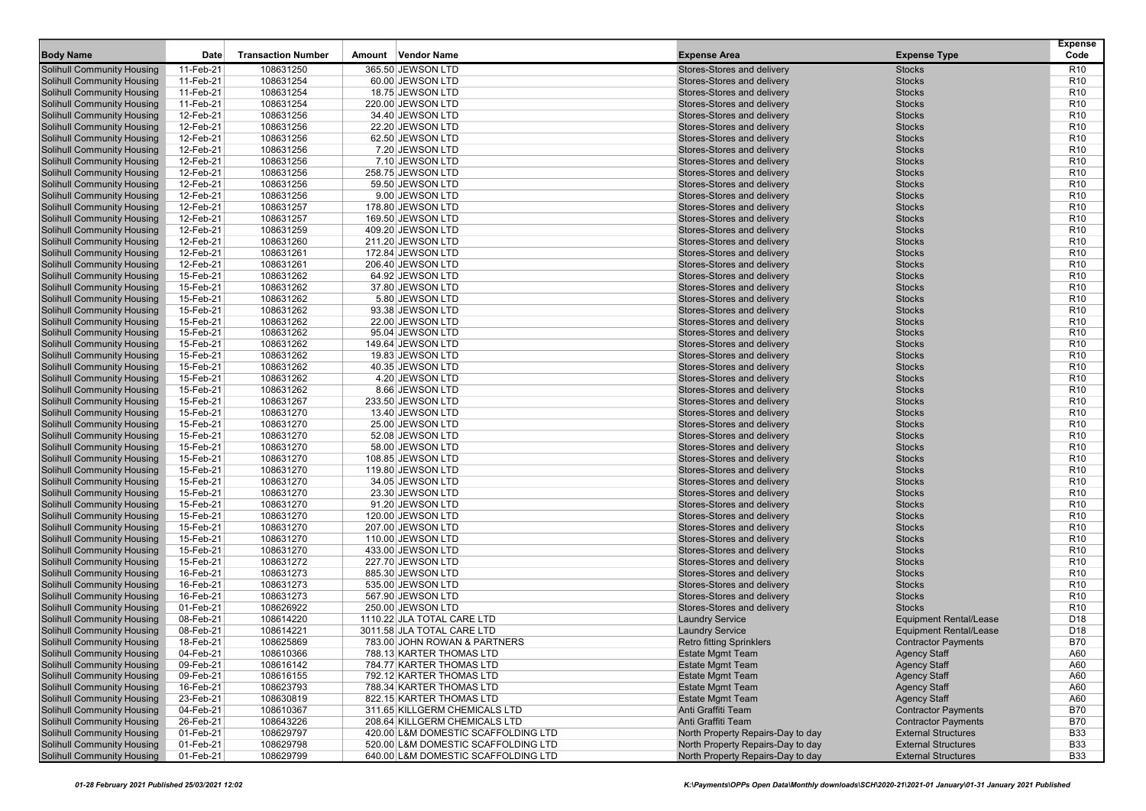| <b>Body Name</b>                                                       | Date                   | <b>Transaction Number</b> | Amount Vendor Name                   | <b>Expense Area</b>                                      | <b>Expense Type</b>            | <b>Expense</b><br>Code             |
|------------------------------------------------------------------------|------------------------|---------------------------|--------------------------------------|----------------------------------------------------------|--------------------------------|------------------------------------|
| <b>Solihull Community Housing</b>                                      | 11-Feb-21              | 108631250                 | 365.50 JEWSON LTD                    | Stores-Stores and delivery                               | <b>Stocks</b>                  | R <sub>10</sub>                    |
| <b>Solihull Community Housing</b>                                      | 11-Feb-21              | 108631254                 | 60.00 JEWSON LTD                     | Stores-Stores and delivery                               | <b>Stocks</b>                  | R <sub>10</sub>                    |
| <b>Solihull Community Housing</b>                                      | 11-Feb-21              | 108631254                 | 18.75 JEWSON LTD                     | Stores-Stores and delivery                               | <b>Stocks</b>                  | R <sub>10</sub>                    |
| <b>Solihull Community Housing</b>                                      | 11-Feb-21              | 108631254                 | 220.00 JEWSON LTD                    | Stores-Stores and delivery                               | <b>Stocks</b>                  | R <sub>10</sub>                    |
| <b>Solihull Community Housing</b>                                      | 12-Feb-21              | 108631256                 | 34.40 JEWSON LTD                     | Stores-Stores and delivery                               | <b>Stocks</b>                  | R <sub>10</sub>                    |
| <b>Solihull Community Housing</b>                                      | 12-Feb-21              | 108631256                 | 22.20 JEWSON LTD                     | Stores-Stores and delivery                               | <b>Stocks</b>                  | R <sub>10</sub>                    |
| <b>Solihull Community Housing</b>                                      | 12-Feb-21              | 108631256                 | 62.50 JEWSON LTD                     | Stores-Stores and delivery                               | <b>Stocks</b>                  | R <sub>10</sub>                    |
| <b>Solihull Community Housing</b>                                      | 12-Feb-21              | 108631256                 | 7.20 JEWSON LTD                      | Stores-Stores and delivery                               | <b>Stocks</b>                  | R <sub>10</sub>                    |
| <b>Solihull Community Housing</b>                                      | 12-Feb-21              | 108631256                 | 7.10 JEWSON LTD                      | Stores-Stores and delivery                               | <b>Stocks</b>                  | R <sub>10</sub>                    |
| <b>Solihull Community Housing</b>                                      | 12-Feb-21              | 108631256                 | 258.75 JEWSON LTD                    | Stores-Stores and delivery                               | <b>Stocks</b>                  | R <sub>10</sub>                    |
| <b>Solihull Community Housing</b>                                      | 12-Feb-21              | 108631256                 | 59.50 JEWSON LTD                     | Stores-Stores and delivery                               | <b>Stocks</b>                  | R <sub>10</sub>                    |
| <b>Solihull Community Housing</b>                                      | 12-Feb-21              | 108631256                 | 9.00 JEWSON LTD                      | Stores-Stores and delivery                               | <b>Stocks</b>                  | R <sub>10</sub>                    |
| <b>Solihull Community Housing</b>                                      | 12-Feb-21              | 108631257                 | 178.80 JEWSON LTD                    | Stores-Stores and delivery                               | <b>Stocks</b>                  | R <sub>10</sub>                    |
| <b>Solihull Community Housing</b>                                      | 12-Feb-21              | 108631257                 | 169.50 JEWSON LTD                    | Stores-Stores and delivery                               | <b>Stocks</b>                  | R <sub>10</sub>                    |
| <b>Solihull Community Housing</b>                                      | 12-Feb-21              | 108631259                 | 409.20 JEWSON LTD                    | Stores-Stores and delivery                               | <b>Stocks</b>                  | R <sub>10</sub>                    |
| <b>Solihull Community Housing</b>                                      | 12-Feb-21              | 108631260                 | 211.20 JEWSON LTD                    | Stores-Stores and delivery                               | <b>Stocks</b>                  | R <sub>10</sub>                    |
| <b>Solihull Community Housing</b>                                      | 12-Feb-21              | 108631261                 | 172.84 JEWSON LTD                    | Stores-Stores and delivery                               | <b>Stocks</b>                  | R <sub>10</sub>                    |
| <b>Solihull Community Housing</b>                                      | 12-Feb-21              | 108631261                 | 206.40 JEWSON LTD                    | Stores-Stores and delivery                               | <b>Stocks</b>                  | R <sub>10</sub>                    |
| <b>Solihull Community Housing</b>                                      | 15-Feb-21              | 108631262                 | 64.92 JEWSON LTD                     | Stores-Stores and delivery                               | <b>Stocks</b>                  | R <sub>10</sub>                    |
| <b>Solihull Community Housing</b>                                      | 15-Feb-21              | 108631262                 | 37.80 JEWSON LTD                     | Stores-Stores and delivery                               | <b>Stocks</b>                  | R <sub>10</sub>                    |
| <b>Solihull Community Housing</b>                                      | 15-Feb-21              | 108631262                 | 5.80 JEWSON LTD                      | Stores-Stores and delivery                               | <b>Stocks</b>                  | R <sub>10</sub>                    |
| <b>Solihull Community Housing</b>                                      | 15-Feb-21              | 108631262                 | 93.38 JEWSON LTD                     | Stores-Stores and delivery                               | <b>Stocks</b>                  | R <sub>10</sub>                    |
| <b>Solihull Community Housing</b>                                      | 15-Feb-21              | 108631262                 | 22.00 JEWSON LTD                     | Stores-Stores and delivery                               | <b>Stocks</b>                  | R <sub>10</sub>                    |
| <b>Solihull Community Housing</b>                                      | 15-Feb-21              | 108631262                 | 95.04 JEWSON LTD                     | Stores-Stores and delivery                               | <b>Stocks</b>                  | R <sub>10</sub>                    |
| <b>Solihull Community Housing</b>                                      | 15-Feb-21              | 108631262                 | 149.64 JEWSON LTD                    | Stores-Stores and delivery                               | <b>Stocks</b>                  | R <sub>10</sub>                    |
| <b>Solihull Community Housing</b>                                      | 15-Feb-21              | 108631262                 | 19.83 JEWSON LTD                     | Stores-Stores and delivery                               | <b>Stocks</b>                  | R <sub>10</sub>                    |
| <b>Solihull Community Housing</b>                                      | 15-Feb-21              | 108631262                 | 40.35 JEWSON LTD                     | Stores-Stores and delivery                               | <b>Stocks</b>                  | R <sub>10</sub>                    |
| <b>Solihull Community Housing</b>                                      | 15-Feb-21              | 108631262                 | 4.20 JEWSON LTD                      | Stores-Stores and delivery                               | <b>Stocks</b>                  | R <sub>10</sub>                    |
| <b>Solihull Community Housing</b>                                      | 15-Feb-21              | 108631262                 | 8.66 JEWSON LTD                      | Stores-Stores and delivery                               | <b>Stocks</b>                  | R <sub>10</sub>                    |
| <b>Solihull Community Housing</b>                                      | 15-Feb-21              | 108631267<br>108631270    | 233.50 JEWSON LTD                    | Stores-Stores and delivery<br>Stores-Stores and delivery | <b>Stocks</b>                  | R <sub>10</sub><br>R <sub>10</sub> |
| <b>Solihull Community Housing</b><br><b>Solihull Community Housing</b> | 15-Feb-21<br>15-Feb-21 | 108631270                 | 13.40 JEWSON LTD<br>25.00 JEWSON LTD | Stores-Stores and delivery                               | <b>Stocks</b><br><b>Stocks</b> | R <sub>10</sub>                    |
| <b>Solihull Community Housing</b>                                      | 15-Feb-21              | 108631270                 | 52.08 JEWSON LTD                     | Stores-Stores and delivery                               | <b>Stocks</b>                  | R <sub>10</sub>                    |
| <b>Solihull Community Housing</b>                                      | 15-Feb-21              | 108631270                 | 58.00 JEWSON LTD                     | Stores-Stores and delivery                               | <b>Stocks</b>                  | R <sub>10</sub>                    |
| <b>Solihull Community Housing</b>                                      | 15-Feb-21              | 108631270                 | 108.85 JEWSON LTD                    | Stores-Stores and delivery                               | <b>Stocks</b>                  | R <sub>10</sub>                    |
| <b>Solihull Community Housing</b>                                      | 15-Feb-21              | 108631270                 | 119.80 JEWSON LTD                    | Stores-Stores and delivery                               | <b>Stocks</b>                  | R <sub>10</sub>                    |
| <b>Solihull Community Housing</b>                                      | 15-Feb-21              | 108631270                 | 34.05 JEWSON LTD                     | Stores-Stores and delivery                               | <b>Stocks</b>                  | R <sub>10</sub>                    |
| <b>Solihull Community Housing</b>                                      | 15-Feb-21              | 108631270                 | 23.30 JEWSON LTD                     | Stores-Stores and delivery                               | <b>Stocks</b>                  | R <sub>10</sub>                    |
| <b>Solihull Community Housing</b>                                      | 15-Feb-21              | 108631270                 | 91.20 JEWSON LTD                     | Stores-Stores and delivery                               | <b>Stocks</b>                  | R <sub>10</sub>                    |
| <b>Solihull Community Housing</b>                                      | 15-Feb-21              | 108631270                 | 120.00 JEWSON LTD                    | Stores-Stores and delivery                               | <b>Stocks</b>                  | R <sub>10</sub>                    |
| <b>Solihull Community Housing</b>                                      | 15-Feb-21              | 108631270                 | 207.00 JEWSON LTD                    | Stores-Stores and delivery                               | <b>Stocks</b>                  | R <sub>10</sub>                    |
| <b>Solihull Community Housing</b>                                      | 15-Feb-21              | 108631270                 | 110.00 JEWSON LTD                    | Stores-Stores and delivery                               | <b>Stocks</b>                  | R <sub>10</sub>                    |
| <b>Solihull Community Housing</b>                                      | 15-Feb-21              | 108631270                 | 433.00 JEWSON LTD                    | Stores-Stores and delivery                               | <b>Stocks</b>                  | R <sub>10</sub>                    |
| <b>Solihull Community Housing</b>                                      | 15-Feb-21              | 108631272                 | 227.70 JEWSON LTD                    | Stores-Stores and delivery                               | <b>Stocks</b>                  | R <sub>10</sub>                    |
| <b>Solihull Community Housing</b>                                      | 16-Feb-21              | 108631273                 | 885.30 JEWSON LTD                    | Stores-Stores and delivery                               | <b>Stocks</b>                  | R <sub>10</sub>                    |
| <b>Solihull Community Housing</b>                                      | 16-Feb-21              | 108631273                 | 535.00 JEWSON LTD                    | Stores-Stores and delivery                               | <b>Stocks</b>                  | R <sub>10</sub>                    |
| <b>Solihull Community Housing</b>                                      | 16-Feb-21              | 108631273                 | 567.90 JEWSON LTD                    | Stores-Stores and delivery                               | <b>Stocks</b>                  | R <sub>10</sub>                    |
| <b>Solihull Community Housing</b>                                      | 01-Feb-21              | 108626922                 | 250.00 JEWSON LTD                    | Stores-Stores and delivery                               | <b>Stocks</b>                  | R <sub>10</sub>                    |
| <b>Solihull Community Housing</b>                                      | 08-Feb-21              | 108614220                 | 1110.22 JLA TOTAL CARE LTD           | <b>Laundry Service</b>                                   | <b>Equipment Rental/Lease</b>  | D <sub>18</sub>                    |
| <b>Solihull Community Housing</b>                                      | 08-Feb-21              | 108614221                 | 3011.58 JLA TOTAL CARE LTD           | <b>Laundry Service</b>                                   | <b>Equipment Rental/Lease</b>  | D <sub>18</sub>                    |
| <b>Solihull Community Housing</b>                                      | 18-Feb-21              | 108625869                 | 783.00 JOHN ROWAN & PARTNERS         | <b>Retro fitting Sprinklers</b>                          | <b>Contractor Payments</b>     | <b>B70</b>                         |
| <b>Solihull Community Housing</b>                                      | 04-Feb-21              | 108610366                 | 788.13 KARTER THOMAS LTD             | <b>Estate Mgmt Team</b>                                  | <b>Agency Staff</b>            | A60                                |
| <b>Solihull Community Housing</b>                                      | 09-Feb-21              | 108616142                 | 784.77 KARTER THOMAS LTD             | <b>Estate Mgmt Team</b>                                  | <b>Agency Staff</b>            | A60                                |
| <b>Solihull Community Housing</b>                                      | 09-Feb-21              | 108616155                 | 792.12 KARTER THOMAS LTD             | <b>Estate Mgmt Team</b>                                  | <b>Agency Staff</b>            | A60                                |
| <b>Solihull Community Housing</b>                                      | 16-Feb-21              | 108623793                 | 788.34 KARTER THOMAS LTD             | <b>Estate Mgmt Team</b>                                  | <b>Agency Staff</b>            | A60                                |
| <b>Solihull Community Housing</b>                                      | 23-Feb-21              | 108630819                 | 822.15 KARTER THOMAS LTD             | <b>Estate Mgmt Team</b>                                  | <b>Agency Staff</b>            | A60                                |
| <b>Solihull Community Housing</b>                                      | 04-Feb-21              | 108610367                 | 311.65 KILLGERM CHEMICALS LTD        | Anti Graffiti Team                                       | <b>Contractor Payments</b>     | <b>B70</b>                         |
| <b>Solihull Community Housing</b>                                      | 26-Feb-21              | 108643226                 | 208.64 KILLGERM CHEMICALS LTD        | Anti Graffiti Team                                       | <b>Contractor Payments</b>     | <b>B70</b>                         |
| <b>Solihull Community Housing</b>                                      | 01-Feb-21              | 108629797                 | 420.00 L&M DOMESTIC SCAFFOLDING LTD  | North Property Repairs-Day to day                        | <b>External Structures</b>     | <b>B33</b>                         |
| <b>Solihull Community Housing</b>                                      | 01-Feb-21              | 108629798                 | 520.00 L&M DOMESTIC SCAFFOLDING LTD  | North Property Repairs-Day to day                        | <b>External Structures</b>     | <b>B33</b>                         |
| <b>Solihull Community Housing</b>                                      | 01-Feb-21              | 108629799                 | 640.00 L&M DOMESTIC SCAFFOLDING LTD  | North Property Repairs-Day to day                        | <b>External Structures</b>     | <b>B33</b>                         |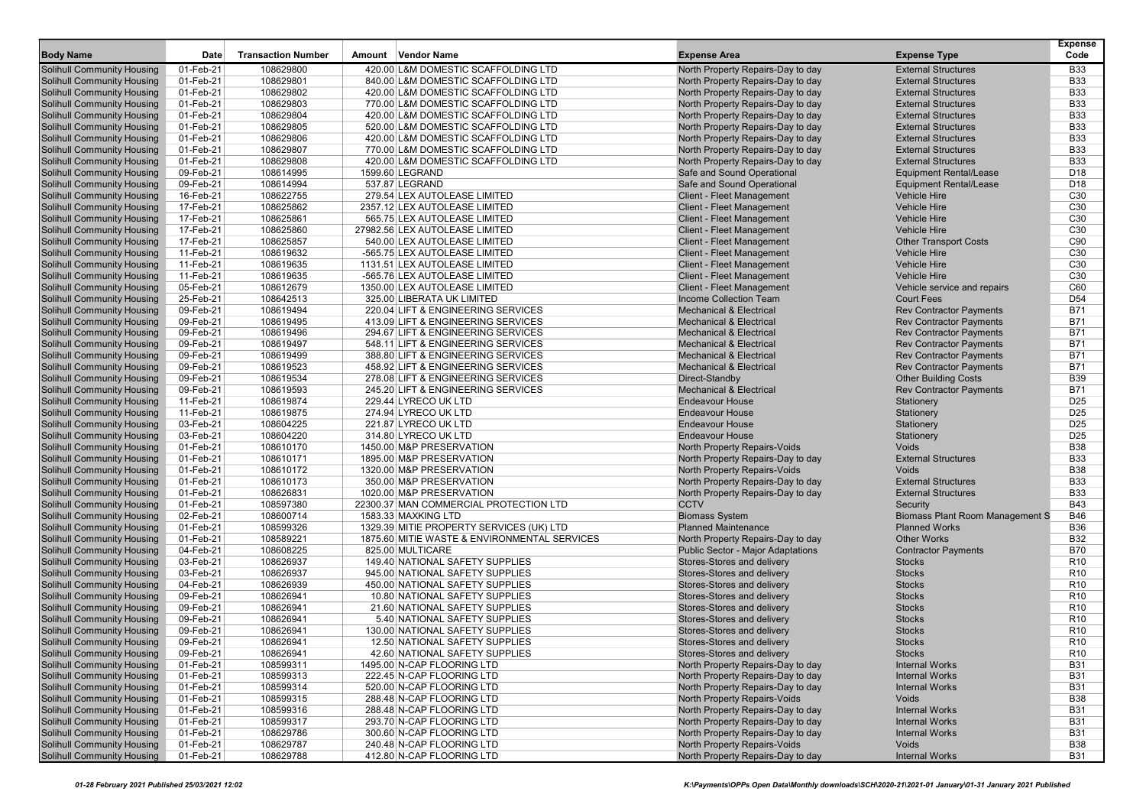|                                                                        |                        |                           |                                                                |                                                                   |                                                  | <b>Expense</b>  |
|------------------------------------------------------------------------|------------------------|---------------------------|----------------------------------------------------------------|-------------------------------------------------------------------|--------------------------------------------------|-----------------|
| <b>Body Name</b>                                                       | Date                   | <b>Transaction Number</b> | Amount Vendor Name                                             | <b>Expense Area</b>                                               | <b>Expense Type</b>                              | Code            |
| <b>Solihull Community Housing</b>                                      | 01-Feb-21              | 108629800                 | 420.00 L&M DOMESTIC SCAFFOLDING LTD                            | North Property Repairs-Day to day                                 | <b>External Structures</b>                       | <b>B33</b>      |
| <b>Solihull Community Housing</b>                                      | 01-Feb-21              | 108629801                 | 840.00 L&M DOMESTIC SCAFFOLDING LTD                            | North Property Repairs-Day to day                                 | <b>External Structures</b>                       | <b>B33</b>      |
| <b>Solihull Community Housing</b>                                      | 01-Feb-21              | 108629802                 | 420.00 L&M DOMESTIC SCAFFOLDING LTD                            | North Property Repairs-Day to day                                 | <b>External Structures</b>                       | <b>B33</b>      |
| <b>Solihull Community Housing</b>                                      | 01-Feb-21              | 108629803                 | 770.00 L&M DOMESTIC SCAFFOLDING LTD                            | North Property Repairs-Day to day                                 | <b>External Structures</b>                       | <b>B33</b>      |
| <b>Solihull Community Housing</b>                                      | 01-Feb-21              | 108629804                 | 420.00 L&M DOMESTIC SCAFFOLDING LTD                            | North Property Repairs-Day to day                                 | <b>External Structures</b>                       | <b>B33</b>      |
| <b>Solihull Community Housing</b>                                      | 01-Feb-21              | 108629805                 | 520.00 L&M DOMESTIC SCAFFOLDING LTD                            | North Property Repairs-Day to day                                 | <b>External Structures</b>                       | <b>B33</b>      |
| <b>Solihull Community Housing</b>                                      | 01-Feb-21              | 108629806                 | 420.00 L&M DOMESTIC SCAFFOLDING LTD                            | North Property Repairs-Day to day                                 | <b>External Structures</b>                       | <b>B33</b>      |
| <b>Solihull Community Housing</b>                                      | 01-Feb-21              | 108629807                 | 770.00 L&M DOMESTIC SCAFFOLDING LTD                            | North Property Repairs-Day to day                                 | <b>External Structures</b>                       | <b>B33</b>      |
| <b>Solihull Community Housing</b>                                      | 01-Feb-21              | 108629808                 | 420.00 L&M DOMESTIC SCAFFOLDING LTD                            | North Property Repairs-Day to day                                 | <b>External Structures</b>                       | <b>B33</b>      |
| <b>Solihull Community Housing</b>                                      | 09-Feb-21              | 108614995                 | 1599.60 LEGRAND                                                | Safe and Sound Operational                                        | <b>Equipment Rental/Lease</b>                    | D <sub>18</sub> |
| <b>Solihull Community Housing</b>                                      | 09-Feb-21              | 108614994                 | 537.87 LEGRAND                                                 | Safe and Sound Operational                                        | <b>Equipment Rental/Lease</b>                    | D <sub>18</sub> |
| <b>Solihull Community Housing</b>                                      | 16-Feb-21              | 108622755                 | 279.54 LEX AUTOLEASE LIMITED                                   | <b>Client - Fleet Management</b>                                  | <b>Vehicle Hire</b>                              | C30             |
| <b>Solihull Community Housing</b>                                      | 17-Feb-21              | 108625862                 | 2357.12 LEX AUTOLEASE LIMITED                                  | <b>Client - Fleet Management</b>                                  | <b>Vehicle Hire</b>                              | C <sub>30</sub> |
| <b>Solihull Community Housing</b>                                      | 17-Feb-21              | 108625861                 | 565.75 LEX AUTOLEASE LIMITED<br>27982.56 LEX AUTOLEASE LIMITED | <b>Client - Fleet Management</b>                                  | <b>Vehicle Hire</b>                              | C <sub>30</sub> |
| <b>Solihull Community Housing</b>                                      | 17-Feb-21              | 108625860                 |                                                                | <b>Client - Fleet Management</b>                                  | <b>Vehicle Hire</b>                              | C30             |
| <b>Solihull Community Housing</b>                                      | 17-Feb-21              | 108625857                 | 540.00 LEX AUTOLEASE LIMITED                                   | <b>Client - Fleet Management</b>                                  | <b>Other Transport Costs</b>                     | C90<br>C30      |
| <b>Solihull Community Housing</b>                                      | 11-Feb-21<br>11-Feb-21 | 108619632                 | -565.75 LEX AUTOLEASE LIMITED                                  | <b>Client - Fleet Management</b>                                  | <b>Vehicle Hire</b><br><b>Vehicle Hire</b>       | C <sub>30</sub> |
| <b>Solihull Community Housing</b>                                      |                        | 108619635                 | 1131.51 LEX AUTOLEASE LIMITED                                  | <b>Client - Fleet Management</b>                                  |                                                  | C <sub>30</sub> |
| <b>Solihull Community Housing</b>                                      | 11-Feb-21              | 108619635<br>108612679    | -565.76 LEX AUTOLEASE LIMITED<br>1350.00 LEX AUTOLEASE LIMITED | <b>Client - Fleet Management</b>                                  | <b>Vehicle Hire</b>                              | C60             |
| <b>Solihull Community Housing</b>                                      | 05-Feb-21              | 108642513                 | 325.00 LIBERATA UK LIMITED                                     | <b>Client - Fleet Management</b><br><b>Income Collection Team</b> | Vehicle service and repairs<br><b>Court Fees</b> | D <sub>54</sub> |
| <b>Solihull Community Housing</b><br><b>Solihull Community Housing</b> | 25-Feb-21<br>09-Feb-21 | 108619494                 | 220.04 LIFT & ENGINEERING SERVICES                             | <b>Mechanical &amp; Electrical</b>                                | <b>Rev Contractor Payments</b>                   | <b>B71</b>      |
| <b>Solihull Community Housing</b>                                      | 09-Feb-21              | 108619495                 | 413.09 LIFT & ENGINEERING SERVICES                             | <b>Mechanical &amp; Electrical</b>                                | <b>Rev Contractor Payments</b>                   | <b>B71</b>      |
| <b>Solihull Community Housing</b>                                      | 09-Feb-21              | 108619496                 | 294.67 LIFT & ENGINEERING SERVICES                             | <b>Mechanical &amp; Electrical</b>                                | <b>Rev Contractor Payments</b>                   | <b>B71</b>      |
| <b>Solihull Community Housing</b>                                      | 09-Feb-21              | 108619497                 | 548.11 LIFT & ENGINEERING SERVICES                             | <b>Mechanical &amp; Electrical</b>                                | <b>Rev Contractor Payments</b>                   | <b>B71</b>      |
| <b>Solihull Community Housing</b>                                      | 09-Feb-21              | 108619499                 | 388.80 LIFT & ENGINEERING SERVICES                             | <b>Mechanical &amp; Electrical</b>                                | <b>Rev Contractor Payments</b>                   | <b>B71</b>      |
| <b>Solihull Community Housing</b>                                      | 09-Feb-21              | 108619523                 | 458.92 LIFT & ENGINEERING SERVICES                             | <b>Mechanical &amp; Electrical</b>                                | <b>Rev Contractor Payments</b>                   | <b>B71</b>      |
| <b>Solihull Community Housing</b>                                      | 09-Feb-21              | 108619534                 | 278.08 LIFT & ENGINEERING SERVICES                             | Direct-Standby                                                    | <b>Other Building Costs</b>                      | <b>B39</b>      |
| <b>Solihull Community Housing</b>                                      | 09-Feb-21              | 108619593                 | 245.20 LIFT & ENGINEERING SERVICES                             | <b>Mechanical &amp; Electrical</b>                                | <b>Rev Contractor Payments</b>                   | <b>B71</b>      |
| <b>Solihull Community Housing</b>                                      | 11-Feb-21              | 108619874                 | 229.44 LYRECO UK LTD                                           | <b>Endeavour House</b>                                            | Stationery                                       | D <sub>25</sub> |
| <b>Solihull Community Housing</b>                                      | 11-Feb-21              | 108619875                 | 274.94 LYRECO UK LTD                                           | <b>Endeavour House</b>                                            | Stationery                                       | D <sub>25</sub> |
| <b>Solihull Community Housing</b>                                      | 03-Feb-21              | 108604225                 | 221.87 LYRECO UK LTD                                           | <b>Endeavour House</b>                                            | Stationery                                       | D <sub>25</sub> |
| <b>Solihull Community Housing</b>                                      | 03-Feb-21              | 108604220                 | 314.80 LYRECO UK LTD                                           | <b>Endeavour House</b>                                            | Stationery                                       | D <sub>25</sub> |
| <b>Solihull Community Housing</b>                                      | 01-Feb-21              | 108610170                 | 1450.00 M&P PRESERVATION                                       | North Property Repairs-Voids                                      | Voids                                            | <b>B38</b>      |
| <b>Solihull Community Housing</b>                                      | 01-Feb-21              | 108610171                 | 1895.00 M&P PRESERVATION                                       | North Property Repairs-Day to day                                 | <b>External Structures</b>                       | <b>B33</b>      |
| <b>Solihull Community Housing</b>                                      | 01-Feb-21              | 108610172                 | 1320.00 M&P PRESERVATION                                       | North Property Repairs-Voids                                      | <b>Voids</b>                                     | <b>B38</b>      |
| <b>Solihull Community Housing</b>                                      | 01-Feb-21              | 108610173                 | 350.00 M&P PRESERVATION                                        | North Property Repairs-Day to day                                 | <b>External Structures</b>                       | <b>B33</b>      |
| <b>Solihull Community Housing</b>                                      | 01-Feb-21              | 108626831                 | 1020.00 M&P PRESERVATION                                       | North Property Repairs-Day to day                                 | <b>External Structures</b>                       | <b>B33</b>      |
| <b>Solihull Community Housing</b>                                      | 01-Feb-21              | 108597380                 | 22300.37 MAN COMMERCIAL PROTECTION LTD                         | <b>CCTV</b>                                                       | Security                                         | <b>B43</b>      |
| <b>Solihull Community Housing</b>                                      | 02-Feb-21              | 108600714                 | 1583.33 MAXKING LTD                                            | <b>Biomass System</b>                                             | <b>Biomass Plant Room Management S</b>           | <b>B46</b>      |
| <b>Solihull Community Housing</b>                                      | 01-Feb-21              | 108599326                 | 1329.39 MITIE PROPERTY SERVICES (UK) LTD                       | <b>Planned Maintenance</b>                                        | <b>Planned Works</b>                             | <b>B36</b>      |
| <b>Solihull Community Housing</b>                                      | 01-Feb-21              | 108589221                 | 1875.60 MITIE WASTE & ENVIRONMENTAL SERVICES                   | North Property Repairs-Day to day                                 | <b>Other Works</b>                               | <b>B32</b>      |
| <b>Solihull Community Housing</b>                                      | 04-Feb-21              | 108608225                 | 825.00 MULTICARE                                               | <b>Public Sector - Major Adaptations</b>                          | <b>Contractor Payments</b>                       | <b>B70</b>      |
| <b>Solihull Community Housing</b>                                      | 03-Feb-21              | 108626937                 | 149.40 NATIONAL SAFETY SUPPLIES                                | Stores-Stores and delivery                                        | <b>Stocks</b>                                    | R <sub>10</sub> |
| <b>Solihull Community Housing</b>                                      | 03-Feb-21              | 108626937                 | 945.00 NATIONAL SAFETY SUPPLIES                                | Stores-Stores and delivery                                        | <b>Stocks</b>                                    | R <sub>10</sub> |
| <b>Solihull Community Housing</b>                                      | 04-Feb-21              | 108626939                 | 450.00 NATIONAL SAFETY SUPPLIES                                | Stores-Stores and delivery                                        | <b>Stocks</b>                                    | R <sub>10</sub> |
| <b>Solihull Community Housing</b>                                      | 09-Feb-21              | 108626941                 | 10.80 NATIONAL SAFETY SUPPLIES                                 | Stores-Stores and delivery                                        | <b>Stocks</b>                                    | R <sub>10</sub> |
| <b>Solihull Community Housing</b>                                      | 09-Feb-21              | 108626941                 | 21.60 NATIONAL SAFETY SUPPLIES                                 | Stores-Stores and delivery                                        | <b>Stocks</b>                                    | R <sub>10</sub> |
| <b>Solihull Community Housing</b>                                      | 09-Feb-21              | 108626941                 | 5.40 NATIONAL SAFETY SUPPLIES                                  | Stores-Stores and delivery                                        | <b>Stocks</b>                                    | R <sub>10</sub> |
| <b>Solihull Community Housing</b>                                      | 09-Feb-21              | 108626941                 | 130.00 NATIONAL SAFETY SUPPLIES                                | Stores-Stores and delivery                                        | <b>Stocks</b>                                    | R <sub>10</sub> |
| <b>Solihull Community Housing</b>                                      | 09-Feb-21              | 108626941                 | 12.50 NATIONAL SAFETY SUPPLIES                                 | Stores-Stores and delivery                                        | <b>Stocks</b>                                    | R <sub>10</sub> |
| <b>Solihull Community Housing</b>                                      | 09-Feb-21              | 108626941                 | 42.60 NATIONAL SAFETY SUPPLIES                                 | Stores-Stores and delivery                                        | <b>Stocks</b>                                    | R <sub>10</sub> |
| <b>Solihull Community Housing</b>                                      | 01-Feb-21              | 108599311                 | 1495.00 N-CAP FLOORING LTD                                     | North Property Repairs-Day to day                                 | <b>Internal Works</b>                            | <b>B31</b>      |
| <b>Solihull Community Housing</b>                                      | 01-Feb-21              | 108599313                 | 222.45 N-CAP FLOORING LTD                                      | North Property Repairs-Day to day                                 | <b>Internal Works</b>                            | <b>B31</b>      |
| <b>Solihull Community Housing</b>                                      | 01-Feb-21              | 108599314                 | 520.00 N-CAP FLOORING LTD                                      | North Property Repairs-Day to day                                 | <b>Internal Works</b>                            | <b>B31</b>      |
| <b>Solihull Community Housing</b>                                      | 01-Feb-21              | 108599315                 | 288.48 N-CAP FLOORING LTD                                      | North Property Repairs-Voids                                      | Voids                                            | <b>B38</b>      |
| <b>Solihull Community Housing</b>                                      | 01-Feb-21              | 108599316                 | 288.48 N-CAP FLOORING LTD                                      | North Property Repairs-Day to day                                 | <b>Internal Works</b>                            | <b>B31</b>      |
| <b>Solihull Community Housing</b>                                      | 01-Feb-21              | 108599317                 | 293.70 N-CAP FLOORING LTD                                      | North Property Repairs-Day to day                                 | <b>Internal Works</b>                            | <b>B31</b>      |
| <b>Solihull Community Housing</b>                                      | 01-Feb-21              | 108629786                 | 300.60 N-CAP FLOORING LTD                                      | North Property Repairs-Day to day                                 | <b>Internal Works</b>                            | <b>B31</b>      |
| <b>Solihull Community Housing</b>                                      | 01-Feb-21              | 108629787                 | 240.48 N-CAP FLOORING LTD                                      | North Property Repairs-Voids                                      | Voids                                            | <b>B38</b>      |
| <b>Solihull Community Housing</b>                                      | 01-Feb-21              | 108629788                 | 412.80 N-CAP FLOORING LTD                                      | North Property Repairs-Day to day                                 | <b>Internal Works</b>                            | <b>B31</b>      |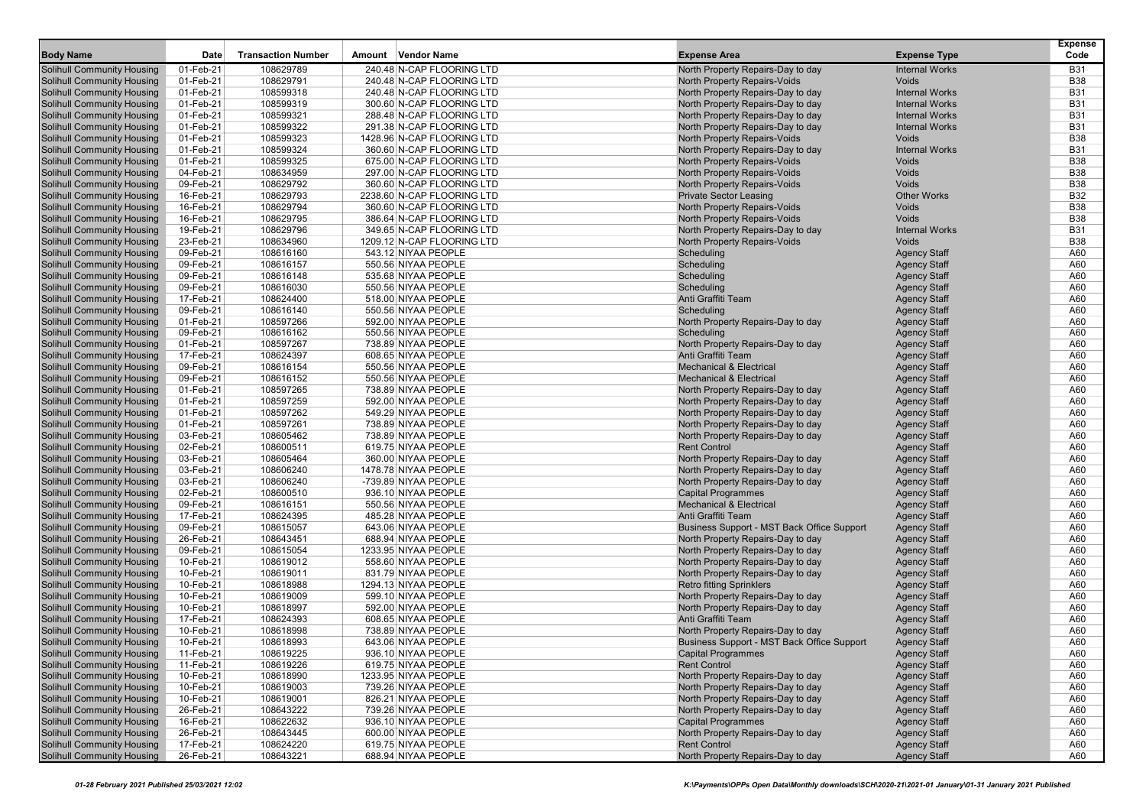|                                                                        |                        |                           |                                            |                                                          |                                            | <b>Expense</b> |
|------------------------------------------------------------------------|------------------------|---------------------------|--------------------------------------------|----------------------------------------------------------|--------------------------------------------|----------------|
| <b>Body Name</b>                                                       | Date                   | <b>Transaction Number</b> | Amount Vendor Name                         | <b>Expense Area</b>                                      | <b>Expense Type</b>                        | Code           |
| <b>Solihull Community Housing</b>                                      | 01-Feb-21              | 108629789                 | 240.48 N-CAP FLOORING LTD                  | North Property Repairs-Day to day                        | <b>Internal Works</b>                      | <b>B31</b>     |
| <b>Solihull Community Housing</b>                                      | 01-Feb-21              | 108629791                 | 240.48 N-CAP FLOORING LTD                  | <b>North Property Repairs-Voids</b>                      | Voids                                      | <b>B38</b>     |
| <b>Solihull Community Housing</b>                                      | 01-Feb-21              | 108599318                 | 240.48 N-CAP FLOORING LTD                  | North Property Repairs-Day to day                        | <b>Internal Works</b>                      | <b>B31</b>     |
| <b>Solihull Community Housing</b>                                      | 01-Feb-21              | 108599319                 | 300.60 N-CAP FLOORING LTD                  | North Property Repairs-Day to day                        | <b>Internal Works</b>                      | <b>B31</b>     |
| <b>Solihull Community Housing</b>                                      | 01-Feb-21              | 108599321                 | 288.48 N-CAP FLOORING LTD                  | North Property Repairs-Day to day                        | <b>Internal Works</b>                      | <b>B31</b>     |
| <b>Solihull Community Housing</b>                                      | 01-Feb-21              | 108599322                 | 291.38 N-CAP FLOORING LTD                  | North Property Repairs-Day to day                        | <b>Internal Works</b>                      | <b>B31</b>     |
| <b>Solihull Community Housing</b>                                      | 01-Feb-21              | 108599323                 | 1428.96 N-CAP FLOORING LTD                 | <b>North Property Repairs-Voids</b>                      | Voids                                      | <b>B38</b>     |
| <b>Solihull Community Housing</b>                                      | 01-Feb-21              | 108599324                 | 360.60 N-CAP FLOORING LTD                  | North Property Repairs-Day to day                        | <b>Internal Works</b>                      | <b>B31</b>     |
| <b>Solihull Community Housing</b>                                      | 01-Feb-21              | 108599325                 | 675.00 N-CAP FLOORING LTD                  | <b>North Property Repairs-Voids</b>                      | Voids                                      | <b>B38</b>     |
| <b>Solihull Community Housing</b>                                      | 04-Feb-21              | 108634959                 | 297.00 N-CAP FLOORING LTD                  | <b>North Property Repairs-Voids</b>                      | Voids                                      | <b>B38</b>     |
| <b>Solihull Community Housing</b>                                      | 09-Feb-21              | 108629792                 | 360.60 N-CAP FLOORING LTD                  | North Property Repairs-Voids                             | Voids                                      | <b>B38</b>     |
| <b>Solihull Community Housing</b>                                      | 16-Feb-21              | 108629793                 | 2238.60 N-CAP FLOORING LTD                 | <b>Private Sector Leasing</b>                            | <b>Other Works</b>                         | <b>B32</b>     |
| <b>Solihull Community Housing</b>                                      | 16-Feb-21              | 108629794                 | 360.60 N-CAP FLOORING LTD                  | North Property Repairs-Voids                             | Voids                                      | <b>B38</b>     |
| <b>Solihull Community Housing</b>                                      | 16-Feb-21              | 108629795                 | 386.64 N-CAP FLOORING LTD                  | <b>North Property Repairs-Voids</b>                      | Voids                                      | <b>B38</b>     |
| <b>Solihull Community Housing</b>                                      | 19-Feb-21              | 108629796                 | 349.65 N-CAP FLOORING LTD                  | North Property Repairs-Day to day                        | <b>Internal Works</b>                      | <b>B31</b>     |
| <b>Solihull Community Housing</b>                                      | 23-Feb-21              | 108634960                 | 1209.12 N-CAP FLOORING LTD                 | North Property Repairs-Voids                             | Voids                                      | <b>B38</b>     |
| <b>Solihull Community Housing</b>                                      | 09-Feb-21              | 108616160                 | 543.12 NIYAA PEOPLE                        | Scheduling                                               | <b>Agency Staff</b>                        | A60            |
| <b>Solihull Community Housing</b>                                      | 09-Feb-21              | 108616157                 | 550.56 NIYAA PEOPLE                        | Scheduling                                               | <b>Agency Staff</b>                        | A60            |
| <b>Solihull Community Housing</b>                                      | 09-Feb-21              | 108616148                 | 535.68 NIYAA PEOPLE                        | Scheduling                                               | <b>Agency Staff</b>                        | A60            |
| <b>Solihull Community Housing</b>                                      | 09-Feb-21              | 108616030                 | 550.56 NIYAA PEOPLE                        | Scheduling                                               | <b>Agency Staff</b>                        | A60            |
| <b>Solihull Community Housing</b>                                      | 17-Feb-21              | 108624400                 | 518.00 NIYAA PEOPLE                        | Anti Graffiti Team                                       | <b>Agency Staff</b>                        | A60            |
| <b>Solihull Community Housing</b>                                      | 09-Feb-21              | 108616140                 | 550.56 NIYAA PEOPLE                        | Scheduling                                               | <b>Agency Staff</b>                        | A60            |
| <b>Solihull Community Housing</b>                                      | 01-Feb-21              | 108597266                 | 592.00 NIYAA PEOPLE                        | North Property Repairs-Day to day                        | <b>Agency Staff</b>                        | A60            |
| <b>Solihull Community Housing</b>                                      | 09-Feb-21              | 108616162                 | 550.56 NIYAA PEOPLE                        | Scheduling                                               | <b>Agency Staff</b>                        | A60            |
| <b>Solihull Community Housing</b>                                      | 01-Feb-21<br>17-Feb-21 | 108597267<br>108624397    | 738.89 NIYAA PEOPLE                        | North Property Repairs-Day to day                        | <b>Agency Staff</b>                        | A60            |
| <b>Solihull Community Housing</b><br><b>Solihull Community Housing</b> | 09-Feb-21              | 108616154                 | 608.65 NIYAA PEOPLE<br>550.56 NIYAA PEOPLE | Anti Graffiti Team<br><b>Mechanical &amp; Electrical</b> | <b>Agency Staff</b>                        | A60<br>A60     |
| <b>Solihull Community Housing</b>                                      | 09-Feb-21              | 108616152                 | 550.56 NIYAA PEOPLE                        | <b>Mechanical &amp; Electrical</b>                       | <b>Agency Staff</b><br><b>Agency Staff</b> | A60            |
| <b>Solihull Community Housing</b>                                      | 01-Feb-21              | 108597265                 | 738.89 NIYAA PEOPLE                        | North Property Repairs-Day to day                        | <b>Agency Staff</b>                        | A60            |
| <b>Solihull Community Housing</b>                                      | 01-Feb-21              | 108597259                 | 592.00 NIYAA PEOPLE                        | North Property Repairs-Day to day                        | <b>Agency Staff</b>                        | A60            |
| <b>Solihull Community Housing</b>                                      | $01$ -Feb-21           | 108597262                 | 549.29 NIYAA PEOPLE                        | North Property Repairs-Day to day                        | <b>Agency Staff</b>                        | A60            |
| <b>Solihull Community Housing</b>                                      | 01-Feb-21              | 108597261                 | 738.89 NIYAA PEOPLE                        | North Property Repairs-Day to day                        | <b>Agency Staff</b>                        | A60            |
| <b>Solihull Community Housing</b>                                      | 03-Feb-21              | 108605462                 | 738.89 NIYAA PEOPLE                        | North Property Repairs-Day to day                        | <b>Agency Staff</b>                        | A60            |
| <b>Solihull Community Housing</b>                                      | 02-Feb-21              | 108600511                 | 619.75 NIYAA PEOPLE                        | <b>Rent Control</b>                                      | <b>Agency Staff</b>                        | A60            |
| <b>Solihull Community Housing</b>                                      | 03-Feb-21              | 108605464                 | 360.00 NIYAA PEOPLE                        | North Property Repairs-Day to day                        | <b>Agency Staff</b>                        | A60            |
| <b>Solihull Community Housing</b>                                      | 03-Feb-21              | 108606240                 | 1478.78 NIYAA PEOPLE                       | North Property Repairs-Day to day                        | <b>Agency Staff</b>                        | A60            |
| <b>Solihull Community Housing</b>                                      | 03-Feb-21              | 108606240                 | -739.89 NIYAA PEOPLE                       | North Property Repairs-Day to day                        | <b>Agency Staff</b>                        | A60            |
| <b>Solihull Community Housing</b>                                      | 02-Feb-21              | 108600510                 | 936.10 NIYAA PEOPLE                        | <b>Capital Programmes</b>                                | <b>Agency Staff</b>                        | A60            |
| <b>Solihull Community Housing</b>                                      | 09-Feb-21              | 108616151                 | 550.56 NIYAA PEOPLE                        | <b>Mechanical &amp; Electrical</b>                       | <b>Agency Staff</b>                        | A60            |
| <b>Solihull Community Housing</b>                                      | 17-Feb-21              | 108624395                 | 485.28 NIYAA PEOPLE                        | Anti Graffiti Team                                       | <b>Agency Staff</b>                        | A60            |
| <b>Solihull Community Housing</b>                                      | 09-Feb-21              | 108615057                 | 643.06 NIYAA PEOPLE                        | Business Support - MST Back Office Support               | <b>Agency Staff</b>                        | A60            |
| <b>Solihull Community Housing</b>                                      | 26-Feb-21              | 108643451                 | 688.94 NIYAA PEOPLE                        | North Property Repairs-Day to day                        | <b>Agency Staff</b>                        | A60            |
| <b>Solihull Community Housing</b>                                      | 09-Feb-21              | 108615054                 | 1233.95 NIYAA PEOPLE                       | North Property Repairs-Day to day                        | <b>Agency Staff</b>                        | A60            |
| <b>Solihull Community Housing</b>                                      | 10-Feb-21              | 108619012                 | 558.60 NIYAA PEOPLE                        | North Property Repairs-Day to day                        | <b>Agency Staff</b>                        | A60            |
| <b>Solihull Community Housing</b>                                      | 10-Feb-21              | 108619011                 | 831.79 NIYAA PEOPLE                        | North Property Repairs-Day to day                        | <b>Agency Staff</b>                        | A60            |
| <b>Solihull Community Housing</b>                                      | 10-Feb-21              | 108618988                 | 1294.13 NIYAA PEOPLE                       | <b>Retro fitting Sprinklers</b>                          | <b>Agency Staff</b>                        | A60            |
| <b>Solihull Community Housing</b>                                      | 10-Feb-21              | 108619009                 | 599.10 NIYAA PEOPLE                        | North Property Repairs-Day to day                        | <b>Agency Staff</b>                        | A60            |
| <b>Solihull Community Housing</b>                                      | 10-Feb-21              | 108618997                 | 592.00 NIYAA PEOPLE                        | North Property Repairs-Day to day                        | <b>Agency Staff</b>                        | A60            |
| <b>Solihull Community Housing</b>                                      | 17-Feb-21              | 108624393                 | 608.65 NIYAA PEOPLE                        | Anti Graffiti Team                                       | <b>Agency Staff</b>                        | A60            |
| <b>Solihull Community Housing</b>                                      | 10-Feb-21              | 108618998                 | 738.89 NIYAA PEOPLE                        | North Property Repairs-Day to day                        | <b>Agency Staff</b>                        | A60            |
| <b>Solihull Community Housing</b>                                      | 10-Feb-21              | 108618993                 | 643.06 NIYAA PEOPLE                        | Business Support - MST Back Office Support               | <b>Agency Staff</b>                        | A60            |
| <b>Solihull Community Housing</b>                                      | 11-Feb-21              | 108619225                 | 936.10 NIYAA PEOPLE                        | <b>Capital Programmes</b>                                | <b>Agency Staff</b>                        | A60            |
| <b>Solihull Community Housing</b>                                      | 11-Feb-21              | 108619226                 | 619.75 NIYAA PEOPLE                        | <b>Rent Control</b>                                      | <b>Agency Staff</b>                        | A60            |
| <b>Solihull Community Housing</b>                                      | 10-Feb-21              | 108618990                 | 1233.95 NIYAA PEOPLE                       | North Property Repairs-Day to day                        | <b>Agency Staff</b>                        | A60            |
| <b>Solihull Community Housing</b>                                      | 10-Feb-21              | 108619003                 | 739.26 NIYAA PEOPLE                        | North Property Repairs-Day to day                        | <b>Agency Staff</b>                        | A60            |
| <b>Solihull Community Housing</b>                                      | 10-Feb-21              | 108619001                 | 826.21 NIYAA PEOPLE                        | North Property Repairs-Day to day                        | <b>Agency Staff</b>                        | A60            |
| <b>Solihull Community Housing</b>                                      | 26-Feb-21              | 108643222                 | 739.26 NIYAA PEOPLE                        | North Property Repairs-Day to day                        | <b>Agency Staff</b>                        | A60            |
| <b>Solihull Community Housing</b>                                      | 16-Feb-21              | 108622632                 | 936.10 NIYAA PEOPLE                        | <b>Capital Programmes</b>                                | <b>Agency Staff</b>                        | A60            |
| <b>Solihull Community Housing</b>                                      | 26-Feb-21              | 108643445                 | 600.00 NIYAA PEOPLE                        | North Property Repairs-Day to day                        | <b>Agency Staff</b>                        | A60            |
| <b>Solihull Community Housing</b>                                      | 17-Feb-21              | 108624220                 | 619.75 NIYAA PEOPLE                        | <b>Rent Control</b>                                      | <b>Agency Staff</b>                        | A60            |
| <b>Solihull Community Housing</b>                                      | 26-Feb-21              | 108643221                 | 688.94 NIYAA PEOPLE                        | North Property Repairs-Day to day                        | <b>Agency Staff</b>                        | A60            |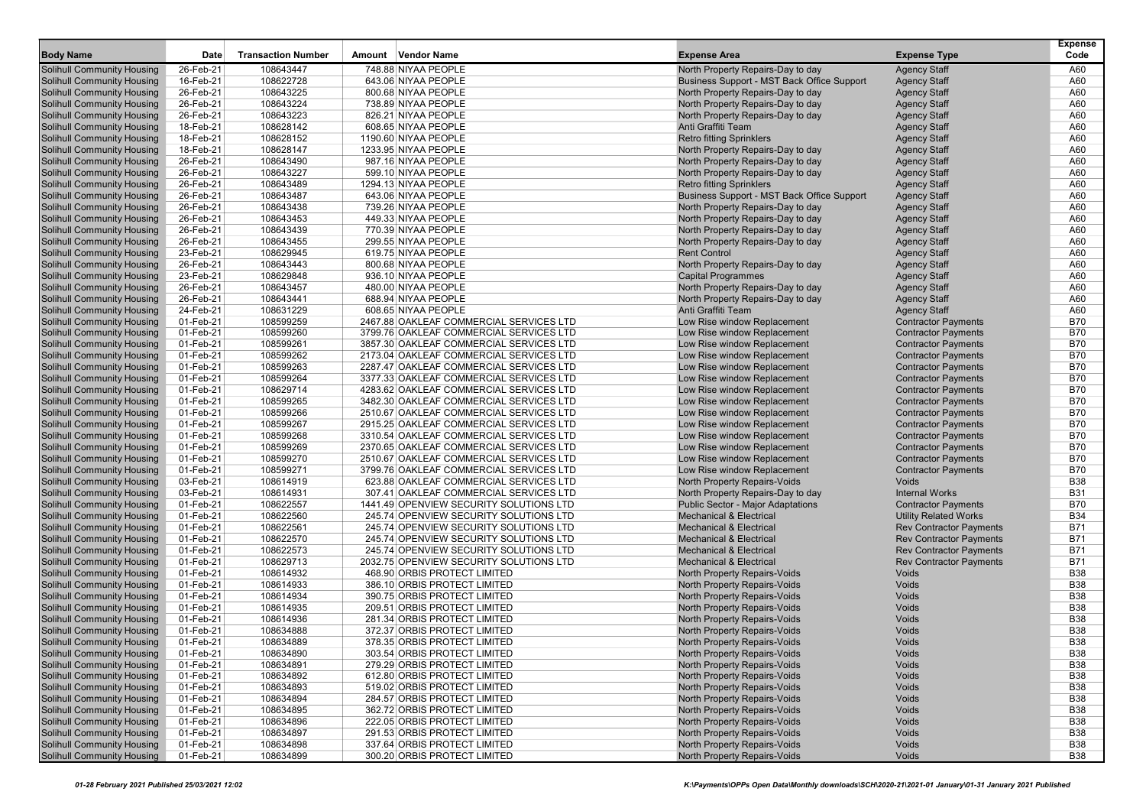| <b>Body Name</b>                                                       | Date                   | <b>Transaction Number</b> | Amount Vendor Name                         | <b>Expense Area</b>                                                             | <b>Expense Type</b>                        | <b>Expense</b><br>Code |
|------------------------------------------------------------------------|------------------------|---------------------------|--------------------------------------------|---------------------------------------------------------------------------------|--------------------------------------------|------------------------|
|                                                                        |                        |                           |                                            |                                                                                 |                                            |                        |
| Solihull Community Housing                                             | 26-Feb-21              | 108643447                 | 748.88 NIYAA PEOPLE<br>643.06 NIYAA PEOPLE | North Property Repairs-Day to day<br>Business Support - MST Back Office Support | <b>Agency Staff</b>                        | A60                    |
| Solihull Community Housing                                             | 16-Feb-21<br>26-Feb-21 | 108622728<br>108643225    | 800.68 NIYAA PEOPLE                        |                                                                                 | <b>Agency Staff</b>                        | A60<br>A60             |
| <b>Solihull Community Housing</b><br><b>Solihull Community Housing</b> | 26-Feb-21              | 108643224                 | 738.89 NIYAA PEOPLE                        | North Property Repairs-Day to day<br>North Property Repairs-Day to day          | <b>Agency Staff</b><br><b>Agency Staff</b> | A60                    |
| <b>Solihull Community Housing</b>                                      | 26-Feb-21              | 108643223                 | 826.21 NIYAA PEOPLE                        | North Property Repairs-Day to day                                               | <b>Agency Staff</b>                        | A60                    |
| <b>Solihull Community Housing</b>                                      | 18-Feb-21              | 108628142                 | 608.65 NIYAA PEOPLE                        | Anti Graffiti Team                                                              | <b>Agency Staff</b>                        | A60                    |
| Solihull Community Housing                                             | 18-Feb-21              | 108628152                 | 1190.60 NIYAA PEOPLE                       | <b>Retro fitting Sprinklers</b>                                                 | <b>Agency Staff</b>                        | A60                    |
| <b>Solihull Community Housing</b>                                      | 18-Feb-21              | 108628147                 | 1233.95 NIYAA PEOPLE                       | North Property Repairs-Day to day                                               | <b>Agency Staff</b>                        | A60                    |
| <b>Solihull Community Housing</b>                                      | 26-Feb-21              | 108643490                 | 987.16 NIYAA PEOPLE                        | North Property Repairs-Day to day                                               | <b>Agency Staff</b>                        | A60                    |
| <b>Solihull Community Housing</b>                                      | 26-Feb-21              | 108643227                 | 599.10 NIYAA PEOPLE                        | North Property Repairs-Day to day                                               | <b>Agency Staff</b>                        | A60                    |
| <b>Solihull Community Housing</b>                                      | 26-Feb-21              | 108643489                 | 1294.13 NIYAA PEOPLE                       | <b>Retro fitting Sprinklers</b>                                                 | <b>Agency Staff</b>                        | A60                    |
| <b>Solihull Community Housing</b>                                      | 26-Feb-21              | 108643487                 | 643.06 NIYAA PEOPLE                        | Business Support - MST Back Office Support                                      | <b>Agency Staff</b>                        | A60                    |
| <b>Solihull Community Housing</b>                                      | 26-Feb-21              | 108643438                 | 739.26 NIYAA PEOPLE                        | North Property Repairs-Day to day                                               | <b>Agency Staff</b>                        | A60                    |
| <b>Solihull Community Housing</b>                                      | 26-Feb-21              | 108643453                 | 449.33 NIYAA PEOPLE                        | North Property Repairs-Day to day                                               | <b>Agency Staff</b>                        | A60                    |
| <b>Solihull Community Housing</b>                                      | 26-Feb-21              | 108643439                 | 770.39 NIYAA PEOPLE                        | North Property Repairs-Day to day                                               | <b>Agency Staff</b>                        | A60                    |
| <b>Solihull Community Housing</b>                                      | 26-Feb-21              | 108643455                 | 299.55 NIYAA PEOPLE                        | North Property Repairs-Day to day                                               | <b>Agency Staff</b>                        | A60                    |
| Solihull Community Housing                                             | 23-Feb-21              | 108629945                 | 619.75 NIYAA PEOPLE                        | <b>Rent Control</b>                                                             | <b>Agency Staff</b>                        | A60                    |
| <b>Solihull Community Housing</b>                                      | 26-Feb-21              | 108643443                 | 800.68 NIYAA PEOPLE                        | North Property Repairs-Day to day                                               | <b>Agency Staff</b>                        | A60                    |
| <b>Solihull Community Housing</b>                                      | 23-Feb-21              | 108629848                 | 936.10 NIYAA PEOPLE                        | <b>Capital Programmes</b>                                                       | <b>Agency Staff</b>                        | A60                    |
| <b>Solihull Community Housing</b>                                      | 26-Feb-21              | 108643457                 | 480.00 NIYAA PEOPLE                        | North Property Repairs-Day to day                                               | <b>Agency Staff</b>                        | A60                    |
| <b>Solihull Community Housing</b>                                      | 26-Feb-21              | 108643441                 | 688.94 NIYAA PEOPLE                        | North Property Repairs-Day to day                                               | <b>Agency Staff</b>                        | A60                    |
| Solihull Community Housing                                             | 24-Feb-21              | 108631229                 | 608.65 NIYAA PEOPLE                        | Anti Graffiti Team                                                              | <b>Agency Staff</b>                        | A60                    |
| <b>Solihull Community Housing</b>                                      | 01-Feb-21              | 108599259                 | 2467.88 OAKLEAF COMMERCIAL SERVICES LTD    | Low Rise window Replacement                                                     | <b>Contractor Payments</b>                 | <b>B70</b>             |
| <b>Solihull Community Housing</b>                                      | 01-Feb-21              | 108599260                 | 3799.76 OAKLEAF COMMERCIAL SERVICES LTD    | Low Rise window Replacement                                                     | <b>Contractor Payments</b>                 | <b>B70</b>             |
| <b>Solihull Community Housing</b>                                      | 01-Feb-21              | 108599261                 | 3857.30 OAKLEAF COMMERCIAL SERVICES LTD    | Low Rise window Replacement                                                     | <b>Contractor Payments</b>                 | <b>B70</b>             |
| <b>Solihull Community Housing</b>                                      | 01-Feb-21              | 108599262                 | 2173.04 OAKLEAF COMMERCIAL SERVICES LTD    | Low Rise window Replacement                                                     | <b>Contractor Payments</b>                 | <b>B70</b>             |
| Solihull Community Housing                                             | 01-Feb-21              | 108599263                 | 2287.47 OAKLEAF COMMERCIAL SERVICES LTD    | Low Rise window Replacement                                                     | <b>Contractor Payments</b>                 | <b>B70</b>             |
| <b>Solihull Community Housing</b>                                      | 01-Feb-21              | 108599264                 | 3377.33 OAKLEAF COMMERCIAL SERVICES LTD    | Low Rise window Replacement                                                     | <b>Contractor Payments</b>                 | <b>B70</b>             |
| <b>Solihull Community Housing</b>                                      | 01-Feb-21              | 108629714                 | 4283.62 OAKLEAF COMMERCIAL SERVICES LTD    | Low Rise window Replacement                                                     | <b>Contractor Payments</b>                 | <b>B70</b>             |
| <b>Solihull Community Housing</b>                                      | 01-Feb-21              | 108599265                 | 3482.30 OAKLEAF COMMERCIAL SERVICES LTD    | Low Rise window Replacement                                                     | <b>Contractor Payments</b>                 | <b>B70</b>             |
| <b>Solihull Community Housing</b>                                      | 01-Feb-21              | 108599266                 | 2510.67 OAKLEAF COMMERCIAL SERVICES LTD    | Low Rise window Replacement                                                     | <b>Contractor Payments</b>                 | <b>B70</b>             |
| Solihull Community Housing                                             | 01-Feb-21              | 108599267                 | 2915.25 OAKLEAF COMMERCIAL SERVICES LTD    | Low Rise window Replacement                                                     | <b>Contractor Payments</b>                 | <b>B70</b>             |
| <b>Solihull Community Housing</b>                                      | 01-Feb-21              | 108599268                 | 3310.54 OAKLEAF COMMERCIAL SERVICES LTD    | Low Rise window Replacement                                                     | <b>Contractor Payments</b>                 | <b>B70</b>             |
| <b>Solihull Community Housing</b>                                      | 01-Feb-21              | 108599269                 | 2370.65 OAKLEAF COMMERCIAL SERVICES LTD    | Low Rise window Replacement                                                     | <b>Contractor Payments</b>                 | <b>B70</b>             |
| <b>Solihull Community Housing</b>                                      | 01-Feb-21              | 108599270                 | 2510.67 OAKLEAF COMMERCIAL SERVICES LTD    | Low Rise window Replacement                                                     | <b>Contractor Payments</b>                 | <b>B70</b>             |
| <b>Solihull Community Housing</b>                                      | 01-Feb-21              | 108599271                 | 3799.76 OAKLEAF COMMERCIAL SERVICES LTD    | Low Rise window Replacement                                                     | <b>Contractor Payments</b>                 | <b>B70</b>             |
| Solihull Community Housing                                             | 03-Feb-21              | 108614919                 | 623.88 OAKLEAF COMMERCIAL SERVICES LTD     | North Property Repairs-Voids                                                    | Voids                                      | <b>B38</b>             |
| <b>Solihull Community Housing</b>                                      | 03-Feb-21              | 108614931                 | 307.41 OAKLEAF COMMERCIAL SERVICES LTD     | North Property Repairs-Day to day                                               | <b>Internal Works</b>                      | <b>B31</b>             |
| <b>Solihull Community Housing</b>                                      | 01-Feb-21              | 108622557                 | 1441.49 OPENVIEW SECURITY SOLUTIONS LTD    | <b>Public Sector - Major Adaptations</b>                                        | <b>Contractor Payments</b>                 | <b>B70</b>             |
| <b>Solihull Community Housing</b>                                      | 01-Feb-21              | 108622560                 | 245.74 OPENVIEW SECURITY SOLUTIONS LTD     | <b>Mechanical &amp; Electrical</b>                                              | <b>Utility Related Works</b>               | <b>B34</b>             |
| <b>Solihull Community Housing</b>                                      | 01-Feb-21              | 108622561                 | 245.74 OPENVIEW SECURITY SOLUTIONS LTD     | <b>Mechanical &amp; Electrical</b>                                              | <b>Rev Contractor Payments</b>             | <b>B71</b>             |
| Solihull Community Housing                                             | 01-Feb-21              | 108622570                 | 245.74 OPENVIEW SECURITY SOLUTIONS LTD     | <b>Mechanical &amp; Electrical</b>                                              | <b>Rev Contractor Payments</b>             | <b>B71</b>             |
| <b>Solihull Community Housing</b>                                      | 01-Feb-21              | 108622573                 | 245.74 OPENVIEW SECURITY SOLUTIONS LTD     | <b>Mechanical &amp; Electrical</b>                                              | <b>Rev Contractor Payments</b>             | <b>B71</b>             |
| <b>Solihull Community Housing</b>                                      | 01-Feb-21              | 108629713                 | 2032.75 OPENVIEW SECURITY SOLUTIONS LTD    | <b>Mechanical &amp; Electrical</b>                                              | <b>Rev Contractor Payments</b>             | <b>B71</b>             |
| <b>Solihull Community Housing</b>                                      | 01-Feb-21              | 108614932                 | 468.90 ORBIS PROTECT LIMITED               | <b>North Property Repairs-Voids</b>                                             | Voids                                      | <b>B38</b>             |
| <b>Solihull Community Housing</b>                                      | 01-Feb-21              | 108614933                 | 386.10 ORBIS PROTECT LIMITED               | North Property Repairs-Voids                                                    | Voids                                      | <b>B38</b>             |
| Solihull Community Housing                                             | 01-Feb-21              | 108614934                 | 390.75 ORBIS PROTECT LIMITED               | North Property Repairs-Voids                                                    | Voids                                      | <b>B38</b>             |
| <b>Solihull Community Housing</b>                                      | 01-Feb-21              | 108614935                 | 209.51 ORBIS PROTECT LIMITED               | North Property Repairs-Voids                                                    | Voids                                      | <b>B38</b>             |
| <b>Solihull Community Housing</b>                                      | 01-Feb-21              | 108614936                 | 281.34 ORBIS PROTECT LIMITED               | North Property Repairs-Voids                                                    | Voids                                      | <b>B38</b>             |
| <b>Solihull Community Housing</b>                                      | 01-Feb-21              | 108634888                 | 372.37 ORBIS PROTECT LIMITED               | <b>North Property Repairs-Voids</b>                                             | <b>Voids</b>                               | <b>B38</b>             |
| <b>Solihull Community Housing</b>                                      | 01-Feb-21              | 108634889                 | 378.35 ORBIS PROTECT LIMITED               | North Property Repairs-Voids                                                    | Voids                                      | <b>B38</b>             |
| <b>Solihull Community Housing</b>                                      | 01-Feb-21              | 108634890                 | 303.54 ORBIS PROTECT LIMITED               | North Property Repairs-Voids                                                    | Voids                                      | <b>B38</b>             |
| <b>Solihull Community Housing</b>                                      | 01-Feb-21              | 108634891                 | 279.29 ORBIS PROTECT LIMITED               | North Property Repairs-Voids                                                    | Voids                                      | <b>B38</b>             |
| <b>Solihull Community Housing</b>                                      | 01-Feb-21              | 108634892                 | 612.80 ORBIS PROTECT LIMITED               | North Property Repairs-Voids                                                    | Voids                                      | <b>B38</b>             |
| <b>Solihull Community Housing</b>                                      | 01-Feb-21              | 108634893                 | 519.02 ORBIS PROTECT LIMITED               | North Property Repairs-Voids                                                    | Voids                                      | <b>B38</b>             |
| <b>Solihull Community Housing</b>                                      | 01-Feb-21              | 108634894                 | 284.57 ORBIS PROTECT LIMITED               | North Property Repairs-Voids                                                    | Voids                                      | <b>B38</b>             |
| <b>Solihull Community Housing</b>                                      | 01-Feb-21              | 108634895                 | 362.72 ORBIS PROTECT LIMITED               | North Property Repairs-Voids                                                    | Voids                                      | <b>B38</b>             |
| <b>Solihull Community Housing</b>                                      | 01-Feb-21              | 108634896                 | 222.05 ORBIS PROTECT LIMITED               | North Property Repairs-Voids                                                    | Voids                                      | <b>B38</b>             |
| <b>Solihull Community Housing</b>                                      | 01-Feb-21              | 108634897                 | 291.53 ORBIS PROTECT LIMITED               | North Property Repairs-Voids                                                    | Voids                                      | <b>B38</b>             |
| <b>Solihull Community Housing</b>                                      | 01-Feb-21              | 108634898                 | 337.64 ORBIS PROTECT LIMITED               | North Property Repairs-Voids                                                    | Voids                                      | <b>B38</b>             |
| <b>Solihull Community Housing</b>                                      | 01-Feb-21              | 108634899                 | 300.20 ORBIS PROTECT LIMITED               | North Property Repairs-Voids                                                    | Voids                                      | <b>B38</b>             |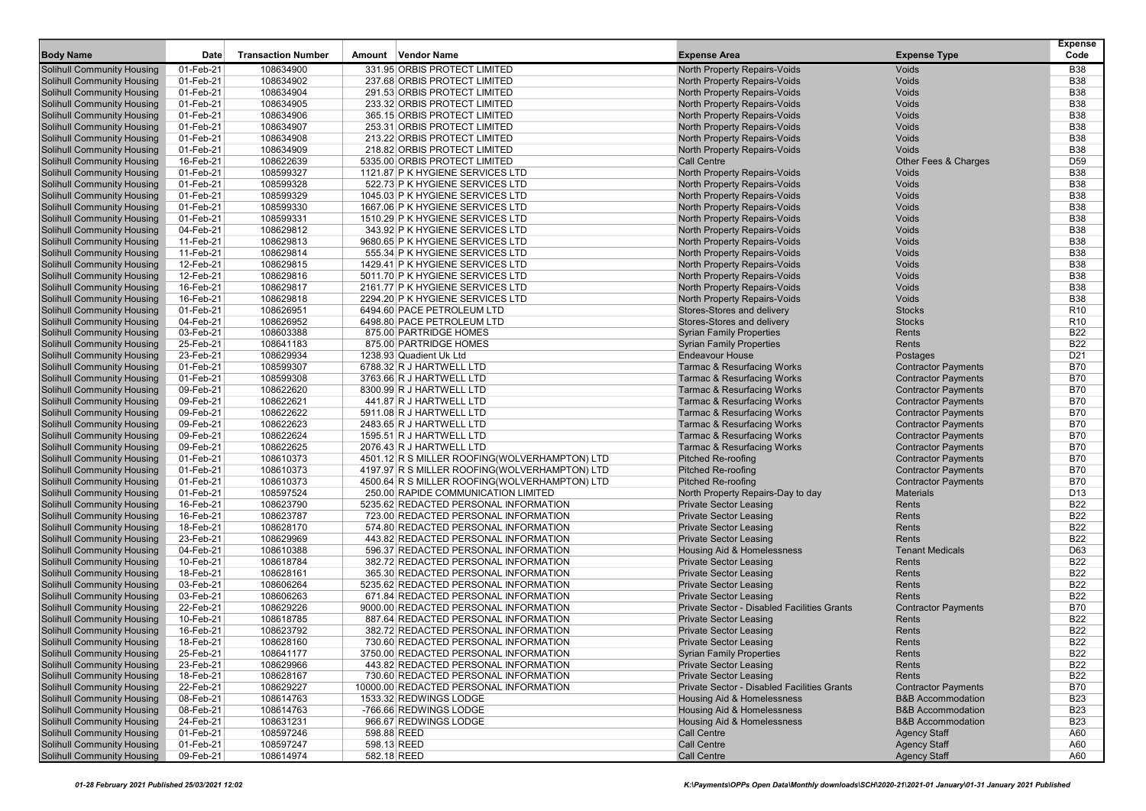| <b>Body Name</b>                                                       | Date                   | <b>Transaction Number</b> | Amount Vendor Name                                                        | <b>Expense Area</b>                                                 | <b>Expense Type</b>                                      | <b>Expense</b><br>Code   |
|------------------------------------------------------------------------|------------------------|---------------------------|---------------------------------------------------------------------------|---------------------------------------------------------------------|----------------------------------------------------------|--------------------------|
|                                                                        |                        |                           |                                                                           |                                                                     |                                                          |                          |
| <b>Solihull Community Housing</b>                                      | 01-Feb-21              | 108634900                 | 331.95 ORBIS PROTECT LIMITED                                              | North Property Repairs-Voids                                        | Voids                                                    | <b>B38</b>               |
| <b>Solihull Community Housing</b>                                      | 01-Feb-21              | 108634902                 | 237.68 ORBIS PROTECT LIMITED                                              | North Property Repairs-Voids                                        | Voids                                                    | <b>B38</b>               |
| <b>Solihull Community Housing</b>                                      | 01-Feb-21              | 108634904                 | 291.53 ORBIS PROTECT LIMITED                                              | North Property Repairs-Voids                                        | Voids                                                    | <b>B38</b>               |
| <b>Solihull Community Housing</b><br><b>Solihull Community Housing</b> | 01-Feb-21<br>01-Feb-21 | 108634905<br>108634906    | 233.32 ORBIS PROTECT LIMITED<br>365.15 ORBIS PROTECT LIMITED              | North Property Repairs-Voids<br><b>North Property Repairs-Voids</b> | Voids<br><b>Voids</b>                                    | <b>B38</b><br><b>B38</b> |
| <b>Solihull Community Housing</b>                                      | 01-Feb-21              | 108634907                 | 253.31 ORBIS PROTECT LIMITED                                              | North Property Repairs-Voids                                        | Voids                                                    | <b>B38</b>               |
| <b>Solihull Community Housing</b>                                      | 01-Feb-21              | 108634908                 | 213.22 ORBIS PROTECT LIMITED                                              | North Property Repairs-Voids                                        | Voids                                                    | <b>B38</b>               |
| <b>Solihull Community Housing</b>                                      | 01-Feb-21              | 108634909                 | 218.82 ORBIS PROTECT LIMITED                                              | North Property Repairs-Voids                                        | Voids                                                    | <b>B38</b>               |
| <b>Solihull Community Housing</b>                                      | 16-Feb-21              | 108622639                 | 5335.00 ORBIS PROTECT LIMITED                                             | <b>Call Centre</b>                                                  | Other Fees & Charges                                     | D <sub>59</sub>          |
| <b>Solihull Community Housing</b>                                      | 01-Feb-21              | 108599327                 | 1121.87 P K HYGIENE SERVICES LTD                                          | North Property Repairs-Voids                                        | Voids                                                    | <b>B38</b>               |
| <b>Solihull Community Housing</b>                                      | 01-Feb-21              | 108599328                 | 522.73 P K HYGIENE SERVICES LTD                                           | North Property Repairs-Voids                                        | Voids                                                    | <b>B38</b>               |
| <b>Solihull Community Housing</b>                                      | 01-Feb-21              | 108599329                 | 1045.03 P K HYGIENE SERVICES LTD                                          | North Property Repairs-Voids                                        | Voids                                                    | <b>B38</b>               |
| <b>Solihull Community Housing</b>                                      | 01-Feb-21              | 108599330                 | 1667.06 P K HYGIENE SERVICES LTD                                          | North Property Repairs-Voids                                        | Voids                                                    | <b>B38</b>               |
| <b>Solihull Community Housing</b>                                      | 01-Feb-21              | 108599331                 | 1510.29 P K HYGIENE SERVICES LTD                                          | North Property Repairs-Voids                                        | Voids                                                    | <b>B38</b>               |
| <b>Solihull Community Housing</b>                                      | 04-Feb-21              | 108629812                 | 343.92 P K HYGIENE SERVICES LTD                                           | North Property Repairs-Voids                                        | Voids                                                    | <b>B38</b>               |
| <b>Solihull Community Housing</b>                                      | 11-Feb-21              | 108629813                 | 9680.65 P K HYGIENE SERVICES LTD                                          | North Property Repairs-Voids                                        | Voids                                                    | <b>B38</b>               |
| <b>Solihull Community Housing</b>                                      | 11-Feb-21              | 108629814                 | 555.34 P K HYGIENE SERVICES LTD                                           | North Property Repairs-Voids                                        | Voids                                                    | <b>B38</b>               |
| <b>Solihull Community Housing</b>                                      | 12-Feb-21              | 108629815                 | 1429.41 P K HYGIENE SERVICES LTD                                          | North Property Repairs-Voids                                        | Voids                                                    | <b>B38</b>               |
| <b>Solihull Community Housing</b>                                      | 12-Feb-21              | 108629816                 | 5011.70 P K HYGIENE SERVICES LTD                                          | North Property Repairs-Voids                                        | Voids                                                    | <b>B38</b>               |
| <b>Solihull Community Housing</b>                                      | 16-Feb-21              | 108629817                 | 2161.77 P K HYGIENE SERVICES LTD                                          | North Property Repairs-Voids                                        | Voids                                                    | <b>B38</b>               |
| <b>Solihull Community Housing</b>                                      | 16-Feb-21              | 108629818                 | 2294.20 P K HYGIENE SERVICES LTD                                          | North Property Repairs-Voids                                        | Voids                                                    | <b>B38</b>               |
| <b>Solihull Community Housing</b>                                      | 01-Feb-21              | 108626951                 | 6494.60 PACE PETROLEUM LTD                                                | Stores-Stores and delivery                                          | <b>Stocks</b>                                            | R <sub>10</sub>          |
| <b>Solihull Community Housing</b>                                      | 04-Feb-21              | 108626952                 | 6498.80 PACE PETROLEUM LTD                                                | Stores-Stores and delivery                                          | <b>Stocks</b>                                            | R <sub>10</sub>          |
| <b>Solihull Community Housing</b>                                      | 03-Feb-21              | 108603388                 | 875.00 PARTRIDGE HOMES                                                    | <b>Syrian Family Properties</b>                                     | Rents                                                    | <b>B22</b>               |
| <b>Solihull Community Housing</b>                                      | 25-Feb-21              | 108641183                 | 875.00 PARTRIDGE HOMES                                                    | <b>Syrian Family Properties</b>                                     | Rents                                                    | <b>B22</b>               |
| <b>Solihull Community Housing</b>                                      | 23-Feb-21              | 108629934                 | 1238.93 Quadient Uk Ltd                                                   | <b>Endeavour House</b>                                              | Postages                                                 | D <sub>21</sub>          |
| <b>Solihull Community Housing</b>                                      | 01-Feb-21              | 108599307                 | 6788.32 R J HARTWELL LTD                                                  | <b>Tarmac &amp; Resurfacing Works</b>                               | <b>Contractor Payments</b>                               | <b>B70</b>               |
| <b>Solihull Community Housing</b>                                      | 01-Feb-21              | 108599308                 | 3763.66 R J HARTWELL LTD                                                  | <b>Tarmac &amp; Resurfacing Works</b>                               | <b>Contractor Payments</b>                               | <b>B70</b>               |
| <b>Solihull Community Housing</b>                                      | 09-Feb-21              | 108622620                 | 8300.99 R J HARTWELL LTD                                                  | <b>Tarmac &amp; Resurfacing Works</b>                               | <b>Contractor Payments</b>                               | <b>B70</b>               |
| <b>Solihull Community Housing</b>                                      | 09-Feb-21              | 108622621                 | 441.87 R J HARTWELL LTD                                                   | <b>Tarmac &amp; Resurfacing Works</b>                               | <b>Contractor Payments</b>                               | <b>B70</b>               |
| <b>Solihull Community Housing</b>                                      | 09-Feb-21              | 108622622                 | 5911.08 R J HARTWELL LTD                                                  | <b>Tarmac &amp; Resurfacing Works</b>                               | <b>Contractor Payments</b>                               | <b>B70</b>               |
| <b>Solihull Community Housing</b>                                      | 09-Feb-21              | 108622623                 | 2483.65 R J HARTWELL LTD                                                  | <b>Tarmac &amp; Resurfacing Works</b>                               | <b>Contractor Payments</b>                               | <b>B70</b>               |
| <b>Solihull Community Housing</b>                                      | 09-Feb-21              | 108622624                 | 1595.51 R J HARTWELL LTD                                                  | <b>Tarmac &amp; Resurfacing Works</b>                               | <b>Contractor Payments</b>                               | <b>B70</b>               |
| <b>Solihull Community Housing</b><br><b>Solihull Community Housing</b> | 09-Feb-21<br>01-Feb-21 | 108622625<br>108610373    | 2076.43 R J HARTWELL LTD<br>4501.12 R S MILLER ROOFING(WOLVERHAMPTON) LTD | <b>Tarmac &amp; Resurfacing Works</b><br><b>Pitched Re-roofing</b>  | <b>Contractor Payments</b>                               | <b>B70</b><br><b>B70</b> |
| <b>Solihull Community Housing</b>                                      | 01-Feb-21              | 108610373                 | 4197.97 R S MILLER ROOFING(WOLVERHAMPTON) LTD                             | <b>Pitched Re-roofing</b>                                           | <b>Contractor Payments</b><br><b>Contractor Payments</b> | <b>B70</b>               |
| <b>Solihull Community Housing</b>                                      | 01-Feb-21              | 108610373                 | 4500.64 R S MILLER ROOFING(WOLVERHAMPTON) LTD                             | <b>Pitched Re-roofing</b>                                           | <b>Contractor Payments</b>                               | <b>B70</b>               |
| <b>Solihull Community Housing</b>                                      | 01-Feb-21              | 108597524                 | 250.00 RAPIDE COMMUNICATION LIMITED                                       | North Property Repairs-Day to day                                   | <b>Materials</b>                                         | D <sub>13</sub>          |
| <b>Solihull Community Housing</b>                                      | 16-Feb-21              | 108623790                 | 5235.62 REDACTED PERSONAL INFORMATION                                     | <b>Private Sector Leasing</b>                                       | Rents                                                    | <b>B22</b>               |
| <b>Solihull Community Housing</b>                                      | 16-Feb-21              | 108623787                 | 723.00 REDACTED PERSONAL INFORMATION                                      | <b>Private Sector Leasing</b>                                       | Rents                                                    | <b>B22</b>               |
| <b>Solihull Community Housing</b>                                      | 18-Feb-21              | 108628170                 | 574.80 REDACTED PERSONAL INFORMATION                                      | <b>Private Sector Leasing</b>                                       | Rents                                                    | <b>B22</b>               |
| <b>Solihull Community Housing</b>                                      | 23-Feb-21              | 108629969                 | 443.82 REDACTED PERSONAL INFORMATION                                      | <b>Private Sector Leasing</b>                                       | Rents                                                    | <b>B22</b>               |
| <b>Solihull Community Housing</b>                                      | 04-Feb-21              | 108610388                 | 596.37 REDACTED PERSONAL INFORMATION                                      | Housing Aid & Homelessness                                          | <b>Tenant Medicals</b>                                   | D63                      |
| <b>Solihull Community Housing</b>                                      | 10-Feb-21              | 108618784                 | 382.72 REDACTED PERSONAL INFORMATION                                      | <b>Private Sector Leasing</b>                                       | Rents                                                    | <b>B22</b>               |
| <b>Solihull Community Housing</b>                                      | 18-Feb-21              | 108628161                 | 365.30 REDACTED PERSONAL INFORMATION                                      | <b>Private Sector Leasing</b>                                       | Rents                                                    | <b>B22</b>               |
| <b>Solihull Community Housing</b>                                      | 03-Feb-21              | 108606264                 | 5235.62 REDACTED PERSONAL INFORMATION                                     | <b>Private Sector Leasing</b>                                       | Rents                                                    | <b>B22</b>               |
| <b>Solihull Community Housing</b>                                      | 03-Feb-21              | 108606263                 | 671.84 REDACTED PERSONAL INFORMATION                                      | <b>Private Sector Leasing</b>                                       | Rents                                                    | <b>B22</b>               |
| <b>Solihull Community Housing</b>                                      | 22-Feb-21              | 108629226                 | 9000.00 REDACTED PERSONAL INFORMATION                                     | Private Sector - Disabled Facilities Grants                         | <b>Contractor Payments</b>                               | <b>B70</b>               |
| <b>Solihull Community Housing</b>                                      | 10-Feb-21              | 108618785                 | 887.64 REDACTED PERSONAL INFORMATION                                      | <b>Private Sector Leasing</b>                                       | Rents                                                    | <b>B22</b>               |
| <b>Solihull Community Housing</b>                                      | 16-Feb-21              | 108623792                 | 382.72 REDACTED PERSONAL INFORMATION                                      | <b>Private Sector Leasing</b>                                       | Rents                                                    | <b>B22</b>               |
| <b>Solihull Community Housing</b>                                      | 18-Feb-21              | 108628160                 | 730.60 REDACTED PERSONAL INFORMATION                                      | <b>Private Sector Leasing</b>                                       | Rents                                                    | <b>B22</b>               |
| <b>Solihull Community Housing</b>                                      | 25-Feb-21              | 108641177                 | 3750.00 REDACTED PERSONAL INFORMATION                                     | <b>Syrian Family Properties</b>                                     | Rents                                                    | <b>B22</b>               |
| <b>Solihull Community Housing</b>                                      | 23-Feb-21              | 108629966                 | 443.82 REDACTED PERSONAL INFORMATION                                      | <b>Private Sector Leasing</b>                                       | Rents                                                    | <b>B22</b>               |
| <b>Solihull Community Housing</b>                                      | 18-Feb-21              | 108628167                 | 730.60 REDACTED PERSONAL INFORMATION                                      | <b>Private Sector Leasing</b>                                       | Rents                                                    | <b>B22</b>               |
| <b>Solihull Community Housing</b>                                      | 22-Feb-21              | 108629227                 | 10000.00 REDACTED PERSONAL INFORMATION                                    | Private Sector - Disabled Facilities Grants                         | <b>Contractor Payments</b>                               | <b>B70</b>               |
| <b>Solihull Community Housing</b>                                      | 08-Feb-21              | 108614763                 | 1533.32 REDWINGS LODGE                                                    | Housing Aid & Homelessness                                          | <b>B&amp;B Accommodation</b>                             | <b>B23</b>               |
| <b>Solihull Community Housing</b>                                      | 08-Feb-21              | 108614763                 | -766.66 REDWINGS LODGE                                                    | Housing Aid & Homelessness                                          | <b>B&amp;B Accommodation</b>                             | <b>B23</b>               |
| <b>Solihull Community Housing</b>                                      | 24-Feb-21              | 108631231                 | 966.67 REDWINGS LODGE                                                     | Housing Aid & Homelessness                                          | <b>B&amp;B Accommodation</b>                             | <b>B23</b>               |
| <b>Solihull Community Housing</b>                                      | 01-Feb-21              | 108597246                 | 598.88 REED                                                               | Call Centre                                                         | <b>Agency Staff</b>                                      | A60                      |
| <b>Solihull Community Housing</b><br>Solihull Community Housing        | 01-Feb-21              | 108597247<br>108614974    | 598.13 REED                                                               | <b>Call Centre</b>                                                  | <b>Agency Staff</b>                                      | A60                      |
|                                                                        | 09-Feb-21              |                           | 582.18 REED                                                               | Call Centre                                                         | <b>Agency Staff</b>                                      | A60                      |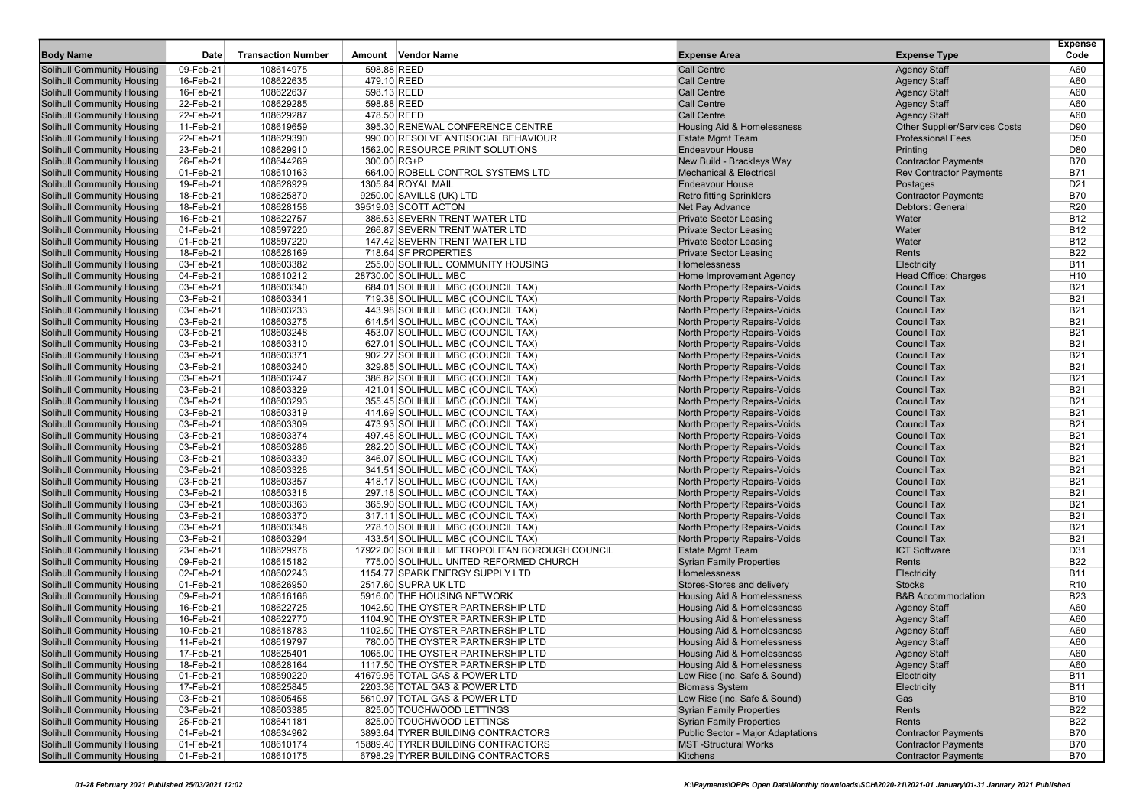|                                                                        |                        |                           |                                                                        |                                                              |                                          | <b>Expense</b>           |
|------------------------------------------------------------------------|------------------------|---------------------------|------------------------------------------------------------------------|--------------------------------------------------------------|------------------------------------------|--------------------------|
| <b>Body Name</b>                                                       | Date                   | <b>Transaction Number</b> | Amount Vendor Name                                                     | <b>Expense Area</b>                                          | <b>Expense Type</b>                      | Code                     |
| Solihull Community Housing                                             | 09-Feb-21              | 108614975                 | 598.88 REED                                                            | <b>Call Centre</b>                                           | <b>Agency Staff</b>                      | A60                      |
| <b>Solihull Community Housing</b>                                      | 16-Feb-21              | 108622635                 | 479.10 REED                                                            | <b>Call Centre</b>                                           | <b>Agency Staff</b>                      | A60                      |
| <b>Solihull Community Housing</b>                                      | 16-Feb-21              | 108622637                 | 598.13 REED                                                            | <b>Call Centre</b>                                           | <b>Agency Staff</b>                      | A60                      |
| <b>Solihull Community Housing</b>                                      | 22-Feb-21              | 108629285                 | 598.88 REED                                                            | <b>Call Centre</b>                                           | <b>Agency Staff</b>                      | A60                      |
| <b>Solihull Community Housing</b>                                      | 22-Feb-21              | 108629287                 | 478.50 REED                                                            | <b>Call Centre</b>                                           | <b>Agency Staff</b>                      | A60                      |
| <b>Solihull Community Housing</b>                                      | 11-Feb-21              | 108619659                 | 395.30 RENEWAL CONFERENCE CENTRE                                       | Housing Aid & Homelessness                                   | <b>Other Supplier/Services Costs</b>     | D90                      |
| <b>Solihull Community Housing</b>                                      | 22-Feb-21              | 108629390                 | 990.00 RESOLVE ANTISOCIAL BEHAVIOUR                                    | <b>Estate Mgmt Team</b>                                      | <b>Professional Fees</b>                 | D <sub>50</sub>          |
| <b>Solihull Community Housing</b>                                      | 23-Feb-21              | 108629910                 | 1562.00 RESOURCE PRINT SOLUTIONS                                       | <b>Endeavour House</b>                                       | Printing                                 | D80                      |
| <b>Solihull Community Housing</b>                                      | 26-Feb-21              | 108644269                 | 300.00 RG+P                                                            | New Build - Brackleys Way                                    | <b>Contractor Payments</b>               | <b>B70</b>               |
| <b>Solihull Community Housing</b>                                      | 01-Feb-21              | 108610163                 | 664.00 ROBELL CONTROL SYSTEMS LTD                                      | <b>Mechanical &amp; Electrical</b>                           | <b>Rev Contractor Payments</b>           | <b>B71</b>               |
| <b>Solihull Community Housing</b>                                      | 19-Feb-21              | 108628929                 | 1305.84 ROYAL MAIL                                                     | <b>Endeavour House</b>                                       | Postages                                 | D <sub>21</sub>          |
| <b>Solihull Community Housing</b>                                      | 18-Feb-21              | 108625870                 | 9250.00 SAVILLS (UK) LTD                                               | <b>Retro fitting Sprinklers</b>                              | <b>Contractor Payments</b>               | <b>B70</b>               |
| <b>Solihull Community Housing</b>                                      | 18-Feb-21              | 108628158                 | 39519.03 SCOTT ACTON                                                   | Net Pay Advance                                              | Debtors: General                         | R <sub>20</sub>          |
| <b>Solihull Community Housing</b>                                      | 16-Feb-21              | 108622757                 | 386.53 SEVERN TRENT WATER LTD                                          | <b>Private Sector Leasing</b>                                | Water                                    | <b>B12</b>               |
| <b>Solihull Community Housing</b>                                      | 01-Feb-21              | 108597220                 | 266.87 SEVERN TRENT WATER LTD                                          | <b>Private Sector Leasing</b>                                | Water                                    | <b>B12</b>               |
| <b>Solihull Community Housing</b>                                      | 01-Feb-21              | 108597220                 | 147.42 SEVERN TRENT WATER LTD                                          | <b>Private Sector Leasing</b>                                | Water                                    | <b>B12</b>               |
| <b>Solihull Community Housing</b>                                      | 18-Feb-21              | 108628169                 | 718.64 SF PROPERTIES                                                   | <b>Private Sector Leasing</b>                                | Rents                                    | <b>B22</b>               |
| <b>Solihull Community Housing</b>                                      | 03-Feb-21              | 108603382                 | 255.00 SOLIHULL COMMUNITY HOUSING                                      | Homelessness                                                 | Electricity                              | <b>B11</b>               |
| <b>Solihull Community Housing</b>                                      | 04-Feb-21              | 108610212                 | 28730.00 SOLIHULL MBC                                                  | Home Improvement Agency                                      | Head Office: Charges                     | H <sub>10</sub>          |
| <b>Solihull Community Housing</b>                                      | 03-Feb-21              | 108603340                 | 684.01 SOLIHULL MBC (COUNCIL TAX)                                      | North Property Repairs-Voids                                 | <b>Council Tax</b>                       | <b>B21</b>               |
| <b>Solihull Community Housing</b>                                      | 03-Feb-21              | 108603341                 | 719.38 SOLIHULL MBC (COUNCIL TAX)                                      | North Property Repairs-Voids                                 | <b>Council Tax</b>                       | <b>B21</b>               |
| <b>Solihull Community Housing</b>                                      | 03-Feb-21              | 108603233                 | 443.98 SOLIHULL MBC (COUNCIL TAX)                                      | North Property Repairs-Voids                                 | <b>Council Tax</b>                       | <b>B21</b>               |
| <b>Solihull Community Housing</b>                                      | 03-Feb-21              | 108603275                 | 614.54 SOLIHULL MBC (COUNCIL TAX)                                      | <b>North Property Repairs-Voids</b>                          | <b>Council Tax</b>                       | <b>B21</b>               |
| <b>Solihull Community Housing</b>                                      | 03-Feb-21              | 108603248                 | 453.07 SOLIHULL MBC (COUNCIL TAX)                                      | <b>North Property Repairs-Voids</b>                          | <b>Council Tax</b>                       | <b>B21</b>               |
| <b>Solihull Community Housing</b>                                      | 03-Feb-21              | 108603310                 | 627.01 SOLIHULL MBC (COUNCIL TAX)                                      | North Property Repairs-Voids                                 | <b>Council Tax</b>                       | <b>B21</b>               |
| <b>Solihull Community Housing</b>                                      | 03-Feb-21              | 108603371<br>108603240    | 902.27 SOLIHULL MBC (COUNCIL TAX)                                      | North Property Repairs-Voids                                 | <b>Council Tax</b><br><b>Council Tax</b> | <b>B21</b><br><b>B21</b> |
| <b>Solihull Community Housing</b><br><b>Solihull Community Housing</b> | 03-Feb-21<br>03-Feb-21 | 108603247                 | 329.85 SOLIHULL MBC (COUNCIL TAX)                                      | North Property Repairs-Voids<br>North Property Repairs-Voids | <b>Council Tax</b>                       | <b>B21</b>               |
| <b>Solihull Community Housing</b>                                      | 03-Feb-21              | 108603329                 | 386.82 SOLIHULL MBC (COUNCIL TAX)                                      | North Property Repairs-Voids                                 | <b>Council Tax</b>                       | <b>B21</b>               |
| <b>Solihull Community Housing</b>                                      | 03-Feb-21              | 108603293                 | 421.01 SOLIHULL MBC (COUNCIL TAX)<br>355.45 SOLIHULL MBC (COUNCIL TAX) | <b>North Property Repairs-Voids</b>                          | <b>Council Tax</b>                       | <b>B21</b>               |
| <b>Solihull Community Housing</b>                                      | 03-Feb-21              | 108603319                 | 414.69 SOLIHULL MBC (COUNCIL TAX)                                      | North Property Repairs-Voids                                 | <b>Council Tax</b>                       | <b>B21</b>               |
| <b>Solihull Community Housing</b>                                      | 03-Feb-21              | 108603309                 | 473.93 SOLIHULL MBC (COUNCIL TAX)                                      | North Property Repairs-Voids                                 | <b>Council Tax</b>                       | <b>B21</b>               |
| <b>Solihull Community Housing</b>                                      | 03-Feb-21              | 108603374                 | 497.48 SOLIHULL MBC (COUNCIL TAX)                                      | <b>North Property Repairs-Voids</b>                          | <b>Council Tax</b>                       | <b>B21</b>               |
| <b>Solihull Community Housing</b>                                      | 03-Feb-21              | 108603286                 | 282.20 SOLIHULL MBC (COUNCIL TAX)                                      | <b>North Property Repairs-Voids</b>                          | <b>Council Tax</b>                       | <b>B21</b>               |
| <b>Solihull Community Housing</b>                                      | 03-Feb-21              | 108603339                 | 346.07 SOLIHULL MBC (COUNCIL TAX)                                      | <b>North Property Repairs-Voids</b>                          | <b>Council Tax</b>                       | <b>B21</b>               |
| <b>Solihull Community Housing</b>                                      | 03-Feb-21              | 108603328                 | 341.51 SOLIHULL MBC (COUNCIL TAX)                                      | North Property Repairs-Voids                                 | <b>Council Tax</b>                       | <b>B21</b>               |
| <b>Solihull Community Housing</b>                                      | 03-Feb-21              | 108603357                 | 418.17 SOLIHULL MBC (COUNCIL TAX)                                      | North Property Repairs-Voids                                 | <b>Council Tax</b>                       | <b>B21</b>               |
| <b>Solihull Community Housing</b>                                      | 03-Feb-21              | 108603318                 | 297.18 SOLIHULL MBC (COUNCIL TAX)                                      | <b>North Property Repairs-Voids</b>                          | <b>Council Tax</b>                       | <b>B21</b>               |
| <b>Solihull Community Housing</b>                                      | 03-Feb-21              | 108603363                 | 365.90 SOLIHULL MBC (COUNCIL TAX)                                      | North Property Repairs-Voids                                 | <b>Council Tax</b>                       | <b>B21</b>               |
| <b>Solihull Community Housing</b>                                      | 03-Feb-21              | 108603370                 | 317.11 SOLIHULL MBC (COUNCIL TAX)                                      | <b>North Property Repairs-Voids</b>                          | <b>Council Tax</b>                       | <b>B21</b>               |
| <b>Solihull Community Housing</b>                                      | 03-Feb-21              | 108603348                 | 278.10 SOLIHULL MBC (COUNCIL TAX)                                      | North Property Repairs-Voids                                 | <b>Council Tax</b>                       | <b>B21</b>               |
| <b>Solihull Community Housing</b>                                      | 03-Feb-21              | 108603294                 | 433.54 SOLIHULL MBC (COUNCIL TAX)                                      | North Property Repairs-Voids                                 | <b>Council Tax</b>                       | <b>B21</b>               |
| <b>Solihull Community Housing</b>                                      | 23-Feb-21              | 108629976                 | 17922.00 SOLIHULL METROPOLITAN BOROUGH COUNCIL                         | <b>Estate Mgmt Team</b>                                      | <b>ICT Software</b>                      | D31                      |
| <b>Solihull Community Housing</b>                                      | 09-Feb-21              | 108615182                 | 775.00 SOLIHULL UNITED REFORMED CHURCH                                 | <b>Syrian Family Properties</b>                              | Rents                                    | <b>B22</b>               |
| <b>Solihull Community Housing</b>                                      | 02-Feb-21              | 108602243                 | 1154.77 SPARK ENERGY SUPPLY LTD                                        | Homelessness                                                 | Electricity                              | <b>B11</b>               |
| <b>Solihull Community Housing</b>                                      | 01-Feb-21              | 108626950                 | 2517.60 SUPRA UK LTD                                                   | Stores-Stores and delivery                                   | <b>Stocks</b>                            | R <sub>10</sub>          |
| <b>Solihull Community Housing</b>                                      | 09-Feb-21              | 108616166                 | 5916.00 THE HOUSING NETWORK                                            | Housing Aid & Homelessness                                   | <b>B&amp;B Accommodation</b>             | <b>B23</b>               |
| <b>Solihull Community Housing</b>                                      | 16-Feb-21              | 108622725                 | 1042.50 THE OYSTER PARTNERSHIP LTD                                     | Housing Aid & Homelessness                                   | <b>Agency Staff</b>                      | A60                      |
| <b>Solihull Community Housing</b>                                      | 16-Feb-21              | 108622770                 | 1104.90 THE OYSTER PARTNERSHIP LTD                                     | <b>Housing Aid &amp; Homelessness</b>                        | <b>Agency Staff</b>                      | A60                      |
| <b>Solihull Community Housing</b>                                      | 10-Feb-21              | 108618783                 | 1102.50 THE OYSTER PARTNERSHIP LTD                                     | Housing Aid & Homelessness                                   | <b>Agency Staff</b>                      | A60                      |
| <b>Solihull Community Housing</b>                                      | 11-Feb-21              | 108619797                 | 780.00 THE OYSTER PARTNERSHIP LTD                                      | Housing Aid & Homelessness                                   | <b>Agency Staff</b>                      | A60                      |
| <b>Solihull Community Housing</b>                                      | 17-Feb-21              | 108625401                 | 1065.00 THE OYSTER PARTNERSHIP LTD                                     | Housing Aid & Homelessness                                   | <b>Agency Staff</b>                      | A60                      |
| <b>Solihull Community Housing</b>                                      | 18-Feb-21              | 108628164                 | 1117.50 THE OYSTER PARTNERSHIP LTD                                     | Housing Aid & Homelessness                                   | <b>Agency Staff</b>                      | A60                      |
| <b>Solihull Community Housing</b>                                      | 01-Feb-21              | 108590220                 | 41679.95 TOTAL GAS & POWER LTD                                         | Low Rise (inc. Safe & Sound)                                 | Electricity                              | <b>B11</b>               |
| <b>Solihull Community Housing</b>                                      | 17-Feb-21              | 108625845                 | 2203.36 TOTAL GAS & POWER LTD                                          | <b>Biomass System</b>                                        | Electricity                              | <b>B11</b>               |
| <b>Solihull Community Housing</b>                                      | 03-Feb-21              | 108605458                 | 5610.97 TOTAL GAS & POWER LTD                                          | Low Rise (inc. Safe & Sound)                                 | Gas                                      | <b>B10</b>               |
| <b>Solihull Community Housing</b>                                      | 03-Feb-21              | 108603385                 | 825.00 TOUCHWOOD LETTINGS                                              | <b>Syrian Family Properties</b>                              | Rents                                    | <b>B22</b>               |
| <b>Solihull Community Housing</b>                                      | 25-Feb-21              | 108641181                 | 825.00 TOUCHWOOD LETTINGS                                              | <b>Syrian Family Properties</b>                              | Rents                                    | B22                      |
| <b>Solihull Community Housing</b>                                      | 01-Feb-21              | 108634962                 | 3893.64 TYRER BUILDING CONTRACTORS                                     | <b>Public Sector - Major Adaptations</b>                     | <b>Contractor Payments</b>               | <b>B70</b>               |
| <b>Solihull Community Housing</b>                                      | 01-Feb-21              | 108610174                 | 15889.40 TYRER BUILDING CONTRACTORS                                    | <b>MST-Structural Works</b>                                  | <b>Contractor Payments</b>               | B70                      |
| <b>Solihull Community Housing</b>                                      | 01-Feb-21              | 108610175                 | 6798.29 TYRER BUILDING CONTRACTORS                                     | Kitchens                                                     | <b>Contractor Payments</b>               | <b>B70</b>               |